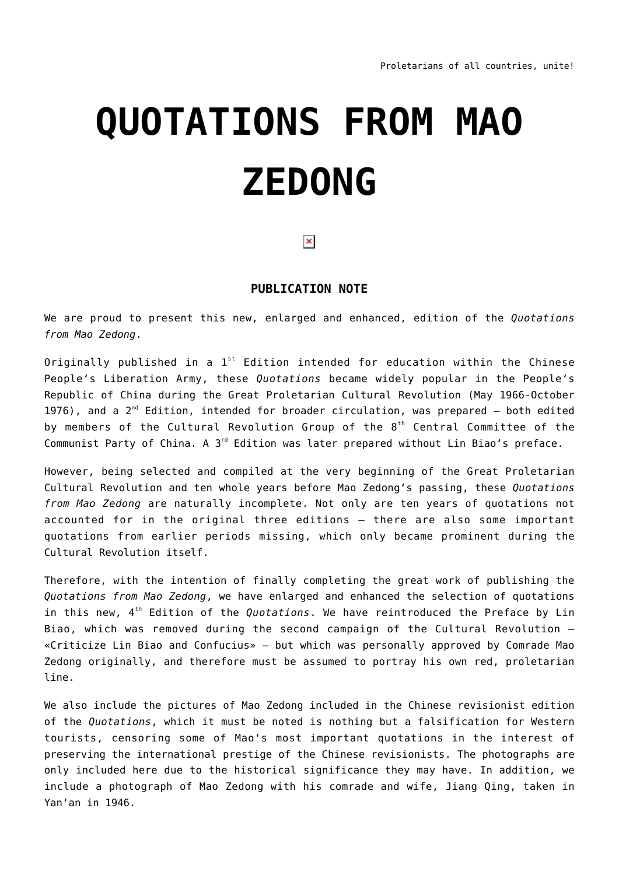# **QUOTATIONS FROM MAO ZEDONG**

# $\pmb{\times}$

# **PUBLICATION NOTE**

We are proud to present this new, enlarged and enhanced, edition of the *Quotations from Mao Zedong*.

Originally published in a  $1^{st}$  Edition intended for education within the Chinese People's Liberation Army, these *Quotations* became widely popular in the People's Republic of China during the Great Proletarian Cultural Revolution (May 1966-October 1976), and a  $2^{nd}$  Edition, intended for broader circulation, was prepared  $-$  both edited by members of the Cultural Revolution Group of the  $8<sup>th</sup>$  Central Committee of the Communist Party of China. A 3<sup>rd</sup> Edition was later prepared without Lin Biao's preface.

However, being selected and compiled at the very beginning of the Great Proletarian Cultural Revolution and ten whole years before Mao Zedong's passing, these *Quotations from Mao Zedong* are naturally incomplete. Not only are ten years of quotations not accounted for in the original three editions — there are also some important quotations from earlier periods missing, which only became prominent during the Cultural Revolution itself.

Therefore, with the intention of finally completing the great work of publishing the *Quotations from Mao Zedong*, we have enlarged and enhanced the selection of quotations in this new, 4th Edition of the *Quotations*. We have reintroduced the Preface by Lin Biao, which was removed during the second campaign of the Cultural Revolution — «Criticize Lin Biao and Confucius» — but which was personally approved by Comrade Mao Zedong originally, and therefore must be assumed to portray his own red, proletarian line.

We also include the pictures of Mao Zedong included in the Chinese revisionist edition of the *Quotations*, which it must be noted is nothing but a falsification for Western tourists, censoring some of Mao's most important quotations in the interest of preserving the international prestige of the Chinese revisionists. The photographs are only included here due to the historical significance they may have. In addition, we include a photograph of Mao Zedong with his comrade and wife, Jiang Qing, taken in Yan'an in 1946.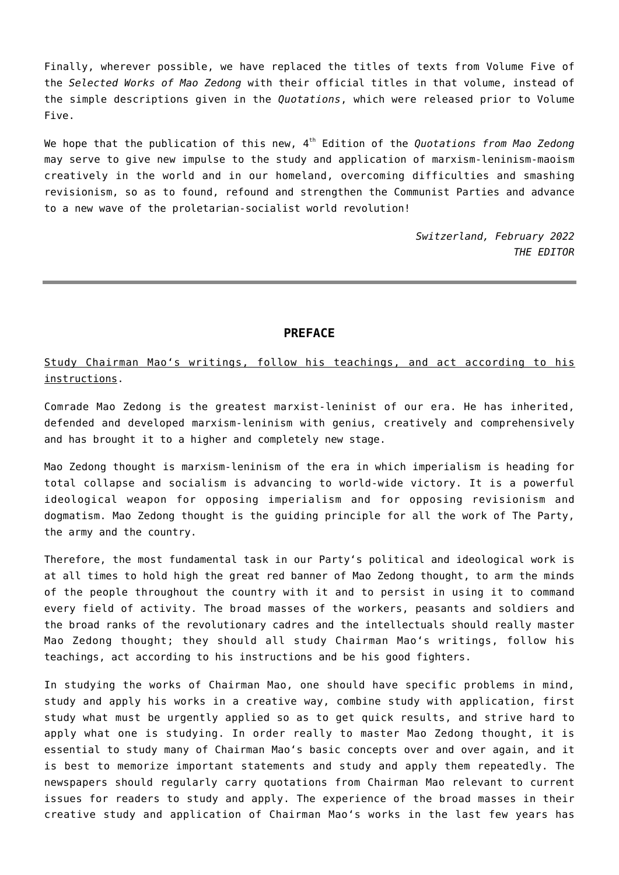Finally, wherever possible, we have replaced the titles of texts from Volume Five of the *Selected Works of Mao Zedong* with their official titles in that volume, instead of the simple descriptions given in the *Quotations*, which were released prior to Volume Five.

We hope that the publication of this new, 4<sup>th</sup> Edition of the *Quotations from Mao Zedong* may serve to give new impulse to the study and application of marxism-leninism-maoism creatively in the world and in our homeland, overcoming difficulties and smashing revisionism, so as to found, refound and strengthen the Communist Parties and advance to a new wave of the proletarian-socialist world revolution!

> *Switzerland, February 2022 THE EDITOR*

## **PREFACE**

# Study Chairman Mao's writings, follow his teachings, and act according to his instructions.

Comrade Mao Zedong is the greatest marxist-leninist of our era. He has inherited, defended and developed marxism-leninism with genius, creatively and comprehensively and has brought it to a higher and completely new stage.

Mao Zedong thought is marxism-leninism of the era in which imperialism is heading for total collapse and socialism is advancing to world-wide victory. It is a powerful ideological weapon for opposing imperialism and for opposing revisionism and dogmatism. Mao Zedong thought is the guiding principle for all the work of The Party, the army and the country.

Therefore, the most fundamental task in our Party's political and ideological work is at all times to hold high the great red banner of Mao Zedong thought, to arm the minds of the people throughout the country with it and to persist in using it to command every field of activity. The broad masses of the workers, peasants and soldiers and the broad ranks of the revolutionary cadres and the intellectuals should really master Mao Zedong thought; they should all study Chairman Mao's writings, follow his teachings, act according to his instructions and be his good fighters.

In studying the works of Chairman Mao, one should have specific problems in mind, study and apply his works in a creative way, combine study with application, first study what must be urgently applied so as to get quick results, and strive hard to apply what one is studying. In order really to master Mao Zedong thought, it is essential to study many of Chairman Mao's basic concepts over and over again, and it is best to memorize important statements and study and apply them repeatedly. The newspapers should regularly carry quotations from Chairman Mao relevant to current issues for readers to study and apply. The experience of the broad masses in their creative study and application of Chairman Mao's works in the last few years has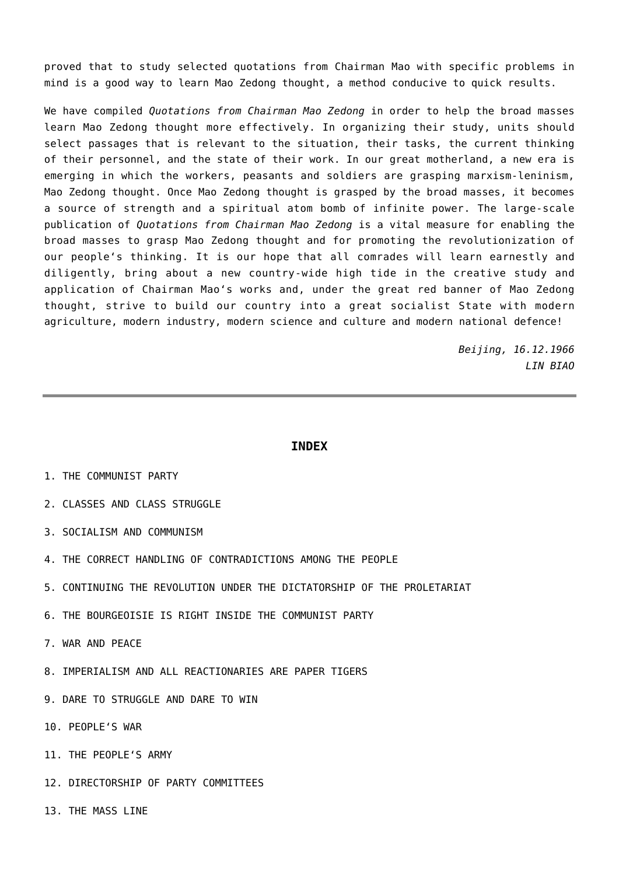proved that to study selected quotations from Chairman Mao with specific problems in mind is a good way to learn Mao Zedong thought, a method conducive to quick results.

We have compiled *Quotations from Chairman Mao Zedong* in order to help the broad masses learn Mao Zedong thought more effectively. In organizing their study, units should select passages that is relevant to the situation, their tasks, the current thinking of their personnel, and the state of their work. In our great motherland, a new era is emerging in which the workers, peasants and soldiers are grasping marxism-leninism, Mao Zedong thought. Once Mao Zedong thought is grasped by the broad masses, it becomes a source of strength and a spiritual atom bomb of infinite power. The large-scale publication of *Quotations from Chairman Mao Zedong* is a vital measure for enabling the broad masses to grasp Mao Zedong thought and for promoting the revolutionization of our people's thinking. It is our hope that all comrades will learn earnestly and diligently, bring about a new country-wide high tide in the creative study and application of Chairman Mao's works and, under the great red banner of Mao Zedong thought, strive to build our country into a great socialist State with modern agriculture, modern industry, modern science and culture and modern national defence!

> *Beijing, 16.12.1966 LIN BIAO*

## **INDEX**

- 1. THE COMMUNIST PARTY
- 2. CLASSES AND CLASS STRUGGLE
- 3. SOCIALISM AND COMMUNISM
- 4. THE CORRECT HANDLING OF CONTRADICTIONS AMONG THE PEOPLE
- 5. CONTINUING THE REVOLUTION UNDER THE DICTATORSHIP OF THE PROLETARIAT
- 6. THE BOURGEOISIE IS RIGHT INSIDE THE COMMUNIST PARTY
- 7. WAR AND PEACE
- 8. IMPERIALISM AND ALL REACTIONARIES ARE PAPER TIGERS
- 9. DARE TO STRUGGLE AND DARE TO WIN
- 10. PEOPLE'S WAR
- 11. THE PEOPLE'S ARMY
- 12. DIRECTORSHIP OF PARTY COMMITTEES
- 13. THE MASS LINE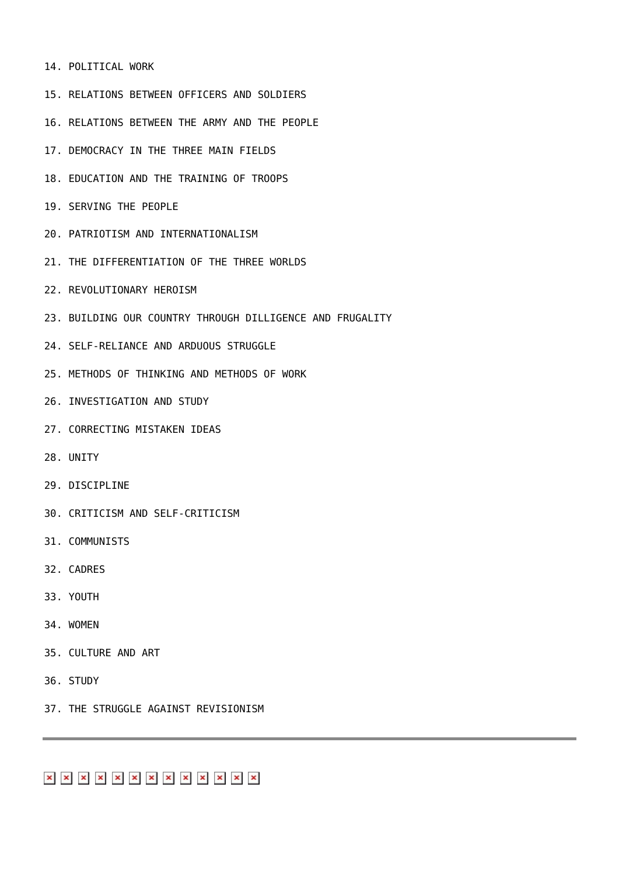- 14. POLITICAL WORK
- 15. RELATIONS BETWEEN OFFICERS AND SOLDIERS
- 16. RELATIONS BETWEEN THE ARMY AND THE PEOPLE
- 17. DEMOCRACY IN THE THREE MAIN FIELDS
- 18. EDUCATION AND THE TRAINING OF TROOPS
- 19. SERVING THE PEOPLE
- 20. PATRIOTISM AND INTERNATIONALISM
- 21. THE DIFFERENTIATION OF THE THREE WORLDS
- 22. REVOLUTIONARY HEROISM
- 23. BUILDING OUR COUNTRY THROUGH DILLIGENCE AND FRUGALITY
- 24. SELF-RELIANCE AND ARDUOUS STRUGGLE
- 25. METHODS OF THINKING AND METHODS OF WORK
- 26. INVESTIGATION AND STUDY
- 27. CORRECTING MISTAKEN IDEAS
- 28. UNITY
- 29. DISCIPLINE
- 30. CRITICISM AND SELF-CRITICISM
- 31. COMMUNISTS
- 32. CADRES
- 33. YOUTH
- 34. WOMEN
- 35. CULTURE AND ART
- 36. STUDY
- 37. THE STRUGGLE AGAINST REVISIONISM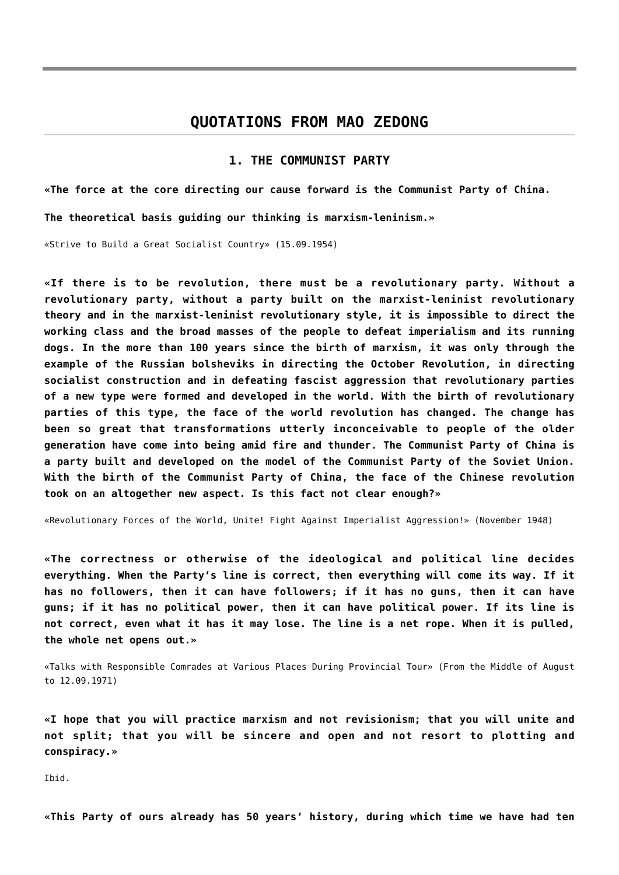# **QUOTATIONS FROM MAO ZEDONG**

## **1. THE COMMUNIST PARTY**

**«The force at the core directing our cause forward is the Communist Party of China.**

**The theoretical basis guiding our thinking is marxism-leninism.»**

«Strive to Build a Great Socialist Country» (15.09.1954)

**«If there is to be revolution, there must be a revolutionary party. Without a revolutionary party, without a party built on the marxist-leninist revolutionary theory and in the marxist-leninist revolutionary style, it is impossible to direct the working class and the broad masses of the people to defeat imperialism and its running dogs. In the more than 100 years since the birth of marxism, it was only through the example of the Russian bolsheviks in directing the October Revolution, in directing socialist construction and in defeating fascist aggression that revolutionary parties of a new type were formed and developed in the world. With the birth of revolutionary parties of this type, the face of the world revolution has changed. The change has been so great that transformations utterly inconceivable to people of the older generation have come into being amid fire and thunder. The Communist Party of China is a party built and developed on the model of the Communist Party of the Soviet Union. With the birth of the Communist Party of China, the face of the Chinese revolution took on an altogether new aspect. Is this fact not clear enough?»**

«Revolutionary Forces of the World, Unite! Fight Against Imperialist Aggression!» (November 1948)

**«The correctness or otherwise of the ideological and political line decides everything. When the Party's line is correct, then everything will come its way. If it has no followers, then it can have followers; if it has no guns, then it can have guns; if it has no political power, then it can have political power. If its line is not correct, even what it has it may lose. The line is a net rope. When it is pulled, the whole net opens out.»**

«Talks with Responsible Comrades at Various Places During Provincial Tour» (From the Middle of August to 12.09.1971)

**«I hope that you will practice marxism and not revisionism; that you will unite and not split; that you will be sincere and open and not resort to plotting and conspiracy.»**

Ibid.

**«This Party of ours already has 50 years' history, during which time we have had ten**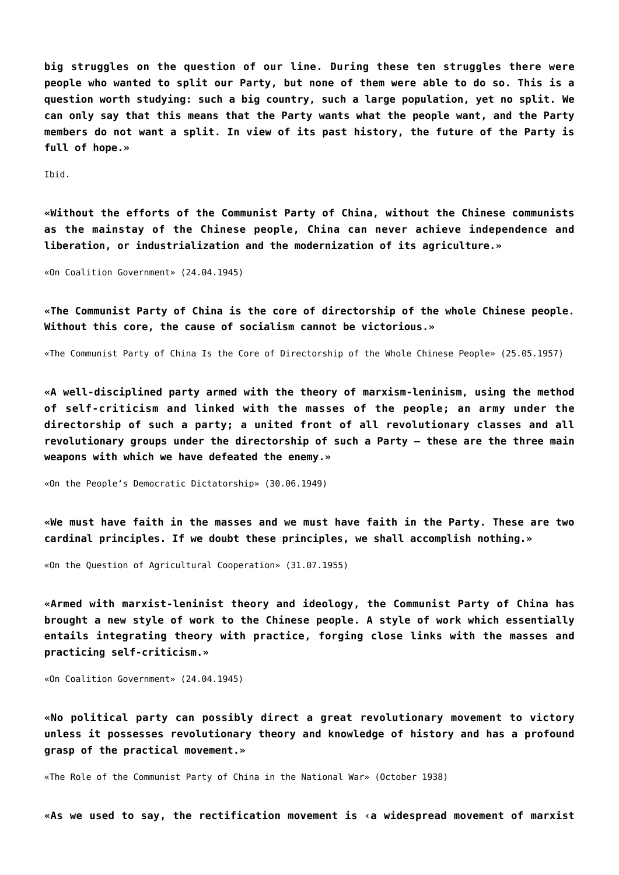**big struggles on the question of our line. During these ten struggles there were people who wanted to split our Party, but none of them were able to do so. This is a question worth studying: such a big country, such a large population, yet no split. We can only say that this means that the Party wants what the people want, and the Party members do not want a split. In view of its past history, the future of the Party is full of hope.»**

Ibid.

**«Without the efforts of the Communist Party of China, without the Chinese communists as the mainstay of the Chinese people, China can never achieve independence and liberation, or industrialization and the modernization of its agriculture.»**

«On Coalition Government» (24.04.1945)

**«The Communist Party of China is the core of directorship of the whole Chinese people. Without this core, the cause of socialism cannot be victorious.»**

«The Communist Party of China Is the Core of Directorship of the Whole Chinese People» (25.05.1957)

**«A well-disciplined party armed with the theory of marxism-leninism, using the method of self-criticism and linked with the masses of the people; an army under the directorship of such a party; a united front of all revolutionary classes and all revolutionary groups under the directorship of such a Party — these are the three main weapons with which we have defeated the enemy.»**

«On the People's Democratic Dictatorship» (30.06.1949)

**«We must have faith in the masses and we must have faith in the Party. These are two cardinal principles. If we doubt these principles, we shall accomplish nothing.»**

«On the Question of Agricultural Cooperation» (31.07.1955)

**«Armed with marxist-leninist theory and ideology, the Communist Party of China has brought a new style of work to the Chinese people. A style of work which essentially entails integrating theory with practice, forging close links with the masses and practicing self-criticism.»**

«On Coalition Government» (24.04.1945)

**«No political party can possibly direct a great revolutionary movement to victory unless it possesses revolutionary theory and knowledge of history and has a profound grasp of the practical movement.»**

«The Role of the Communist Party of China in the National War» (October 1938)

**«As we used to say, the rectification movement is ‹a widespread movement of marxist**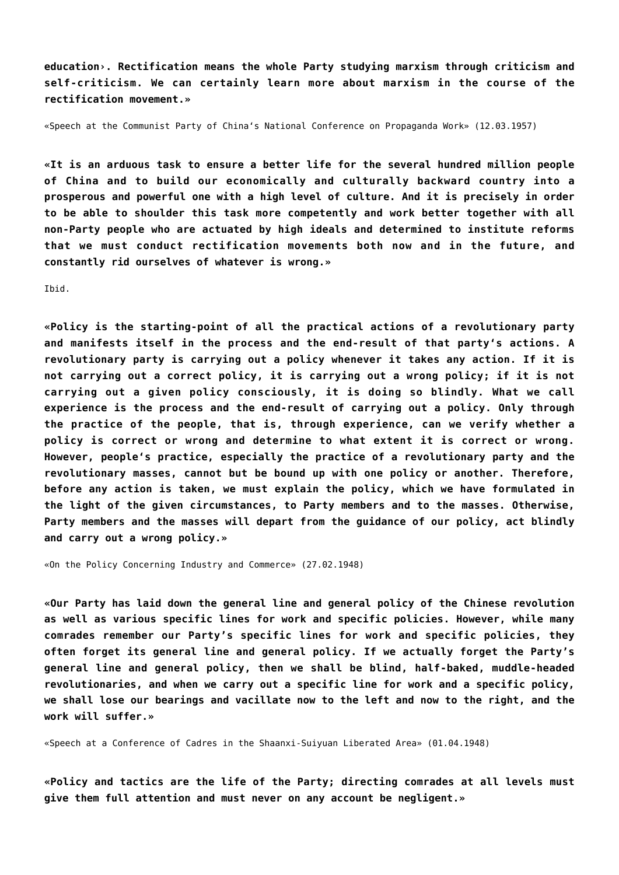**education›. Rectification means the whole Party studying marxism through criticism and self-criticism. We can certainly learn more about marxism in the course of the rectification movement.»**

«Speech at the Communist Party of China's National Conference on Propaganda Work» (12.03.1957)

**«It is an arduous task to ensure a better life for the several hundred million people of China and to build our economically and culturally backward country into a prosperous and powerful one with a high level of culture. And it is precisely in order to be able to shoulder this task more competently and work better together with all non-Party people who are actuated by high ideals and determined to institute reforms that we must conduct rectification movements both now and in the future, and constantly rid ourselves of whatever is wrong.»**

Ibid.

**«Policy is the starting-point of all the practical actions of a revolutionary party and manifests itself in the process and the end-result of that party's actions. A revolutionary party is carrying out a policy whenever it takes any action. If it is not carrying out a correct policy, it is carrying out a wrong policy; if it is not carrying out a given policy consciously, it is doing so blindly. What we call experience is the process and the end-result of carrying out a policy. Only through the practice of the people, that is, through experience, can we verify whether a policy is correct or wrong and determine to what extent it is correct or wrong. However, people's practice, especially the practice of a revolutionary party and the revolutionary masses, cannot but be bound up with one policy or another. Therefore, before any action is taken, we must explain the policy, which we have formulated in the light of the given circumstances, to Party members and to the masses. Otherwise, Party members and the masses will depart from the guidance of our policy, act blindly and carry out a wrong policy.»**

«On the Policy Concerning Industry and Commerce» (27.02.1948)

**«Our Party has laid down the general line and general policy of the Chinese revolution as well as various specific lines for work and specific policies. However, while many comrades remember our Party's specific lines for work and specific policies, they often forget its general line and general policy. If we actually forget the Party's general line and general policy, then we shall be blind, half-baked, muddle-headed revolutionaries, and when we carry out a specific line for work and a specific policy, we shall lose our bearings and vacillate now to the left and now to the right, and the work will suffer.»**

«Speech at a Conference of Cadres in the Shaanxi-Suiyuan Liberated Area» (01.04.1948)

**«Policy and tactics are the life of the Party; directing comrades at all levels must give them full attention and must never on any account be negligent.»**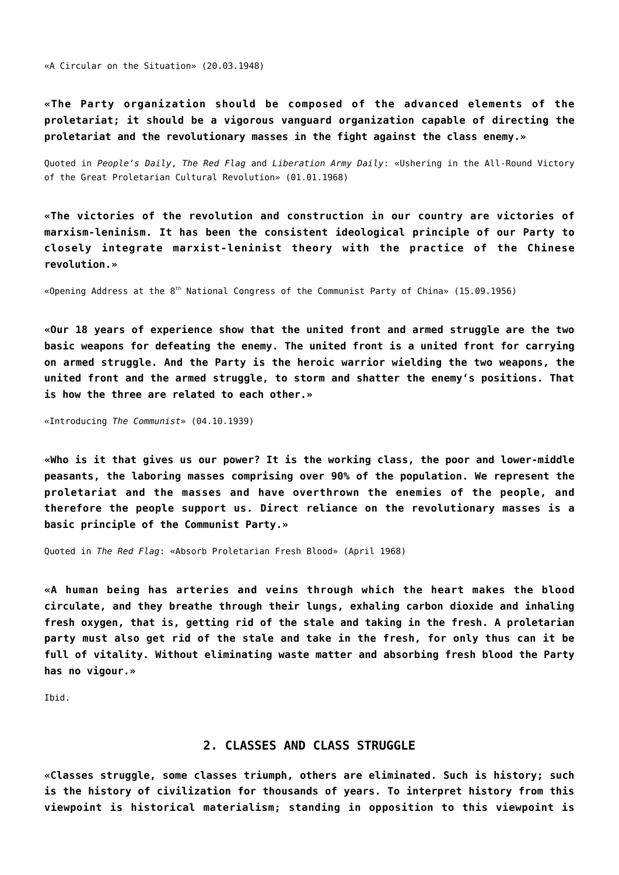«A Circular on the Situation» (20.03.1948)

**«The Party organization should be composed of the advanced elements of the proletariat; it should be a vigorous vanguard organization capable of directing the proletariat and the revolutionary masses in the fight against the class enemy.»**

Quoted in *People's Daily*, *The Red Flag* and *Liberation Army Daily*: «Ushering in the All-Round Victory of the Great Proletarian Cultural Revolution» (01.01.1968)

**«The victories of the revolution and construction in our country are victories of marxism-leninism. It has been the consistent ideological principle of our Party to closely integrate marxist-leninist theory with the practice of the Chinese revolution.»**

«Opening Address at the  $8^{th}$  National Congress of the Communist Party of China» (15.09.1956)

**«Our 18 years of experience show that the united front and armed struggle are the two basic weapons for defeating the enemy. The united front is a united front for carrying on armed struggle. And the Party is the heroic warrior wielding the two weapons, the united front and the armed struggle, to storm and shatter the enemy's positions. That is how the three are related to each other.»**

«Introducing *The Communist*» (04.10.1939)

**«Who is it that gives us our power? It is the working class, the poor and lower-middle peasants, the laboring masses comprising over 90% of the population. We represent the proletariat and the masses and have overthrown the enemies of the people, and therefore the people support us. Direct reliance on the revolutionary masses is a basic principle of the Communist Party.»**

Quoted in *The Red Flag*: «Absorb Proletarian Fresh Blood» (April 1968)

**«A human being has arteries and veins through which the heart makes the blood circulate, and they breathe through their lungs, exhaling carbon dioxide and inhaling fresh oxygen, that is, getting rid of the stale and taking in the fresh. A proletarian party must also get rid of the stale and take in the fresh, for only thus can it be full of vitality. Without eliminating waste matter and absorbing fresh blood the Party has no vigour.»**

Ibid.

# **2. CLASSES AND CLASS STRUGGLE**

**«Classes struggle, some classes triumph, others are eliminated. Such is history; such is the history of civilization for thousands of years. To interpret history from this viewpoint is historical materialism; standing in opposition to this viewpoint is**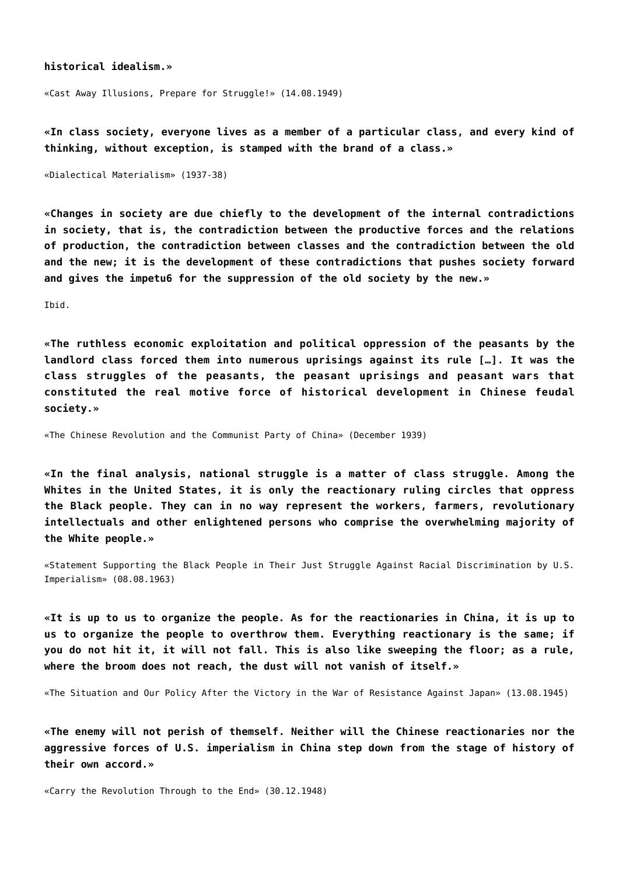### **historical idealism.»**

«Cast Away Illusions, Prepare for Struggle!» (14.08.1949)

**«In class society, everyone lives as a member of a particular class, and every kind of thinking, without exception, is stamped with the brand of a class.»**

«Dialectical Materialism» (1937-38)

**«Changes in society are due chiefly to the development of the internal contradictions in society, that is, the contradiction between the productive forces and the relations of production, the contradiction between classes and the contradiction between the old and the new; it is the development of these contradictions that pushes society forward and gives the impetu6 for the suppression of the old society by the new.»**

Ibid.

**«The ruthless economic exploitation and political oppression of the peasants by the landlord class forced them into numerous uprisings against its rule […]. It was the class struggles of the peasants, the peasant uprisings and peasant wars that constituted the real motive force of historical development in Chinese feudal society.»**

«The Chinese Revolution and the Communist Party of China» (December 1939)

**«In the final analysis, national struggle is a matter of class struggle. Among the Whites in the United States, it is only the reactionary ruling circles that oppress the Black people. They can in no way represent the workers, farmers, revolutionary intellectuals and other enlightened persons who comprise the overwhelming majority of the White people.»**

«Statement Supporting the Black People in Their Just Struggle Against Racial Discrimination by U.S. Imperialism» (08.08.1963)

**«It is up to us to organize the people. As for the reactionaries in China, it is up to us to organize the people to overthrow them. Everything reactionary is the same; if you do not hit it, it will not fall. This is also like sweeping the floor; as a rule, where the broom does not reach, the dust will not vanish of itself.»**

«The Situation and Our Policy After the Victory in the War of Resistance Against Japan» (13.08.1945)

**«The enemy will not perish of themself. Neither will the Chinese reactionaries nor the aggressive forces of U.S. imperialism in China step down from the stage of history of their own accord.»**

«Carry the Revolution Through to the End» (30.12.1948)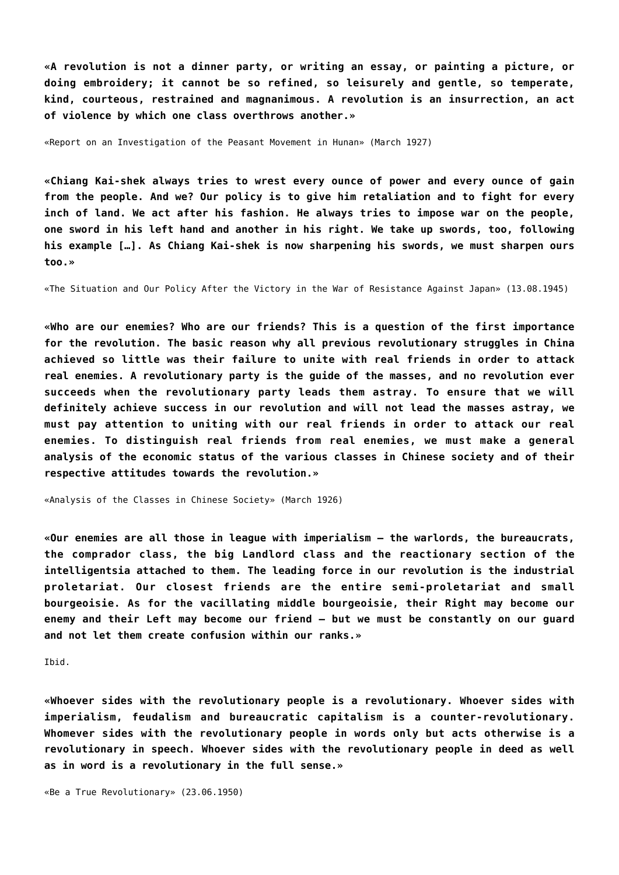**«A revolution is not a dinner party, or writing an essay, or painting a picture, or doing embroidery; it cannot be so refined, so leisurely and gentle, so temperate, kind, courteous, restrained and magnanimous. A revolution is an insurrection, an act of violence by which one class overthrows another.»**

«Report on an Investigation of the Peasant Movement in Hunan» (March 1927)

**«Chiang Kai-shek always tries to wrest every ounce of power and every ounce of gain from the people. And we? Our policy is to give him retaliation and to fight for every inch of land. We act after his fashion. He always tries to impose war on the people, one sword in his left hand and another in his right. We take up swords, too, following his example […]. As Chiang Kai-shek is now sharpening his swords, we must sharpen ours too.»**

«The Situation and Our Policy After the Victory in the War of Resistance Against Japan» (13.08.1945)

**«Who are our enemies? Who are our friends? This is a question of the first importance for the revolution. The basic reason why all previous revolutionary struggles in China achieved so little was their failure to unite with real friends in order to attack real enemies. A revolutionary party is the guide of the masses, and no revolution ever succeeds when the revolutionary party leads them astray. To ensure that we will definitely achieve success in our revolution and will not lead the masses astray, we must pay attention to uniting with our real friends in order to attack our real enemies. To distinguish real friends from real enemies, we must make a general analysis of the economic status of the various classes in Chinese society and of their respective attitudes towards the revolution.»**

«Analysis of the Classes in Chinese Society» (March 1926)

**«Our enemies are all those in league with imperialism — the warlords, the bureaucrats, the comprador class, the big Landlord class and the reactionary section of the intelligentsia attached to them. The leading force in our revolution is the industrial proletariat. Our closest friends are the entire semi-proletariat and small bourgeoisie. As for the vacillating middle bourgeoisie, their Right may become our enemy and their Left may become our friend — but we must be constantly on our guard and not let them create confusion within our ranks.»**

Ibid.

**«Whoever sides with the revolutionary people is a revolutionary. Whoever sides with imperialism, feudalism and bureaucratic capitalism is a counter-revolutionary. Whomever sides with the revolutionary people in words only but acts otherwise is a revolutionary in speech. Whoever sides with the revolutionary people in deed as well as in word is a revolutionary in the full sense.»**

«Be a True Revolutionary» (23.06.1950)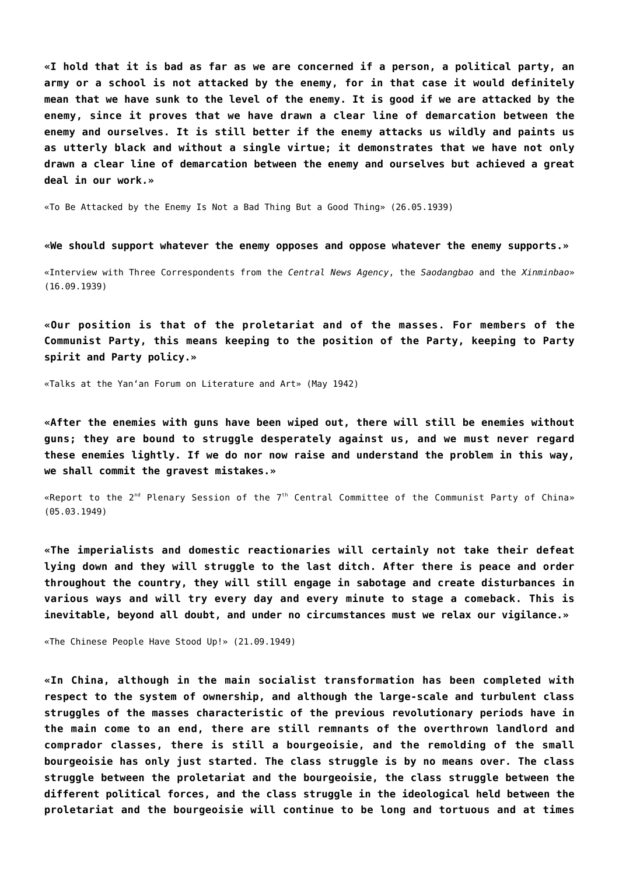**«I hold that it is bad as far as we are concerned if a person, a political party, an army or a school is not attacked by the enemy, for in that case it would definitely mean that we have sunk to the level of the enemy. It is good if we are attacked by the enemy, since it proves that we have drawn a clear line of demarcation between the enemy and ourselves. It is still better if the enemy attacks us wildly and paints us as utterly black and without a single virtue; it demonstrates that we have not only drawn a clear line of demarcation between the enemy and ourselves but achieved a great deal in our work.»**

«To Be Attacked by the Enemy Is Not a Bad Thing But a Good Thing» (26.05.1939)

**«We should support whatever the enemy opposes and oppose whatever the enemy supports.»**

«Interview with Three Correspondents from the *Central News Agency*, the *Saodangbao* and the *Xinminbao*» (16.09.1939)

**«Our position is that of the proletariat and of the masses. For members of the Communist Party, this means keeping to the position of the Party, keeping to Party spirit and Party policy.»**

«Talks at the Yan'an Forum on Literature and Art» (May 1942)

**«After the enemies with guns have been wiped out, there will still be enemies without guns; they are bound to struggle desperately against us, and we must never regard these enemies lightly. If we do nor now raise and understand the problem in this way, we shall commit the gravest mistakes.»**

«Report to the  $2^{nd}$  Plenary Session of the  $7^{th}$  Central Committee of the Communist Party of China» (05.03.1949)

**«The imperialists and domestic reactionaries will certainly not take their defeat lying down and they will struggle to the last ditch. After there is peace and order throughout the country, they will still engage in sabotage and create disturbances in various ways and will try every day and every minute to stage a comeback. This is inevitable, beyond all doubt, and under no circumstances must we relax our vigilance.»**

«The Chinese People Have Stood Up!» (21.09.1949)

**«In China, although in the main socialist transformation has been completed with respect to the system of ownership, and although the large-scale and turbulent class struggles of the masses characteristic of the previous revolutionary periods have in the main come to an end, there are still remnants of the overthrown landlord and comprador classes, there is still a bourgeoisie, and the remolding of the small bourgeoisie has only just started. The class struggle is by no means over. The class struggle between the proletariat and the bourgeoisie, the class struggle between the different political forces, and the class struggle in the ideological held between the proletariat and the bourgeoisie will continue to be long and tortuous and at times**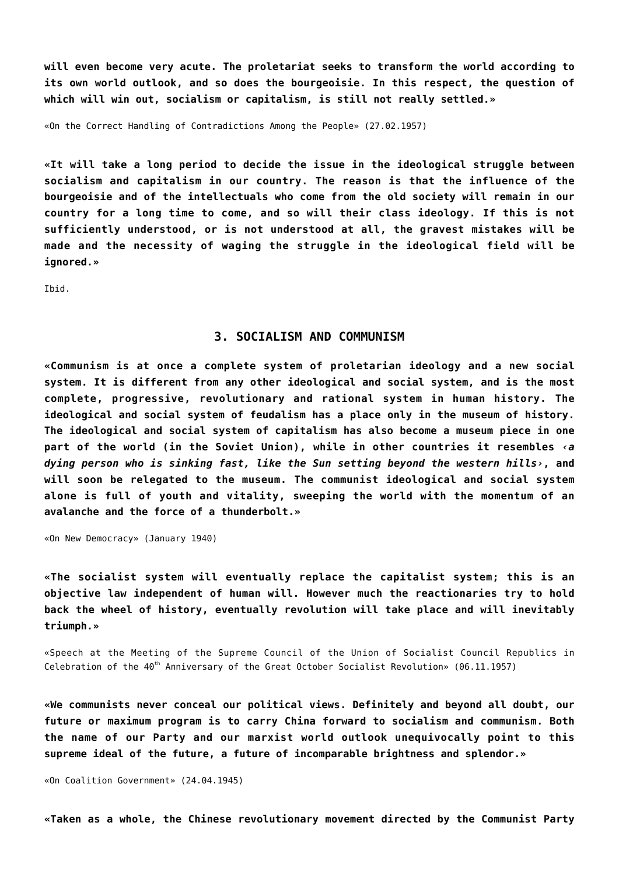**will even become very acute. The proletariat seeks to transform the world according to its own world outlook, and so does the bourgeoisie. In this respect, the question of which will win out, socialism or capitalism, is still not really settled.»**

«On the Correct Handling of Contradictions Among the People» (27.02.1957)

**«It will take a long period to decide the issue in the ideological struggle between socialism and capitalism in our country. The reason is that the influence of the bourgeoisie and of the intellectuals who come from the old society will remain in our country for a long time to come, and so will their class ideology. If this is not sufficiently understood, or is not understood at all, the gravest mistakes will be made and the necessity of waging the struggle in the ideological field will be ignored.»**

Ibid.

# **3. SOCIALISM AND COMMUNISM**

**«Communism is at once a complete system of proletarian ideology and a new social system. It is different from any other ideological and social system, and is the most complete, progressive, revolutionary and rational system in human history. The ideological and social system of feudalism has a place only in the museum of history. The ideological and social system of capitalism has also become a museum piece in one part of the world (in the Soviet Union), while in other countries it resembles** *‹a dying person who is sinking fast, like the Sun setting beyond the western hills›***, and will soon be relegated to the museum. The communist ideological and social system alone is full of youth and vitality, sweeping the world with the momentum of an avalanche and the force of a thunderbolt.»**

«On New Democracy» (January 1940)

**«The socialist system will eventually replace the capitalist system; this is an objective law independent of human will. However much the reactionaries try to hold back the wheel of history, eventually revolution will take place and will inevitably triumph.»**

«Speech at the Meeting of the Supreme Council of the Union of Socialist Council Republics in Celebration of the 40<sup>th</sup> Anniversary of the Great October Socialist Revolution» (06.11.1957)

**«We communists never conceal our political views. Definitely and beyond all doubt, our future or maximum program is to carry China forward to socialism and communism. Both the name of our Party and our marxist world outlook unequivocally point to this supreme ideal of the future, a future of incomparable brightness and splendor.»**

«On Coalition Government» (24.04.1945)

**«Taken as a whole, the Chinese revolutionary movement directed by the Communist Party**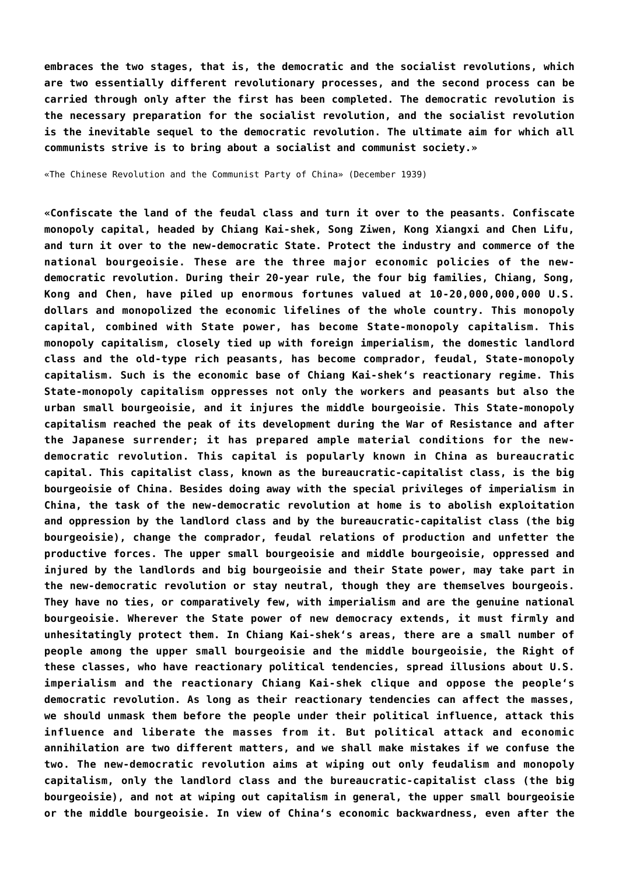**embraces the two stages, that is, the democratic and the socialist revolutions, which are two essentially different revolutionary processes, and the second process can be carried through only after the first has been completed. The democratic revolution is the necessary preparation for the socialist revolution, and the socialist revolution is the inevitable sequel to the democratic revolution. The ultimate aim for which all communists strive is to bring about a socialist and communist society.»**

«The Chinese Revolution and the Communist Party of China» (December 1939)

**«Confiscate the land of the feudal class and turn it over to the peasants. Confiscate monopoly capital, headed by Chiang Kai-shek, Song Ziwen, Kong Xiangxi and Chen Lifu, and turn it over to the new-democratic State. Protect the industry and commerce of the national bourgeoisie. These are the three major economic policies of the newdemocratic revolution. During their 20-year rule, the four big families, Chiang, Song, Kong and Chen, have piled up enormous fortunes valued at 10-20,000,000,000 U.S. dollars and monopolized the economic lifelines of the whole country. This monopoly capital, combined with State power, has become State-monopoly capitalism. This monopoly capitalism, closely tied up with foreign imperialism, the domestic landlord class and the old-type rich peasants, has become comprador, feudal, State-monopoly capitalism. Such is the economic base of Chiang Kai-shek's reactionary regime. This State-monopoly capitalism oppresses not only the workers and peasants but also the urban small bourgeoisie, and it injures the middle bourgeoisie. This State-monopoly capitalism reached the peak of its development during the War of Resistance and after the Japanese surrender; it has prepared ample material conditions for the newdemocratic revolution. This capital is popularly known in China as bureaucratic capital. This capitalist class, known as the bureaucratic-capitalist class, is the big bourgeoisie of China. Besides doing away with the special privileges of imperialism in China, the task of the new-democratic revolution at home is to abolish exploitation and oppression by the landlord class and by the bureaucratic-capitalist class (the big bourgeoisie), change the comprador, feudal relations of production and unfetter the productive forces. The upper small bourgeoisie and middle bourgeoisie, oppressed and injured by the landlords and big bourgeoisie and their State power, may take part in the new-democratic revolution or stay neutral, though they are themselves bourgeois. They have no ties, or comparatively few, with imperialism and are the genuine national bourgeoisie. Wherever the State power of new democracy extends, it must firmly and unhesitatingly protect them. In Chiang Kai-shek's areas, there are a small number of people among the upper small bourgeoisie and the middle bourgeoisie, the Right of these classes, who have reactionary political tendencies, spread illusions about U.S. imperialism and the reactionary Chiang Kai-shek clique and oppose the people's democratic revolution. As long as their reactionary tendencies can affect the masses, we should unmask them before the people under their political influence, attack this influence and liberate the masses from it. But political attack and economic annihilation are two different matters, and we shall make mistakes if we confuse the two. The new-democratic revolution aims at wiping out only feudalism and monopoly capitalism, only the landlord class and the bureaucratic-capitalist class (the big bourgeoisie), and not at wiping out capitalism in general, the upper small bourgeoisie or the middle bourgeoisie. In view of China's economic backwardness, even after the**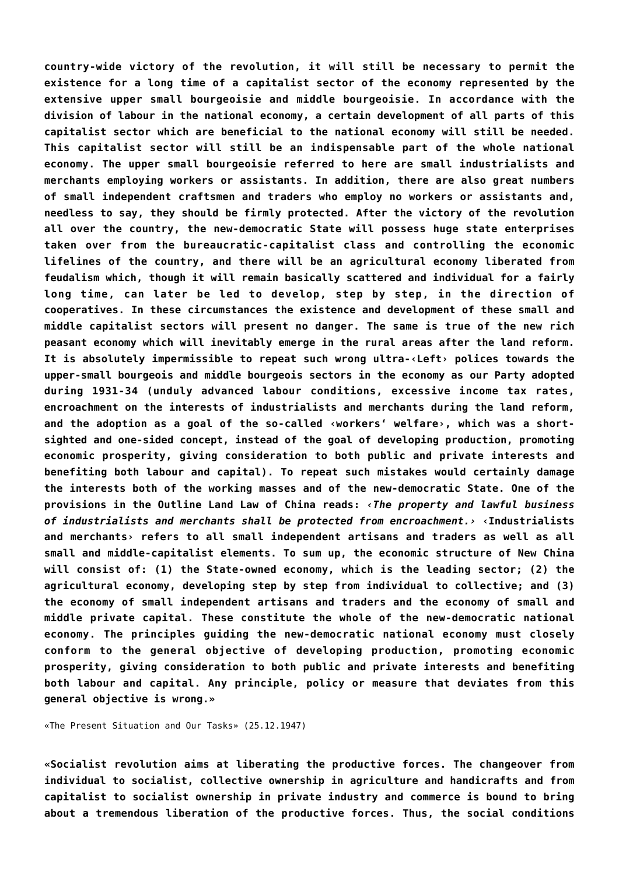**country-wide victory of the revolution, it will still be necessary to permit the existence for a long time of a capitalist sector of the economy represented by the extensive upper small bourgeoisie and middle bourgeoisie. In accordance with the division of labour in the national economy, a certain development of all parts of this capitalist sector which are beneficial to the national economy will still be needed. This capitalist sector will still be an indispensable part of the whole national economy. The upper small bourgeoisie referred to here are small industrialists and merchants employing workers or assistants. In addition, there are also great numbers of small independent craftsmen and traders who employ no workers or assistants and, needless to say, they should be firmly protected. After the victory of the revolution all over the country, the new-democratic State will possess huge state enterprises taken over from the bureaucratic-capitalist class and controlling the economic lifelines of the country, and there will be an agricultural economy liberated from feudalism which, though it will remain basically scattered and individual for a fairly long time, can later be led to develop, step by step, in the direction of cooperatives. In these circumstances the existence and development of these small and middle capitalist sectors will present no danger. The same is true of the new rich peasant economy which will inevitably emerge in the rural areas after the land reform. It is absolutely impermissible to repeat such wrong ultra-‹Left› polices towards the upper-small bourgeois and middle bourgeois sectors in the economy as our Party adopted during 1931-34 (unduly advanced labour conditions, excessive income tax rates, encroachment on the interests of industrialists and merchants during the land reform, and the adoption as a goal of the so-called ‹workers' welfare›, which was a shortsighted and one-sided concept, instead of the goal of developing production, promoting economic prosperity, giving consideration to both public and private interests and benefiting both labour and capital). To repeat such mistakes would certainly damage the interests both of the working masses and of the new-democratic State. One of the provisions in the Outline Land Law of China reads:** *‹The property and lawful business of industrialists and merchants shall be protected from encroachment.›* **‹Industrialists and merchants› refers to all small independent artisans and traders as well as all small and middle-capitalist elements. To sum up, the economic structure of New China will consist of: (1) the State-owned economy, which is the leading sector; (2) the agricultural economy, developing step by step from individual to collective; and (3) the economy of small independent artisans and traders and the economy of small and middle private capital. These constitute the whole of the new-democratic national economy. The principles guiding the new-democratic national economy must closely conform to the general objective of developing production, promoting economic prosperity, giving consideration to both public and private interests and benefiting both labour and capital. Any principle, policy or measure that deviates from this general objective is wrong.»**

«The Present Situation and Our Tasks» (25.12.1947)

**«Socialist revolution aims at liberating the productive forces. The changeover from individual to socialist, collective ownership in agriculture and handicrafts and from capitalist to socialist ownership in private industry and commerce is bound to bring about a tremendous liberation of the productive forces. Thus, the social conditions**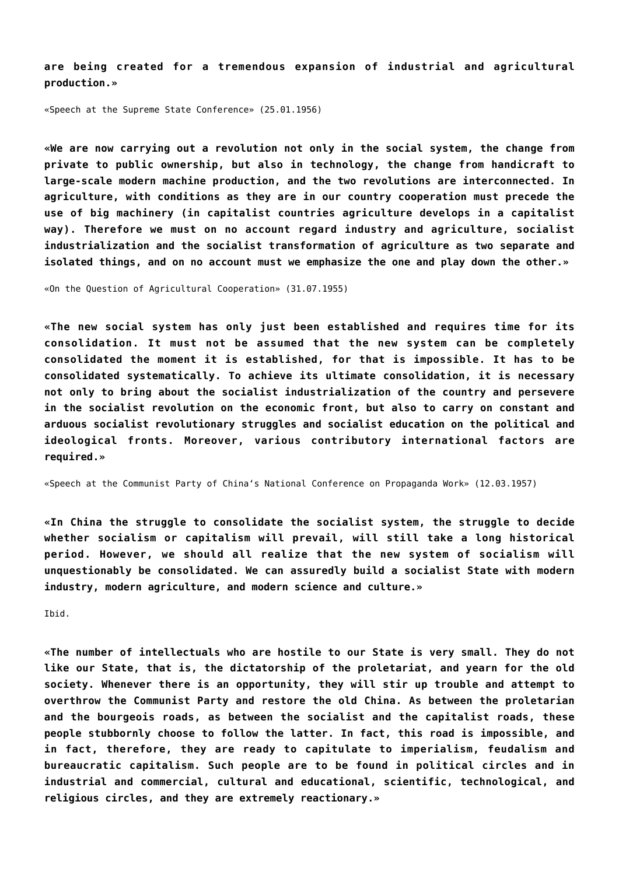**are being created for a tremendous expansion of industrial and agricultural production.»**

«Speech at the Supreme State Conference» (25.01.1956)

**«We are now carrying out a revolution not only in the social system, the change from private to public ownership, but also in technology, the change from handicraft to large-scale modern machine production, and the two revolutions are interconnected. In agriculture, with conditions as they are in our country cooperation must precede the use of big machinery (in capitalist countries agriculture develops in a capitalist way). Therefore we must on no account regard industry and agriculture, socialist industrialization and the socialist transformation of agriculture as two separate and isolated things, and on no account must we emphasize the one and play down the other.»**

«On the Question of Agricultural Cooperation» (31.07.1955)

**«The new social system has only just been established and requires time for its consolidation. It must not be assumed that the new system can be completely consolidated the moment it is established, for that is impossible. It has to be consolidated systematically. To achieve its ultimate consolidation, it is necessary not only to bring about the socialist industrialization of the country and persevere in the socialist revolution on the economic front, but also to carry on constant and arduous socialist revolutionary struggles and socialist education on the political and ideological fronts. Moreover, various contributory international factors are required.»**

«Speech at the Communist Party of China's National Conference on Propaganda Work» (12.03.1957)

**«In China the struggle to consolidate the socialist system, the struggle to decide whether socialism or capitalism will prevail, will still take a long historical period. However, we should all realize that the new system of socialism will unquestionably be consolidated. We can assuredly build a socialist State with modern industry, modern agriculture, and modern science and culture.»**

Ibid.

**«The number of intellectuals who are hostile to our State is very small. They do not like our State, that is, the dictatorship of the proletariat, and yearn for the old society. Whenever there is an opportunity, they will stir up trouble and attempt to overthrow the Communist Party and restore the old China. As between the proletarian and the bourgeois roads, as between the socialist and the capitalist roads, these people stubbornly choose to follow the latter. In fact, this road is impossible, and in fact, therefore, they are ready to capitulate to imperialism, feudalism and bureaucratic capitalism. Such people are to be found in political circles and in industrial and commercial, cultural and educational, scientific, technological, and religious circles, and they are extremely reactionary.»**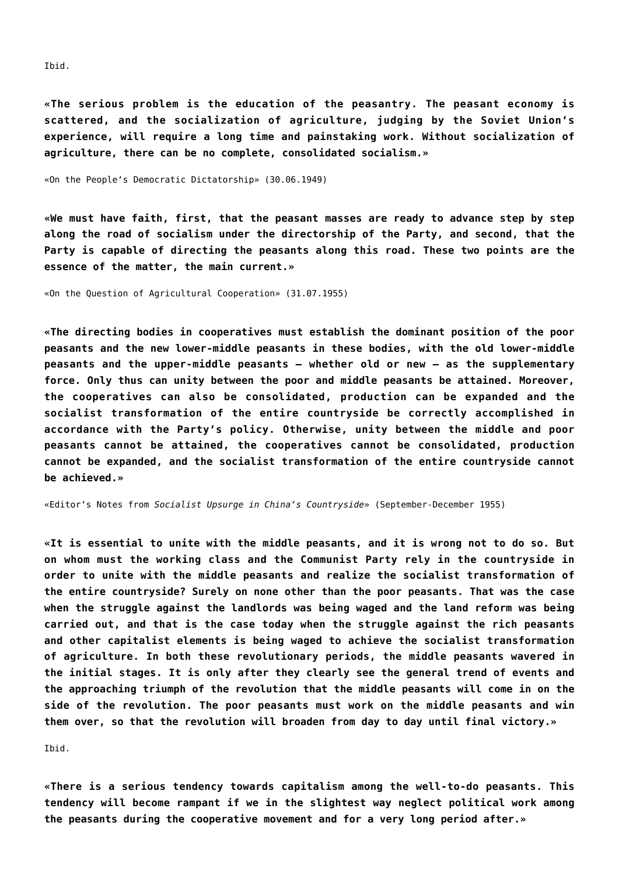Ibid.

**«The serious problem is the education of the peasantry. The peasant economy is scattered, and the socialization of agriculture, judging by the Soviet Union's experience, will require a long time and painstaking work. Without socialization of agriculture, there can be no complete, consolidated socialism.»**

«On the People's Democratic Dictatorship» (30.06.1949)

**«We must have faith, first, that the peasant masses are ready to advance step by step along the road of socialism under the directorship of the Party, and second, that the Party is capable of directing the peasants along this road. These two points are the essence of the matter, the main current.»**

«On the Question of Agricultural Cooperation» (31.07.1955)

**«The directing bodies in cooperatives must establish the dominant position of the poor peasants and the new lower-middle peasants in these bodies, with the old lower-middle peasants and the upper-middle peasants — whether old or new — as the supplementary force. Only thus can unity between the poor and middle peasants be attained. Moreover, the cooperatives can also be consolidated, production can be expanded and the socialist transformation of the entire countryside be correctly accomplished in accordance with the Party's policy. Otherwise, unity between the middle and poor peasants cannot be attained, the cooperatives cannot be consolidated, production cannot be expanded, and the socialist transformation of the entire countryside cannot be achieved.»**

«Editor's Notes from *Socialist Upsurge in China's Countryside*» (September-December 1955)

**«It is essential to unite with the middle peasants, and it is wrong not to do so. But on whom must the working class and the Communist Party rely in the countryside in order to unite with the middle peasants and realize the socialist transformation of the entire countryside? Surely on none other than the poor peasants. That was the case when the struggle against the landlords was being waged and the land reform was being carried out, and that is the case today when the struggle against the rich peasants and other capitalist elements is being waged to achieve the socialist transformation of agriculture. In both these revolutionary periods, the middle peasants wavered in the initial stages. It is only after they clearly see the general trend of events and the approaching triumph of the revolution that the middle peasants will come in on the side of the revolution. The poor peasants must work on the middle peasants and win them over, so that the revolution will broaden from day to day until final victory.»**

Ibid.

**«There is a serious tendency towards capitalism among the well-to-do peasants. This tendency will become rampant if we in the slightest way neglect political work among the peasants during the cooperative movement and for a very long period after.»**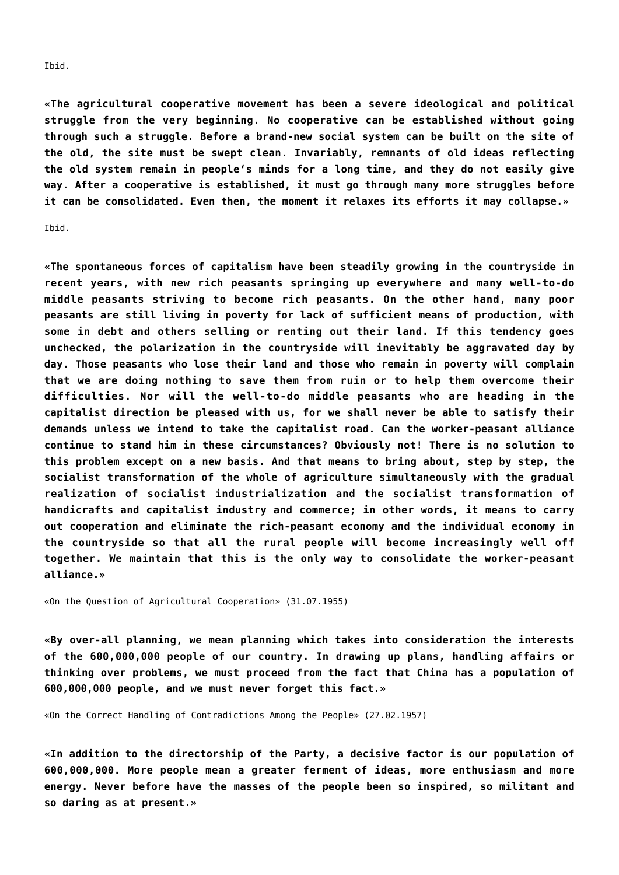Ibid.

**«The agricultural cooperative movement has been a severe ideological and political struggle from the very beginning. No cooperative can be established without going through such a struggle. Before a brand-new social system can be built on the site of the old, the site must be swept clean. Invariably, remnants of old ideas reflecting the old system remain in people's minds for a long time, and they do not easily give way. After a cooperative is established, it must go through many more struggles before it can be consolidated. Even then, the moment it relaxes its efforts it may collapse.»**

## Ibid.

**«The spontaneous forces of capitalism have been steadily growing in the countryside in recent years, with new rich peasants springing up everywhere and many well-to-do middle peasants striving to become rich peasants. On the other hand, many poor peasants are still living in poverty for lack of sufficient means of production, with some in debt and others selling or renting out their land. If this tendency goes unchecked, the polarization in the countryside will inevitably be aggravated day by day. Those peasants who lose their land and those who remain in poverty will complain that we are doing nothing to save them from ruin or to help them overcome their difficulties. Nor will the well-to-do middle peasants who are heading in the capitalist direction be pleased with us, for we shall never be able to satisfy their demands unless we intend to take the capitalist road. Can the worker-peasant alliance continue to stand him in these circumstances? Obviously not! There is no solution to this problem except on a new basis. And that means to bring about, step by step, the socialist transformation of the whole of agriculture simultaneously with the gradual realization of socialist industrialization and the socialist transformation of handicrafts and capitalist industry and commerce; in other words, it means to carry out cooperation and eliminate the rich-peasant economy and the individual economy in the countryside so that all the rural people will become increasingly well off together. We maintain that this is the only way to consolidate the worker-peasant alliance.»**

«On the Question of Agricultural Cooperation» (31.07.1955)

**«By over-all planning, we mean planning which takes into consideration the interests of the 600,000,000 people of our country. In drawing up plans, handling affairs or thinking over problems, we must proceed from the fact that China has a population of 600,000,000 people, and we must never forget this fact.»**

«On the Correct Handling of Contradictions Among the People» (27.02.1957)

**«In addition to the directorship of the Party, a decisive factor is our population of 600,000,000. More people mean a greater ferment of ideas, more enthusiasm and more energy. Never before have the masses of the people been so inspired, so militant and so daring as at present.»**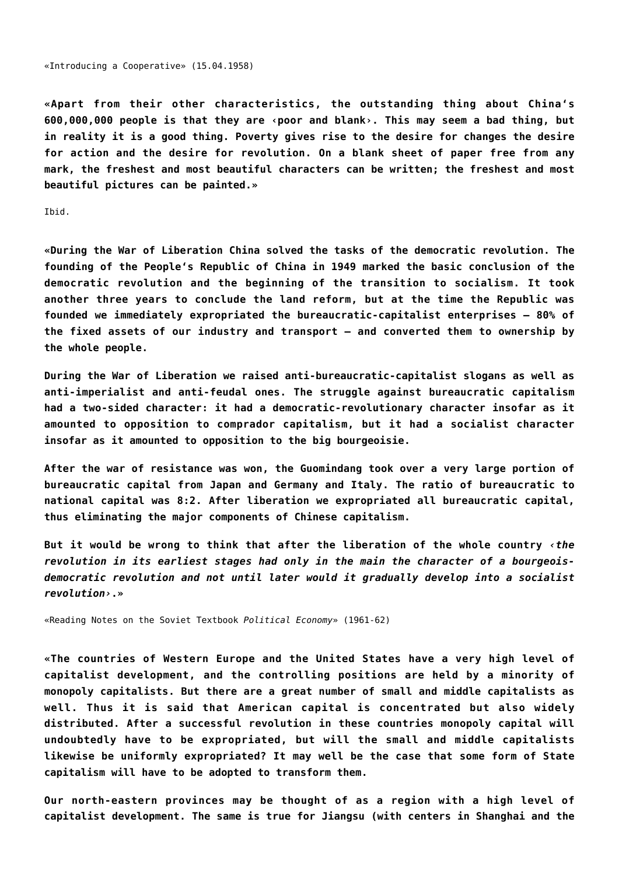«Introducing a Cooperative» (15.04.1958)

**«Apart from their other characteristics, the outstanding thing about China's 600,000,000 people is that they are ‹poor and blank›. This may seem a bad thing, but in reality it is a good thing. Poverty gives rise to the desire for changes the desire for action and the desire for revolution. On a blank sheet of paper free from any mark, the freshest and most beautiful characters can be written; the freshest and most beautiful pictures can be painted.»**

## Ibid.

**«During the War of Liberation China solved the tasks of the democratic revolution. The founding of the People's Republic of China in 1949 marked the basic conclusion of the democratic revolution and the beginning of the transition to socialism. It took another three years to conclude the land reform, but at the time the Republic was founded we immediately expropriated the bureaucratic-capitalist enterprises — 80% of the fixed assets of our industry and transport — and converted them to ownership by the whole people.**

**During the War of Liberation we raised anti-bureaucratic-capitalist slogans as well as anti-imperialist and anti-feudal ones. The struggle against bureaucratic capitalism had a two-sided character: it had a democratic-revolutionary character insofar as it amounted to opposition to comprador capitalism, but it had a socialist character insofar as it amounted to opposition to the big bourgeoisie.**

**After the war of resistance was won, the Guomindang took over a very large portion of bureaucratic capital from Japan and Germany and Italy. The ratio of bureaucratic to national capital was 8:2. After liberation we expropriated all bureaucratic capital, thus eliminating the major components of Chinese capitalism.**

**But it would be wrong to think that after the liberation of the whole country** *‹the revolution in its earliest stages had only in the main the character of a bourgeoisdemocratic revolution and not until later would it gradually develop into a socialist revolution›***.»**

«Reading Notes on the Soviet Textbook *Political Economy*» (1961-62)

**«The countries of Western Europe and the United States have a very high level of capitalist development, and the controlling positions are held by a minority of monopoly capitalists. But there are a great number of small and middle capitalists as well. Thus it is said that American capital is concentrated but also widely distributed. After a successful revolution in these countries monopoly capital will undoubtedly have to be expropriated, but will the small and middle capitalists likewise be uniformly expropriated? It may well be the case that some form of State capitalism will have to be adopted to transform them.**

**Our north-eastern provinces may be thought of as a region with a high level of capitalist development. The same is true for Jiangsu (with centers in Shanghai and the**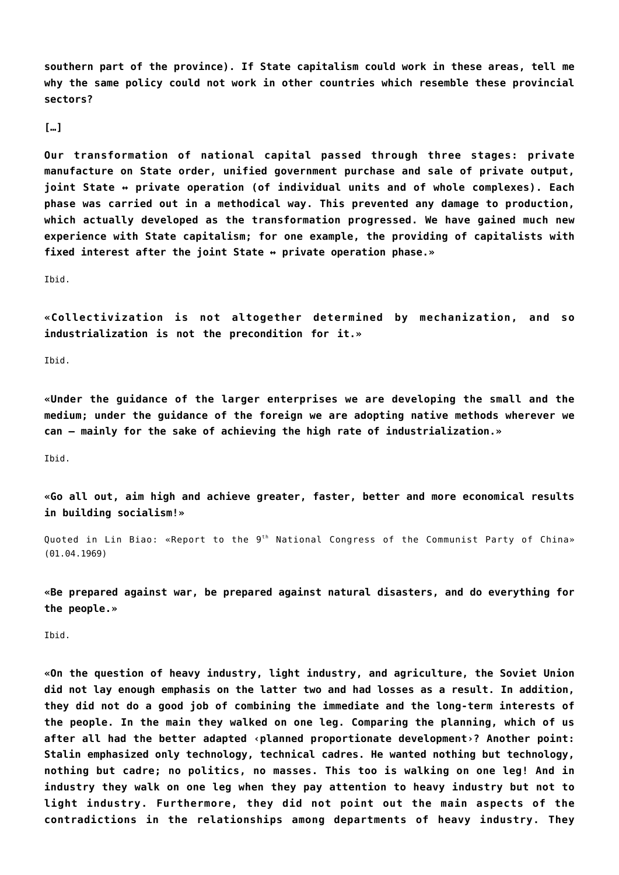**southern part of the province). If State capitalism could work in these areas, tell me why the same policy could not work in other countries which resemble these provincial sectors?**

**[…]**

**Our transformation of national capital passed through three stages: private manufacture on State order, unified government purchase and sale of private output, joint State ↔ private operation (of individual units and of whole complexes). Each phase was carried out in a methodical way. This prevented any damage to production, which actually developed as the transformation progressed. We have gained much new experience with State capitalism; for one example, the providing of capitalists with fixed interest after the joint State ↔ private operation phase.»**

Ibid.

**«Collectivization is not altogether determined by mechanization, and so industrialization is not the precondition for it.»**

Ibid.

**«Under the guidance of the larger enterprises we are developing the small and the medium; under the guidance of the foreign we are adopting native methods wherever we can — mainly for the sake of achieving the high rate of industrialization.»**

Ibid.

**«Go all out, aim high and achieve greater, faster, better and more economical results in building socialism!»**

Quoted in Lin Biao: «Report to the 9<sup>th</sup> National Congress of the Communist Party of China» (01.04.1969)

**«Be prepared against war, be prepared against natural disasters, and do everything for the people.»**

Ibid.

**«On the question of heavy industry, light industry, and agriculture, the Soviet Union did not lay enough emphasis on the latter two and had losses as a result. In addition, they did not do a good job of combining the immediate and the long-term interests of the people. In the main they walked on one leg. Comparing the planning, which of us after all had the better adapted ‹planned proportionate development›? Another point: Stalin emphasized only technology, technical cadres. He wanted nothing but technology, nothing but cadre; no politics, no masses. This too is walking on one leg! And in industry they walk on one leg when they pay attention to heavy industry but not to light industry. Furthermore, they did not point out the main aspects of the contradictions in the relationships among departments of heavy industry. They**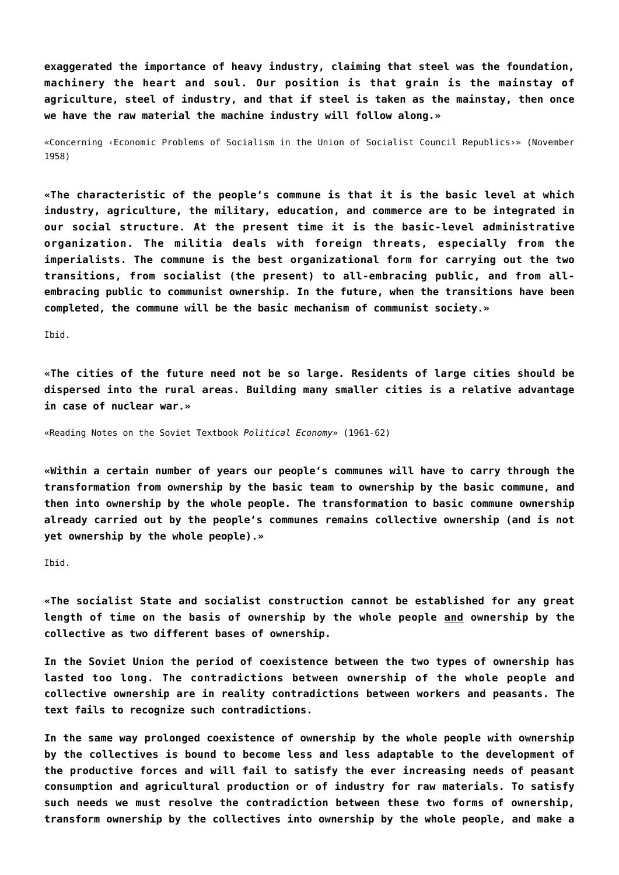**exaggerated the importance of heavy industry, claiming that steel was the foundation, machinery the heart and soul. Our position is that grain is the mainstay of agriculture, steel of industry, and that if steel is taken as the mainstay, then once we have the raw material the machine industry will follow along.»**

«Concerning ‹Economic Problems of Socialism in the Union of Socialist Council Republics›» (November 1958)

**«The characteristic of the people's commune is that it is the basic level at which industry, agriculture, the military, education, and commerce are to be integrated in our social structure. At the present time it is the basic-level administrative organization. The militia deals with foreign threats, especially from the imperialists. The commune is the best organizational form for carrying out the two transitions, from socialist (the present) to all-embracing public, and from allembracing public to communist ownership. In the future, when the transitions have been completed, the commune will be the basic mechanism of communist society.»**

Ibid.

**«The cities of the future need not be so large. Residents of large cities should be dispersed into the rural areas. Building many smaller cities is a relative advantage in case of nuclear war.»**

«Reading Notes on the Soviet Textbook *Political Economy*» (1961-62)

**«Within a certain number of years our people's communes will have to carry through the transformation from ownership by the basic team to ownership by the basic commune, and then into ownership by the whole people. The transformation to basic commune ownership already carried out by the people's communes remains collective ownership (and is not yet ownership by the whole people).»**

Ibid.

**«The socialist State and socialist construction cannot be established for any great length of time on the basis of ownership by the whole people and ownership by the collective as two different bases of ownership.**

**In the Soviet Union the period of coexistence between the two types of ownership has lasted too long. The contradictions between ownership of the whole people and collective ownership are in reality contradictions between workers and peasants. The text fails to recognize such contradictions.**

**In the same way prolonged coexistence of ownership by the whole people with ownership by the collectives is bound to become less and less adaptable to the development of the productive forces and will fail to satisfy the ever increasing needs of peasant consumption and agricultural production or of industry for raw materials. To satisfy such needs we must resolve the contradiction between these two forms of ownership, transform ownership by the collectives into ownership by the whole people, and make a**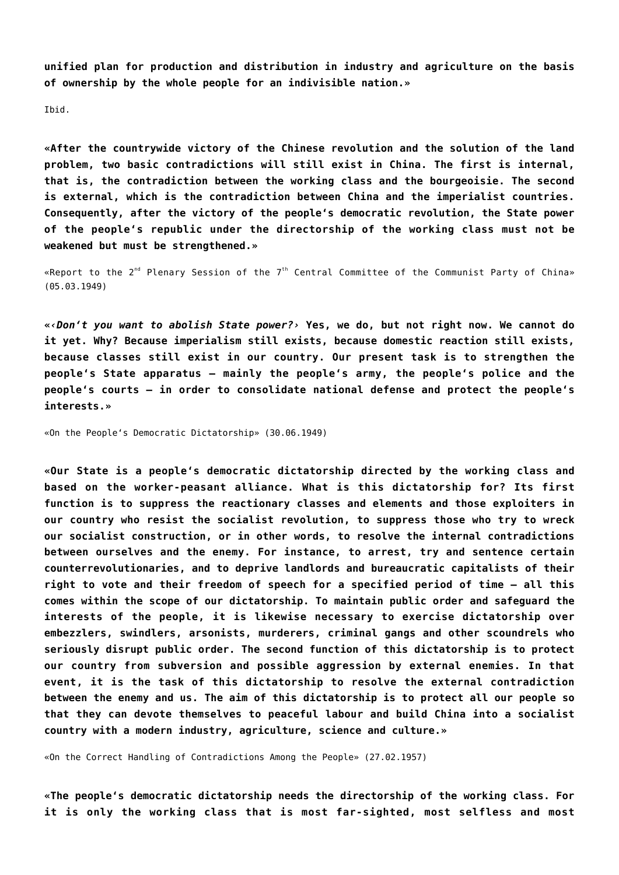**unified plan for production and distribution in industry and agriculture on the basis of ownership by the whole people for an indivisible nation.»**

Ibid.

**«After the countrywide victory of the Chinese revolution and the solution of the land problem, two basic contradictions will still exist in China. The first is internal, that is, the contradiction between the working class and the bourgeoisie. The second is external, which is the contradiction between China and the imperialist countries. Consequently, after the victory of the people's democratic revolution, the State power of the people's republic under the directorship of the working class must not be weakened but must be strengthened.»**

«Report to the  $2^{nd}$  Plenary Session of the  $7^{th}$  Central Committee of the Communist Party of China» (05.03.1949)

**«***‹Don't you want to abolish State power?›* **Yes, we do, but not right now. We cannot do it yet. Why? Because imperialism still exists, because domestic reaction still exists, because classes still exist in our country. Our present task is to strengthen the people's State apparatus — mainly the people's army, the people's police and the people's courts — in order to consolidate national defense and protect the people's interests.»**

«On the People's Democratic Dictatorship» (30.06.1949)

**«Our State is a people's democratic dictatorship directed by the working class and based on the worker-peasant alliance. What is this dictatorship for? Its first function is to suppress the reactionary classes and elements and those exploiters in our country who resist the socialist revolution, to suppress those who try to wreck our socialist construction, or in other words, to resolve the internal contradictions between ourselves and the enemy. For instance, to arrest, try and sentence certain counterrevolutionaries, and to deprive landlords and bureaucratic capitalists of their right to vote and their freedom of speech for a specified period of time — all this comes within the scope of our dictatorship. To maintain public order and safeguard the interests of the people, it is likewise necessary to exercise dictatorship over embezzlers, swindlers, arsonists, murderers, criminal gangs and other scoundrels who seriously disrupt public order. The second function of this dictatorship is to protect our country from subversion and possible aggression by external enemies. In that event, it is the task of this dictatorship to resolve the external contradiction between the enemy and us. The aim of this dictatorship is to protect all our people so that they can devote themselves to peaceful labour and build China into a socialist country with a modern industry, agriculture, science and culture.»**

«On the Correct Handling of Contradictions Among the People» (27.02.1957)

**«The people's democratic dictatorship needs the directorship of the working class. For it is only the working class that is most far-sighted, most selfless and most**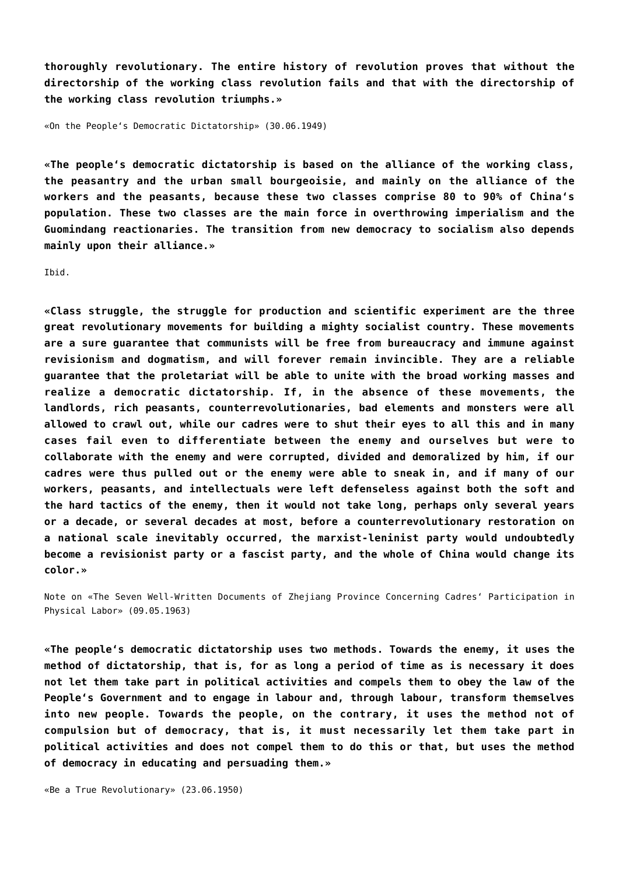**thoroughly revolutionary. The entire history of revolution proves that without the directorship of the working class revolution fails and that with the directorship of the working class revolution triumphs.»**

«On the People's Democratic Dictatorship» (30.06.1949)

**«The people's democratic dictatorship is based on the alliance of the working class, the peasantry and the urban small bourgeoisie, and mainly on the alliance of the workers and the peasants, because these two classes comprise 80 to 90% of China's population. These two classes are the main force in overthrowing imperialism and the Guomindang reactionaries. The transition from new democracy to socialism also depends mainly upon their alliance.»**

Ibid.

**«Class struggle, the struggle for production and scientific experiment are the three great revolutionary movements for building a mighty socialist country. These movements are a sure guarantee that communists will be free from bureaucracy and immune against revisionism and dogmatism, and will forever remain invincible. They are a reliable guarantee that the proletariat will be able to unite with the broad working masses and realize a democratic dictatorship. If, in the absence of these movements, the landlords, rich peasants, counterrevolutionaries, bad elements and monsters were all allowed to crawl out, while our cadres were to shut their eyes to all this and in many cases fail even to differentiate between the enemy and ourselves but were to collaborate with the enemy and were corrupted, divided and demoralized by him, if our cadres were thus pulled out or the enemy were able to sneak in, and if many of our workers, peasants, and intellectuals were left defenseless against both the soft and the hard tactics of the enemy, then it would not take long, perhaps only several years or a decade, or several decades at most, before a counterrevolutionary restoration on a national scale inevitably occurred, the marxist-leninist party would undoubtedly become a revisionist party or a fascist party, and the whole of China would change its color.»**

Note on «The Seven Well-Written Documents of Zhejiang Province Concerning Cadres' Participation in Physical Labor» (09.05.1963)

**«The people's democratic dictatorship uses two methods. Towards the enemy, it uses the method of dictatorship, that is, for as long a period of time as is necessary it does not let them take part in political activities and compels them to obey the law of the People's Government and to engage in labour and, through labour, transform themselves into new people. Towards the people, on the contrary, it uses the method not of compulsion but of democracy, that is, it must necessarily let them take part in political activities and does not compel them to do this or that, but uses the method of democracy in educating and persuading them.»**

«Be a True Revolutionary» (23.06.1950)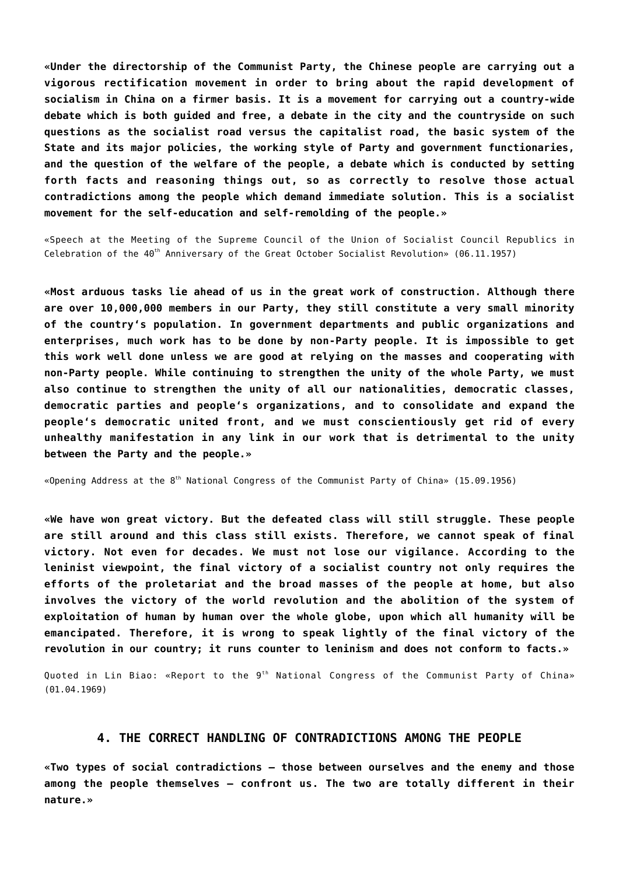**«Under the directorship of the Communist Party, the Chinese people are carrying out a vigorous rectification movement in order to bring about the rapid development of socialism in China on a firmer basis. It is a movement for carrying out a country-wide debate which is both guided and free, a debate in the city and the countryside on such questions as the socialist road versus the capitalist road, the basic system of the State and its major policies, the working style of Party and government functionaries, and the question of the welfare of the people, a debate which is conducted by setting forth facts and reasoning things out, so as correctly to resolve those actual contradictions among the people which demand immediate solution. This is a socialist movement for the self-education and self-remolding of the people.»**

«Speech at the Meeting of the Supreme Council of the Union of Socialist Council Republics in Celebration of the  $40^{th}$  Anniversary of the Great October Socialist Revolution» (06.11.1957)

**«Most arduous tasks lie ahead of us in the great work of construction. Although there are over 10,000,000 members in our Party, they still constitute a very small minority of the country's population. In government departments and public organizations and enterprises, much work has to be done by non-Party people. It is impossible to get this work well done unless we are good at relying on the masses and cooperating with non-Party people. While continuing to strengthen the unity of the whole Party, we must also continue to strengthen the unity of all our nationalities, democratic classes, democratic parties and people's organizations, and to consolidate and expand the people's democratic united front, and we must conscientiously get rid of every unhealthy manifestation in any link in our work that is detrimental to the unity between the Party and the people.»**

«Opening Address at the  $8^{th}$  National Congress of the Communist Party of China» (15.09.1956)

**«We have won great victory. But the defeated class will still struggle. These people are still around and this class still exists. Therefore, we cannot speak of final victory. Not even for decades. We must not lose our vigilance. According to the leninist viewpoint, the final victory of a socialist country not only requires the efforts of the proletariat and the broad masses of the people at home, but also involves the victory of the world revolution and the abolition of the system of exploitation of human by human over the whole globe, upon which all humanity will be emancipated. Therefore, it is wrong to speak lightly of the final victory of the revolution in our country; it runs counter to leninism and does not conform to facts.»**

Quoted in Lin Biao: «Report to the 9<sup>th</sup> National Congress of the Communist Party of China» (01.04.1969)

# **4. THE CORRECT HANDLING OF CONTRADICTIONS AMONG THE PEOPLE**

**«Two types of social contradictions — those between ourselves and the enemy and those among the people themselves — confront us. The two are totally different in their nature.»**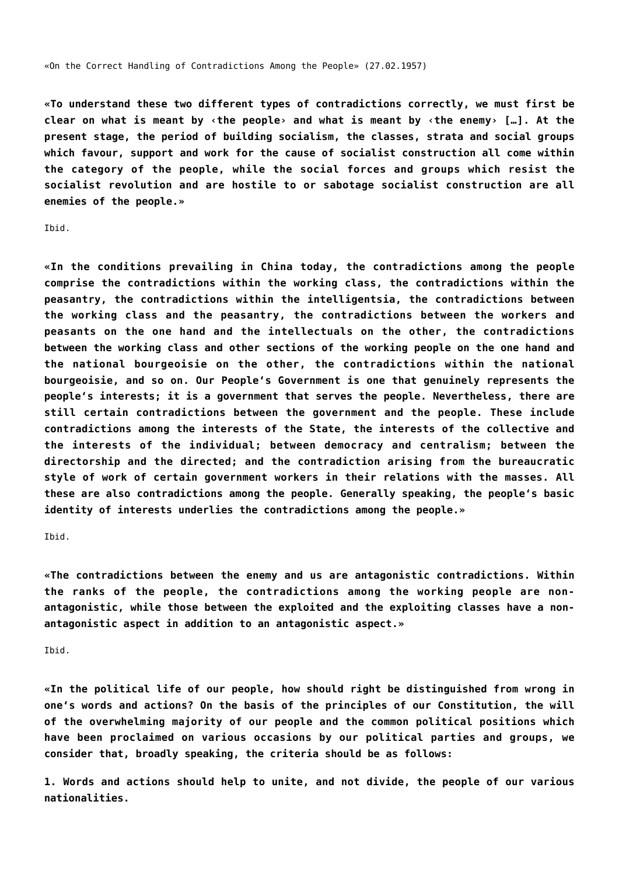«On the Correct Handling of Contradictions Among the People» (27.02.1957)

**«To understand these two different types of contradictions correctly, we must first be clear on what is meant by ‹the people› and what is meant by ‹the enemy› […]. At the present stage, the period of building socialism, the classes, strata and social groups which favour, support and work for the cause of socialist construction all come within the category of the people, while the social forces and groups which resist the socialist revolution and are hostile to or sabotage socialist construction are all enemies of the people.»**

### Ibid.

**«In the conditions prevailing in China today, the contradictions among the people comprise the contradictions within the working class, the contradictions within the peasantry, the contradictions within the intelligentsia, the contradictions between the working class and the peasantry, the contradictions between the workers and peasants on the one hand and the intellectuals on the other, the contradictions between the working class and other sections of the working people on the one hand and the national bourgeoisie on the other, the contradictions within the national bourgeoisie, and so on. Our People's Government is one that genuinely represents the people's interests; it is a government that serves the people. Nevertheless, there are still certain contradictions between the government and the people. These include contradictions among the interests of the State, the interests of the collective and the interests of the individual; between democracy and centralism; between the directorship and the directed; and the contradiction arising from the bureaucratic style of work of certain government workers in their relations with the masses. All these are also contradictions among the people. Generally speaking, the people's basic identity of interests underlies the contradictions among the people.»**

Ibid.

**«The contradictions between the enemy and us are antagonistic contradictions. Within the ranks of the people, the contradictions among the working people are nonantagonistic, while those between the exploited and the exploiting classes have a nonantagonistic aspect in addition to an antagonistic aspect.»**

### Ibid.

**«In the political life of our people, how should right be distinguished from wrong in one's words and actions? On the basis of the principles of our Constitution, the will of the overwhelming majority of our people and the common political positions which have been proclaimed on various occasions by our political parties and groups, we consider that, broadly speaking, the criteria should be as follows:**

**1. Words and actions should help to unite, and not divide, the people of our various nationalities.**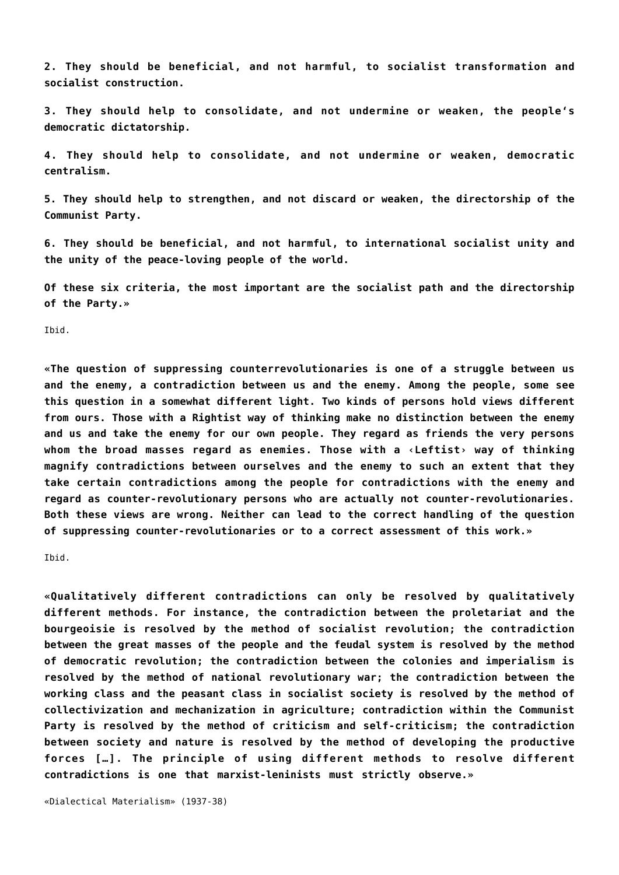**2. They should be beneficial, and not harmful, to socialist transformation and socialist construction.**

**3. They should help to consolidate, and not undermine or weaken, the people's democratic dictatorship.**

**4. They should help to consolidate, and not undermine or weaken, democratic centralism.**

**5. They should help to strengthen, and not discard or weaken, the directorship of the Communist Party.**

**6. They should be beneficial, and not harmful, to international socialist unity and the unity of the peace-loving people of the world.**

**Of these six criteria, the most important are the socialist path and the directorship of the Party.»**

Ibid.

**«The question of suppressing counterrevolutionaries is one of a struggle between us and the enemy, a contradiction between us and the enemy. Among the people, some see this question in a somewhat different light. Two kinds of persons hold views different from ours. Those with a Rightist way of thinking make no distinction between the enemy and us and take the enemy for our own people. They regard as friends the very persons whom the broad masses regard as enemies. Those with a ‹Leftist› way of thinking magnify contradictions between ourselves and the enemy to such an extent that they take certain contradictions among the people for contradictions with the enemy and regard as counter-revolutionary persons who are actually not counter-revolutionaries. Both these views are wrong. Neither can lead to the correct handling of the question of suppressing counter-revolutionaries or to a correct assessment of this work.»**

Ibid.

**«Qualitatively different contradictions can only be resolved by qualitatively different methods. For instance, the contradiction between the proletariat and the bourgeoisie is resolved by the method of socialist revolution; the contradiction between the great masses of the people and the feudal system is resolved by the method of democratic revolution; the contradiction between the colonies and imperialism is resolved by the method of national revolutionary war; the contradiction between the working class and the peasant class in socialist society is resolved by the method of collectivization and mechanization in agriculture; contradiction within the Communist Party is resolved by the method of criticism and self-criticism; the contradiction between society and nature is resolved by the method of developing the productive forces […]. The principle of using different methods to resolve different contradictions is one that marxist-leninists must strictly observe.»**

«Dialectical Materialism» (1937-38)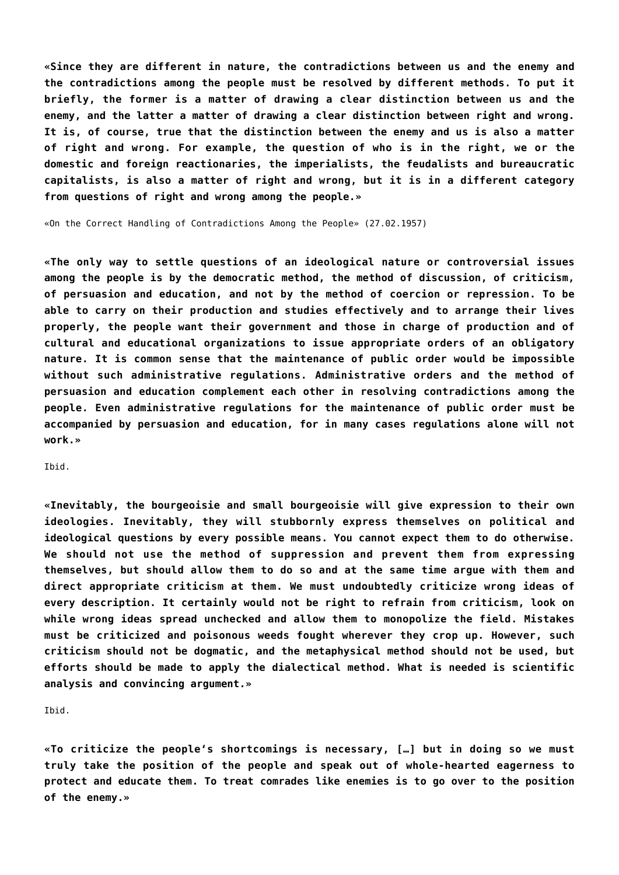**«Since they are different in nature, the contradictions between us and the enemy and the contradictions among the people must be resolved by different methods. To put it briefly, the former is a matter of drawing a clear distinction between us and the enemy, and the latter a matter of drawing a clear distinction between right and wrong. It is, of course, true that the distinction between the enemy and us is also a matter of right and wrong. For example, the question of who is in the right, we or the domestic and foreign reactionaries, the imperialists, the feudalists and bureaucratic capitalists, is also a matter of right and wrong, but it is in a different category from questions of right and wrong among the people.»**

«On the Correct Handling of Contradictions Among the People» (27.02.1957)

**«The only way to settle questions of an ideological nature or controversial issues among the people is by the democratic method, the method of discussion, of criticism, of persuasion and education, and not by the method of coercion or repression. To be able to carry on their production and studies effectively and to arrange their lives properly, the people want their government and those in charge of production and of cultural and educational organizations to issue appropriate orders of an obligatory nature. It is common sense that the maintenance of public order would be impossible without such administrative regulations. Administrative orders and the method of persuasion and education complement each other in resolving contradictions among the people. Even administrative regulations for the maintenance of public order must be accompanied by persuasion and education, for in many cases regulations alone will not work.»**

Ibid.

**«Inevitably, the bourgeoisie and small bourgeoisie will give expression to their own ideologies. Inevitably, they will stubbornly express themselves on political and ideological questions by every possible means. You cannot expect them to do otherwise. We should not use the method of suppression and prevent them from expressing themselves, but should allow them to do so and at the same time argue with them and direct appropriate criticism at them. We must undoubtedly criticize wrong ideas of every description. It certainly would not be right to refrain from criticism, look on while wrong ideas spread unchecked and allow them to monopolize the field. Mistakes must be criticized and poisonous weeds fought wherever they crop up. However, such criticism should not be dogmatic, and the metaphysical method should not be used, but efforts should be made to apply the dialectical method. What is needed is scientific analysis and convincing argument.»**

Ibid.

**«To criticize the people's shortcomings is necessary, […] but in doing so we must truly take the position of the people and speak out of whole-hearted eagerness to protect and educate them. To treat comrades like enemies is to go over to the position of the enemy.»**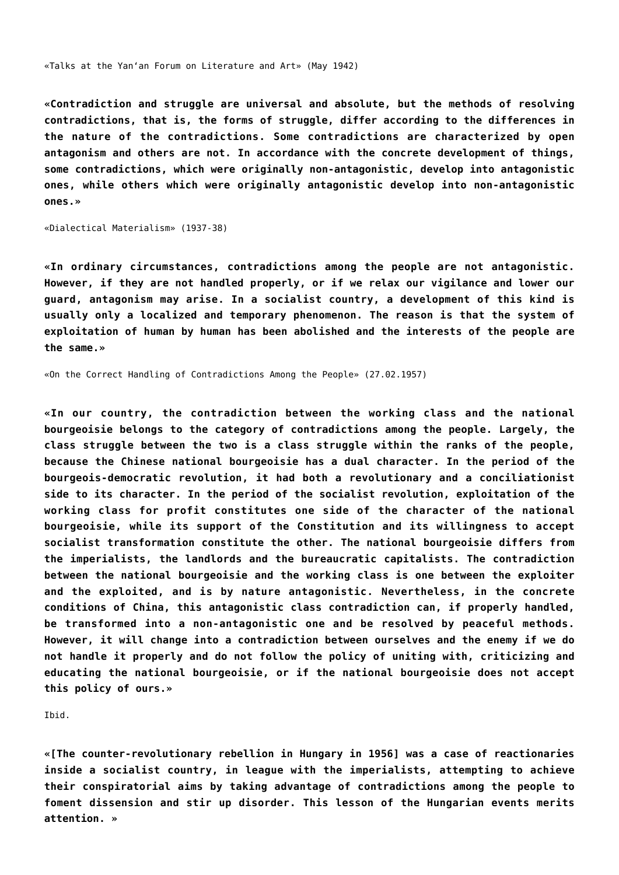«Talks at the Yan'an Forum on Literature and Art» (May 1942)

**«Contradiction and struggle are universal and absolute, but the methods of resolving contradictions, that is, the forms of struggle, differ according to the differences in the nature of the contradictions. Some contradictions are characterized by open antagonism and others are not. In accordance with the concrete development of things, some contradictions, which were originally non-antagonistic, develop into antagonistic ones, while others which were originally antagonistic develop into non-antagonistic ones.»**

«Dialectical Materialism» (1937-38)

**«In ordinary circumstances, contradictions among the people are not antagonistic. However, if they are not handled properly, or if we relax our vigilance and lower our guard, antagonism may arise. In a socialist country, a development of this kind is usually only a localized and temporary phenomenon. The reason is that the system of exploitation of human by human has been abolished and the interests of the people are the same.»**

«On the Correct Handling of Contradictions Among the People» (27.02.1957)

**«In our country, the contradiction between the working class and the national bourgeoisie belongs to the category of contradictions among the people. Largely, the class struggle between the two is a class struggle within the ranks of the people, because the Chinese national bourgeoisie has a dual character. In the period of the bourgeois-democratic revolution, it had both a revolutionary and a conciliationist side to its character. In the period of the socialist revolution, exploitation of the working class for profit constitutes one side of the character of the national bourgeoisie, while its support of the Constitution and its willingness to accept socialist transformation constitute the other. The national bourgeoisie differs from the imperialists, the landlords and the bureaucratic capitalists. The contradiction between the national bourgeoisie and the working class is one between the exploiter and the exploited, and is by nature antagonistic. Nevertheless, in the concrete conditions of China, this antagonistic class contradiction can, if properly handled, be transformed into a non-antagonistic one and be resolved by peaceful methods. However, it will change into a contradiction between ourselves and the enemy if we do not handle it properly and do not follow the policy of uniting with, criticizing and educating the national bourgeoisie, or if the national bourgeoisie does not accept this policy of ours.»**

Ibid.

**«[The counter-revolutionary rebellion in Hungary in 1956] was a case of reactionaries inside a socialist country, in league with the imperialists, attempting to achieve their conspiratorial aims by taking advantage of contradictions among the people to foment dissension and stir up disorder. This lesson of the Hungarian events merits attention. »**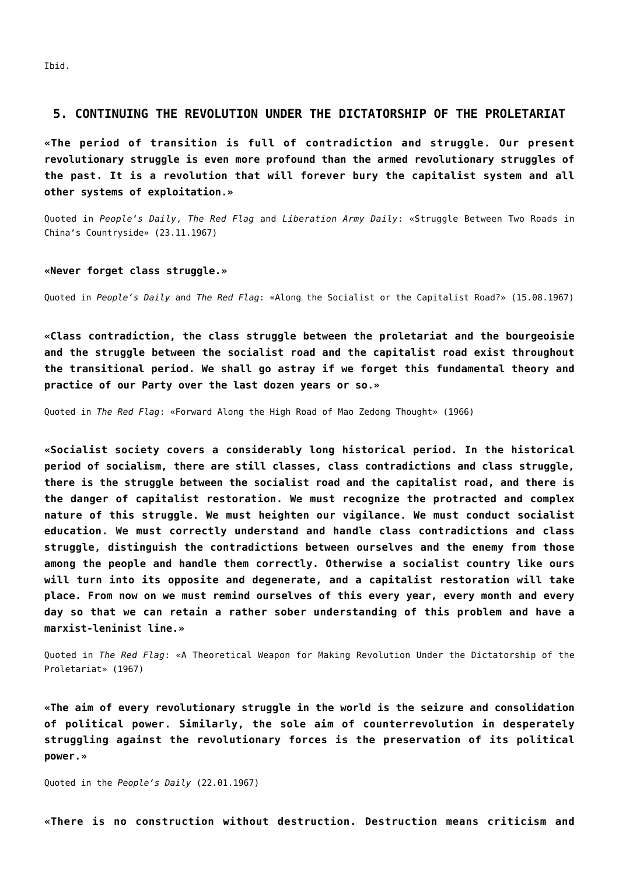Ibid.

## **5. CONTINUING THE REVOLUTION UNDER THE DICTATORSHIP OF THE PROLETARIAT**

**«The period of transition is full of contradiction and struggle. Our present revolutionary struggle is even more profound than the armed revolutionary struggles of the past. It is a revolution that will forever bury the capitalist system and all other systems of exploitation.»**

Quoted in *People's Daily*, *The Red Flag* and *Liberation Army Daily*: «Struggle Between Two Roads in China's Countryside» (23.11.1967)

#### **«Never forget class struggle.»**

Quoted in *People's Daily* and *The Red Flag*: «Along the Socialist or the Capitalist Road?» (15.08.1967)

**«Class contradiction, the class struggle between the proletariat and the bourgeoisie and the struggle between the socialist road and the capitalist road exist throughout the transitional period. We shall go astray if we forget this fundamental theory and practice of our Party over the last dozen years or so.»**

Quoted in *The Red Flag*: «Forward Along the High Road of Mao Zedong Thought» (1966)

**«Socialist society covers a considerably long historical period. In the historical period of socialism, there are still classes, class contradictions and class struggle, there is the struggle between the socialist road and the capitalist road, and there is the danger of capitalist restoration. We must recognize the protracted and complex nature of this struggle. We must heighten our vigilance. We must conduct socialist education. We must correctly understand and handle class contradictions and class struggle, distinguish the contradictions between ourselves and the enemy from those among the people and handle them correctly. Otherwise a socialist country like ours will turn into its opposite and degenerate, and a capitalist restoration will take place. From now on we must remind ourselves of this every year, every month and every day so that we can retain a rather sober understanding of this problem and have a marxist-leninist line.»**

Quoted in *The Red Flag*: «A Theoretical Weapon for Making Revolution Under the Dictatorship of the Proletariat» (1967)

**«The aim of every revolutionary struggle in the world is the seizure and consolidation of political power. Similarly, the sole aim of counterrevolution in desperately struggling against the revolutionary forces is the preservation of its political power.»**

Quoted in the *People's Daily* (22.01.1967)

**«There is no construction without destruction. Destruction means criticism and**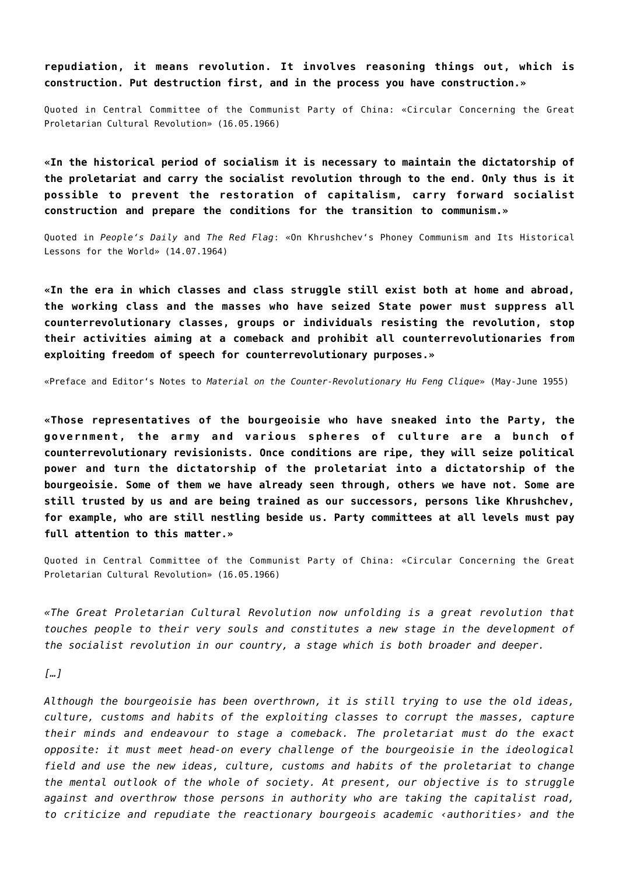**repudiation, it means revolution. It involves reasoning things out, which is construction. Put destruction first, and in the process you have construction.»**

Quoted in Central Committee of the Communist Party of China: «Circular Concerning the Great Proletarian Cultural Revolution» (16.05.1966)

**«In the historical period of socialism it is necessary to maintain the dictatorship of the proletariat and carry the socialist revolution through to the end. Only thus is it possible to prevent the restoration of capitalism, carry forward socialist construction and prepare the conditions for the transition to communism.»**

Quoted in *People's Daily* and *The Red Flag*: «On Khrushchev's Phoney Communism and Its Historical Lessons for the World» (14.07.1964)

**«In the era in which classes and class struggle still exist both at home and abroad, the working class and the masses who have seized State power must suppress all counterrevolutionary classes, groups or individuals resisting the revolution, stop their activities aiming at a comeback and prohibit all counterrevolutionaries from exploiting freedom of speech for counterrevolutionary purposes.»**

«Preface and Editor's Notes to *Material on the Counter-Revolutionary Hu Feng Clique*» (May-June 1955)

**«Those representatives of the bourgeoisie who have sneaked into the Party, the government, the army and various spheres of culture are a bunch of counterrevolutionary revisionists. Once conditions are ripe, they will seize political power and turn the dictatorship of the proletariat into a dictatorship of the bourgeoisie. Some of them we have already seen through, others we have not. Some are still trusted by us and are being trained as our successors, persons like Khrushchev, for example, who are still nestling beside us. Party committees at all levels must pay full attention to this matter.»**

Quoted in Central Committee of the Communist Party of China: «Circular Concerning the Great Proletarian Cultural Revolution» (16.05.1966)

*«The Great Proletarian Cultural Revolution now unfolding is a great revolution that touches people to their very souls and constitutes a new stage in the development of the socialist revolution in our country, a stage which is both broader and deeper.*

## *[…]*

*Although the bourgeoisie has been overthrown, it is still trying to use the old ideas, culture, customs and habits of the exploiting classes to corrupt the masses, capture their minds and endeavour to stage a comeback. The proletariat must do the exact opposite: it must meet head-on every challenge of the bourgeoisie in the ideological field and use the new ideas, culture, customs and habits of the proletariat to change the mental outlook of the whole of society. At present, our objective is to struggle against and overthrow those persons in authority who are taking the capitalist road, to criticize and repudiate the reactionary bourgeois academic ‹authorities› and the*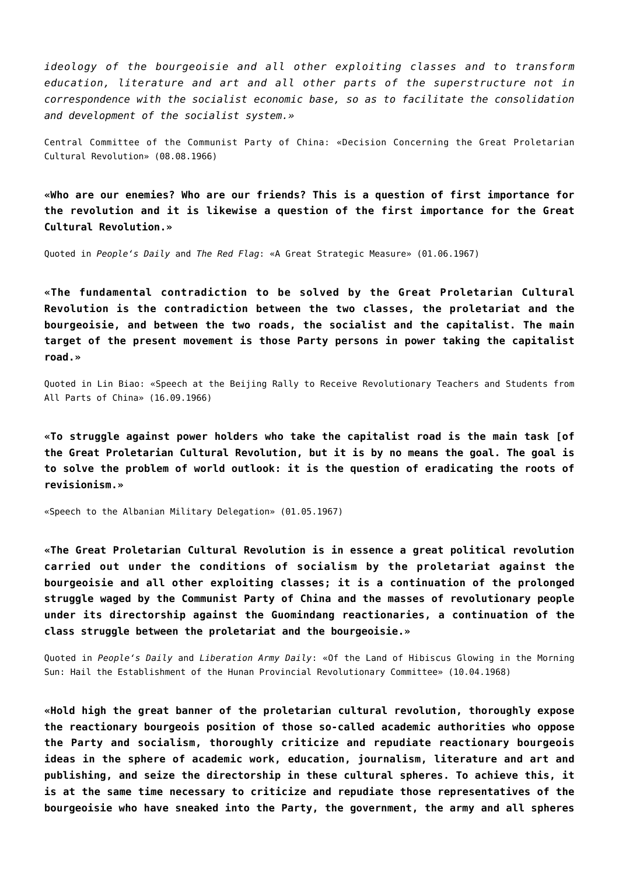*ideology of the bourgeoisie and all other exploiting classes and to transform education, literature and art and all other parts of the superstructure not in correspondence with the socialist economic base, so as to facilitate the consolidation and development of the socialist system.»*

Central Committee of the Communist Party of China: «Decision Concerning the Great Proletarian Cultural Revolution» (08.08.1966)

**«Who are our enemies? Who are our friends? This is a question of first importance for the revolution and it is likewise a question of the first importance for the Great Cultural Revolution.»**

Quoted in *People's Daily* and *The Red Flag*: «A Great Strategic Measure» (01.06.1967)

**«The fundamental contradiction to be solved by the Great Proletarian Cultural Revolution is the contradiction between the two classes, the proletariat and the bourgeoisie, and between the two roads, the socialist and the capitalist. The main target of the present movement is those Party persons in power taking the capitalist road.»**

Quoted in Lin Biao: «Speech at the Beijing Rally to Receive Revolutionary Teachers and Students from All Parts of China» (16.09.1966)

**«To struggle against power holders who take the capitalist road is the main task [of the Great Proletarian Cultural Revolution, but it is by no means the goal. The goal is to solve the problem of world outlook: it is the question of eradicating the roots of revisionism.»**

«Speech to the Albanian Military Delegation» (01.05.1967)

**«The Great Proletarian Cultural Revolution is in essence a great political revolution carried out under the conditions of socialism by the proletariat against the bourgeoisie and all other exploiting classes; it is a continuation of the prolonged struggle waged by the Communist Party of China and the masses of revolutionary people under its directorship against the Guomindang reactionaries, a continuation of the class struggle between the proletariat and the bourgeoisie.»**

Quoted in *People's Daily* and *Liberation Army Daily*: «Of the Land of Hibiscus Glowing in the Morning Sun: Hail the Establishment of the Hunan Provincial Revolutionary Committee» (10.04.1968)

**«Hold high the great banner of the proletarian cultural revolution, thoroughly expose the reactionary bourgeois position of those so-called academic authorities who oppose the Party and socialism, thoroughly criticize and repudiate reactionary bourgeois ideas in the sphere of academic work, education, journalism, literature and art and publishing, and seize the directorship in these cultural spheres. To achieve this, it is at the same time necessary to criticize and repudiate those representatives of the bourgeoisie who have sneaked into the Party, the government, the army and all spheres**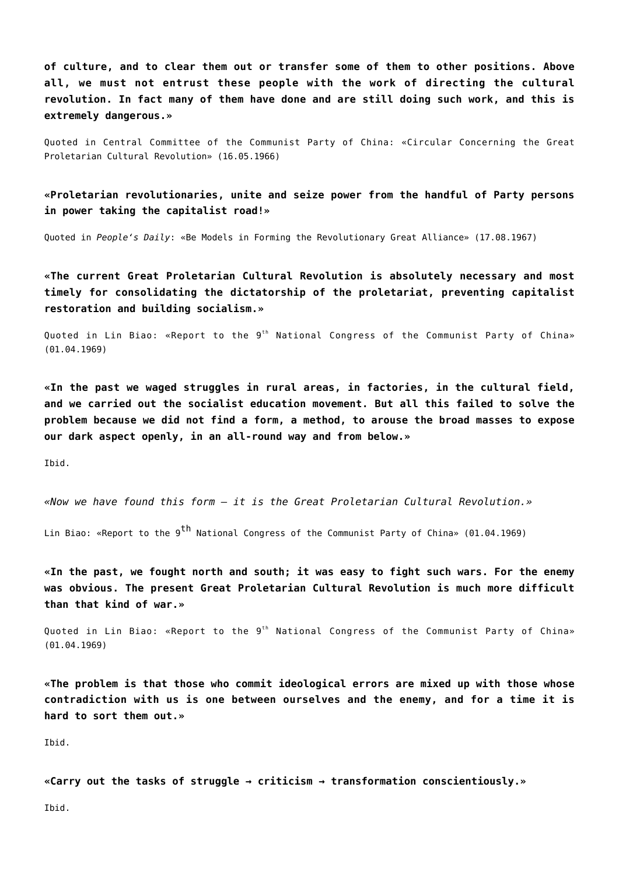**of culture, and to clear them out or transfer some of them to other positions. Above all, we must not entrust these people with the work of directing the cultural revolution. In fact many of them have done and are still doing such work, and this is extremely dangerous.»**

Quoted in Central Committee of the Communist Party of China: «Circular Concerning the Great Proletarian Cultural Revolution» (16.05.1966)

**«Proletarian revolutionaries, unite and seize power from the handful of Party persons in power taking the capitalist road!»**

Quoted in *People's Daily*: «Be Models in Forming the Revolutionary Great Alliance» (17.08.1967)

**«The current Great Proletarian Cultural Revolution is absolutely necessary and most timely for consolidating the dictatorship of the proletariat, preventing capitalist restoration and building socialism.»**

Quoted in Lin Biao: «Report to the 9<sup>th</sup> National Congress of the Communist Party of China» (01.04.1969)

**«In the past we waged struggles in rural areas, in factories, in the cultural field, and we carried out the socialist education movement. But all this failed to solve the problem because we did not find a form, a method, to arouse the broad masses to expose our dark aspect openly, in an all-round way and from below.»**

Ibid.

*«Now we have found this form — it is the Great Proletarian Cultural Revolution.»*

Lin Biao: «Report to the 9<sup>th</sup> National Congress of the Communist Party of China» (01.04.1969)

**«In the past, we fought north and south; it was easy to fight such wars. For the enemy was obvious. The present Great Proletarian Cultural Revolution is much more difficult than that kind of war.»**

Quoted in Lin Biao: «Report to the 9<sup>th</sup> National Congress of the Communist Party of China» (01.04.1969)

**«The problem is that those who commit ideological errors are mixed up with those whose contradiction with us is one between ourselves and the enemy, and for a time it is hard to sort them out.»**

Ibid.

**«Carry out the tasks of struggle → criticism → transformation conscientiously.»**

Ibid.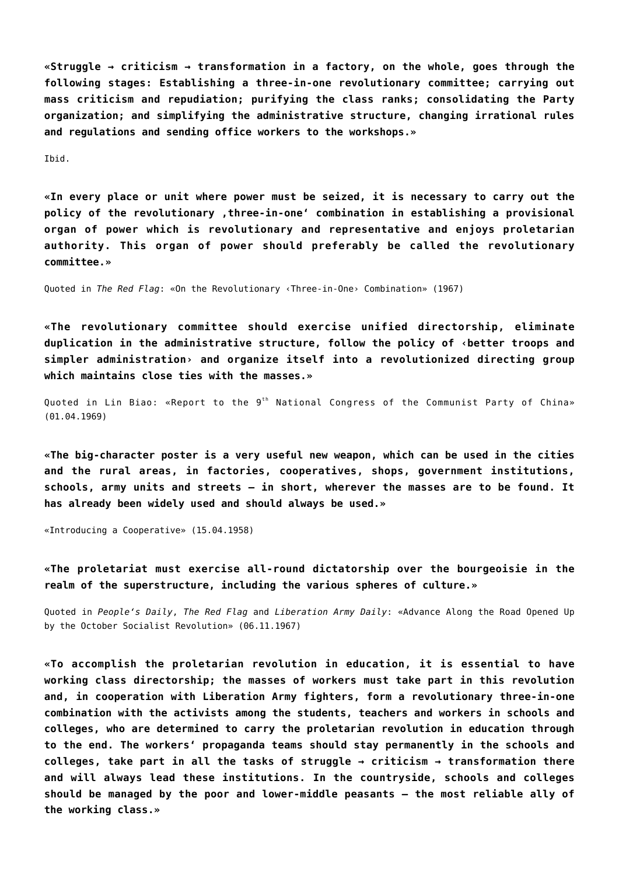**«Struggle → criticism → transformation in a factory, on the whole, goes through the following stages: Establishing a three-in-one revolutionary committee; carrying out mass criticism and repudiation; purifying the class ranks; consolidating the Party organization; and simplifying the administrative structure, changing irrational rules and regulations and sending office workers to the workshops.»**

Ibid.

**«In every place or unit where power must be seized, it is necessary to carry out the policy of the revolutionary 'three-in-one' combination in establishing a provisional organ of power which is revolutionary and representative and enjoys proletarian authority. This organ of power should preferably be called the revolutionary committee.»**

Quoted in *The Red Flag*: «On the Revolutionary ‹Three-in-One› Combination» (1967)

**«The revolutionary committee should exercise unified directorship, eliminate duplication in the administrative structure, follow the policy of ‹better troops and simpler administration› and organize itself into a revolutionized directing group which maintains close ties with the masses.»**

Quoted in Lin Biao: «Report to the 9<sup>th</sup> National Congress of the Communist Party of China» (01.04.1969)

**«The big-character poster is a very useful new weapon, which can be used in the cities and the rural areas, in factories, cooperatives, shops, government institutions, schools, army units and streets — in short, wherever the masses are to be found. It has already been widely used and should always be used.»**

«Introducing a Cooperative» (15.04.1958)

**«The proletariat must exercise all-round dictatorship over the bourgeoisie in the realm of the superstructure, including the various spheres of culture.»**

Quoted in *People's Daily*, *The Red Flag* and *Liberation Army Daily*: «Advance Along the Road Opened Up by the October Socialist Revolution» (06.11.1967)

**«To accomplish the proletarian revolution in education, it is essential to have working class directorship; the masses of workers must take part in this revolution and, in cooperation with Liberation Army fighters, form a revolutionary three-in-one combination with the activists among the students, teachers and workers in schools and colleges, who are determined to carry the proletarian revolution in education through to the end. The workers' propaganda teams should stay permanently in the schools and colleges, take part in all the tasks of struggle → criticism → transformation there and will always lead these institutions. In the countryside, schools and colleges should be managed by the poor and lower-middle peasants — the most reliable ally of the working class.»**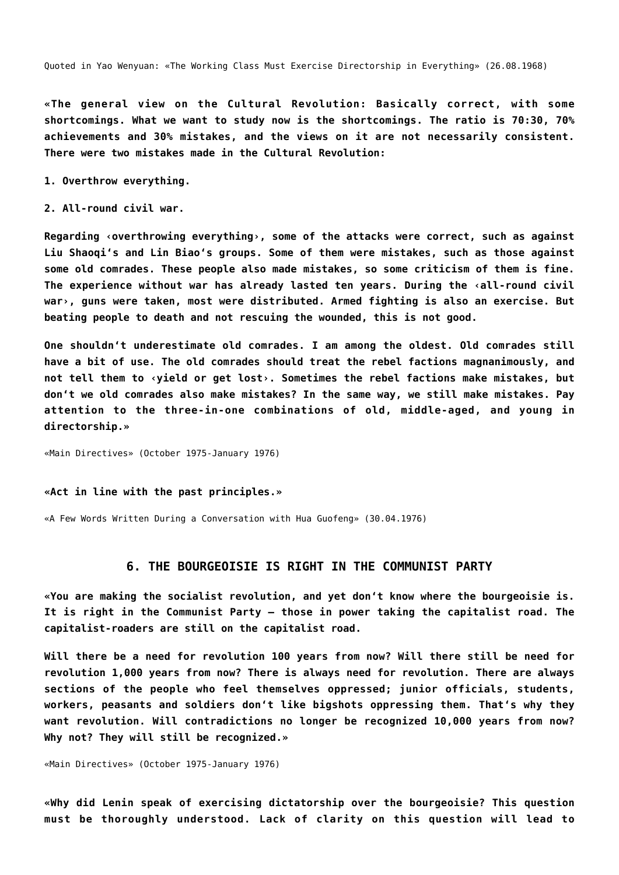Quoted in Yao Wenyuan: «The Working Class Must Exercise Directorship in Everything» (26.08.1968)

**«The general view on the Cultural Revolution: Basically correct, with some shortcomings. What we want to study now is the shortcomings. The ratio is 70:30, 70% achievements and 30% mistakes, and the views on it are not necessarily consistent. There were two mistakes made in the Cultural Revolution:**

- **1. Overthrow everything.**
- **2. All-round civil war.**

**Regarding ‹overthrowing everything›, some of the attacks were correct, such as against Liu Shaoqi's and Lin Biao's groups. Some of them were mistakes, such as those against some old comrades. These people also made mistakes, so some criticism of them is fine. The experience without war has already lasted ten years. During the ‹all-round civil war›, guns were taken, most were distributed. Armed fighting is also an exercise. But beating people to death and not rescuing the wounded, this is not good.**

**One shouldn't underestimate old comrades. I am among the oldest. Old comrades still have a bit of use. The old comrades should treat the rebel factions magnanimously, and not tell them to ‹yield or get lost›. Sometimes the rebel factions make mistakes, but don't we old comrades also make mistakes? In the same way, we still make mistakes. Pay attention to the three-in-one combinations of old, middle-aged, and young in directorship.»**

«Main Directives» (October 1975-January 1976)

**«Act in line with the past principles.»**

«A Few Words Written During a Conversation with Hua Guofeng» (30.04.1976)

# **6. THE BOURGEOISIE IS RIGHT IN THE COMMUNIST PARTY**

**«You are making the socialist revolution, and yet don't know where the bourgeoisie is. It is right in the Communist Party — those in power taking the capitalist road. The capitalist-roaders are still on the capitalist road.**

**Will there be a need for revolution 100 years from now? Will there still be need for revolution 1,000 years from now? There is always need for revolution. There are always sections of the people who feel themselves oppressed; junior officials, students, workers, peasants and soldiers don't like bigshots oppressing them. That's why they want revolution. Will contradictions no longer be recognized 10,000 years from now? Why not? They will still be recognized.»**

«Main Directives» (October 1975-January 1976)

**«Why did Lenin speak of exercising dictatorship over the bourgeoisie? This question must be thoroughly understood. Lack of clarity on this question will lead to**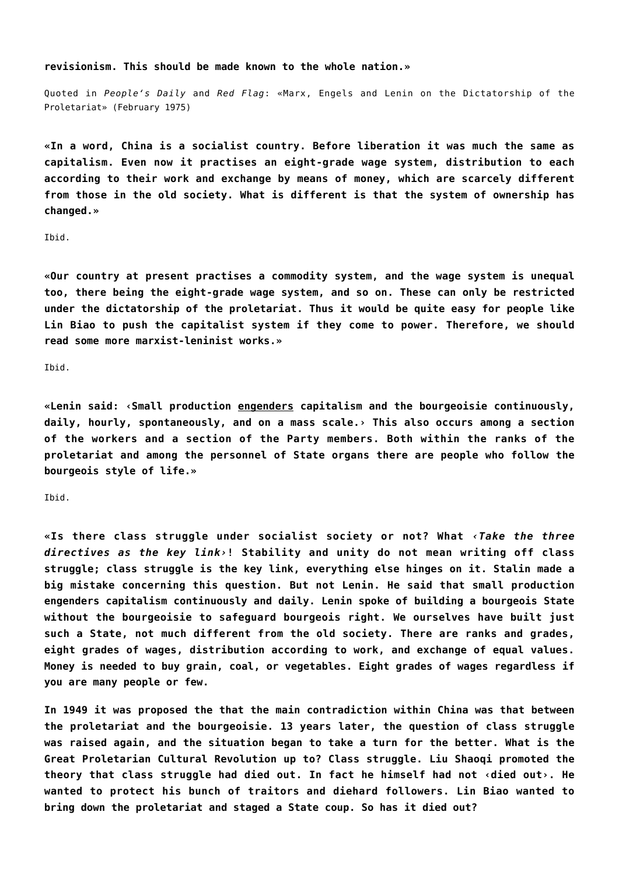## **revisionism. This should be made known to the whole nation.»**

Quoted in *People's Daily* and *Red Flag*: «Marx, Engels and Lenin on the Dictatorship of the Proletariat» (February 1975)

**«In a word, China is a socialist country. Before liberation it was much the same as capitalism. Even now it practises an eight-grade wage system, distribution to each according to their work and exchange by means of money, which are scarcely different from those in the old society. What is different is that the system of ownership has changed.»**

Ibid.

**«Our country at present practises a commodity system, and the wage system is unequal too, there being the eight-grade wage system, and so on. These can only be restricted under the dictatorship of the proletariat. Thus it would be quite easy for people like Lin Biao to push the capitalist system if they come to power. Therefore, we should read some more marxist-leninist works.»**

Ibid.

**«Lenin said: ‹Small production engenders capitalism and the bourgeoisie continuously, daily, hourly, spontaneously, and on a mass scale.› This also occurs among a section of the workers and a section of the Party members. Both within the ranks of the proletariat and among the personnel of State organs there are people who follow the bourgeois style of life.»**

Ibid.

**«Is there class struggle under socialist society or not? What** *‹Take the three directives as the key link›***! Stability and unity do not mean writing off class struggle; class struggle is the key link, everything else hinges on it. Stalin made a big mistake concerning this question. But not Lenin. He said that small production engenders capitalism continuously and daily. Lenin spoke of building a bourgeois State without the bourgeoisie to safeguard bourgeois right. We ourselves have built just such a State, not much different from the old society. There are ranks and grades, eight grades of wages, distribution according to work, and exchange of equal values. Money is needed to buy grain, coal, or vegetables. Eight grades of wages regardless if you are many people or few.**

**In 1949 it was proposed the that the main contradiction within China was that between the proletariat and the bourgeoisie. 13 years later, the question of class struggle was raised again, and the situation began to take a turn for the better. What is the Great Proletarian Cultural Revolution up to? Class struggle. Liu Shaoqi promoted the theory that class struggle had died out. In fact he himself had not ‹died out›. He wanted to protect his bunch of traitors and diehard followers. Lin Biao wanted to bring down the proletariat and staged a State coup. So has it died out?**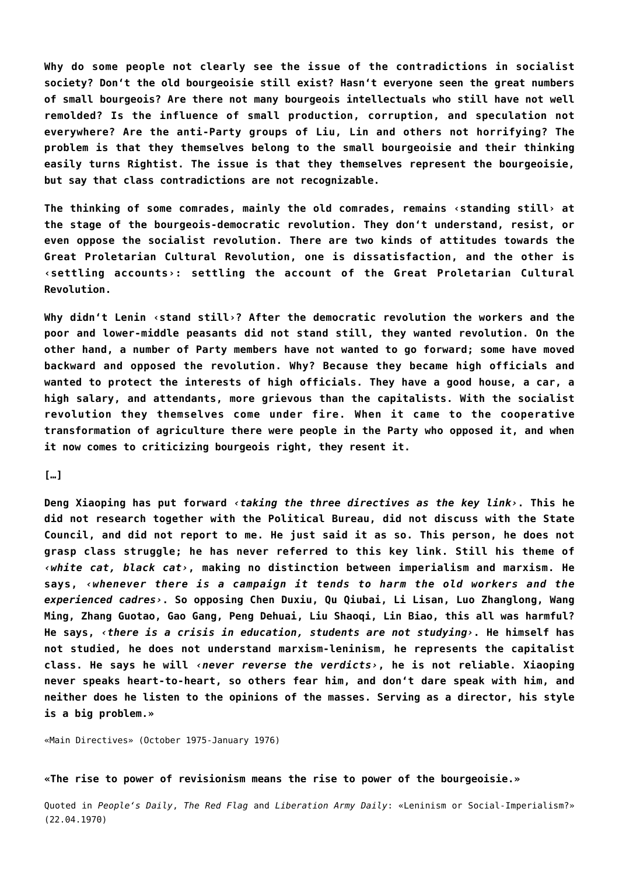**Why do some people not clearly see the issue of the contradictions in socialist society? Don't the old bourgeoisie still exist? Hasn't everyone seen the great numbers of small bourgeois? Are there not many bourgeois intellectuals who still have not well remolded? Is the influence of small production, corruption, and speculation not everywhere? Are the anti-Party groups of Liu, Lin and others not horrifying? The problem is that they themselves belong to the small bourgeoisie and their thinking easily turns Rightist. The issue is that they themselves represent the bourgeoisie, but say that class contradictions are not recognizable.**

**The thinking of some comrades, mainly the old comrades, remains ‹standing still› at the stage of the bourgeois-democratic revolution. They don't understand, resist, or even oppose the socialist revolution. There are two kinds of attitudes towards the Great Proletarian Cultural Revolution, one is dissatisfaction, and the other is ‹settling accounts›: settling the account of the Great Proletarian Cultural Revolution.**

**Why didn't Lenin ‹stand still›? After the democratic revolution the workers and the poor and lower-middle peasants did not stand still, they wanted revolution. On the other hand, a number of Party members have not wanted to go forward; some have moved backward and opposed the revolution. Why? Because they became high officials and wanted to protect the interests of high officials. They have a good house, a car, a high salary, and attendants, more grievous than the capitalists. With the socialist revolution they themselves come under fire. When it came to the cooperative transformation of agriculture there were people in the Party who opposed it, and when it now comes to criticizing bourgeois right, they resent it.**

# **[…]**

**Deng Xiaoping has put forward** *‹taking the three directives as the key link›***. This he did not research together with the Political Bureau, did not discuss with the State Council, and did not report to me. He just said it as so. This person, he does not grasp class struggle; he has never referred to this key link. Still his theme of** *‹white cat, black cat›***, making no distinction between imperialism and marxism. He says,** *‹whenever there is a campaign it tends to harm the old workers and the experienced cadres›***. So opposing Chen Duxiu, Qu Qiubai, Li Lisan, Luo Zhanglong, Wang Ming, Zhang Guotao, Gao Gang, Peng Dehuai, Liu Shaoqi, Lin Biao, this all was harmful? He says,** *‹there is a crisis in education, students are not studying›***. He himself has not studied, he does not understand marxism-leninism, he represents the capitalist class. He says he will** *‹never reverse the verdicts›***, he is not reliable. Xiaoping never speaks heart-to-heart, so others fear him, and don't dare speak with him, and neither does he listen to the opinions of the masses. Serving as a director, his style is a big problem.»**

«Main Directives» (October 1975-January 1976)

## **«The rise to power of revisionism means the rise to power of the bourgeoisie.»**

Quoted in *People's Daily*, *The Red Flag* and *Liberation Army Daily*: «Leninism or Social-Imperialism?» (22.04.1970)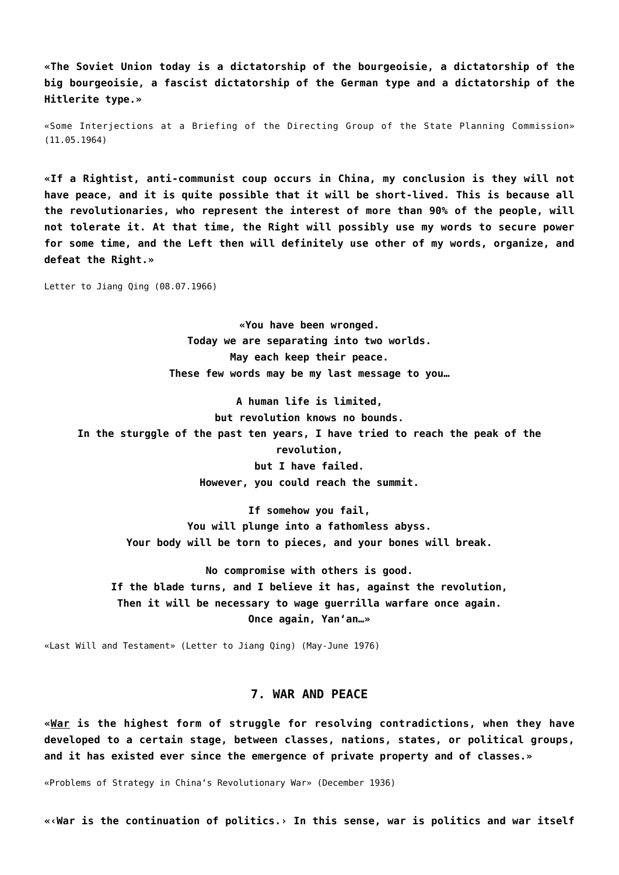**«The Soviet Union today is a dictatorship of the bourgeoisie, a dictatorship of the big bourgeoisie, a fascist dictatorship of the German type and a dictatorship of the Hitlerite type.»**

«Some Interjections at a Briefing of the Directing Group of the State Planning Commission» (11.05.1964)

**«If a Rightist, anti-communist coup occurs in China, my conclusion is they will not have peace, and it is quite possible that it will be short-lived. This is because all the revolutionaries, who represent the interest of more than 90% of the people, will not tolerate it. At that time, the Right will possibly use my words to secure power for some time, and the Left then will definitely use other of my words, organize, and defeat the Right.»**

Letter to Jiang Qing (08.07.1966)

**«You have been wronged. Today we are separating into two worlds. May each keep their peace. These few words may be my last message to you…**

**A human life is limited, but revolution knows no bounds. In the sturggle of the past ten years, I have tried to reach the peak of the revolution, but I have failed.**

**However, you could reach the summit.**

**If somehow you fail, You will plunge into a fathomless abyss. Your body will be torn to pieces, and your bones will break.**

**No compromise with others is good. If the blade turns, and I believe it has, against the revolution, Then it will be necessary to wage guerrilla warfare once again. Once again, Yan'an…»**

«Last Will and Testament» (Letter to Jiang Qing) (May-June 1976)

## **7. WAR AND PEACE**

**«War is the highest form of struggle for resolving contradictions, when they have developed to a certain stage, between classes, nations, states, or political groups, and it has existed ever since the emergence of private property and of classes.»**

«Problems of Strategy in China's Revolutionary War» (December 1936)

**«‹War is the continuation of politics.› In this sense, war is politics and war itself**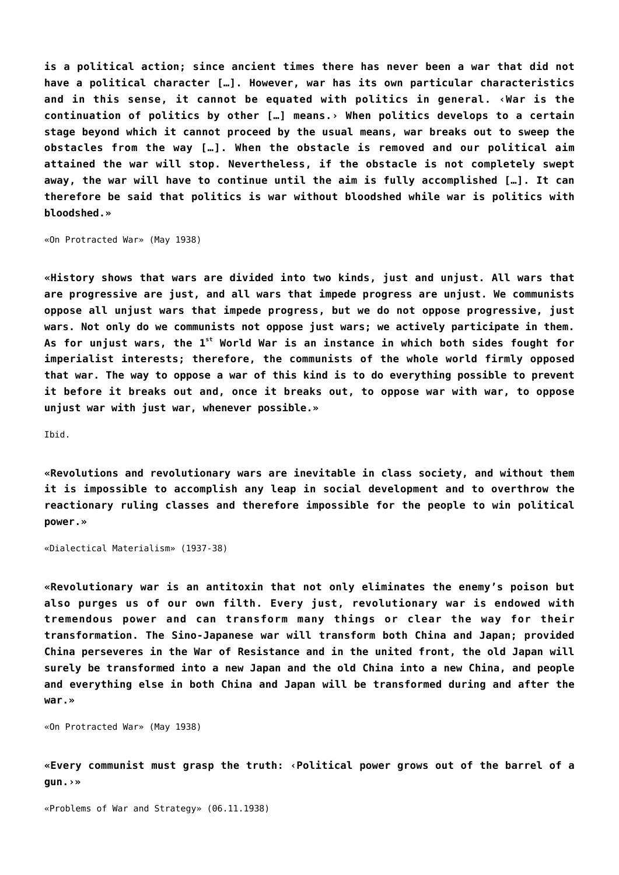**is a political action; since ancient times there has never been a war that did not have a political character […]. However, war has its own particular characteristics and in this sense, it cannot be equated with politics in general. ‹War is the continuation of politics by other […] means.› When politics develops to a certain stage beyond which it cannot proceed by the usual means, war breaks out to sweep the obstacles from the way […]. When the obstacle is removed and our political aim attained the war will stop. Nevertheless, if the obstacle is not completely swept away, the war will have to continue until the aim is fully accomplished […]. It can therefore be said that politics is war without bloodshed while war is politics with bloodshed.»**

«On Protracted War» (May 1938)

**«History shows that wars are divided into two kinds, just and unjust. All wars that are progressive are just, and all wars that impede progress are unjust. We communists oppose all unjust wars that impede progress, but we do not oppose progressive, just wars. Not only do we communists not oppose just wars; we actively participate in them. As for unjust wars, the 1st World War is an instance in which both sides fought for imperialist interests; therefore, the communists of the whole world firmly opposed that war. The way to oppose a war of this kind is to do everything possible to prevent it before it breaks out and, once it breaks out, to oppose war with war, to oppose unjust war with just war, whenever possible.»**

Ibid.

**«Revolutions and revolutionary wars are inevitable in class society, and without them it is impossible to accomplish any leap in social development and to overthrow the reactionary ruling classes and therefore impossible for the people to win political power.»**

«Dialectical Materialism» (1937-38)

**«Revolutionary war is an antitoxin that not only eliminates the enemy's poison but also purges us of our own filth. Every just, revolutionary war is endowed with tremendous power and can transform many things or clear the way for their transformation. The Sino-Japanese war will transform both China and Japan; provided China perseveres in the War of Resistance and in the united front, the old Japan will surely be transformed into a new Japan and the old China into a new China, and people and everything else in both China and Japan will be transformed during and after the war.»**

«On Protracted War» (May 1938)

**«Every communist must grasp the truth: ‹Political power grows out of the barrel of a gun.›»**

«Problems of War and Strategy» (06.11.1938)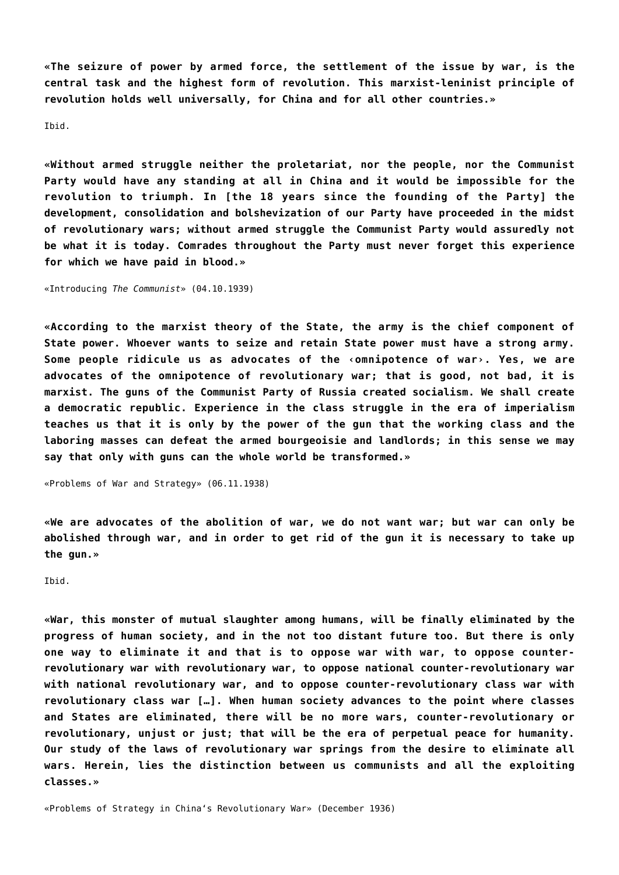**«The seizure of power by armed force, the settlement of the issue by war, is the central task and the highest form of revolution. This marxist-leninist principle of revolution holds well universally, for China and for all other countries.»**

Ibid.

**«Without armed struggle neither the proletariat, nor the people, nor the Communist Party would have any standing at all in China and it would be impossible for the revolution to triumph. In [the 18 years since the founding of the Party] the development, consolidation and bolshevization of our Party have proceeded in the midst of revolutionary wars; without armed struggle the Communist Party would assuredly not be what it is today. Comrades throughout the Party must never forget this experience for which we have paid in blood.»**

«Introducing *The Communist*» (04.10.1939)

**«According to the marxist theory of the State, the army is the chief component of State power. Whoever wants to seize and retain State power must have a strong army. Some people ridicule us as advocates of the ‹omnipotence of war›. Yes, we are advocates of the omnipotence of revolutionary war; that is good, not bad, it is marxist. The guns of the Communist Party of Russia created socialism. We shall create a democratic republic. Experience in the class struggle in the era of imperialism teaches us that it is only by the power of the gun that the working class and the laboring masses can defeat the armed bourgeoisie and landlords; in this sense we may say that only with guns can the whole world be transformed.»**

«Problems of War and Strategy» (06.11.1938)

**«We are advocates of the abolition of war, we do not want war; but war can only be abolished through war, and in order to get rid of the gun it is necessary to take up the gun.»**

Ibid.

**«War, this monster of mutual slaughter among humans, will be finally eliminated by the progress of human society, and in the not too distant future too. But there is only one way to eliminate it and that is to oppose war with war, to oppose counterrevolutionary war with revolutionary war, to oppose national counter-revolutionary war with national revolutionary war, and to oppose counter-revolutionary class war with revolutionary class war […]. When human society advances to the point where classes and States are eliminated, there will be no more wars, counter-revolutionary or revolutionary, unjust or just; that will be the era of perpetual peace for humanity. Our study of the laws of revolutionary war springs from the desire to eliminate all wars. Herein, lies the distinction between us communists and all the exploiting classes.»**

«Problems of Strategy in China's Revolutionary War» (December 1936)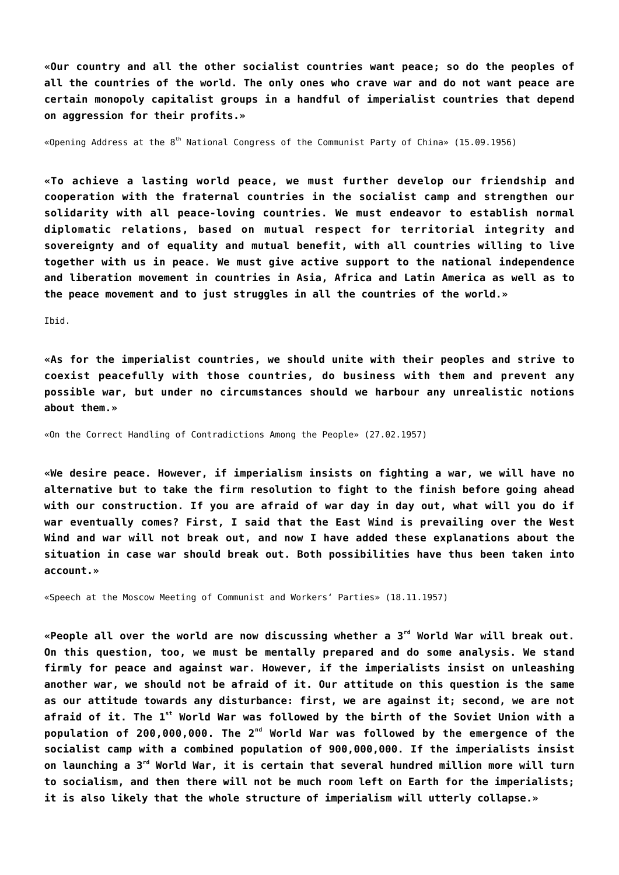**«Our country and all the other socialist countries want peace; so do the peoples of all the countries of the world. The only ones who crave war and do not want peace are certain monopoly capitalist groups in a handful of imperialist countries that depend on aggression for their profits.»**

«Opening Address at the 8<sup>th</sup> National Congress of the Communist Party of China» (15.09.1956)

**«To achieve a lasting world peace, we must further develop our friendship and cooperation with the fraternal countries in the socialist camp and strengthen our solidarity with all peace-loving countries. We must endeavor to establish normal diplomatic relations, based on mutual respect for territorial integrity and sovereignty and of equality and mutual benefit, with all countries willing to live together with us in peace. We must give active support to the national independence and liberation movement in countries in Asia, Africa and Latin America as well as to the peace movement and to just struggles in all the countries of the world.»**

Ibid.

**«As for the imperialist countries, we should unite with their peoples and strive to coexist peacefully with those countries, do business with them and prevent any possible war, but under no circumstances should we harbour any unrealistic notions about them.»**

«On the Correct Handling of Contradictions Among the People» (27.02.1957)

**«We desire peace. However, if imperialism insists on fighting a war, we will have no alternative but to take the firm resolution to fight to the finish before going ahead with our construction. If you are afraid of war day in day out, what will you do if war eventually comes? First, I said that the East Wind is prevailing over the West Wind and war will not break out, and now I have added these explanations about the situation in case war should break out. Both possibilities have thus been taken into account.»**

«Speech at the Moscow Meeting of Communist and Workers' Parties» (18.11.1957)

**«People all over the world are now discussing whether a 3rd World War will break out. On this question, too, we must be mentally prepared and do some analysis. We stand firmly for peace and against war. However, if the imperialists insist on unleashing another war, we should not be afraid of it. Our attitude on this question is the same as our attitude towards any disturbance: first, we are against it; second, we are not afraid of it. The 1st World War was followed by the birth of the Soviet Union with a population of 200,000,000. The 2nd World War was followed by the emergence of the socialist camp with a combined population of 900,000,000. If the imperialists insist on launching a 3rd World War, it is certain that several hundred million more will turn to socialism, and then there will not be much room left on Earth for the imperialists; it is also likely that the whole structure of imperialism will utterly collapse.»**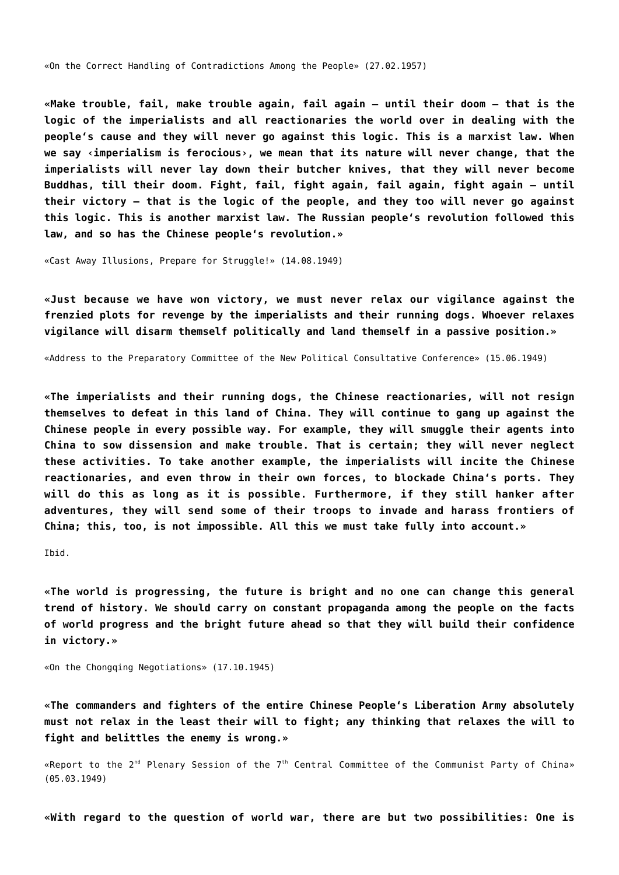«On the Correct Handling of Contradictions Among the People» (27.02.1957)

**«Make trouble, fail, make trouble again, fail again — until their doom — that is the logic of the imperialists and all reactionaries the world over in dealing with the people's cause and they will never go against this logic. This is a marxist law. When we say ‹imperialism is ferocious›, we mean that its nature will never change, that the imperialists will never lay down their butcher knives, that they will never become Buddhas, till their doom. Fight, fail, fight again, fail again, fight again — until their victory — that is the logic of the people, and they too will never go against this logic. This is another marxist law. The Russian people's revolution followed this law, and so has the Chinese people's revolution.»**

«Cast Away Illusions, Prepare for Struggle!» (14.08.1949)

**«Just because we have won victory, we must never relax our vigilance against the frenzied plots for revenge by the imperialists and their running dogs. Whoever relaxes vigilance will disarm themself politically and land themself in a passive position.»**

«Address to the Preparatory Committee of the New Political Consultative Conference» (15.06.1949)

**«The imperialists and their running dogs, the Chinese reactionaries, will not resign themselves to defeat in this land of China. They will continue to gang up against the Chinese people in every possible way. For example, they will smuggle their agents into China to sow dissension and make trouble. That is certain; they will never neglect these activities. To take another example, the imperialists will incite the Chinese reactionaries, and even throw in their own forces, to blockade China's ports. They will do this as long as it is possible. Furthermore, if they still hanker after adventures, they will send some of their troops to invade and harass frontiers of China; this, too, is not impossible. All this we must take fully into account.»**

Ibid.

**«The world is progressing, the future is bright and no one can change this general trend of history. We should carry on constant propaganda among the people on the facts of world progress and the bright future ahead so that they will build their confidence in victory.»**

«On the Chongqing Negotiations» (17.10.1945)

**«The commanders and fighters of the entire Chinese People's Liberation Army absolutely must not relax in the least their will to fight; any thinking that relaxes the will to fight and belittles the enemy is wrong.»**

«Report to the  $2^{nd}$  Plenary Session of the  $7^{th}$  Central Committee of the Communist Party of China» (05.03.1949)

**«With regard to the question of world war, there are but two possibilities: One is**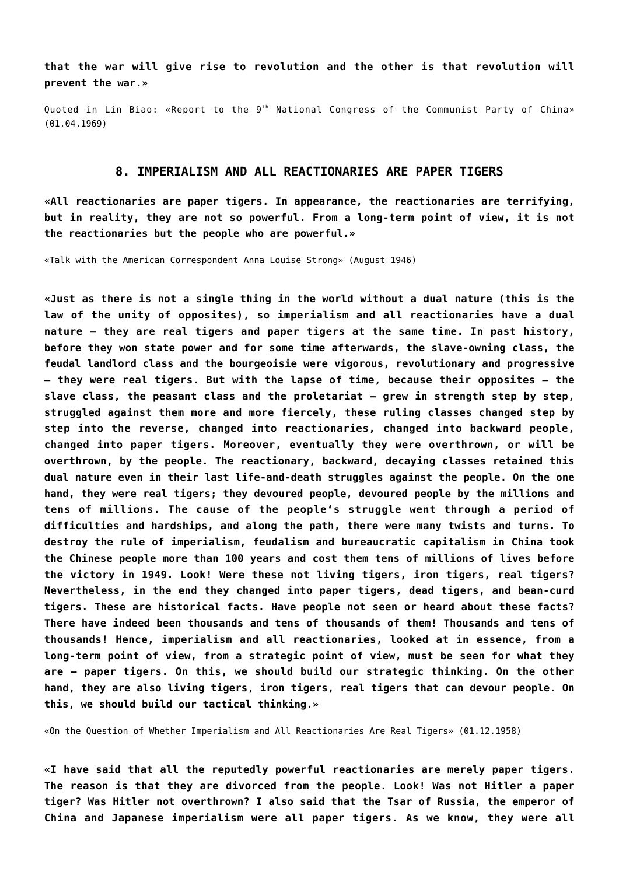**that the war will give rise to revolution and the other is that revolution will prevent the war.»**

Quoted in Lin Biao: «Report to the 9<sup>th</sup> National Congress of the Communist Party of China» (01.04.1969)

# **8. IMPERIALISM AND ALL REACTIONARIES ARE PAPER TIGERS**

**«All reactionaries are paper tigers. In appearance, the reactionaries are terrifying, but in reality, they are not so powerful. From a long-term point of view, it is not the reactionaries but the people who are powerful.»**

«Talk with the American Correspondent Anna Louise Strong» (August 1946)

**«Just as there is not a single thing in the world without a dual nature (this is the law of the unity of opposites), so imperialism and all reactionaries have a dual nature — they are real tigers and paper tigers at the same time. In past history, before they won state power and for some time afterwards, the slave-owning class, the feudal landlord class and the bourgeoisie were vigorous, revolutionary and progressive — they were real tigers. But with the lapse of time, because their opposites — the slave class, the peasant class and the proletariat — grew in strength step by step, struggled against them more and more fiercely, these ruling classes changed step by step into the reverse, changed into reactionaries, changed into backward people, changed into paper tigers. Moreover, eventually they were overthrown, or will be overthrown, by the people. The reactionary, backward, decaying classes retained this dual nature even in their last life-and-death struggles against the people. On the one hand, they were real tigers; they devoured people, devoured people by the millions and tens of millions. The cause of the people's struggle went through a period of difficulties and hardships, and along the path, there were many twists and turns. To destroy the rule of imperialism, feudalism and bureaucratic capitalism in China took the Chinese people more than 100 years and cost them tens of millions of lives before the victory in 1949. Look! Were these not living tigers, iron tigers, real tigers? Nevertheless, in the end they changed into paper tigers, dead tigers, and bean-curd tigers. These are historical facts. Have people not seen or heard about these facts? There have indeed been thousands and tens of thousands of them! Thousands and tens of thousands! Hence, imperialism and all reactionaries, looked at in essence, from a long-term point of view, from a strategic point of view, must be seen for what they are — paper tigers. On this, we should build our strategic thinking. On the other hand, they are also living tigers, iron tigers, real tigers that can devour people. On this, we should build our tactical thinking.»**

«On the Question of Whether Imperialism and All Reactionaries Are Real Tigers» (01.12.1958)

**«I have said that all the reputedly powerful reactionaries are merely paper tigers. The reason is that they are divorced from the people. Look! Was not Hitler a paper tiger? Was Hitler not overthrown? I also said that the Tsar of Russia, the emperor of China and Japanese imperialism were all paper tigers. As we know, they were all**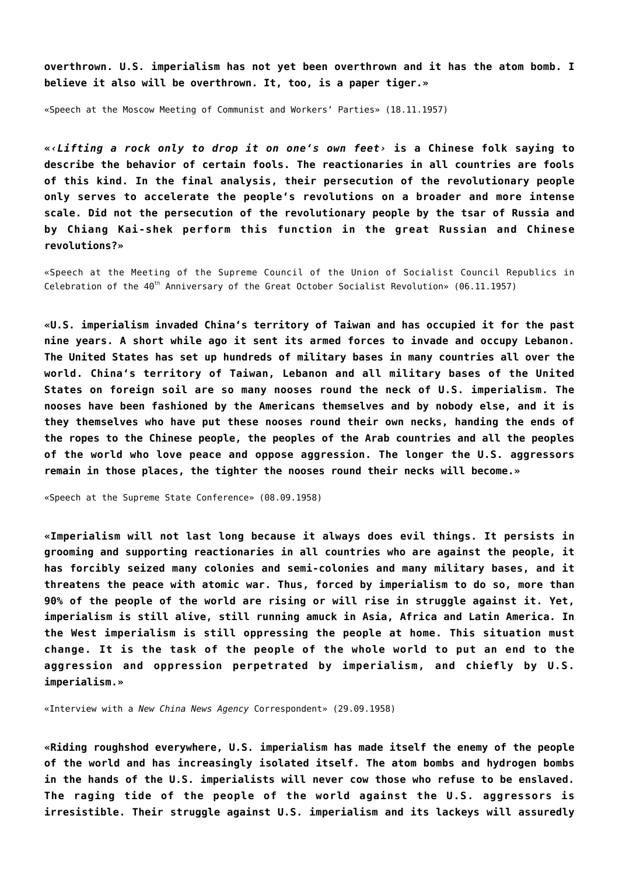**overthrown. U.S. imperialism has not yet been overthrown and it has the atom bomb. I believe it also will be overthrown. It, too, is a paper tiger.»**

«Speech at the Moscow Meeting of Communist and Workers' Parties» (18.11.1957)

**«***‹Lifting a rock only to drop it on one's own feet›* **is a Chinese folk saying to describe the behavior of certain fools. The reactionaries in all countries are fools of this kind. In the final analysis, their persecution of the revolutionary people only serves to accelerate the people's revolutions on a broader and more intense scale. Did not the persecution of the revolutionary people by the tsar of Russia and by Chiang Kai-shek perform this function in the great Russian and Chinese revolutions?»**

«Speech at the Meeting of the Supreme Council of the Union of Socialist Council Republics in Celebration of the 40<sup>th</sup> Anniversary of the Great October Socialist Revolution» (06.11.1957)

**«U.S. imperialism invaded China's territory of Taiwan and has occupied it for the past nine years. A short while ago it sent its armed forces to invade and occupy Lebanon. The United States has set up hundreds of military bases in many countries all over the world. China's territory of Taiwan, Lebanon and all military bases of the United States on foreign soil are so many nooses round the neck of U.S. imperialism. The nooses have been fashioned by the Americans themselves and by nobody else, and it is they themselves who have put these nooses round their own necks, handing the ends of the ropes to the Chinese people, the peoples of the Arab countries and all the peoples of the world who love peace and oppose aggression. The longer the U.S. aggressors remain in those places, the tighter the nooses round their necks will become.»**

«Speech at the Supreme State Conference» (08.09.1958)

**«Imperialism will not last long because it always does evil things. It persists in grooming and supporting reactionaries in all countries who are against the people, it has forcibly seized many colonies and semi-colonies and many military bases, and it threatens the peace with atomic war. Thus, forced by imperialism to do so, more than 90% of the people of the world are rising or will rise in struggle against it. Yet, imperialism is still alive, still running amuck in Asia, Africa and Latin America. In the West imperialism is still oppressing the people at home. This situation must change. It is the task of the people of the whole world to put an end to the aggression and oppression perpetrated by imperialism, and chiefly by U.S. imperialism.»**

«Interview with a *New China News Agency* Correspondent» (29.09.1958)

**«Riding roughshod everywhere, U.S. imperialism has made itself the enemy of the people of the world and has increasingly isolated itself. The atom bombs and hydrogen bombs in the hands of the U.S. imperialists will never cow those who refuse to be enslaved. The raging tide of the people of the world against the U.S. aggressors is irresistible. Their struggle against U.S. imperialism and its lackeys will assuredly**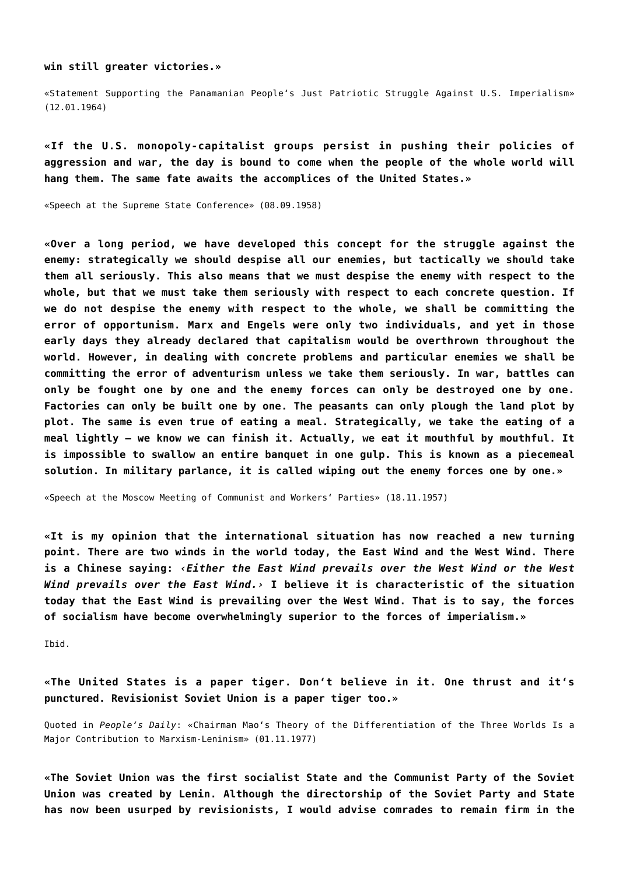### **win still greater victories.»**

«Statement Supporting the Panamanian People's Just Patriotic Struggle Against U.S. Imperialism» (12.01.1964)

**«If the U.S. monopoly-capitalist groups persist in pushing their policies of aggression and war, the day is bound to come when the people of the whole world will hang them. The same fate awaits the accomplices of the United States.»**

«Speech at the Supreme State Conference» (08.09.1958)

**«Over a long period, we have developed this concept for the struggle against the enemy: strategically we should despise all our enemies, but tactically we should take them all seriously. This also means that we must despise the enemy with respect to the whole, but that we must take them seriously with respect to each concrete question. If we do not despise the enemy with respect to the whole, we shall be committing the error of opportunism. Marx and Engels were only two individuals, and yet in those early days they already declared that capitalism would be overthrown throughout the world. However, in dealing with concrete problems and particular enemies we shall be committing the error of adventurism unless we take them seriously. In war, battles can only be fought one by one and the enemy forces can only be destroyed one by one. Factories can only be built one by one. The peasants can only plough the land plot by plot. The same is even true of eating a meal. Strategically, we take the eating of a meal lightly — we know we can finish it. Actually, we eat it mouthful by mouthful. It is impossible to swallow an entire banquet in one gulp. This is known as a piecemeal solution. In military parlance, it is called wiping out the enemy forces one by one.»**

«Speech at the Moscow Meeting of Communist and Workers' Parties» (18.11.1957)

**«It is my opinion that the international situation has now reached a new turning point. There are two winds in the world today, the East Wind and the West Wind. There is a Chinese saying:** *‹Either the East Wind prevails over the West Wind or the West Wind prevails over the East Wind.›* **I believe it is characteristic of the situation today that the East Wind is prevailing over the West Wind. That is to say, the forces of socialism have become overwhelmingly superior to the forces of imperialism.»**

Ibid.

**«The United States is a paper tiger. Don't believe in it. One thrust and it's punctured. Revisionist Soviet Union is a paper tiger too.»**

Quoted in *People's Daily*: «Chairman Mao's Theory of the Differentiation of the Three Worlds Is a Major Contribution to Marxism-Leninism» (01.11.1977)

**«The Soviet Union was the first socialist State and the Communist Party of the Soviet Union was created by Lenin. Although the directorship of the Soviet Party and State has now been usurped by revisionists, I would advise comrades to remain firm in the**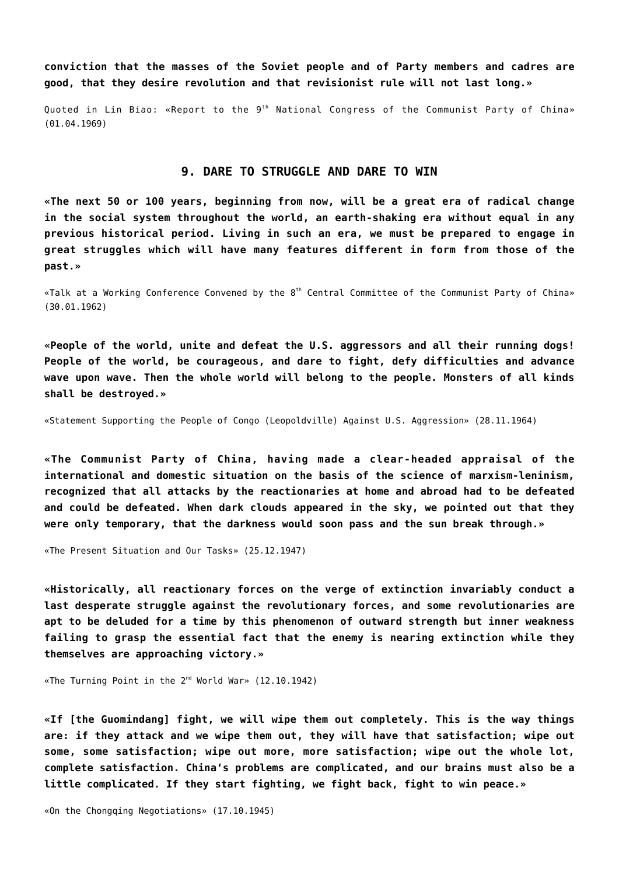**conviction that the masses of the Soviet people and of Party members and cadres are good, that they desire revolution and that revisionist rule will not last long.»**

Quoted in Lin Biao: «Report to the 9<sup>th</sup> National Congress of the Communist Party of China» (01.04.1969)

## **9. DARE TO STRUGGLE AND DARE TO WIN**

**«The next 50 or 100 years, beginning from now, will be a great era of radical change in the social system throughout the world, an earth-shaking era without equal in any previous historical period. Living in such an era, we must be prepared to engage in great struggles which will have many features different in form from those of the past.»**

«Talk at a Working Conference Convened by the 8th Central Committee of the Communist Party of China» (30.01.1962)

**«People of the world, unite and defeat the U.S. aggressors and all their running dogs! People of the world, be courageous, and dare to fight, defy difficulties and advance wave upon wave. Then the whole world will belong to the people. Monsters of all kinds shall be destroyed.»**

«Statement Supporting the People of Congo (Leopoldville) Against U.S. Aggression» (28.11.1964)

**«The Communist Party of China, having made a clear-headed appraisal of the international and domestic situation on the basis of the science of marxism-leninism, recognized that all attacks by the reactionaries at home and abroad had to be defeated and could be defeated. When dark clouds appeared in the sky, we pointed out that they were only temporary, that the darkness would soon pass and the sun break through.»**

«The Present Situation and Our Tasks» (25.12.1947)

**«Historically, all reactionary forces on the verge of extinction invariably conduct a last desperate struggle against the revolutionary forces, and some revolutionaries are apt to be deluded for a time by this phenomenon of outward strength but inner weakness failing to grasp the essential fact that the enemy is nearing extinction while they themselves are approaching victory.»**

«The Turning Point in the 2nd World War» (12.10.1942)

**«If [the Guomindang] fight, we will wipe them out completely. This is the way things are: if they attack and we wipe them out, they will have that satisfaction; wipe out some, some satisfaction; wipe out more, more satisfaction; wipe out the whole lot, complete satisfaction. China's problems are complicated, and our brains must also be a little complicated. If they start fighting, we fight back, fight to win peace.»**

«On the Chongqing Negotiations» (17.10.1945)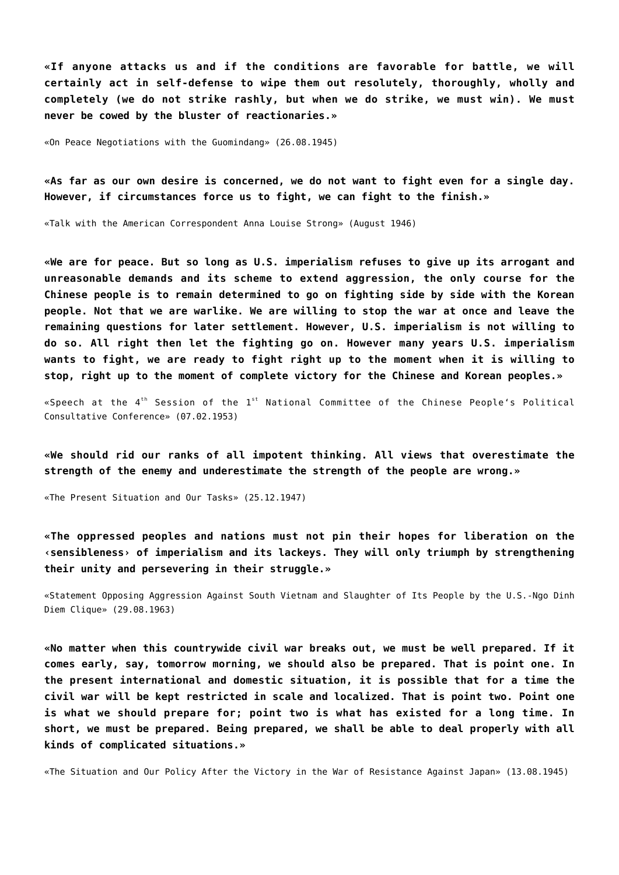**«If anyone attacks us and if the conditions are favorable for battle, we will certainly act in self-defense to wipe them out resolutely, thoroughly, wholly and completely (we do not strike rashly, but when we do strike, we must win). We must never be cowed by the bluster of reactionaries.»**

«On Peace Negotiations with the Guomindang» (26.08.1945)

**«As far as our own desire is concerned, we do not want to fight even for a single day. However, if circumstances force us to fight, we can fight to the finish.»**

«Talk with the American Correspondent Anna Louise Strong» (August 1946)

**«We are for peace. But so long as U.S. imperialism refuses to give up its arrogant and unreasonable demands and its scheme to extend aggression, the only course for the Chinese people is to remain determined to go on fighting side by side with the Korean people. Not that we are warlike. We are willing to stop the war at once and leave the remaining questions for later settlement. However, U.S. imperialism is not willing to do so. All right then let the fighting go on. However many years U.S. imperialism wants to fight, we are ready to fight right up to the moment when it is willing to stop, right up to the moment of complete victory for the Chinese and Korean peoples.»**

«Speech at the 4th Session of the 1st National Committee of the Chinese People's Political Consultative Conference» (07.02.1953)

**«We should rid our ranks of all impotent thinking. All views that overestimate the strength of the enemy and underestimate the strength of the people are wrong.»**

«The Present Situation and Our Tasks» (25.12.1947)

**«The oppressed peoples and nations must not pin their hopes for liberation on the ‹sensibleness› of imperialism and its lackeys. They will only triumph by strengthening their unity and persevering in their struggle.»**

«Statement Opposing Aggression Against South Vietnam and Slaughter of Its People by the U.S.-Ngo Dinh Diem Clique» (29.08.1963)

**«No matter when this countrywide civil war breaks out, we must be well prepared. If it comes early, say, tomorrow morning, we should also be prepared. That is point one. In the present international and domestic situation, it is possible that for a time the civil war will be kept restricted in scale and localized. That is point two. Point one is what we should prepare for; point two is what has existed for a long time. In short, we must be prepared. Being prepared, we shall be able to deal properly with all kinds of complicated situations.»**

«The Situation and Our Policy After the Victory in the War of Resistance Against Japan» (13.08.1945)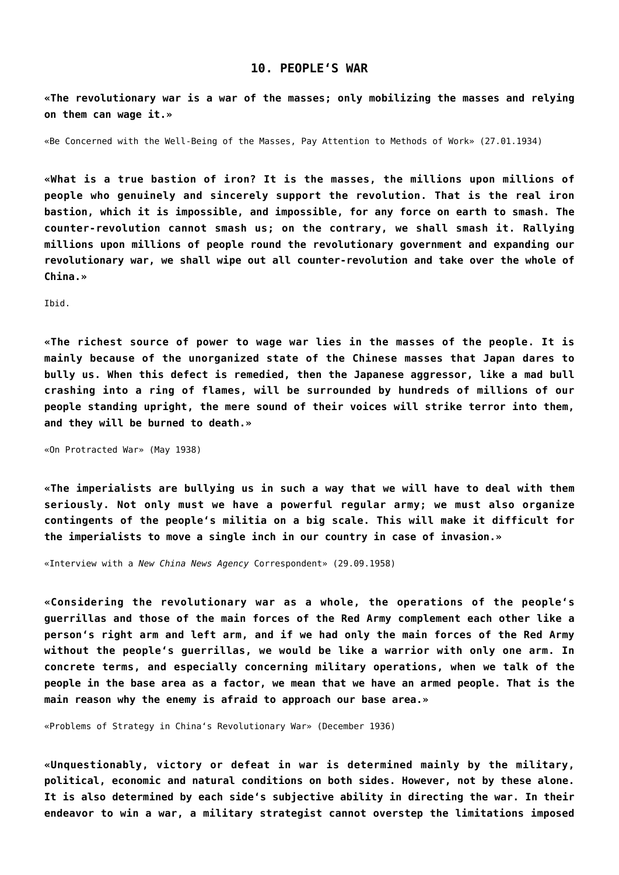### **10. PEOPLE'S WAR**

**«The revolutionary war is a war of the masses; only mobilizing the masses and relying on them can wage it.»**

«Be Concerned with the Well-Being of the Masses, Pay Attention to Methods of Work» (27.01.1934)

**«What is a true bastion of iron? It is the masses, the millions upon millions of people who genuinely and sincerely support the revolution. That is the real iron bastion, which it is impossible, and impossible, for any force on earth to smash. The counter-revolution cannot smash us; on the contrary, we shall smash it. Rallying millions upon millions of people round the revolutionary government and expanding our revolutionary war, we shall wipe out all counter-revolution and take over the whole of China.»**

Ibid.

**«The richest source of power to wage war lies in the masses of the people. It is mainly because of the unorganized state of the Chinese masses that Japan dares to bully us. When this defect is remedied, then the Japanese aggressor, like a mad bull crashing into a ring of flames, will be surrounded by hundreds of millions of our people standing upright, the mere sound of their voices will strike terror into them, and they will be burned to death.»**

«On Protracted War» (May 1938)

**«The imperialists are bullying us in such a way that we will have to deal with them seriously. Not only must we have a powerful regular army; we must also organize contingents of the people's militia on a big scale. This will make it difficult for the imperialists to move a single inch in our country in case of invasion.»**

«Interview with a *New China News Agency* Correspondent» (29.09.1958)

**«Considering the revolutionary war as a whole, the operations of the people's guerrillas and those of the main forces of the Red Army complement each other like a person's right arm and left arm, and if we had only the main forces of the Red Army without the people's guerrillas, we would be like a warrior with only one arm. In concrete terms, and especially concerning military operations, when we talk of the people in the base area as a factor, we mean that we have an armed people. That is the main reason why the enemy is afraid to approach our base area.»**

«Problems of Strategy in China's Revolutionary War» (December 1936)

**«Unquestionably, victory or defeat in war is determined mainly by the military, political, economic and natural conditions on both sides. However, not by these alone. It is also determined by each side's subjective ability in directing the war. In their endeavor to win a war, a military strategist cannot overstep the limitations imposed**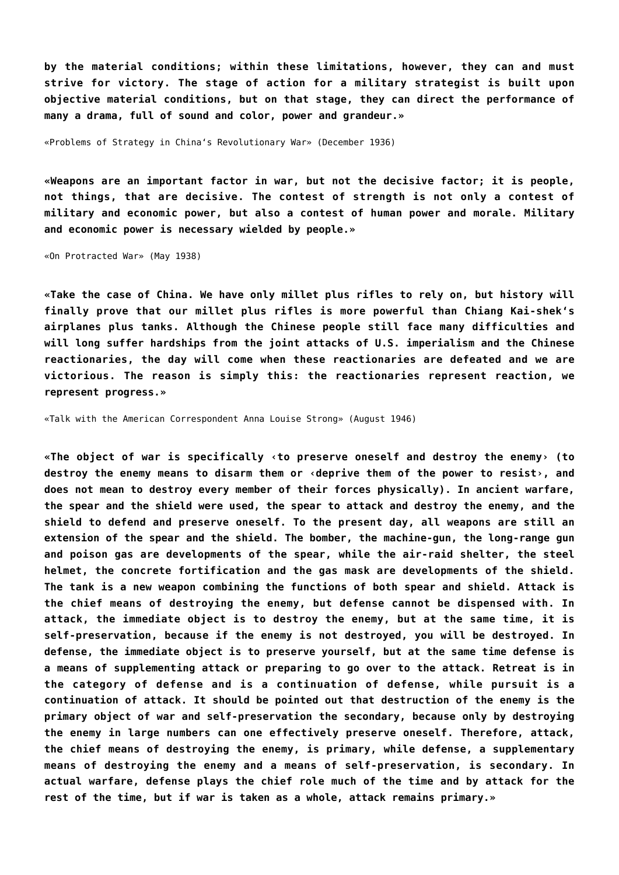**by the material conditions; within these limitations, however, they can and must strive for victory. The stage of action for a military strategist is built upon objective material conditions, but on that stage, they can direct the performance of many a drama, full of sound and color, power and grandeur.»**

«Problems of Strategy in China's Revolutionary War» (December 1936)

**«Weapons are an important factor in war, but not the decisive factor; it is people, not things, that are decisive. The contest of strength is not only a contest of military and economic power, but also a contest of human power and morale. Military and economic power is necessary wielded by people.»**

«On Protracted War» (May 1938)

**«Take the case of China. We have only millet plus rifles to rely on, but history will finally prove that our millet plus rifles is more powerful than Chiang Kai-shek's airplanes plus tanks. Although the Chinese people still face many difficulties and will long suffer hardships from the joint attacks of U.S. imperialism and the Chinese reactionaries, the day will come when these reactionaries are defeated and we are victorious. The reason is simply this: the reactionaries represent reaction, we represent progress.»**

«Talk with the American Correspondent Anna Louise Strong» (August 1946)

**«The object of war is specifically ‹to preserve oneself and destroy the enemy› (to destroy the enemy means to disarm them or ‹deprive them of the power to resist›, and does not mean to destroy every member of their forces physically). In ancient warfare, the spear and the shield were used, the spear to attack and destroy the enemy, and the shield to defend and preserve oneself. To the present day, all weapons are still an extension of the spear and the shield. The bomber, the machine-gun, the long-range gun and poison gas are developments of the spear, while the air-raid shelter, the steel helmet, the concrete fortification and the gas mask are developments of the shield. The tank is a new weapon combining the functions of both spear and shield. Attack is the chief means of destroying the enemy, but defense cannot be dispensed with. In attack, the immediate object is to destroy the enemy, but at the same time, it is self-preservation, because if the enemy is not destroyed, you will be destroyed. In defense, the immediate object is to preserve yourself, but at the same time defense is a means of supplementing attack or preparing to go over to the attack. Retreat is in the category of defense and is a continuation of defense, while pursuit is a continuation of attack. It should be pointed out that destruction of the enemy is the primary object of war and self-preservation the secondary, because only by destroying the enemy in large numbers can one effectively preserve oneself. Therefore, attack, the chief means of destroying the enemy, is primary, while defense, a supplementary means of destroying the enemy and a means of self-preservation, is secondary. In actual warfare, defense plays the chief role much of the time and by attack for the rest of the time, but if war is taken as a whole, attack remains primary.»**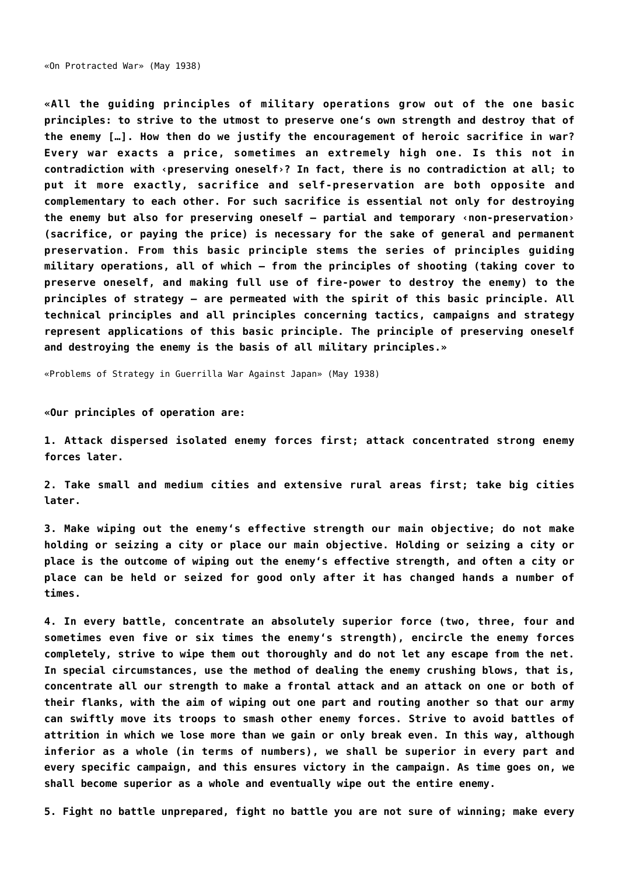«On Protracted War» (May 1938)

**«All the guiding principles of military operations grow out of the one basic principles: to strive to the utmost to preserve one's own strength and destroy that of the enemy […]. How then do we justify the encouragement of heroic sacrifice in war? Every war exacts a price, sometimes an extremely high one. Is this not in contradiction with ‹preserving oneself›? In fact, there is no contradiction at all; to put it more exactly, sacrifice and self-preservation are both opposite and complementary to each other. For such sacrifice is essential not only for destroying the enemy but also for preserving oneself — partial and temporary ‹non-preservation› (sacrifice, or paying the price) is necessary for the sake of general and permanent preservation. From this basic principle stems the series of principles guiding military operations, all of which — from the principles of shooting (taking cover to preserve oneself, and making full use of fire-power to destroy the enemy) to the principles of strategy — are permeated with the spirit of this basic principle. All technical principles and all principles concerning tactics, campaigns and strategy represent applications of this basic principle. The principle of preserving oneself and destroying the enemy is the basis of all military principles.»**

«Problems of Strategy in Guerrilla War Against Japan» (May 1938)

**«Our principles of operation are:**

**1. Attack dispersed isolated enemy forces first; attack concentrated strong enemy forces later.**

**2. Take small and medium cities and extensive rural areas first; take big cities later.**

**3. Make wiping out the enemy's effective strength our main objective; do not make holding or seizing a city or place our main objective. Holding or seizing a city or place is the outcome of wiping out the enemy's effective strength, and often a city or place can be held or seized for good only after it has changed hands a number of times.**

**4. In every battle, concentrate an absolutely superior force (two, three, four and sometimes even five or six times the enemy's strength), encircle the enemy forces completely, strive to wipe them out thoroughly and do not let any escape from the net. In special circumstances, use the method of dealing the enemy crushing blows, that is, concentrate all our strength to make a frontal attack and an attack on one or both of their flanks, with the aim of wiping out one part and routing another so that our army can swiftly move its troops to smash other enemy forces. Strive to avoid battles of attrition in which we lose more than we gain or only break even. In this way, although inferior as a whole (in terms of numbers), we shall be superior in every part and every specific campaign, and this ensures victory in the campaign. As time goes on, we shall become superior as a whole and eventually wipe out the entire enemy.**

**5. Fight no battle unprepared, fight no battle you are not sure of winning; make every**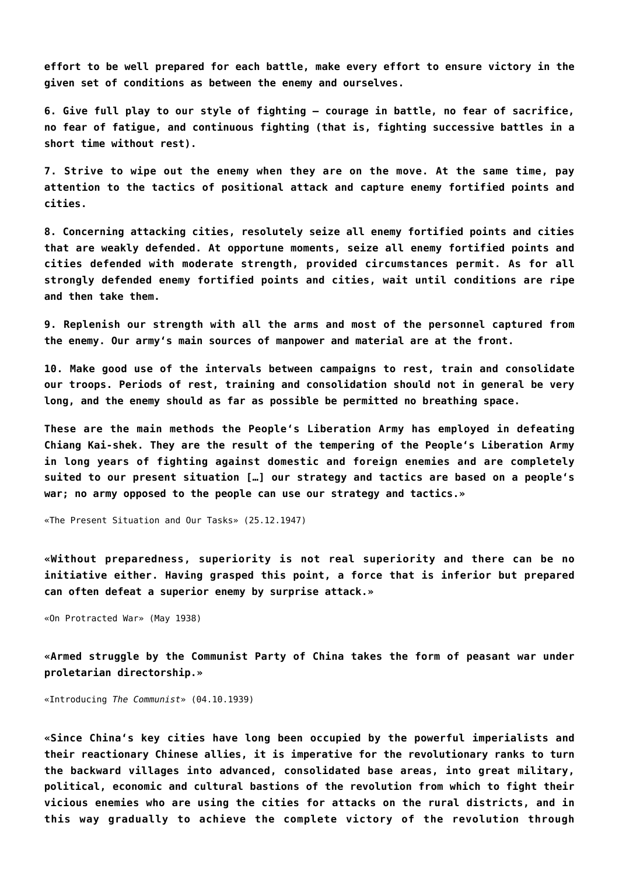**effort to be well prepared for each battle, make every effort to ensure victory in the given set of conditions as between the enemy and ourselves.**

**6. Give full play to our style of fighting — courage in battle, no fear of sacrifice, no fear of fatigue, and continuous fighting (that is, fighting successive battles in a short time without rest).**

**7. Strive to wipe out the enemy when they are on the move. At the same time, pay attention to the tactics of positional attack and capture enemy fortified points and cities.**

**8. Concerning attacking cities, resolutely seize all enemy fortified points and cities that are weakly defended. At opportune moments, seize all enemy fortified points and cities defended with moderate strength, provided circumstances permit. As for all strongly defended enemy fortified points and cities, wait until conditions are ripe and then take them.**

**9. Replenish our strength with all the arms and most of the personnel captured from the enemy. Our army's main sources of manpower and material are at the front.**

**10. Make good use of the intervals between campaigns to rest, train and consolidate our troops. Periods of rest, training and consolidation should not in general be very long, and the enemy should as far as possible be permitted no breathing space.**

**These are the main methods the People's Liberation Army has employed in defeating Chiang Kai-shek. They are the result of the tempering of the People's Liberation Army in long years of fighting against domestic and foreign enemies and are completely suited to our present situation […] our strategy and tactics are based on a people's war; no army opposed to the people can use our strategy and tactics.»**

«The Present Situation and Our Tasks» (25.12.1947)

**«Without preparedness, superiority is not real superiority and there can be no initiative either. Having grasped this point, a force that is inferior but prepared can often defeat a superior enemy by surprise attack.»**

«On Protracted War» (May 1938)

**«Armed struggle by the Communist Party of China takes the form of peasant war under proletarian directorship.»**

«Introducing *The Communist*» (04.10.1939)

**«Since China's key cities have long been occupied by the powerful imperialists and their reactionary Chinese allies, it is imperative for the revolutionary ranks to turn the backward villages into advanced, consolidated base areas, into great military, political, economic and cultural bastions of the revolution from which to fight their vicious enemies who are using the cities for attacks on the rural districts, and in this way gradually to achieve the complete victory of the revolution through**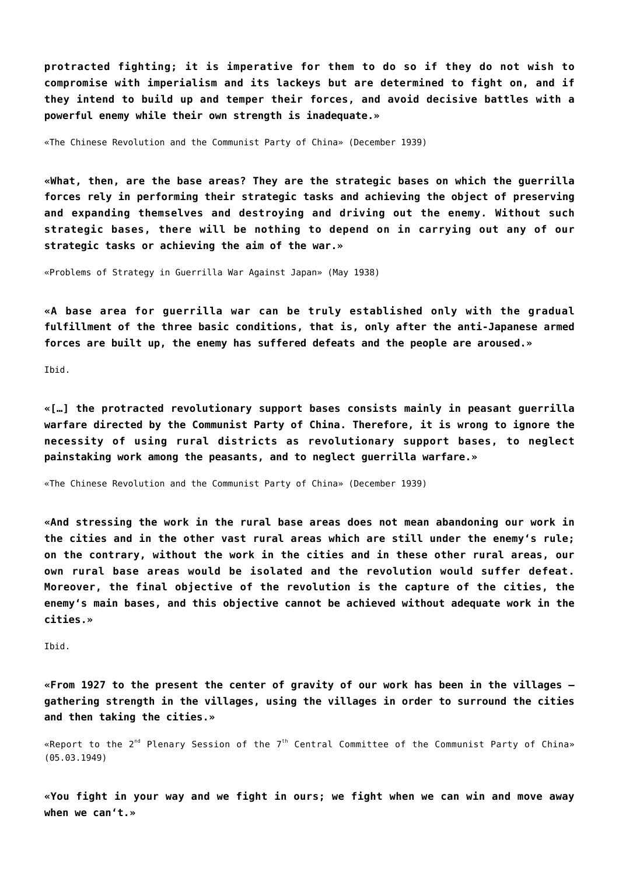**protracted fighting; it is imperative for them to do so if they do not wish to compromise with imperialism and its lackeys but are determined to fight on, and if they intend to build up and temper their forces, and avoid decisive battles with a powerful enemy while their own strength is inadequate.»**

«The Chinese Revolution and the Communist Party of China» (December 1939)

**«What, then, are the base areas? They are the strategic bases on which the guerrilla forces rely in performing their strategic tasks and achieving the object of preserving and expanding themselves and destroying and driving out the enemy. Without such strategic bases, there will be nothing to depend on in carrying out any of our strategic tasks or achieving the aim of the war.»**

«Problems of Strategy in Guerrilla War Against Japan» (May 1938)

**«A base area for guerrilla war can be truly established only with the gradual fulfillment of the three basic conditions, that is, only after the anti-Japanese armed forces are built up, the enemy has suffered defeats and the people are aroused.»**

Ibid.

**«[…] the protracted revolutionary support bases consists mainly in peasant guerrilla warfare directed by the Communist Party of China. Therefore, it is wrong to ignore the necessity of using rural districts as revolutionary support bases, to neglect painstaking work among the peasants, and to neglect guerrilla warfare.»**

«The Chinese Revolution and the Communist Party of China» (December 1939)

**«And stressing the work in the rural base areas does not mean abandoning our work in the cities and in the other vast rural areas which are still under the enemy's rule; on the contrary, without the work in the cities and in these other rural areas, our own rural base areas would be isolated and the revolution would suffer defeat. Moreover, the final objective of the revolution is the capture of the cities, the enemy's main bases, and this objective cannot be achieved without adequate work in the cities.»**

Ibid.

**«From 1927 to the present the center of gravity of our work has been in the villages gathering strength in the villages, using the villages in order to surround the cities and then taking the cities.»**

«Report to the  $2^{nd}$  Plenary Session of the  $7^{th}$  Central Committee of the Communist Party of China» (05.03.1949)

**«You fight in your way and we fight in ours; we fight when we can win and move away when we can't.»**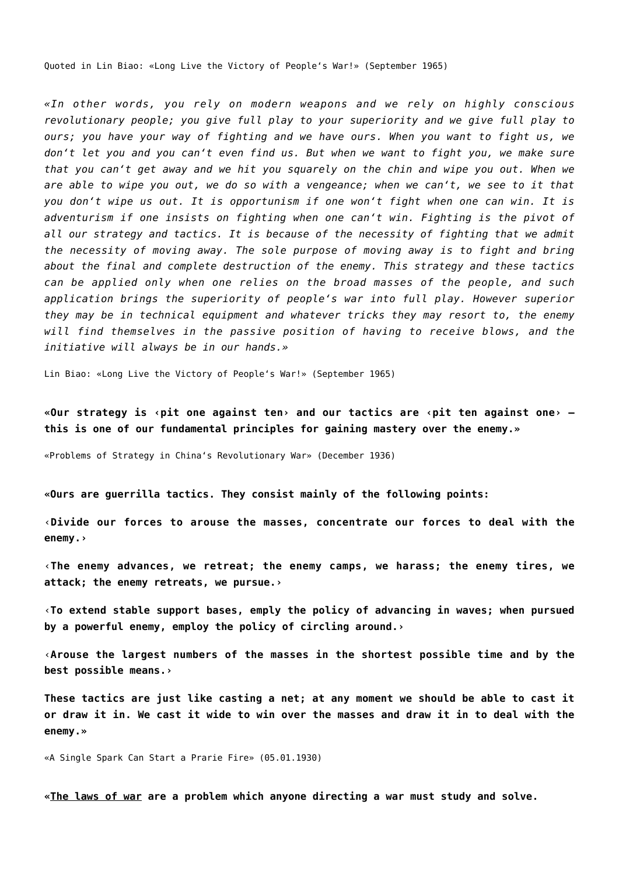Quoted in Lin Biao: «Long Live the Victory of People's War!» (September 1965)

*«In other words, you rely on modern weapons and we rely on highly conscious revolutionary people; you give full play to your superiority and we give full play to ours; you have your way of fighting and we have ours. When you want to fight us, we don't let you and you can't even find us. But when we want to fight you, we make sure that you can't get away and we hit you squarely on the chin and wipe you out. When we are able to wipe you out, we do so with a vengeance; when we can't, we see to it that you don't wipe us out. It is opportunism if one won't fight when one can win. It is adventurism if one insists on fighting when one can't win. Fighting is the pivot of all our strategy and tactics. It is because of the necessity of fighting that we admit the necessity of moving away. The sole purpose of moving away is to fight and bring about the final and complete destruction of the enemy. This strategy and these tactics can be applied only when one relies on the broad masses of the people, and such application brings the superiority of people's war into full play. However superior they may be in technical equipment and whatever tricks they may resort to, the enemy will find themselves in the passive position of having to receive blows, and the initiative will always be in our hands.»*

Lin Biao: «Long Live the Victory of People's War!» (September 1965)

**«Our strategy is ‹pit one against ten› and our tactics are ‹pit ten against one› this is one of our fundamental principles for gaining mastery over the enemy.»**

«Problems of Strategy in China's Revolutionary War» (December 1936)

**«Ours are guerrilla tactics. They consist mainly of the following points:**

‹**Divide our forces to arouse the masses, concentrate our forces to deal with the enemy.›**

‹**The enemy advances, we retreat; the enemy camps, we harass; the enemy tires, we attack; the enemy retreats, we pursue.›**

‹**To extend stable support bases, emply the policy of advancing in waves; when pursued by a powerful enemy, employ the policy of circling around.›**

‹**Arouse the largest numbers of the masses in the shortest possible time and by the best possible means.›**

**These tactics are just like casting a net; at any moment we should be able to cast it or draw it in. We cast it wide to win over the masses and draw it in to deal with the enemy.»**

«A Single Spark Can Start a Prarie Fire» (05.01.1930)

**«The laws of war are a problem which anyone directing a war must study and solve.**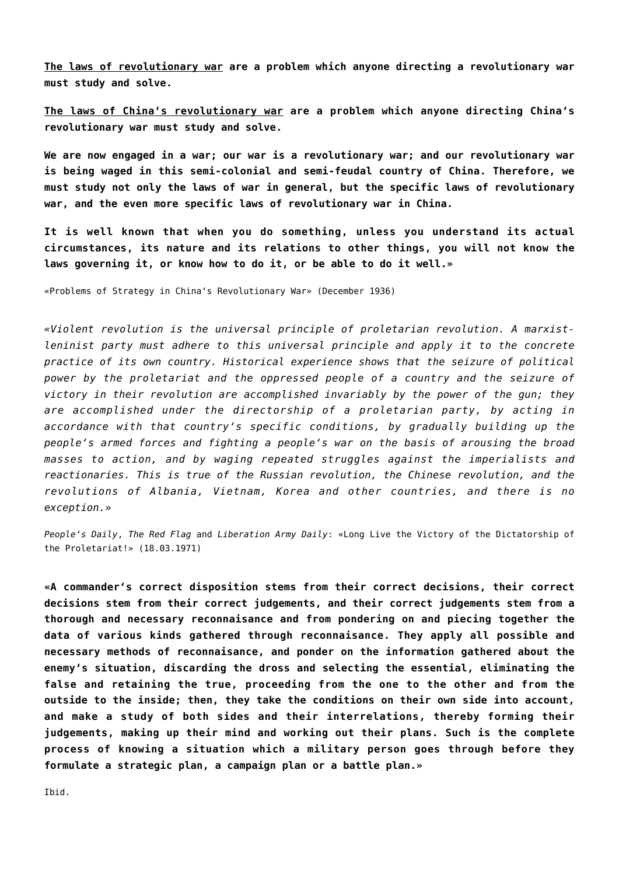**The laws of revolutionary war are a problem which anyone directing a revolutionary war must study and solve.**

**The laws of China's revolutionary war are a problem which anyone directing China's revolutionary war must study and solve.**

**We are now engaged in a war; our war is a revolutionary war; and our revolutionary war is being waged in this semi-colonial and semi-feudal country of China. Therefore, we must study not only the laws of war in general, but the specific laws of revolutionary war, and the even more specific laws of revolutionary war in China.**

**It is well known that when you do something, unless you understand its actual circumstances, its nature and its relations to other things, you will not know the laws governing it, or know how to do it, or be able to do it well.»**

«Problems of Strategy in China's Revolutionary War» (December 1936)

*«Violent revolution is the universal principle of proletarian revolution. A marxistleninist party must adhere to this universal principle and apply it to the concrete practice of its own country. Historical experience shows that the seizure of political power by the proletariat and the oppressed people of a country and the seizure of victory in their revolution are accomplished invariably by the power of the gun; they are accomplished under the directorship of a proletarian party, by acting in accordance with that country's specific conditions, by gradually building up the people's armed forces and fighting a people's war on the basis of arousing the broad masses to action, and by waging repeated struggles against the imperialists and reactionaries. This is true of the Russian revolution, the Chinese revolution, and the revolutions of Albania, Vietnam, Korea and other countries, and there is no exception.»*

*People's Daily*, *The Red Flag* and *Liberation Army Daily*: «Long Live the Victory of the Dictatorship of the Proletariat!» (18.03.1971)

**«A commander's correct disposition stems from their correct decisions, their correct decisions stem from their correct judgements, and their correct judgements stem from a thorough and necessary reconnaisance and from pondering on and piecing together the data of various kinds gathered through reconnaisance. They apply all possible and necessary methods of reconnaisance, and ponder on the information gathered about the enemy's situation, discarding the dross and selecting the essential, eliminating the false and retaining the true, proceeding from the one to the other and from the outside to the inside; then, they take the conditions on their own side into account, and make a study of both sides and their interrelations, thereby forming their judgements, making up their mind and working out their plans. Such is the complete process of knowing a situation which a military person goes through before they formulate a strategic plan, a campaign plan or a battle plan.»**

Ibid.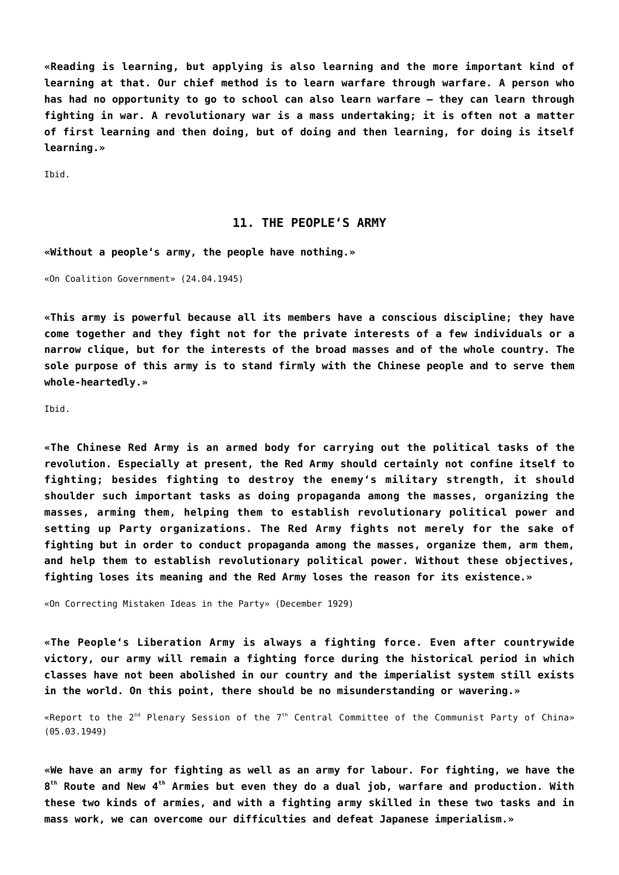**«Reading is learning, but applying is also learning and the more important kind of learning at that. Our chief method is to learn warfare through warfare. A person who has had no opportunity to go to school can also learn warfare — they can learn through fighting in war. A revolutionary war is a mass undertaking; it is often not a matter of first learning and then doing, but of doing and then learning, for doing is itself learning.»**

Ibid.

# **11. THE PEOPLE'S ARMY**

**«Without a people's army, the people have nothing.»**

«On Coalition Government» (24.04.1945)

**«This army is powerful because all its members have a conscious discipline; they have come together and they fight not for the private interests of a few individuals or a narrow clique, but for the interests of the broad masses and of the whole country. The sole purpose of this army is to stand firmly with the Chinese people and to serve them whole-heartedly.»**

Ibid.

**«The Chinese Red Army is an armed body for carrying out the political tasks of the revolution. Especially at present, the Red Army should certainly not confine itself to fighting; besides fighting to destroy the enemy's military strength, it should shoulder such important tasks as doing propaganda among the masses, organizing the masses, arming them, helping them to establish revolutionary political power and setting up Party organizations. The Red Army fights not merely for the sake of fighting but in order to conduct propaganda among the masses, organize them, arm them, and help them to establish revolutionary political power. Without these objectives, fighting loses its meaning and the Red Army loses the reason for its existence.»**

«On Correcting Mistaken Ideas in the Party» (December 1929)

**«The People's Liberation Army is always a fighting force. Even after countrywide victory, our army will remain a fighting force during the historical period in which classes have not been abolished in our country and the imperialist system still exists in the world. On this point, there should be no misunderstanding or wavering.»**

«Report to the 2<sup>nd</sup> Plenary Session of the 7<sup>th</sup> Central Committee of the Communist Party of China» (05.03.1949)

**«We have an army for fighting as well as an army for labour. For fighting, we have the 8 th Route and New 4th Armies but even they do a dual job, warfare and production. With these two kinds of armies, and with a fighting army skilled in these two tasks and in mass work, we can overcome our difficulties and defeat Japanese imperialism.»**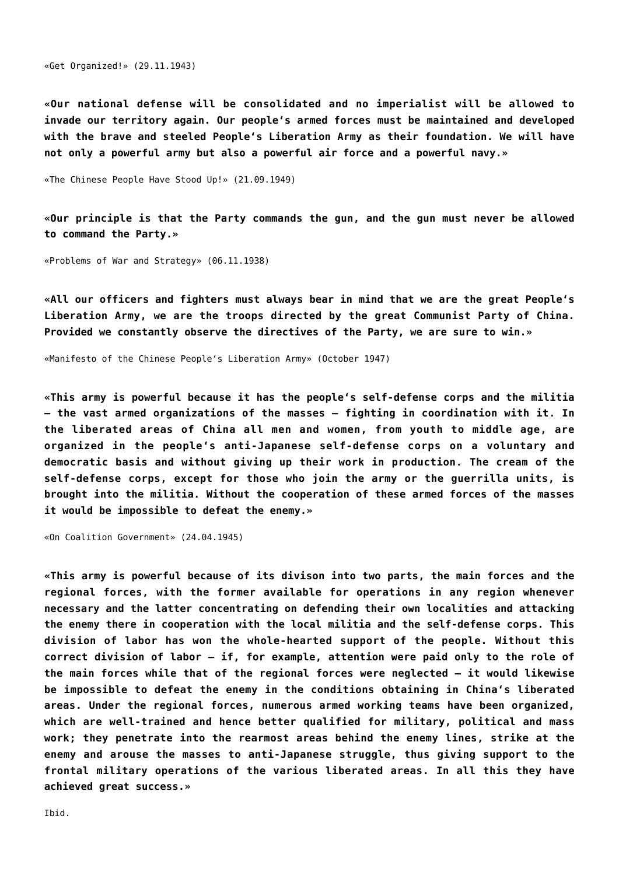«Get Organized!» (29.11.1943)

**«Our national defense will be consolidated and no imperialist will be allowed to invade our territory again. Our people's armed forces must be maintained and developed with the brave and steeled People's Liberation Army as their foundation. We will have not only a powerful army but also a powerful air force and a powerful navy.»**

«The Chinese People Have Stood Up!» (21.09.1949)

**«Our principle is that the Party commands the gun, and the gun must never be allowed to command the Party.»**

«Problems of War and Strategy» (06.11.1938)

**«All our officers and fighters must always bear in mind that we are the great People's Liberation Army, we are the troops directed by the great Communist Party of China. Provided we constantly observe the directives of the Party, we are sure to win.»**

«Manifesto of the Chinese People's Liberation Army» (October 1947)

**«This army is powerful because it has the people's self-defense corps and the militia — the vast armed organizations of the masses — fighting in coordination with it. In the liberated areas of China all men and women, from youth to middle age, are organized in the people's anti-Japanese self-defense corps on a voluntary and democratic basis and without giving up their work in production. The cream of the self-defense corps, except for those who join the army or the guerrilla units, is brought into the militia. Without the cooperation of these armed forces of the masses it would be impossible to defeat the enemy.»**

«On Coalition Government» (24.04.1945)

**«This army is powerful because of its divison into two parts, the main forces and the regional forces, with the former available for operations in any region whenever necessary and the latter concentrating on defending their own localities and attacking the enemy there in cooperation with the local militia and the self-defense corps. This division of labor has won the whole-hearted support of the people. Without this correct division of labor — if, for example, attention were paid only to the role of the main forces while that of the regional forces were neglected — it would likewise be impossible to defeat the enemy in the conditions obtaining in China's liberated areas. Under the regional forces, numerous armed working teams have been organized, which are well-trained and hence better qualified for military, political and mass work; they penetrate into the rearmost areas behind the enemy lines, strike at the enemy and arouse the masses to anti-Japanese struggle, thus giving support to the frontal military operations of the various liberated areas. In all this they have achieved great success.»**

Ibid.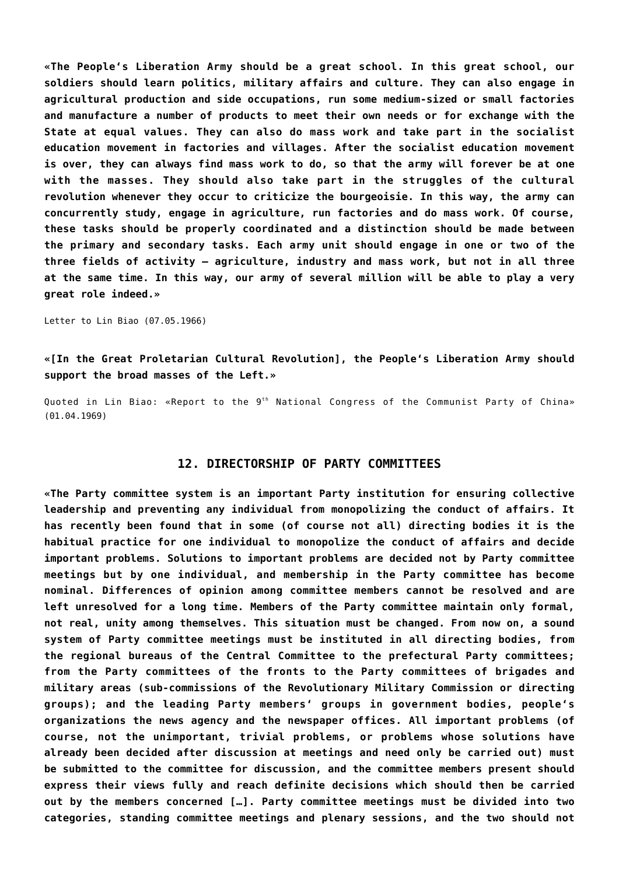**«The People's Liberation Army should be a great school. In this great school, our soldiers should learn politics, military affairs and culture. They can also engage in agricultural production and side occupations, run some medium-sized or small factories and manufacture a number of products to meet their own needs or for exchange with the State at equal values. They can also do mass work and take part in the socialist education movement in factories and villages. After the socialist education movement is over, they can always find mass work to do, so that the army will forever be at one with the masses. They should also take part in the struggles of the cultural revolution whenever they occur to criticize the bourgeoisie. In this way, the army can concurrently study, engage in agriculture, run factories and do mass work. Of course, these tasks should be properly coordinated and a distinction should be made between the primary and secondary tasks. Each army unit should engage in one or two of the three fields of activity — agriculture, industry and mass work, but not in all three at the same time. In this way, our army of several million will be able to play a very great role indeed.»**

Letter to Lin Biao (07.05.1966)

# **«[In the Great Proletarian Cultural Revolution], the People's Liberation Army should support the broad masses of the Left.»**

Quoted in Lin Biao: «Report to the 9<sup>th</sup> National Congress of the Communist Party of China» (01.04.1969)

# **12. DIRECTORSHIP OF PARTY COMMITTEES**

**«The Party committee system is an important Party institution for ensuring collective leadership and preventing any individual from monopolizing the conduct of affairs. It has recently been found that in some (of course not all) directing bodies it is the habitual practice for one individual to monopolize the conduct of affairs and decide important problems. Solutions to important problems are decided not by Party committee meetings but by one individual, and membership in the Party committee has become nominal. Differences of opinion among committee members cannot be resolved and are left unresolved for a long time. Members of the Party committee maintain only formal, not real, unity among themselves. This situation must be changed. From now on, a sound system of Party committee meetings must be instituted in all directing bodies, from the regional bureaus of the Central Committee to the prefectural Party committees; from the Party committees of the fronts to the Party committees of brigades and military areas (sub-commissions of the Revolutionary Military Commission or directing groups); and the leading Party members' groups in government bodies, people's organizations the news agency and the newspaper offices. All important problems (of course, not the unimportant, trivial problems, or problems whose solutions have already been decided after discussion at meetings and need only be carried out) must be submitted to the committee for discussion, and the committee members present should express their views fully and reach definite decisions which should then be carried out by the members concerned […]. Party committee meetings must be divided into two categories, standing committee meetings and plenary sessions, and the two should not**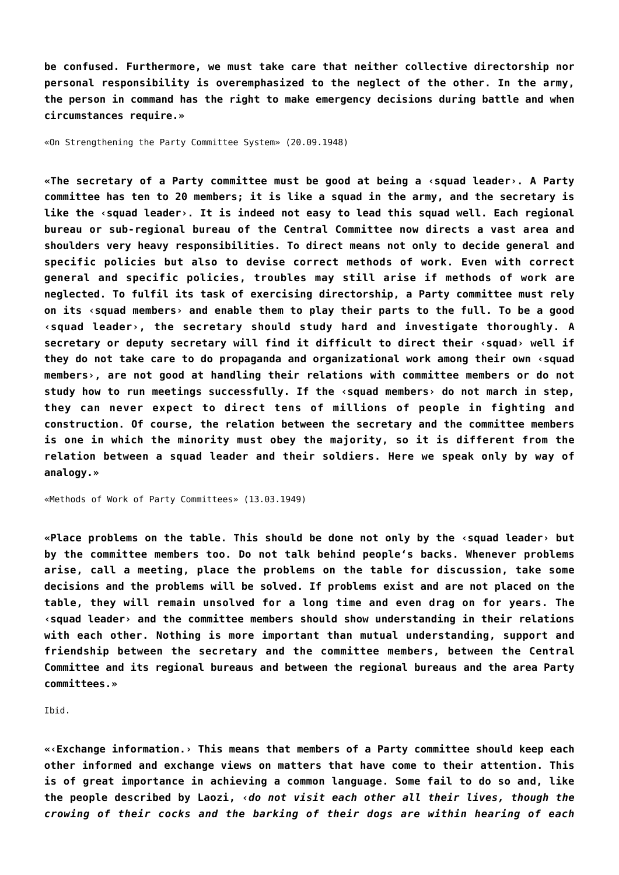**be confused. Furthermore, we must take care that neither collective directorship nor personal responsibility is overemphasized to the neglect of the other. In the army, the person in command has the right to make emergency decisions during battle and when circumstances require.»**

«On Strengthening the Party Committee System» (20.09.1948)

**«The secretary of a Party committee must be good at being a ‹squad leader›. A Party committee has ten to 20 members; it is like a squad in the army, and the secretary is like the ‹squad leader›. It is indeed not easy to lead this squad well. Each regional bureau or sub-regional bureau of the Central Committee now directs a vast area and shoulders very heavy responsibilities. To direct means not only to decide general and specific policies but also to devise correct methods of work. Even with correct general and specific policies, troubles may still arise if methods of work are neglected. To fulfil its task of exercising directorship, a Party committee must rely on its ‹squad members› and enable them to play their parts to the full. To be a good ‹squad leader›, the secretary should study hard and investigate thoroughly. A secretary or deputy secretary will find it difficult to direct their ‹squad› well if they do not take care to do propaganda and organizational work among their own ‹squad members›, are not good at handling their relations with committee members or do not study how to run meetings successfully. If the ‹squad members› do not march in step, they can never expect to direct tens of millions of people in fighting and construction. Of course, the relation between the secretary and the committee members is one in which the minority must obey the majority, so it is different from the relation between a squad leader and their soldiers. Here we speak only by way of analogy.»**

«Methods of Work of Party Committees» (13.03.1949)

**«Place problems on the table. This should be done not only by the ‹squad leader› but by the committee members too. Do not talk behind people's backs. Whenever problems arise, call a meeting, place the problems on the table for discussion, take some decisions and the problems will be solved. If problems exist and are not placed on the table, they will remain unsolved for a long time and even drag on for years. The ‹squad leader› and the committee members should show understanding in their relations with each other. Nothing is more important than mutual understanding, support and friendship between the secretary and the committee members, between the Central Committee and its regional bureaus and between the regional bureaus and the area Party committees.»**

Ibid.

**«‹Exchange information.› This means that members of a Party committee should keep each other informed and exchange views on matters that have come to their attention. This is of great importance in achieving a common language. Some fail to do so and, like the people described by Laozi,** *‹do not visit each other all their lives, though the crowing of their cocks and the barking of their dogs are within hearing of each*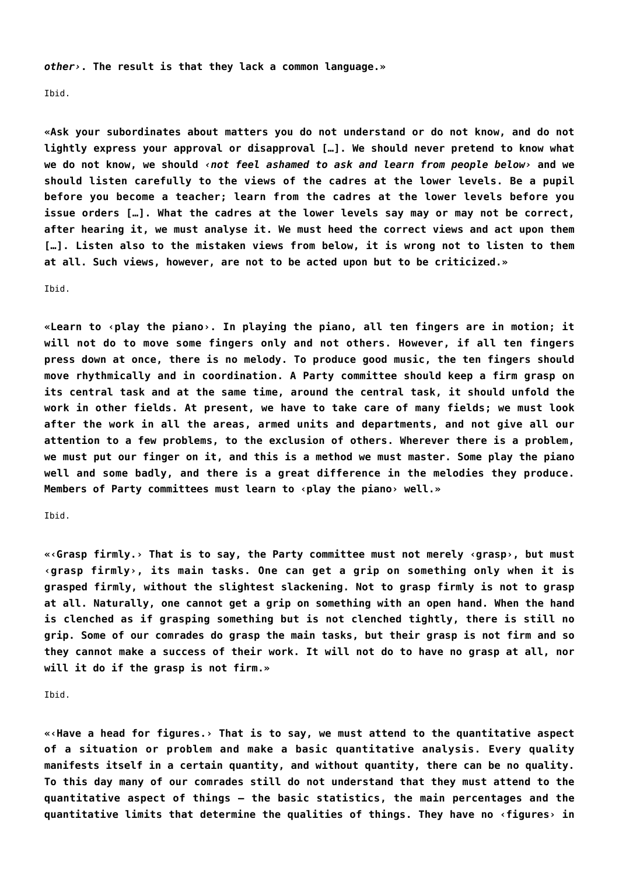*other›***. The result is that they lack a common language.»**

Ibid.

**«Ask your subordinates about matters you do not understand or do not know, and do not lightly express your approval or disapproval […]. We should never pretend to know what we do not know, we should** *‹not feel ashamed to ask and learn from people below›* **and we should listen carefully to the views of the cadres at the lower levels. Be a pupil before you become a teacher; learn from the cadres at the lower levels before you issue orders […]. What the cadres at the lower levels say may or may not be correct, after hearing it, we must analyse it. We must heed the correct views and act upon them […]. Listen also to the mistaken views from below, it is wrong not to listen to them at all. Such views, however, are not to be acted upon but to be criticized.»**

Ibid.

**«Learn to ‹play the piano›. In playing the piano, all ten fingers are in motion; it will not do to move some fingers only and not others. However, if all ten fingers press down at once, there is no melody. To produce good music, the ten fingers should move rhythmically and in coordination. A Party committee should keep a firm grasp on its central task and at the same time, around the central task, it should unfold the work in other fields. At present, we have to take care of many fields; we must look after the work in all the areas, armed units and departments, and not give all our attention to a few problems, to the exclusion of others. Wherever there is a problem, we must put our finger on it, and this is a method we must master. Some play the piano well and some badly, and there is a great difference in the melodies they produce. Members of Party committees must learn to ‹play the piano› well.»**

Ibid.

**«‹Grasp firmly.› That is to say, the Party committee must not merely ‹grasp›, but must ‹grasp firmly›, its main tasks. One can get a grip on something only when it is grasped firmly, without the slightest slackening. Not to grasp firmly is not to grasp at all. Naturally, one cannot get a grip on something with an open hand. When the hand is clenched as if grasping something but is not clenched tightly, there is still no grip. Some of our comrades do grasp the main tasks, but their grasp is not firm and so they cannot make a success of their work. It will not do to have no grasp at all, nor will it do if the grasp is not firm.»**

Ibid.

**«‹Have a head for figures.› That is to say, we must attend to the quantitative aspect of a situation or problem and make a basic quantitative analysis. Every quality manifests itself in a certain quantity, and without quantity, there can be no quality. To this day many of our comrades still do not understand that they must attend to the quantitative aspect of things — the basic statistics, the main percentages and the quantitative limits that determine the qualities of things. They have no ‹figures› in**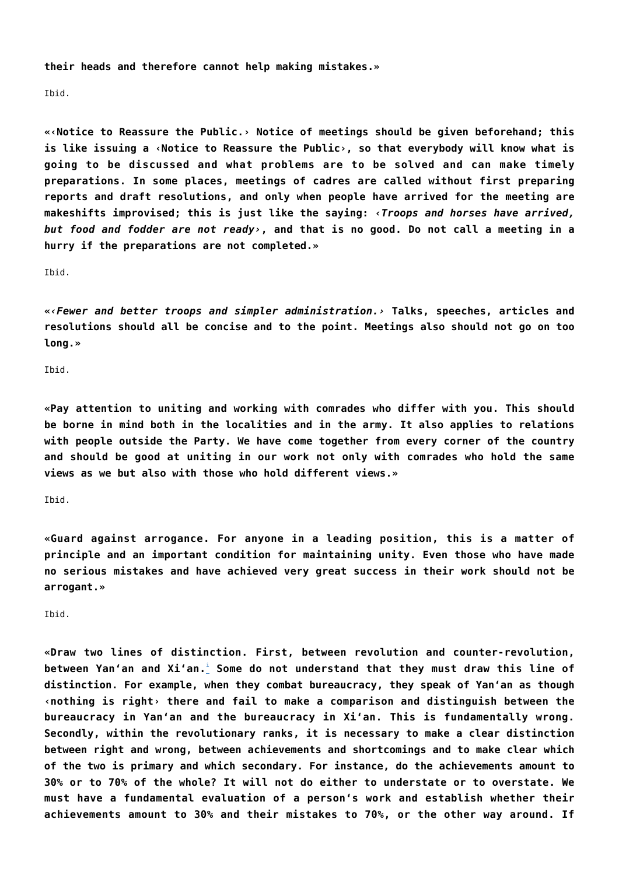**their heads and therefore cannot help making mistakes.»**

Ibid.

**«‹Notice to Reassure the Public.› Notice of meetings should be given beforehand; this is like issuing a ‹Notice to Reassure the Public›, so that everybody will know what is going to be discussed and what problems are to be solved and can make timely preparations. In some places, meetings of cadres are called without first preparing reports and draft resolutions, and only when people have arrived for the meeting are makeshifts improvised; this is just like the saying:** *‹Troops and horses have arrived, but food and fodder are not ready›***, and that is no good. Do not call a meeting in a hurry if the preparations are not completed.»**

Ibid.

**«***‹Fewer and better troops and simpler administration.›* **Talks, speeches, articles and resolutions should all be concise and to the point. Meetings also should not go on too long.»**

Ibid.

**«Pay attention to uniting and working with comrades who differ with you. This should be borne in mind both in the localities and in the army. It also applies to relations with people outside the Party. We have come together from every corner of the country and should be good at uniting in our work not only with comrades who hold the same views as we but also with those who hold different views.»**

Ibid.

**«Guard against arrogance. For anyone in a leading position, this is a matter of principle and an important condition for maintaining unity. Even those who have made no serious mistakes and have achieved very great success in their work should not be arrogant.»**

Ibid.

**«Draw two lines of distinction. First, between revolution and counter-revolution,** between Yan'an and X[i](#page-129-0)'an. $^{\mathrm{i}}$  Some do not understand that they must draw this line of **distinction. For example, when they combat bureaucracy, they speak of Yan'an as though ‹nothing is right› there and fail to make a comparison and distinguish between the bureaucracy in Yan'an and the bureaucracy in Xi'an. This is fundamentally wrong. Secondly, within the revolutionary ranks, it is necessary to make a clear distinction between right and wrong, between achievements and shortcomings and to make clear which of the two is primary and which secondary. For instance, do the achievements amount to 30% or to 70% of the whole? It will not do either to understate or to overstate. We must have a fundamental evaluation of a person's work and establish whether their achievements amount to 30% and their mistakes to 70%, or the other way around. If**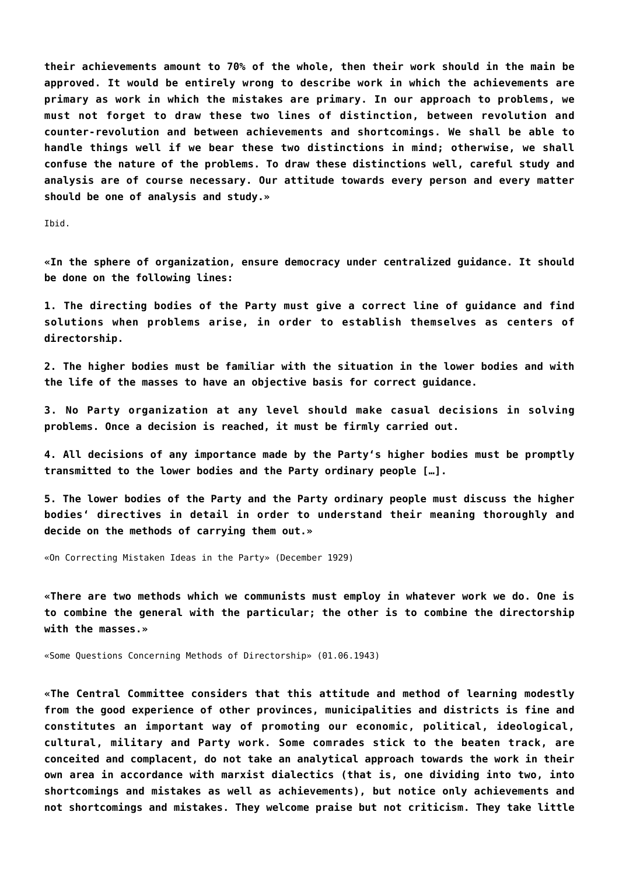**their achievements amount to 70% of the whole, then their work should in the main be approved. It would be entirely wrong to describe work in which the achievements are primary as work in which the mistakes are primary. In our approach to problems, we must not forget to draw these two lines of distinction, between revolution and counter-revolution and between achievements and shortcomings. We shall be able to handle things well if we bear these two distinctions in mind; otherwise, we shall confuse the nature of the problems. To draw these distinctions well, careful study and analysis are of course necessary. Our attitude towards every person and every matter should be one of analysis and study.»**

Ibid.

**«In the sphere of organization, ensure democracy under centralized guidance. It should be done on the following lines:**

**1. The directing bodies of the Party must give a correct line of guidance and find solutions when problems arise, in order to establish themselves as centers of directorship.**

**2. The higher bodies must be familiar with the situation in the lower bodies and with the life of the masses to have an objective basis for correct guidance.**

**3. No Party organization at any level should make casual decisions in solving problems. Once a decision is reached, it must be firmly carried out.**

**4. All decisions of any importance made by the Party's higher bodies must be promptly transmitted to the lower bodies and the Party ordinary people […].**

**5. The lower bodies of the Party and the Party ordinary people must discuss the higher bodies' directives in detail in order to understand their meaning thoroughly and decide on the methods of carrying them out.»**

«On Correcting Mistaken Ideas in the Party» (December 1929)

**«There are two methods which we communists must employ in whatever work we do. One is to combine the general with the particular; the other is to combine the directorship with the masses.»**

«Some Questions Concerning Methods of Directorship» (01.06.1943)

**«The Central Committee considers that this attitude and method of learning modestly from the good experience of other provinces, municipalities and districts is fine and constitutes an important way of promoting our economic, political, ideological, cultural, military and Party work. Some comrades stick to the beaten track, are conceited and complacent, do not take an analytical approach towards the work in their own area in accordance with marxist dialectics (that is, one dividing into two, into shortcomings and mistakes as well as achievements), but notice only achievements and not shortcomings and mistakes. They welcome praise but not criticism. They take little**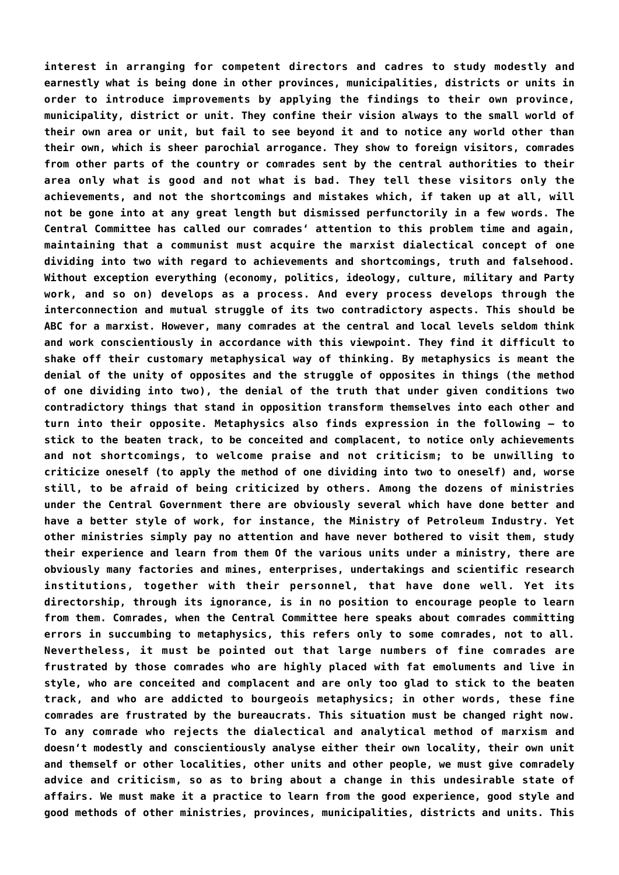**interest in arranging for competent directors and cadres to study modestly and earnestly what is being done in other provinces, municipalities, districts or units in order to introduce improvements by applying the findings to their own province, municipality, district or unit. They confine their vision always to the small world of their own area or unit, but fail to see beyond it and to notice any world other than their own, which is sheer parochial arrogance. They show to foreign visitors, comrades from other parts of the country or comrades sent by the central authorities to their area only what is good and not what is bad. They tell these visitors only the achievements, and not the shortcomings and mistakes which, if taken up at all, will not be gone into at any great length but dismissed perfunctorily in a few words. The Central Committee has called our comrades' attention to this problem time and again, maintaining that a communist must acquire the marxist dialectical concept of one dividing into two with regard to achievements and shortcomings, truth and falsehood. Without exception everything (economy, politics, ideology, culture, military and Party work, and so on) develops as a process. And every process develops through the interconnection and mutual struggle of its two contradictory aspects. This should be ABC for a marxist. However, many comrades at the central and local levels seldom think and work conscientiously in accordance with this viewpoint. They find it difficult to shake off their customary metaphysical way of thinking. By metaphysics is meant the denial of the unity of opposites and the struggle of opposites in things (the method of one dividing into two), the denial of the truth that under given conditions two contradictory things that stand in opposition transform themselves into each other and turn into their opposite. Metaphysics also finds expression in the following — to stick to the beaten track, to be conceited and complacent, to notice only achievements and not shortcomings, to welcome praise and not criticism; to be unwilling to criticize oneself (to apply the method of one dividing into two to oneself) and, worse still, to be afraid of being criticized by others. Among the dozens of ministries under the Central Government there are obviously several which have done better and have a better style of work, for instance, the Ministry of Petroleum Industry. Yet other ministries simply pay no attention and have never bothered to visit them, study their experience and learn from them Of the various units under a ministry, there are obviously many factories and mines, enterprises, undertakings and scientific research institutions, together with their personnel, that have done well. Yet its directorship, through its ignorance, is in no position to encourage people to learn from them. Comrades, when the Central Committee here speaks about comrades committing errors in succumbing to metaphysics, this refers only to some comrades, not to all. Nevertheless, it must be pointed out that large numbers of fine comrades are frustrated by those comrades who are highly placed with fat emoluments and live in style, who are conceited and complacent and are only too glad to stick to the beaten track, and who are addicted to bourgeois metaphysics; in other words, these fine comrades are frustrated by the bureaucrats. This situation must be changed right now. To any comrade who rejects the dialectical and analytical method of marxism and doesn't modestly and conscientiously analyse either their own locality, their own unit and themself or other localities, other units and other people, we must give comradely advice and criticism, so as to bring about a change in this undesirable state of affairs. We must make it a practice to learn from the good experience, good style and good methods of other ministries, provinces, municipalities, districts and units. This**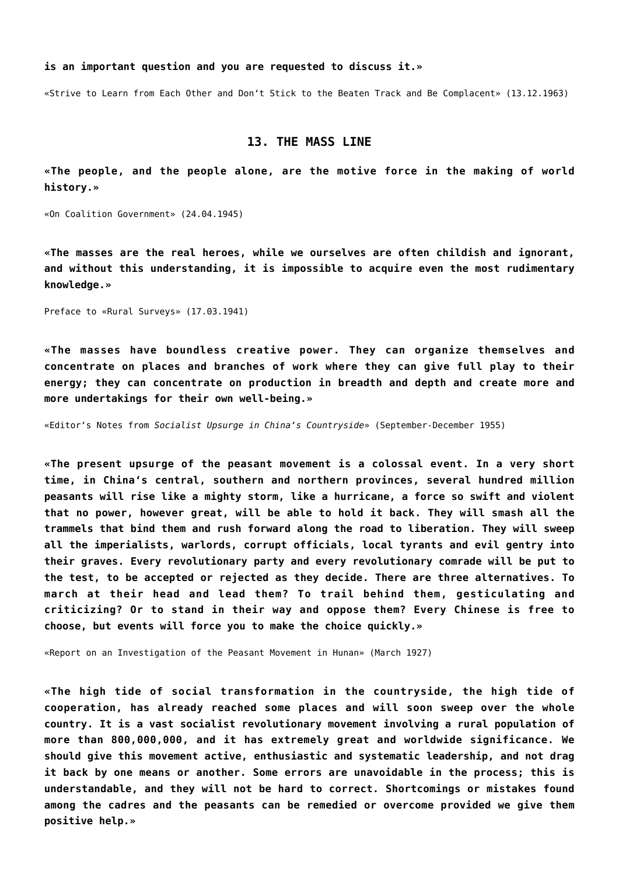### **is an important question and you are requested to discuss it.»**

«Strive to Learn from Each Other and Don't Stick to the Beaten Track and Be Complacent» (13.12.1963)

### **13. THE MASS LINE**

**«The people, and the people alone, are the motive force in the making of world history.»**

«On Coalition Government» (24.04.1945)

**«The masses are the real heroes, while we ourselves are often childish and ignorant, and without this understanding, it is impossible to acquire even the most rudimentary knowledge.»**

Preface to «Rural Surveys» (17.03.1941)

**«The masses have boundless creative power. They can organize themselves and concentrate on places and branches of work where they can give full play to their energy; they can concentrate on production in breadth and depth and create more and more undertakings for their own well-being.»**

«Editor's Notes from *Socialist Upsurge in China's Countryside*» (September-December 1955)

**«The present upsurge of the peasant movement is a colossal event. In a very short time, in China's central, southern and northern provinces, several hundred million peasants will rise like a mighty storm, like a hurricane, a force so swift and violent that no power, however great, will be able to hold it back. They will smash all the trammels that bind them and rush forward along the road to liberation. They will sweep all the imperialists, warlords, corrupt officials, local tyrants and evil gentry into their graves. Every revolutionary party and every revolutionary comrade will be put to the test, to be accepted or rejected as they decide. There are three alternatives. To march at their head and lead them? To trail behind them, gesticulating and criticizing? Or to stand in their way and oppose them? Every Chinese is free to choose, but events will force you to make the choice quickly.»**

«Report on an Investigation of the Peasant Movement in Hunan» (March 1927)

**«The high tide of social transformation in the countryside, the high tide of cooperation, has already reached some places and will soon sweep over the whole country. It is a vast socialist revolutionary movement involving a rural population of more than 800,000,000, and it has extremely great and worldwide significance. We should give this movement active, enthusiastic and systematic leadership, and not drag it back by one means or another. Some errors are unavoidable in the process; this is understandable, and they will not be hard to correct. Shortcomings or mistakes found among the cadres and the peasants can be remedied or overcome provided we give them positive help.»**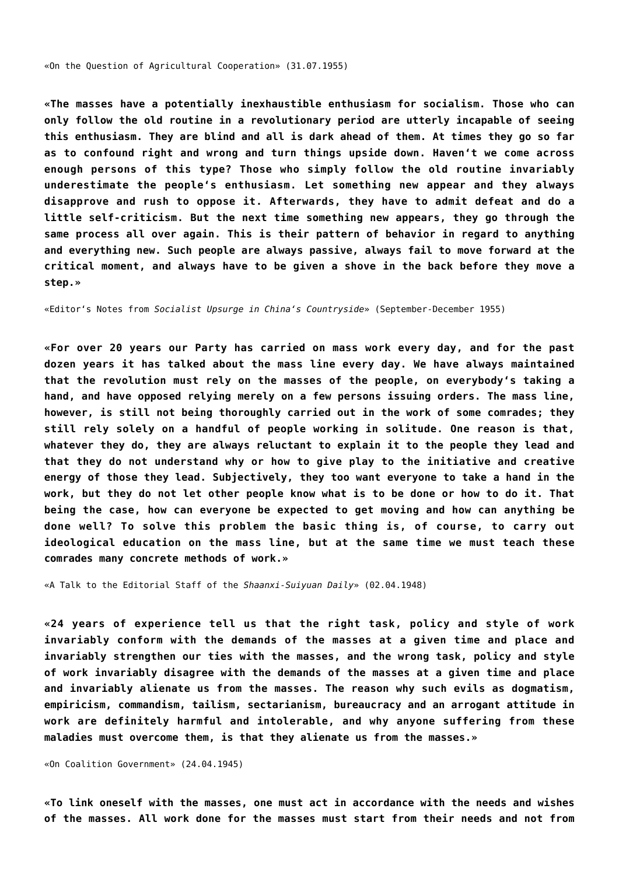«On the Question of Agricultural Cooperation» (31.07.1955)

**«The masses have a potentially inexhaustible enthusiasm for socialism. Those who can only follow the old routine in a revolutionary period are utterly incapable of seeing this enthusiasm. They are blind and all is dark ahead of them. At times they go so far as to confound right and wrong and turn things upside down. Haven't we come across enough persons of this type? Those who simply follow the old routine invariably underestimate the people's enthusiasm. Let something new appear and they always disapprove and rush to oppose it. Afterwards, they have to admit defeat and do a little self-criticism. But the next time something new appears, they go through the same process all over again. This is their pattern of behavior in regard to anything and everything new. Such people are always passive, always fail to move forward at the critical moment, and always have to be given a shove in the back before they move a step.»**

«Editor's Notes from *Socialist Upsurge in China's Countryside*» (September-December 1955)

**«For over 20 years our Party has carried on mass work every day, and for the past dozen years it has talked about the mass line every day. We have always maintained that the revolution must rely on the masses of the people, on everybody's taking a hand, and have opposed relying merely on a few persons issuing orders. The mass line, however, is still not being thoroughly carried out in the work of some comrades; they still rely solely on a handful of people working in solitude. One reason is that, whatever they do, they are always reluctant to explain it to the people they lead and that they do not understand why or how to give play to the initiative and creative energy of those they lead. Subjectively, they too want everyone to take a hand in the work, but they do not let other people know what is to be done or how to do it. That being the case, how can everyone be expected to get moving and how can anything be done well? To solve this problem the basic thing is, of course, to carry out ideological education on the mass line, but at the same time we must teach these comrades many concrete methods of work.»**

«A Talk to the Editorial Staff of the *Shaanxi-Suiyuan Daily*» (02.04.1948)

**«24 years of experience tell us that the right task, policy and style of work invariably conform with the demands of the masses at a given time and place and invariably strengthen our ties with the masses, and the wrong task, policy and style of work invariably disagree with the demands of the masses at a given time and place and invariably alienate us from the masses. The reason why such evils as dogmatism, empiricism, commandism, tailism, sectarianism, bureaucracy and an arrogant attitude in work are definitely harmful and intolerable, and why anyone suffering from these maladies must overcome them, is that they alienate us from the masses.»**

«On Coalition Government» (24.04.1945)

**«To link oneself with the masses, one must act in accordance with the needs and wishes of the masses. All work done for the masses must start from their needs and not from**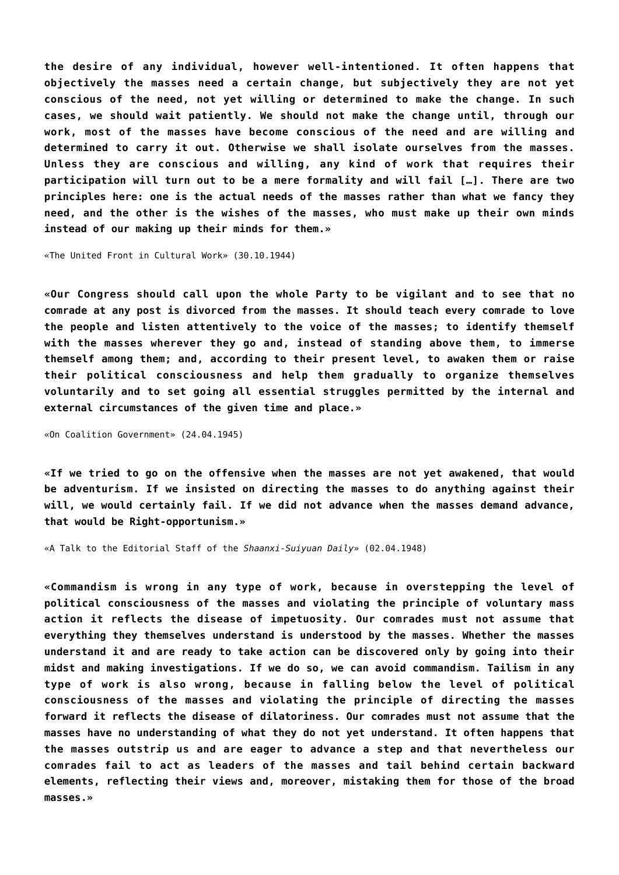**the desire of any individual, however well-intentioned. It often happens that objectively the masses need a certain change, but subjectively they are not yet conscious of the need, not yet willing or determined to make the change. In such cases, we should wait patiently. We should not make the change until, through our work, most of the masses have become conscious of the need and are willing and determined to carry it out. Otherwise we shall isolate ourselves from the masses. Unless they are conscious and willing, any kind of work that requires their participation will turn out to be a mere formality and will fail […]. There are two principles here: one is the actual needs of the masses rather than what we fancy they need, and the other is the wishes of the masses, who must make up their own minds instead of our making up their minds for them.»**

«The United Front in Cultural Work» (30.10.1944)

**«Our Congress should call upon the whole Party to be vigilant and to see that no comrade at any post is divorced from the masses. It should teach every comrade to love the people and listen attentively to the voice of the masses; to identify themself with the masses wherever they go and, instead of standing above them, to immerse themself among them; and, according to their present level, to awaken them or raise their political consciousness and help them gradually to organize themselves voluntarily and to set going all essential struggles permitted by the internal and external circumstances of the given time and place.»**

«On Coalition Government» (24.04.1945)

**«If we tried to go on the offensive when the masses are not yet awakened, that would be adventurism. If we insisted on directing the masses to do anything against their will, we would certainly fail. If we did not advance when the masses demand advance, that would be Right-opportunism.»**

«A Talk to the Editorial Staff of the *Shaanxi-Suiyuan Daily*» (02.04.1948)

**«Commandism is wrong in any type of work, because in overstepping the level of political consciousness of the masses and violating the principle of voluntary mass action it reflects the disease of impetuosity. Our comrades must not assume that everything they themselves understand is understood by the masses. Whether the masses understand it and are ready to take action can be discovered only by going into their midst and making investigations. If we do so, we can avoid commandism. Tailism in any type of work is also wrong, because in falling below the level of political consciousness of the masses and violating the principle of directing the masses forward it reflects the disease of dilatoriness. Our comrades must not assume that the masses have no understanding of what they do not yet understand. It often happens that the masses outstrip us and are eager to advance a step and that nevertheless our comrades fail to act as leaders of the masses and tail behind certain backward elements, reflecting their views and, moreover, mistaking them for those of the broad masses.»**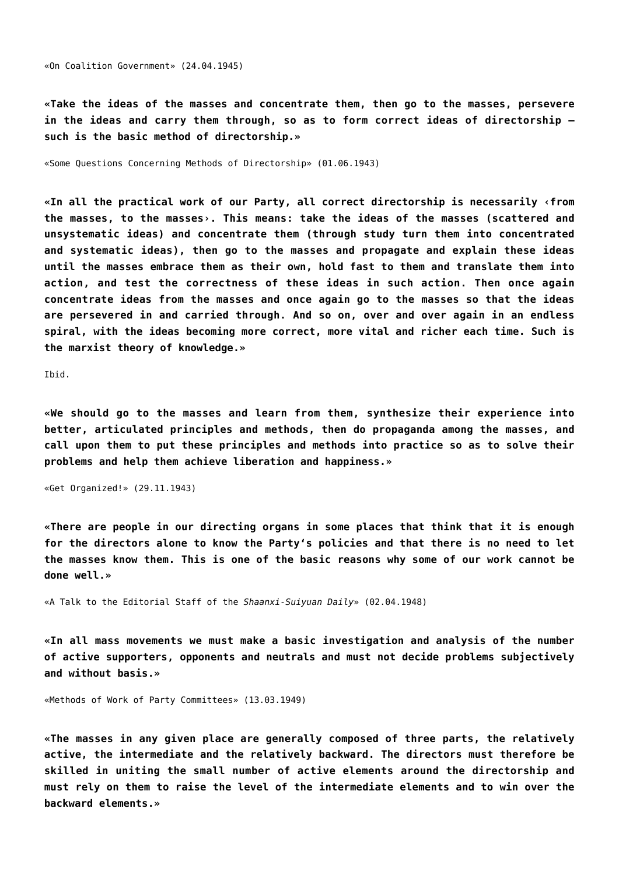«On Coalition Government» (24.04.1945)

**«Take the ideas of the masses and concentrate them, then go to the masses, persevere in the ideas and carry them through, so as to form correct ideas of directorship such is the basic method of directorship.»**

«Some Questions Concerning Methods of Directorship» (01.06.1943)

**«In all the practical work of our Party, all correct directorship is necessarily ‹from the masses, to the masses›. This means: take the ideas of the masses (scattered and unsystematic ideas) and concentrate them (through study turn them into concentrated and systematic ideas), then go to the masses and propagate and explain these ideas until the masses embrace them as their own, hold fast to them and translate them into action, and test the correctness of these ideas in such action. Then once again concentrate ideas from the masses and once again go to the masses so that the ideas are persevered in and carried through. And so on, over and over again in an endless spiral, with the ideas becoming more correct, more vital and richer each time. Such is the marxist theory of knowledge.»**

Ibid.

**«We should go to the masses and learn from them, synthesize their experience into better, articulated principles and methods, then do propaganda among the masses, and call upon them to put these principles and methods into practice so as to solve their problems and help them achieve liberation and happiness.»**

«Get Organized!» (29.11.1943)

**«There are people in our directing organs in some places that think that it is enough for the directors alone to know the Party's policies and that there is no need to let the masses know them. This is one of the basic reasons why some of our work cannot be done well.»**

«A Talk to the Editorial Staff of the *Shaanxi-Suiyuan Daily*» (02.04.1948)

**«In all mass movements we must make a basic investigation and analysis of the number of active supporters, opponents and neutrals and must not decide problems subjectively and without basis.»**

«Methods of Work of Party Committees» (13.03.1949)

**«The masses in any given place are generally composed of three parts, the relatively active, the intermediate and the relatively backward. The directors must therefore be skilled in uniting the small number of active elements around the directorship and must rely on them to raise the level of the intermediate elements and to win over the backward elements.»**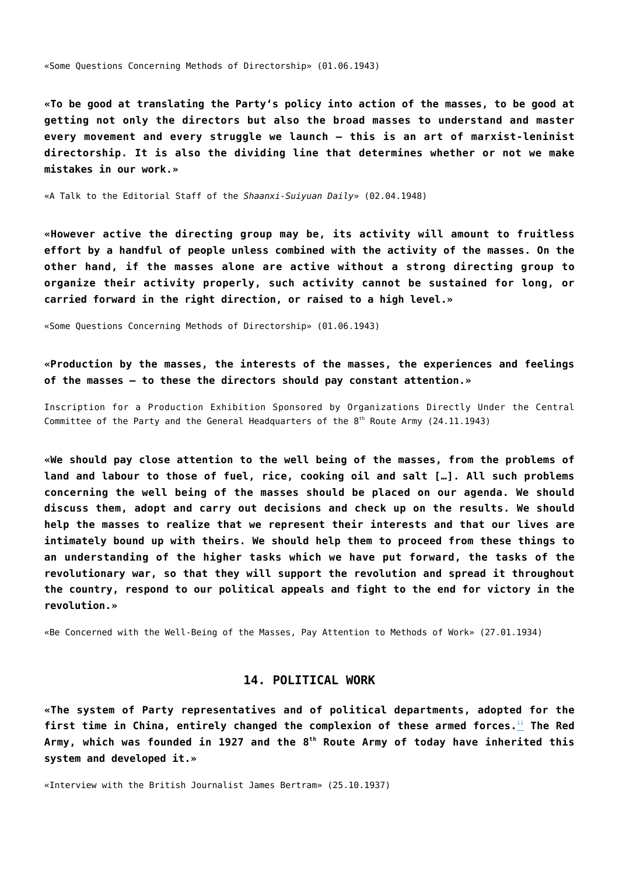«Some Questions Concerning Methods of Directorship» (01.06.1943)

**«To be good at translating the Party's policy into action of the masses, to be good at getting not only the directors but also the broad masses to understand and master every movement and every struggle we launch — this is an art of marxist-leninist directorship. It is also the dividing line that determines whether or not we make mistakes in our work.»**

«A Talk to the Editorial Staff of the *Shaanxi-Suiyuan Daily*» (02.04.1948)

**«However active the directing group may be, its activity will amount to fruitless effort by a handful of people unless combined with the activity of the masses. On the other hand, if the masses alone are active without a strong directing group to organize their activity properly, such activity cannot be sustained for long, or carried forward in the right direction, or raised to a high level.»**

«Some Questions Concerning Methods of Directorship» (01.06.1943)

**«Production by the masses, the interests of the masses, the experiences and feelings of the masses — to these the directors should pay constant attention.»**

Inscription for a Production Exhibition Sponsored by Organizations Directly Under the Central Committee of the Party and the General Headquarters of the  $8^{th}$  Route Army (24.11.1943)

**«We should pay close attention to the well being of the masses, from the problems of land and labour to those of fuel, rice, cooking oil and salt […]. All such problems concerning the well being of the masses should be placed on our agenda. We should discuss them, adopt and carry out decisions and check up on the results. We should help the masses to realize that we represent their interests and that our lives are intimately bound up with theirs. We should help them to proceed from these things to an understanding of the higher tasks which we have put forward, the tasks of the revolutionary war, so that they will support the revolution and spread it throughout the country, respond to our political appeals and fight to the end for victory in the revolution.»**

«Be Concerned with the Well-Being of the Masses, Pay Attention to Methods of Work» (27.01.1934)

## **14. POLITICAL WORK**

**«The system of Party representatives and of political departments, adopted for the first time in China, entirely changed the complexion of these armed forces.**[ii](#page-129-1) **The Red Army, which was founded in 1927 and the 8th Route Army of today have inherited this system and developed it.»**

«Interview with the British Journalist James Bertram» (25.10.1937)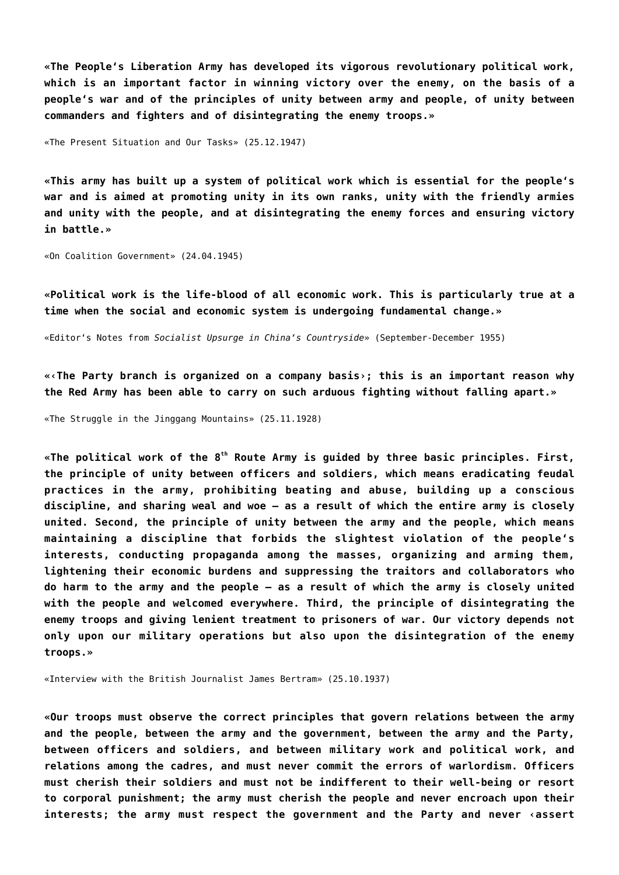**«The People's Liberation Army has developed its vigorous revolutionary political work, which is an important factor in winning victory over the enemy, on the basis of a people's war and of the principles of unity between army and people, of unity between commanders and fighters and of disintegrating the enemy troops.»**

«The Present Situation and Our Tasks» (25.12.1947)

**«This army has built up a system of political work which is essential for the people's war and is aimed at promoting unity in its own ranks, unity with the friendly armies and unity with the people, and at disintegrating the enemy forces and ensuring victory in battle.»**

«On Coalition Government» (24.04.1945)

**«Political work is the life-blood of all economic work. This is particularly true at a time when the social and economic system is undergoing fundamental change.»**

«Editor's Notes from *Socialist Upsurge in China's Countryside*» (September-December 1955)

**«‹The Party branch is organized on a company basis›; this is an important reason why the Red Army has been able to carry on such arduous fighting without falling apart.»**

«The Struggle in the Jinggang Mountains» (25.11.1928)

**«The political work of the 8th Route Army is guided by three basic principles. First, the principle of unity between officers and soldiers, which means eradicating feudal practices in the army, prohibiting beating and abuse, building up a conscious discipline, and sharing weal and woe — as a result of which the entire army is closely united. Second, the principle of unity between the army and the people, which means maintaining a discipline that forbids the slightest violation of the people's interests, conducting propaganda among the masses, organizing and arming them, lightening their economic burdens and suppressing the traitors and collaborators who do harm to the army and the people — as a result of which the army is closely united with the people and welcomed everywhere. Third, the principle of disintegrating the enemy troops and giving lenient treatment to prisoners of war. Our victory depends not only upon our military operations but also upon the disintegration of the enemy troops.»**

«Interview with the British Journalist James Bertram» (25.10.1937)

**«Our troops must observe the correct principles that govern relations between the army and the people, between the army and the government, between the army and the Party, between officers and soldiers, and between military work and political work, and relations among the cadres, and must never commit the errors of warlordism. Officers must cherish their soldiers and must not be indifferent to their well-being or resort to corporal punishment; the army must cherish the people and never encroach upon their interests; the army must respect the government and the Party and never ‹assert**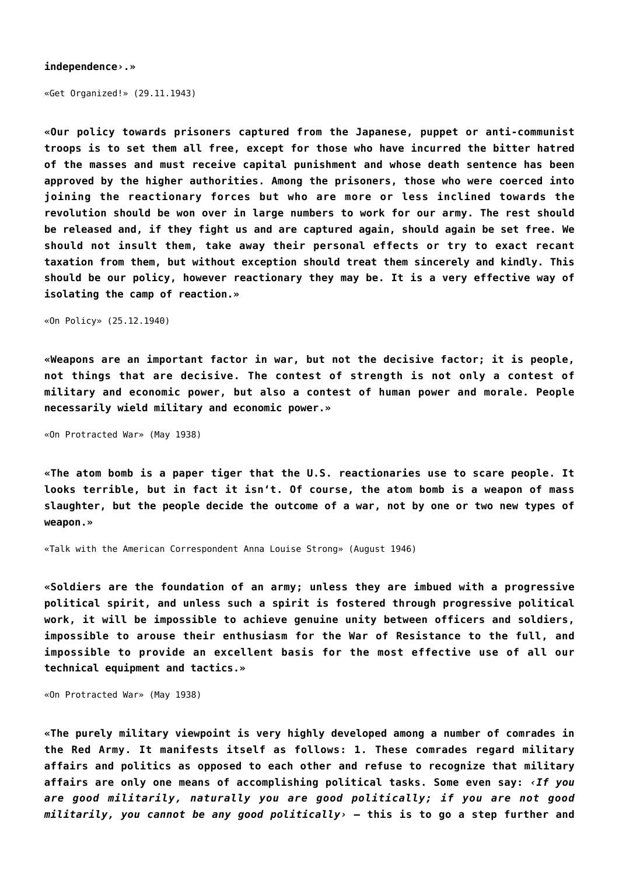#### **independence›.»**

«Get Organized!» (29.11.1943)

**«Our policy towards prisoners captured from the Japanese, puppet or anti-communist troops is to set them all free, except for those who have incurred the bitter hatred of the masses and must receive capital punishment and whose death sentence has been approved by the higher authorities. Among the prisoners, those who were coerced into joining the reactionary forces but who are more or less inclined towards the revolution should be won over in large numbers to work for our army. The rest should be released and, if they fight us and are captured again, should again be set free. We should not insult them, take away their personal effects or try to exact recant taxation from them, but without exception should treat them sincerely and kindly. This should be our policy, however reactionary they may be. It is a very effective way of isolating the camp of reaction.»**

«On Policy» (25.12.1940)

**«Weapons are an important factor in war, but not the decisive factor; it is people, not things that are decisive. The contest of strength is not only a contest of military and economic power, but also a contest of human power and morale. People necessarily wield military and economic power.»**

«On Protracted War» (May 1938)

**«The atom bomb is a paper tiger that the U.S. reactionaries use to scare people. It looks terrible, but in fact it isn't. Of course, the atom bomb is a weapon of mass slaughter, but the people decide the outcome of a war, not by one or two new types of weapon.»**

«Talk with the American Correspondent Anna Louise Strong» (August 1946)

**«Soldiers are the foundation of an army; unless they are imbued with a progressive political spirit, and unless such a spirit is fostered through progressive political work, it will be impossible to achieve genuine unity between officers and soldiers, impossible to arouse their enthusiasm for the War of Resistance to the full, and impossible to provide an excellent basis for the most effective use of all our technical equipment and tactics.»**

«On Protracted War» (May 1938)

**«The purely military viewpoint is very highly developed among a number of comrades in the Red Army. It manifests itself as follows: 1. These comrades regard military affairs and politics as opposed to each other and refuse to recognize that military affairs are only one means of accomplishing political tasks. Some even say:** *‹If you are good militarily, naturally you are good politically; if you are not good militarily, you cannot be any good politically›* **— this is to go a step further and**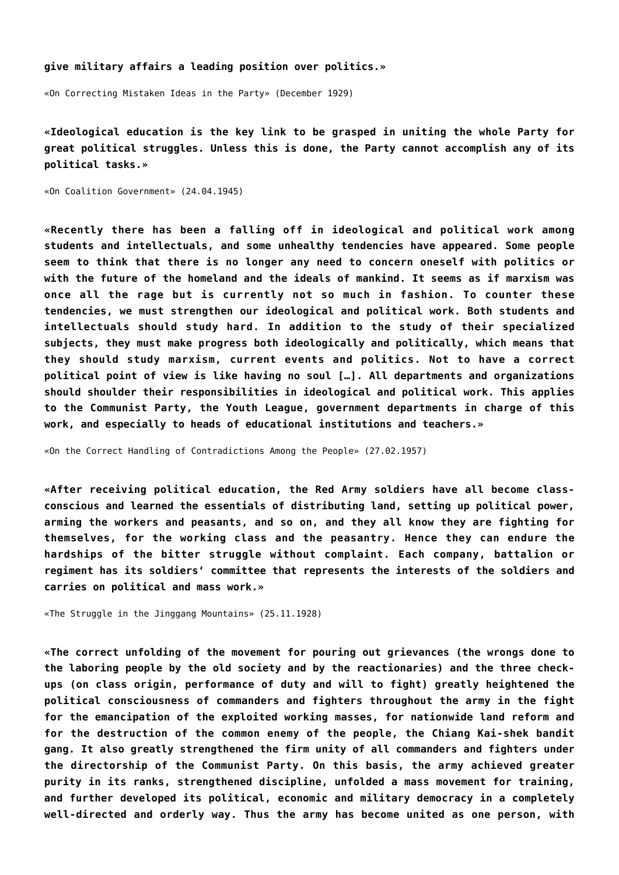### **give military affairs a leading position over politics.»**

«On Correcting Mistaken Ideas in the Party» (December 1929)

**«Ideological education is the key link to be grasped in uniting the whole Party for great political struggles. Unless this is done, the Party cannot accomplish any of its political tasks.»**

«On Coalition Government» (24.04.1945)

**«Recently there has been a falling off in ideological and political work among students and intellectuals, and some unhealthy tendencies have appeared. Some people seem to think that there is no longer any need to concern oneself with politics or with the future of the homeland and the ideals of mankind. It seems as if marxism was once all the rage but is currently not so much in fashion. To counter these tendencies, we must strengthen our ideological and political work. Both students and intellectuals should study hard. In addition to the study of their specialized subjects, they must make progress both ideologically and politically, which means that they should study marxism, current events and politics. Not to have a correct political point of view is like having no soul […]. All departments and organizations should shoulder their responsibilities in ideological and political work. This applies to the Communist Party, the Youth League, government departments in charge of this work, and especially to heads of educational institutions and teachers.»**

«On the Correct Handling of Contradictions Among the People» (27.02.1957)

**«After receiving political education, the Red Army soldiers have all become classconscious and learned the essentials of distributing land, setting up political power, arming the workers and peasants, and so on, and they all know they are fighting for themselves, for the working class and the peasantry. Hence they can endure the hardships of the bitter struggle without complaint. Each company, battalion or regiment has its soldiers' committee that represents the interests of the soldiers and carries on political and mass work.»**

«The Struggle in the Jinggang Mountains» (25.11.1928)

**«The correct unfolding of the movement for pouring out grievances (the wrongs done to the laboring people by the old society and by the reactionaries) and the three checkups (on class origin, performance of duty and will to fight) greatly heightened the political consciousness of commanders and fighters throughout the army in the fight for the emancipation of the exploited working masses, for nationwide land reform and for the destruction of the common enemy of the people, the Chiang Kai-shek bandit gang. It also greatly strengthened the firm unity of all commanders and fighters under the directorship of the Communist Party. On this basis, the army achieved greater purity in its ranks, strengthened discipline, unfolded a mass movement for training, and further developed its political, economic and military democracy in a completely well-directed and orderly way. Thus the army has become united as one person, with**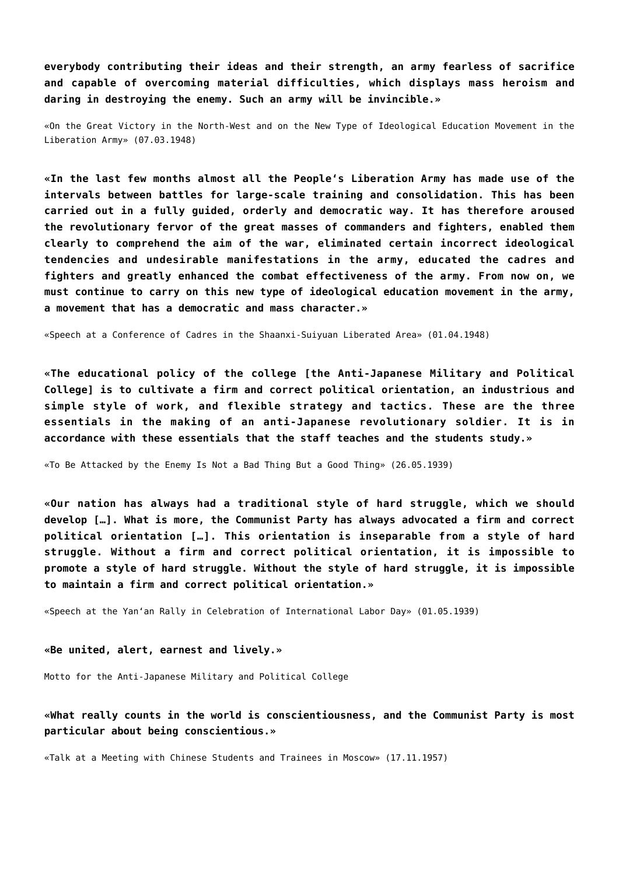**everybody contributing their ideas and their strength, an army fearless of sacrifice and capable of overcoming material difficulties, which displays mass heroism and daring in destroying the enemy. Such an army will be invincible.»**

«On the Great Victory in the North-West and on the New Type of Ideological Education Movement in the Liberation Army» (07.03.1948)

**«In the last few months almost all the People's Liberation Army has made use of the intervals between battles for large-scale training and consolidation. This has been carried out in a fully guided, orderly and democratic way. It has therefore aroused the revolutionary fervor of the great masses of commanders and fighters, enabled them clearly to comprehend the aim of the war, eliminated certain incorrect ideological tendencies and undesirable manifestations in the army, educated the cadres and fighters and greatly enhanced the combat effectiveness of the army. From now on, we must continue to carry on this new type of ideological education movement in the army, a movement that has a democratic and mass character.»**

«Speech at a Conference of Cadres in the Shaanxi-Suiyuan Liberated Area» (01.04.1948)

**«The educational policy of the college [the Anti-Japanese Military and Political College] is to cultivate a firm and correct political orientation, an industrious and simple style of work, and flexible strategy and tactics. These are the three essentials in the making of an anti-Japanese revolutionary soldier. It is in accordance with these essentials that the staff teaches and the students study.»**

«To Be Attacked by the Enemy Is Not a Bad Thing But a Good Thing» (26.05.1939)

**«Our nation has always had a traditional style of hard struggle, which we should develop […]. What is more, the Communist Party has always advocated a firm and correct political orientation […]. This orientation is inseparable from a style of hard struggle. Without a firm and correct political orientation, it is impossible to promote a style of hard struggle. Without the style of hard struggle, it is impossible to maintain a firm and correct political orientation.»**

«Speech at the Yan'an Rally in Celebration of International Labor Day» (01.05.1939)

#### **«Be united, alert, earnest and lively.»**

Motto for the Anti-Japanese Military and Political College

**«What really counts in the world is conscientiousness, and the Communist Party is most particular about being conscientious.»**

«Talk at a Meeting with Chinese Students and Trainees in Moscow» (17.11.1957)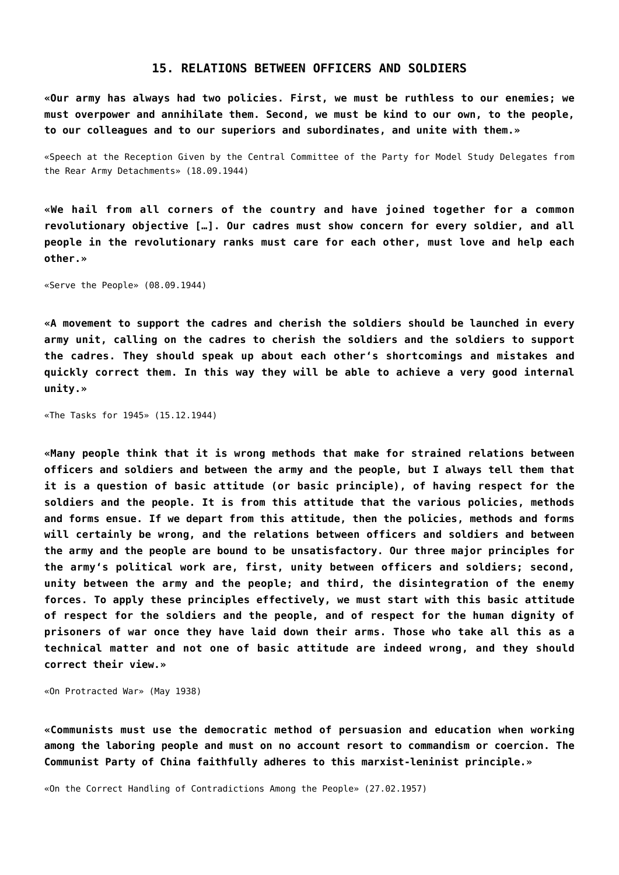### **15. RELATIONS BETWEEN OFFICERS AND SOLDIERS**

**«Our army has always had two policies. First, we must be ruthless to our enemies; we must overpower and annihilate them. Second, we must be kind to our own, to the people, to our colleagues and to our superiors and subordinates, and unite with them.»**

«Speech at the Reception Given by the Central Committee of the Party for Model Study Delegates from the Rear Army Detachments» (18.09.1944)

**«We hail from all corners of the country and have joined together for a common revolutionary objective […]. Our cadres must show concern for every soldier, and all people in the revolutionary ranks must care for each other, must love and help each other.»**

«Serve the People» (08.09.1944)

**«A movement to support the cadres and cherish the soldiers should be launched in every army unit, calling on the cadres to cherish the soldiers and the soldiers to support the cadres. They should speak up about each other's shortcomings and mistakes and quickly correct them. In this way they will be able to achieve a very good internal unity.»**

«The Tasks for 1945» (15.12.1944)

**«Many people think that it is wrong methods that make for strained relations between officers and soldiers and between the army and the people, but I always tell them that it is a question of basic attitude (or basic principle), of having respect for the soldiers and the people. It is from this attitude that the various policies, methods and forms ensue. If we depart from this attitude, then the policies, methods and forms will certainly be wrong, and the relations between officers and soldiers and between the army and the people are bound to be unsatisfactory. Our three major principles for the army's political work are, first, unity between officers and soldiers; second, unity between the army and the people; and third, the disintegration of the enemy forces. To apply these principles effectively, we must start with this basic attitude of respect for the soldiers and the people, and of respect for the human dignity of prisoners of war once they have laid down their arms. Those who take all this as a technical matter and not one of basic attitude are indeed wrong, and they should correct their view.»**

«On Protracted War» (May 1938)

**«Communists must use the democratic method of persuasion and education when working among the laboring people and must on no account resort to commandism or coercion. The Communist Party of China faithfully adheres to this marxist-leninist principle.»**

«On the Correct Handling of Contradictions Among the People» (27.02.1957)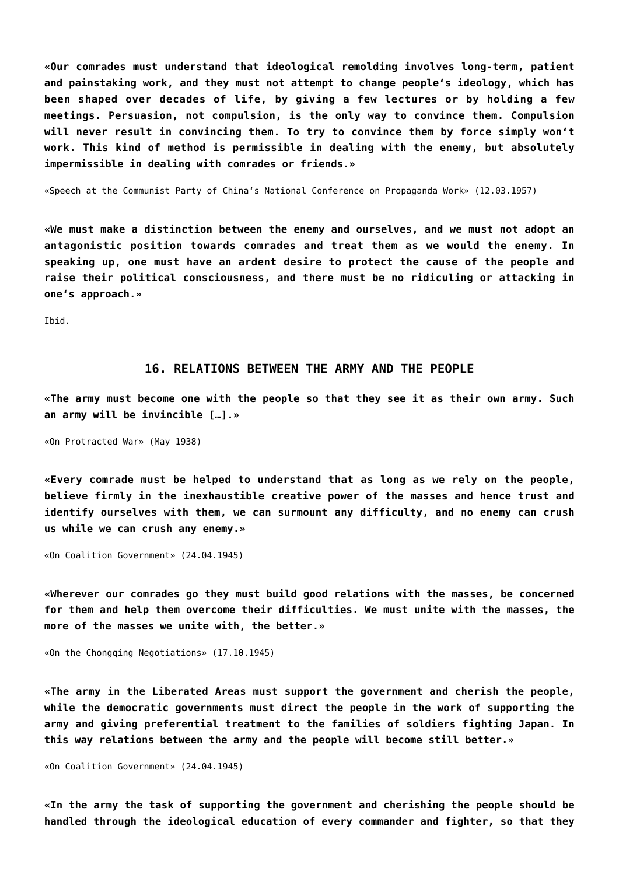**«Our comrades must understand that ideological remolding involves long-term, patient and painstaking work, and they must not attempt to change people's ideology, which has been shaped over decades of life, by giving a few lectures or by holding a few meetings. Persuasion, not compulsion, is the only way to convince them. Compulsion will never result in convincing them. To try to convince them by force simply won't work. This kind of method is permissible in dealing with the enemy, but absolutely impermissible in dealing with comrades or friends.»**

«Speech at the Communist Party of China's National Conference on Propaganda Work» (12.03.1957)

**«We must make a distinction between the enemy and ourselves, and we must not adopt an antagonistic position towards comrades and treat them as we would the enemy. In speaking up, one must have an ardent desire to protect the cause of the people and raise their political consciousness, and there must be no ridiculing or attacking in one's approach.»**

Ibid.

# **16. RELATIONS BETWEEN THE ARMY AND THE PEOPLE**

**«The army must become one with the people so that they see it as their own army. Such an army will be invincible […].»**

«On Protracted War» (May 1938)

**«Every comrade must be helped to understand that as long as we rely on the people, believe firmly in the inexhaustible creative power of the masses and hence trust and identify ourselves with them, we can surmount any difficulty, and no enemy can crush us while we can crush any enemy.»**

«On Coalition Government» (24.04.1945)

**«Wherever our comrades go they must build good relations with the masses, be concerned for them and help them overcome their difficulties. We must unite with the masses, the more of the masses we unite with, the better.»**

«On the Chongqing Negotiations» (17.10.1945)

**«The army in the Liberated Areas must support the government and cherish the people, while the democratic governments must direct the people in the work of supporting the army and giving preferential treatment to the families of soldiers fighting Japan. In this way relations between the army and the people will become still better.»**

«On Coalition Government» (24.04.1945)

**«In the army the task of supporting the government and cherishing the people should be handled through the ideological education of every commander and fighter, so that they**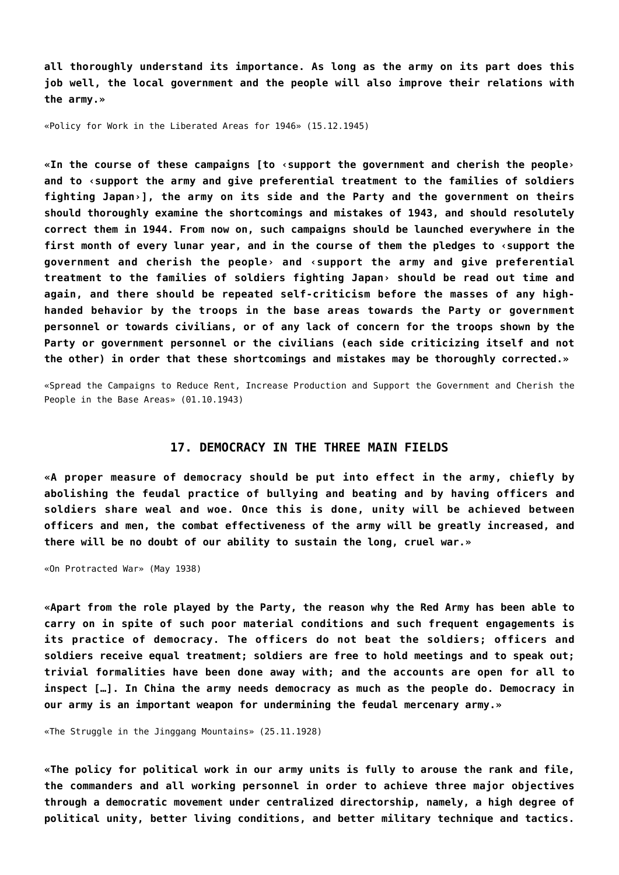**all thoroughly understand its importance. As long as the army on its part does this job well, the local government and the people will also improve their relations with the army.»**

«Policy for Work in the Liberated Areas for 1946» (15.12.1945)

**«In the course of these campaigns [to ‹support the government and cherish the people› and to ‹support the army and give preferential treatment to the families of soldiers fighting Japan›], the army on its side and the Party and the government on theirs should thoroughly examine the shortcomings and mistakes of 1943, and should resolutely correct them in 1944. From now on, such campaigns should be launched everywhere in the first month of every lunar year, and in the course of them the pledges to ‹support the government and cherish the people› and ‹support the army and give preferential treatment to the families of soldiers fighting Japan› should be read out time and again, and there should be repeated self-criticism before the masses of any highhanded behavior by the troops in the base areas towards the Party or government personnel or towards civilians, or of any lack of concern for the troops shown by the Party or government personnel or the civilians (each side criticizing itself and not the other) in order that these shortcomings and mistakes may be thoroughly corrected.»**

«Spread the Campaigns to Reduce Rent, Increase Production and Support the Government and Cherish the People in the Base Areas» (01.10.1943)

# **17. DEMOCRACY IN THE THREE MAIN FIELDS**

**«A proper measure of democracy should be put into effect in the army, chiefly by abolishing the feudal practice of bullying and beating and by having officers and soldiers share weal and woe. Once this is done, unity will be achieved between officers and men, the combat effectiveness of the army will be greatly increased, and there will be no doubt of our ability to sustain the long, cruel war.»**

«On Protracted War» (May 1938)

**«Apart from the role played by the Party, the reason why the Red Army has been able to carry on in spite of such poor material conditions and such frequent engagements is its practice of democracy. The officers do not beat the soldiers; officers and soldiers receive equal treatment; soldiers are free to hold meetings and to speak out; trivial formalities have been done away with; and the accounts are open for all to inspect […]. In China the army needs democracy as much as the people do. Democracy in our army is an important weapon for undermining the feudal mercenary army.»**

«The Struggle in the Jinggang Mountains» (25.11.1928)

**«The policy for political work in our army units is fully to arouse the rank and file, the commanders and all working personnel in order to achieve three major objectives through a democratic movement under centralized directorship, namely, a high degree of political unity, better living conditions, and better military technique and tactics.**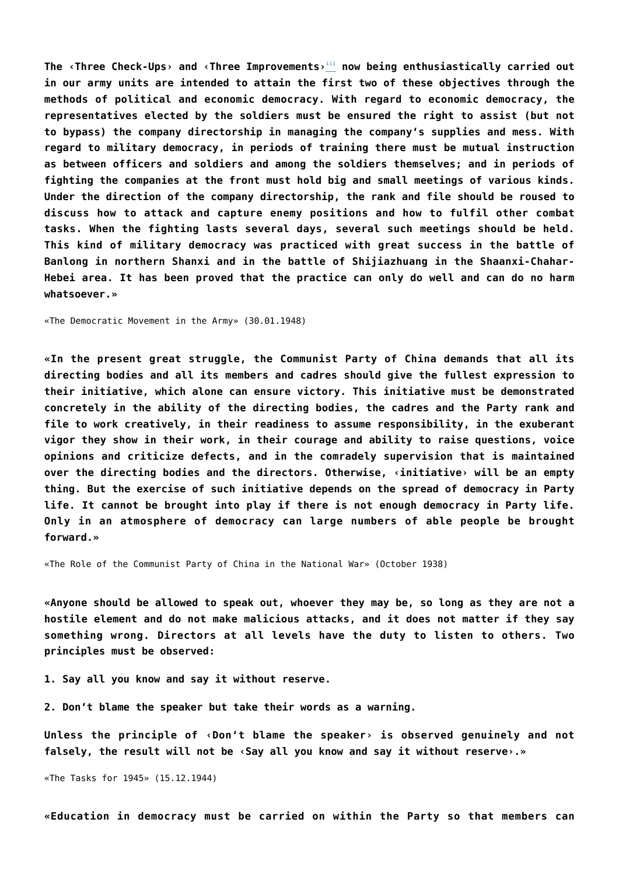**The ‹Three Check-Ups› and ‹Three Improvements›**[iii](#page-129-0) **now being enthusiastically carried out in our army units are intended to attain the first two of these objectives through the methods of political and economic democracy. With regard to economic democracy, the representatives elected by the soldiers must be ensured the right to assist (but not to bypass) the company directorship in managing the company's supplies and mess. With regard to military democracy, in periods of training there must be mutual instruction as between officers and soldiers and among the soldiers themselves; and in periods of fighting the companies at the front must hold big and small meetings of various kinds. Under the direction of the company directorship, the rank and file should be roused to discuss how to attack and capture enemy positions and how to fulfil other combat tasks. When the fighting lasts several days, several such meetings should be held. This kind of military democracy was practiced with great success in the battle of Banlong in northern Shanxi and in the battle of Shijiazhuang in the Shaanxi-Chahar-Hebei area. It has been proved that the practice can only do well and can do no harm whatsoever.»**

«The Democratic Movement in the Army» (30.01.1948)

**«In the present great struggle, the Communist Party of China demands that all its directing bodies and all its members and cadres should give the fullest expression to their initiative, which alone can ensure victory. This initiative must be demonstrated concretely in the ability of the directing bodies, the cadres and the Party rank and file to work creatively, in their readiness to assume responsibility, in the exuberant vigor they show in their work, in their courage and ability to raise questions, voice opinions and criticize defects, and in the comradely supervision that is maintained over the directing bodies and the directors. Otherwise, ‹initiative› will be an empty thing. But the exercise of such initiative depends on the spread of democracy in Party life. It cannot be brought into play if there is not enough democracy in Party life. Only in an atmosphere of democracy can large numbers of able people be brought forward.»**

«The Role of the Communist Party of China in the National War» (October 1938)

**«Anyone should be allowed to speak out, whoever they may be, so long as they are not a hostile element and do not make malicious attacks, and it does not matter if they say something wrong. Directors at all levels have the duty to listen to others. Two principles must be observed:**

**1. Say all you know and say it without reserve.**

**2. Don't blame the speaker but take their words as a warning.**

**Unless the principle of ‹Don't blame the speaker› is observed genuinely and not falsely, the result will not be ‹Say all you know and say it without reserve›.»**

«The Tasks for 1945» (15.12.1944)

**«Education in democracy must be carried on within the Party so that members can**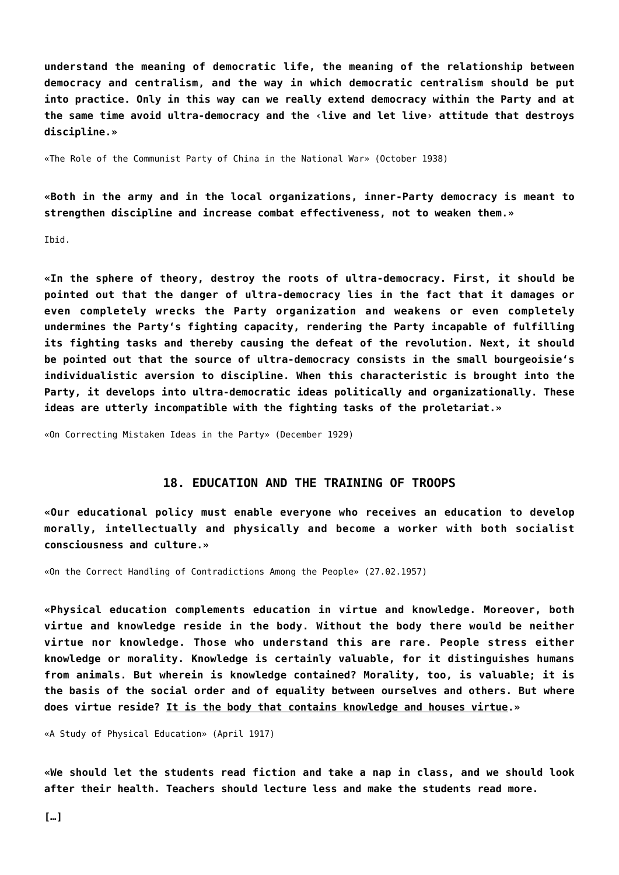**understand the meaning of democratic life, the meaning of the relationship between democracy and centralism, and the way in which democratic centralism should be put into practice. Only in this way can we really extend democracy within the Party and at the same time avoid ultra-democracy and the ‹live and let live› attitude that destroys discipline.»**

«The Role of the Communist Party of China in the National War» (October 1938)

**«Both in the army and in the local organizations, inner-Party democracy is meant to strengthen discipline and increase combat effectiveness, not to weaken them.»**

Ibid.

**«In the sphere of theory, destroy the roots of ultra-democracy. First, it should be pointed out that the danger of ultra-democracy lies in the fact that it damages or even completely wrecks the Party organization and weakens or even completely undermines the Party's fighting capacity, rendering the Party incapable of fulfilling its fighting tasks and thereby causing the defeat of the revolution. Next, it should be pointed out that the source of ultra-democracy consists in the small bourgeoisie's individualistic aversion to discipline. When this characteristic is brought into the Party, it develops into ultra-democratic ideas politically and organizationally. These ideas are utterly incompatible with the fighting tasks of the proletariat.»**

«On Correcting Mistaken Ideas in the Party» (December 1929)

# **18. EDUCATION AND THE TRAINING OF TROOPS**

**«Our educational policy must enable everyone who receives an education to develop morally, intellectually and physically and become a worker with both socialist consciousness and culture.»**

«On the Correct Handling of Contradictions Among the People» (27.02.1957)

**«Physical education complements education in virtue and knowledge. Moreover, both virtue and knowledge reside in the body. Without the body there would be neither virtue nor knowledge. Those who understand this are rare. People stress either knowledge or morality. Knowledge is certainly valuable, for it distinguishes humans from animals. But wherein is knowledge contained? Morality, too, is valuable; it is the basis of the social order and of equality between ourselves and others. But where does virtue reside? It is the body that contains knowledge and houses virtue.»**

«A Study of Physical Education» (April 1917)

**«We should let the students read fiction and take a nap in class, and we should look after their health. Teachers should lecture less and make the students read more.**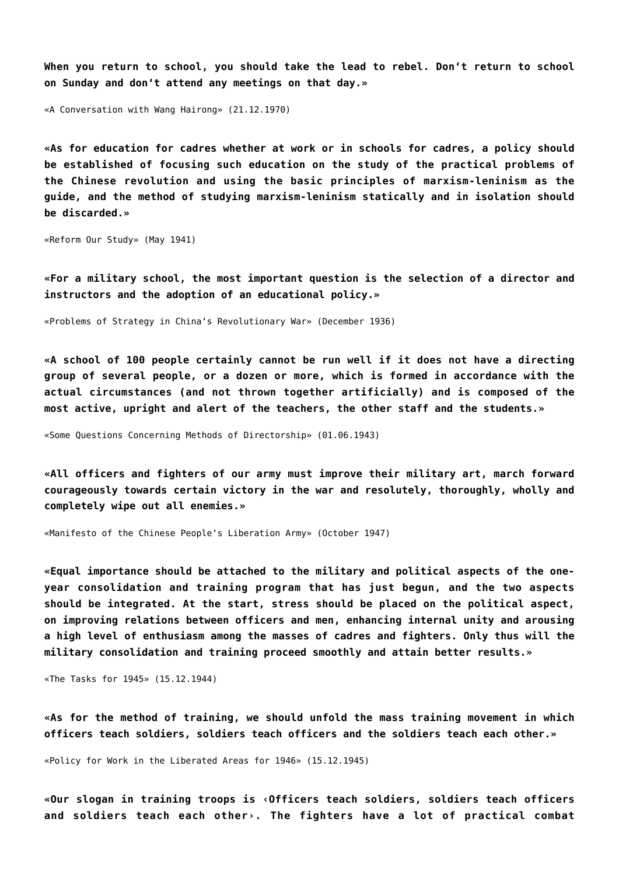**When you return to school, you should take the lead to rebel. Don't return to school on Sunday and don't attend any meetings on that day.»**

«A Conversation with Wang Hairong» (21.12.1970)

**«As for education for cadres whether at work or in schools for cadres, a policy should be established of focusing such education on the study of the practical problems of the Chinese revolution and using the basic principles of marxism-leninism as the guide, and the method of studying marxism-leninism statically and in isolation should be discarded.»**

«Reform Our Study» (May 1941)

**«For a military school, the most important question is the selection of a director and instructors and the adoption of an educational policy.»**

«Problems of Strategy in China's Revolutionary War» (December 1936)

**«A school of 100 people certainly cannot be run well if it does not have a directing group of several people, or a dozen or more, which is formed in accordance with the actual circumstances (and not thrown together artificially) and is composed of the most active, upright and alert of the teachers, the other staff and the students.»**

«Some Questions Concerning Methods of Directorship» (01.06.1943)

**«All officers and fighters of our army must improve their military art, march forward courageously towards certain victory in the war and resolutely, thoroughly, wholly and completely wipe out all enemies.»**

«Manifesto of the Chinese People's Liberation Army» (October 1947)

**«Equal importance should be attached to the military and political aspects of the oneyear consolidation and training program that has just begun, and the two aspects should be integrated. At the start, stress should be placed on the political aspect, on improving relations between officers and men, enhancing internal unity and arousing a high level of enthusiasm among the masses of cadres and fighters. Only thus will the military consolidation and training proceed smoothly and attain better results.»**

«The Tasks for 1945» (15.12.1944)

**«As for the method of training, we should unfold the mass training movement in which officers teach soldiers, soldiers teach officers and the soldiers teach each other.»**

«Policy for Work in the Liberated Areas for 1946» (15.12.1945)

**«Our slogan in training troops is ‹Officers teach soldiers, soldiers teach officers and soldiers teach each other›. The fighters have a lot of practical combat**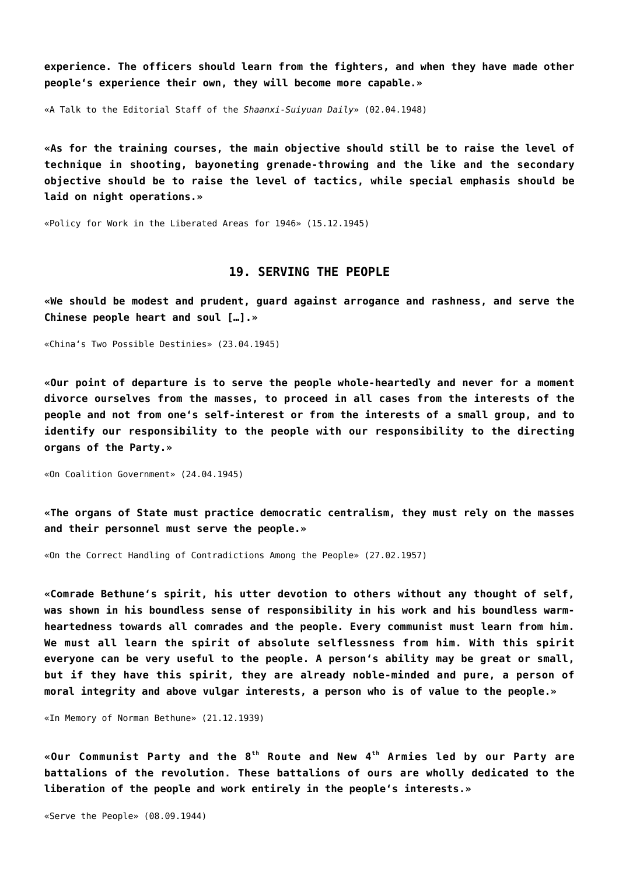**experience. The officers should learn from the fighters, and when they have made other people's experience their own, they will become more capable.»**

«A Talk to the Editorial Staff of the *Shaanxi-Suiyuan Daily*» (02.04.1948)

**«As for the training courses, the main objective should still be to raise the level of technique in shooting, bayoneting grenade-throwing and the like and the secondary objective should be to raise the level of tactics, while special emphasis should be laid on night operations.»**

«Policy for Work in the Liberated Areas for 1946» (15.12.1945)

### **19. SERVING THE PEOPLE**

**«We should be modest and prudent, guard against arrogance and rashness, and serve the Chinese people heart and soul […].»**

«China's Two Possible Destinies» (23.04.1945)

**«Our point of departure is to serve the people whole-heartedly and never for a moment divorce ourselves from the masses, to proceed in all cases from the interests of the people and not from one's self-interest or from the interests of a small group, and to identify our responsibility to the people with our responsibility to the directing organs of the Party.»**

«On Coalition Government» (24.04.1945)

**«The organs of State must practice democratic centralism, they must rely on the masses and their personnel must serve the people.»**

«On the Correct Handling of Contradictions Among the People» (27.02.1957)

**«Comrade Bethune's spirit, his utter devotion to others without any thought of self, was shown in his boundless sense of responsibility in his work and his boundless warmheartedness towards all comrades and the people. Every communist must learn from him. We must all learn the spirit of absolute selflessness from him. With this spirit everyone can be very useful to the people. A person's ability may be great or small, but if they have this spirit, they are already noble-minded and pure, a person of moral integrity and above vulgar interests, a person who is of value to the people.»**

«In Memory of Norman Bethune» (21.12.1939)

**«Our Communist Party and the 8th Route and New 4th Armies led by our Party are battalions of the revolution. These battalions of ours are wholly dedicated to the liberation of the people and work entirely in the people's interests.»**

«Serve the People» (08.09.1944)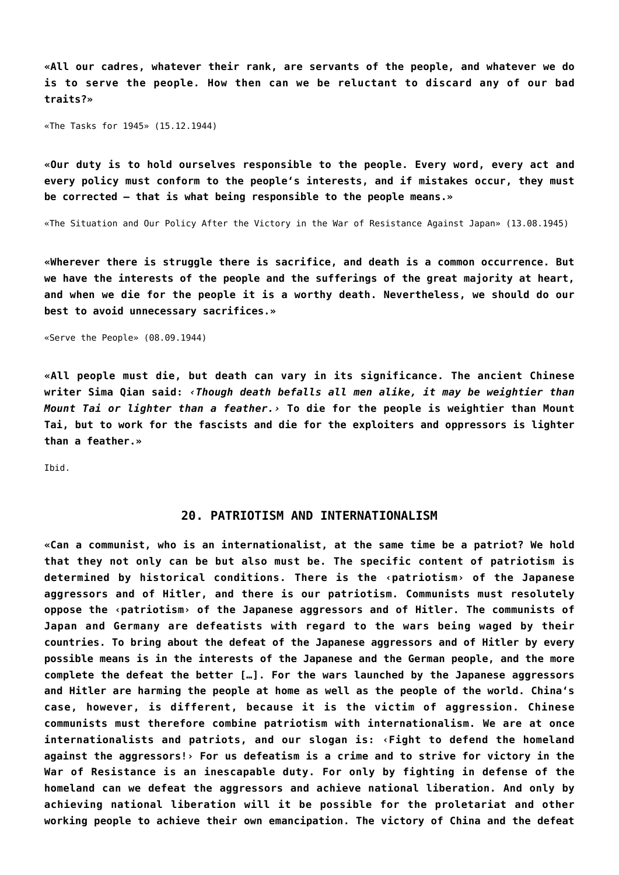**«All our cadres, whatever their rank, are servants of the people, and whatever we do is to serve the people. How then can we be reluctant to discard any of our bad traits?»**

«The Tasks for 1945» (15.12.1944)

**«Our duty is to hold ourselves responsible to the people. Every word, every act and every policy must conform to the people's interests, and if mistakes occur, they must be corrected — that is what being responsible to the people means.»**

«The Situation and Our Policy After the Victory in the War of Resistance Against Japan» (13.08.1945)

**«Wherever there is struggle there is sacrifice, and death is a common occurrence. But we have the interests of the people and the sufferings of the great majority at heart, and when we die for the people it is a worthy death. Nevertheless, we should do our best to avoid unnecessary sacrifices.»**

«Serve the People» (08.09.1944)

**«All people must die, but death can vary in its significance. The ancient Chinese writer Sima Qian said:** *‹Though death befalls all men alike, it may be weightier than Mount Tai or lighter than a feather.›* **To die for the people is weightier than Mount Tai, but to work for the fascists and die for the exploiters and oppressors is lighter than a feather.»**

Ibid.

## **20. PATRIOTISM AND INTERNATIONALISM**

**«Can a communist, who is an internationalist, at the same time be a patriot? We hold that they not only can be but also must be. The specific content of patriotism is determined by historical conditions. There is the ‹patriotism› of the Japanese aggressors and of Hitler, and there is our patriotism. Communists must resolutely oppose the ‹patriotism› of the Japanese aggressors and of Hitler. The communists of Japan and Germany are defeatists with regard to the wars being waged by their countries. To bring about the defeat of the Japanese aggressors and of Hitler by every possible means is in the interests of the Japanese and the German people, and the more complete the defeat the better […]. For the wars launched by the Japanese aggressors and Hitler are harming the people at home as well as the people of the world. China's case, however, is different, because it is the victim of aggression. Chinese communists must therefore combine patriotism with internationalism. We are at once internationalists and patriots, and our slogan is: ‹Fight to defend the homeland against the aggressors!› For us defeatism is a crime and to strive for victory in the War of Resistance is an inescapable duty. For only by fighting in defense of the homeland can we defeat the aggressors and achieve national liberation. And only by achieving national liberation will it be possible for the proletariat and other working people to achieve their own emancipation. The victory of China and the defeat**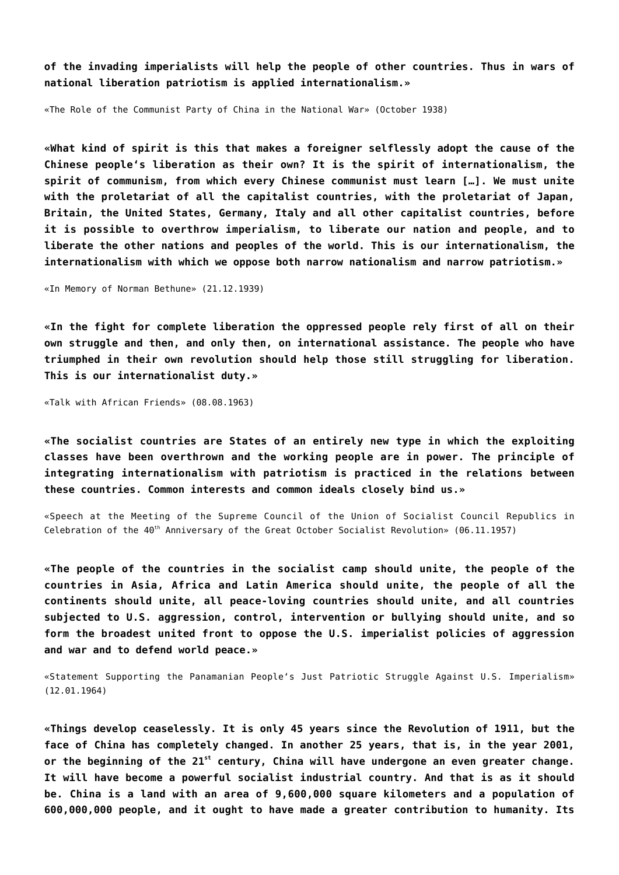**of the invading imperialists will help the people of other countries. Thus in wars of national liberation patriotism is applied internationalism.»**

«The Role of the Communist Party of China in the National War» (October 1938)

**«What kind of spirit is this that makes a foreigner selflessly adopt the cause of the Chinese people's liberation as their own? It is the spirit of internationalism, the spirit of communism, from which every Chinese communist must learn […]. We must unite with the proletariat of all the capitalist countries, with the proletariat of Japan, Britain, the United States, Germany, Italy and all other capitalist countries, before it is possible to overthrow imperialism, to liberate our nation and people, and to liberate the other nations and peoples of the world. This is our internationalism, the internationalism with which we oppose both narrow nationalism and narrow patriotism.»**

«In Memory of Norman Bethune» (21.12.1939)

**«In the fight for complete liberation the oppressed people rely first of all on their own struggle and then, and only then, on international assistance. The people who have triumphed in their own revolution should help those still struggling for liberation. This is our internationalist duty.»**

«Talk with African Friends» (08.08.1963)

**«The socialist countries are States of an entirely new type in which the exploiting classes have been overthrown and the working people are in power. The principle of integrating internationalism with patriotism is practiced in the relations between these countries. Common interests and common ideals closely bind us.»**

«Speech at the Meeting of the Supreme Council of the Union of Socialist Council Republics in Celebration of the  $40^{th}$  Anniversary of the Great October Socialist Revolution» (06.11.1957)

**«The people of the countries in the socialist camp should unite, the people of the countries in Asia, Africa and Latin America should unite, the people of all the continents should unite, all peace-loving countries should unite, and all countries subjected to U.S. aggression, control, intervention or bullying should unite, and so form the broadest united front to oppose the U.S. imperialist policies of aggression and war and to defend world peace.»**

«Statement Supporting the Panamanian People's Just Patriotic Struggle Against U.S. Imperialism» (12.01.1964)

**«Things develop ceaselessly. It is only 45 years since the Revolution of 1911, but the face of China has completely changed. In another 25 years, that is, in the year 2001, or the beginning of the 21st century, China will have undergone an even greater change. It will have become a powerful socialist industrial country. And that is as it should be. China is a land with an area of 9,600,000 square kilometers and a population of 600,000,000 people, and it ought to have made a greater contribution to humanity. Its**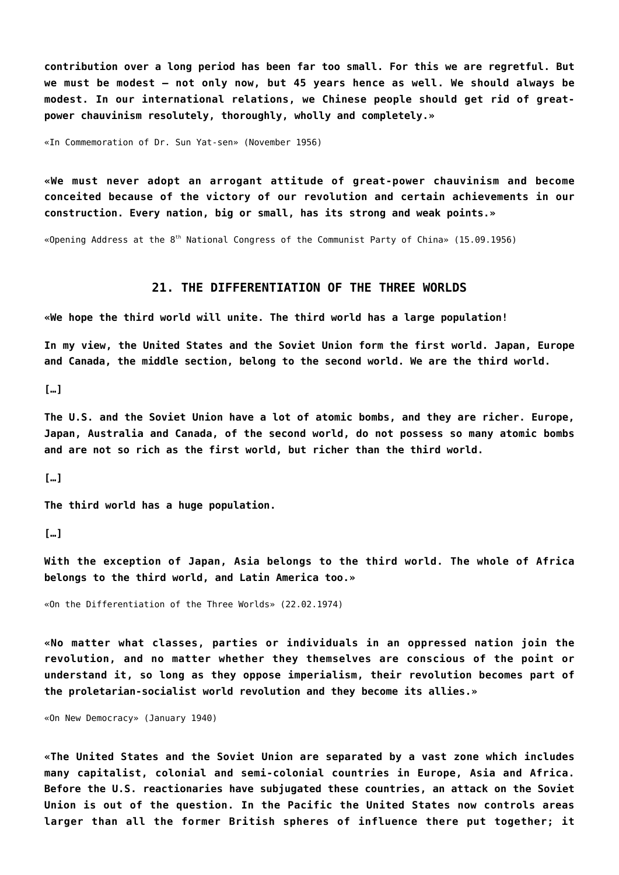**contribution over a long period has been far too small. For this we are regretful. But we must be modest — not only now, but 45 years hence as well. We should always be modest. In our international relations, we Chinese people should get rid of greatpower chauvinism resolutely, thoroughly, wholly and completely.»**

«In Commemoration of Dr. Sun Yat-sen» (November 1956)

**«We must never adopt an arrogant attitude of great-power chauvinism and become conceited because of the victory of our revolution and certain achievements in our construction. Every nation, big or small, has its strong and weak points.»**

«Opening Address at the 8th National Congress of the Communist Party of China» (15.09.1956)

### **21. THE DIFFERENTIATION OF THE THREE WORLDS**

**«We hope the third world will unite. The third world has a large population!**

**In my view, the United States and the Soviet Union form the first world. Japan, Europe and Canada, the middle section, belong to the second world. We are the third world.**

**[…]**

**The U.S. and the Soviet Union have a lot of atomic bombs, and they are richer. Europe, Japan, Australia and Canada, of the second world, do not possess so many atomic bombs and are not so rich as the first world, but richer than the third world.**

**[…]**

**The third world has a huge population.**

**[…]**

**With the exception of Japan, Asia belongs to the third world. The whole of Africa belongs to the third world, and Latin America too.»**

«On the Differentiation of the Three Worlds» (22.02.1974)

**«No matter what classes, parties or individuals in an oppressed nation join the revolution, and no matter whether they themselves are conscious of the point or understand it, so long as they oppose imperialism, their revolution becomes part of the proletarian-socialist world revolution and they become its allies.»**

«On New Democracy» (January 1940)

**«The United States and the Soviet Union are separated by a vast zone which includes many capitalist, colonial and semi-colonial countries in Europe, Asia and Africa. Before the U.S. reactionaries have subjugated these countries, an attack on the Soviet Union is out of the question. In the Pacific the United States now controls areas larger than all the former British spheres of influence there put together; it**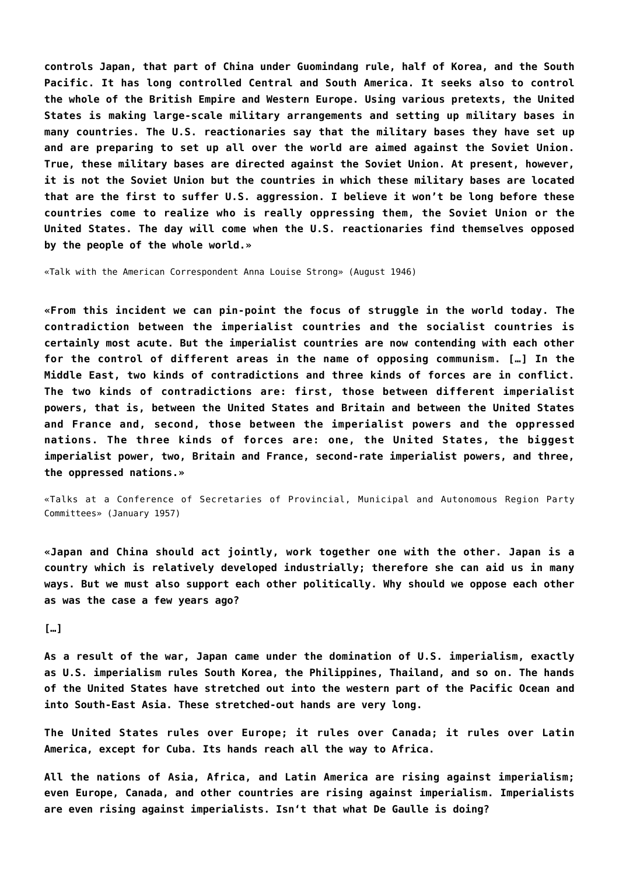**controls Japan, that part of China under Guomindang rule, half of Korea, and the South Pacific. It has long controlled Central and South America. It seeks also to control the whole of the British Empire and Western Europe. Using various pretexts, the United States is making large-scale military arrangements and setting up military bases in many countries. The U.S. reactionaries say that the military bases they have set up and are preparing to set up all over the world are aimed against the Soviet Union. True, these military bases are directed against the Soviet Union. At present, however, it is not the Soviet Union but the countries in which these military bases are located that are the first to suffer U.S. aggression. I believe it won't be long before these countries come to realize who is really oppressing them, the Soviet Union or the United States. The day will come when the U.S. reactionaries find themselves opposed by the people of the whole world.»**

«Talk with the American Correspondent Anna Louise Strong» (August 1946)

**«From this incident we can pin-point the focus of struggle in the world today. The contradiction between the imperialist countries and the socialist countries is certainly most acute. But the imperialist countries are now contending with each other for the control of different areas in the name of opposing communism. […] In the Middle East, two kinds of contradictions and three kinds of forces are in conflict. The two kinds of contradictions are: first, those between different imperialist powers, that is, between the United States and Britain and between the United States and France and, second, those between the imperialist powers and the oppressed nations. The three kinds of forces are: one, the United States, the biggest imperialist power, two, Britain and France, second-rate imperialist powers, and three, the oppressed nations.»**

«Talks at a Conference of Secretaries of Provincial, Municipal and Autonomous Region Party Committees» (January 1957)

**«Japan and China should act jointly, work together one with the other. Japan is a country which is relatively developed industrially; therefore she can aid us in many ways. But we must also support each other politically. Why should we oppose each other as was the case a few years ago?**

### **[…]**

**As a result of the war, Japan came under the domination of U.S. imperialism, exactly as U.S. imperialism rules South Korea, the Philippines, Thailand, and so on. The hands of the United States have stretched out into the western part of the Pacific Ocean and into South-East Asia. These stretched-out hands are very long.**

**The United States rules over Europe; it rules over Canada; it rules over Latin America, except for Cuba. Its hands reach all the way to Africa.**

**All the nations of Asia, Africa, and Latin America are rising against imperialism; even Europe, Canada, and other countries are rising against imperialism. Imperialists are even rising against imperialists. Isn't that what De Gaulle is doing?**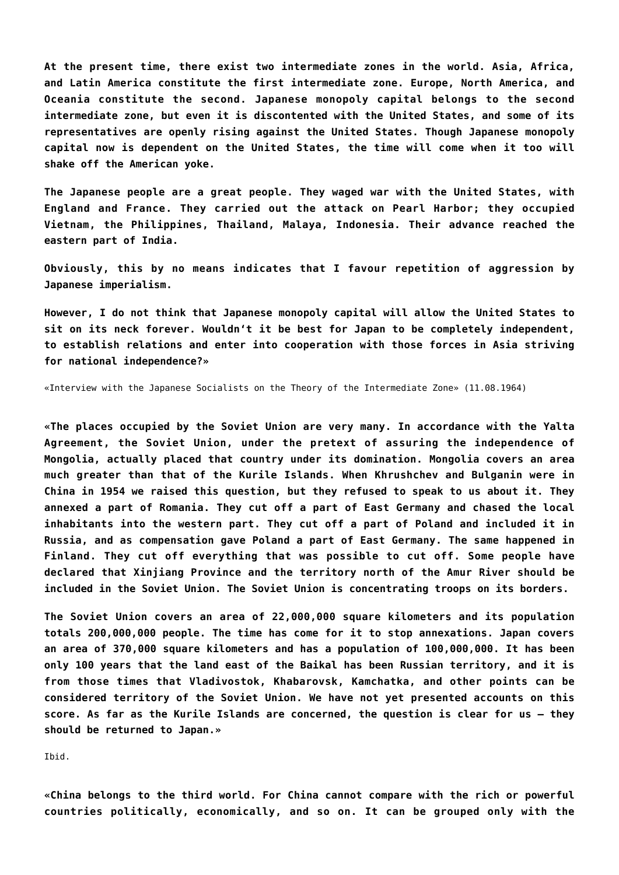**At the present time, there exist two intermediate zones in the world. Asia, Africa, and Latin America constitute the first intermediate zone. Europe, North America, and Oceania constitute the second. Japanese monopoly capital belongs to the second intermediate zone, but even it is discontented with the United States, and some of its representatives are openly rising against the United States. Though Japanese monopoly capital now is dependent on the United States, the time will come when it too will shake off the American yoke.**

**The Japanese people are a great people. They waged war with the United States, with England and France. They carried out the attack on Pearl Harbor; they occupied Vietnam, the Philippines, Thailand, Malaya, Indonesia. Their advance reached the eastern part of India.**

**Obviously, this by no means indicates that I favour repetition of aggression by Japanese imperialism.**

**However, I do not think that Japanese monopoly capital will allow the United States to sit on its neck forever. Wouldn't it be best for Japan to be completely independent, to establish relations and enter into cooperation with those forces in Asia striving for national independence?»**

«Interview with the Japanese Socialists on the Theory of the Intermediate Zone» (11.08.1964)

**«The places occupied by the Soviet Union are very many. In accordance with the Yalta Agreement, the Soviet Union, under the pretext of assuring the independence of Mongolia, actually placed that country under its domination. Mongolia covers an area much greater than that of the Kurile Islands. When Khrushchev and Bulganin were in China in 1954 we raised this question, but they refused to speak to us about it. They annexed a part of Romania. They cut off a part of East Germany and chased the local inhabitants into the western part. They cut off a part of Poland and included it in Russia, and as compensation gave Poland a part of East Germany. The same happened in Finland. They cut off everything that was possible to cut off. Some people have declared that Xinjiang Province and the territory north of the Amur River should be included in the Soviet Union. The Soviet Union is concentrating troops on its borders.**

**The Soviet Union covers an area of 22,000,000 square kilometers and its population totals 200,000,000 people. The time has come for it to stop annexations. Japan covers an area of 370,000 square kilometers and has a population of 100,000,000. It has been only 100 years that the land east of the Baikal has been Russian territory, and it is from those times that Vladivostok, Khabarovsk, Kamchatka, and other points can be considered territory of the Soviet Union. We have not yet presented accounts on this score. As far as the Kurile Islands are concerned, the question is clear for us — they should be returned to Japan.»**

Ibid.

**«China belongs to the third world. For China cannot compare with the rich or powerful countries politically, economically, and so on. It can be grouped only with the**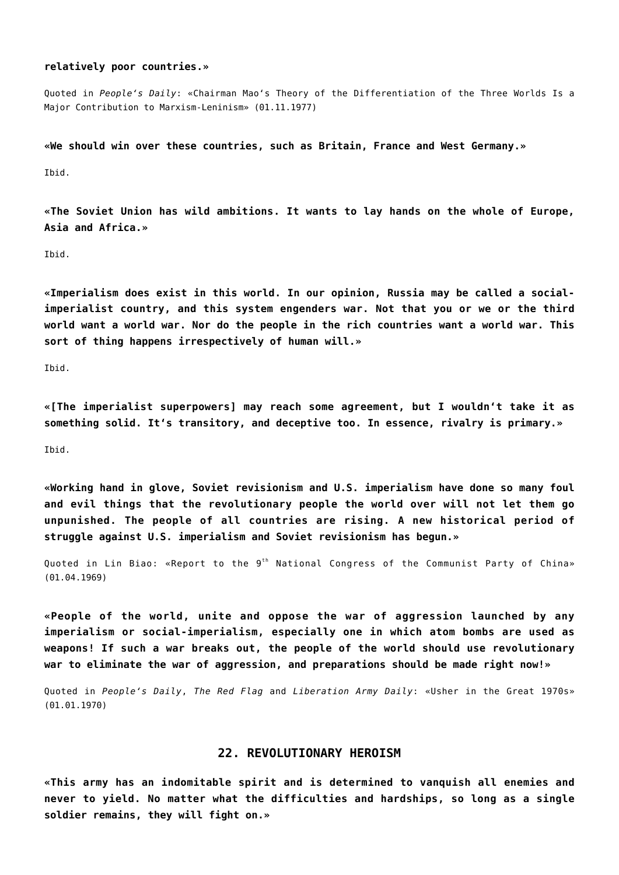### **relatively poor countries.»**

Quoted in *People's Daily*: «Chairman Mao's Theory of the Differentiation of the Three Worlds Is a Major Contribution to Marxism-Leninism» (01.11.1977)

**«We should win over these countries, such as Britain, France and West Germany.»**

Ibid.

**«The Soviet Union has wild ambitions. It wants to lay hands on the whole of Europe, Asia and Africa.»**

Ibid.

**«Imperialism does exist in this world. In our opinion, Russia may be called a socialimperialist country, and this system engenders war. Not that you or we or the third world want a world war. Nor do the people in the rich countries want a world war. This sort of thing happens irrespectively of human will.»**

Ibid.

**«[The imperialist superpowers] may reach some agreement, but I wouldn't take it as something solid. It's transitory, and deceptive too. In essence, rivalry is primary.»**

Ibid.

**«Working hand in glove, Soviet revisionism and U.S. imperialism have done so many foul and evil things that the revolutionary people the world over will not let them go unpunished. The people of all countries are rising. A new historical period of struggle against U.S. imperialism and Soviet revisionism has begun.»**

Quoted in Lin Biao: «Report to the 9<sup>th</sup> National Congress of the Communist Party of China» (01.04.1969)

**«People of the world, unite and oppose the war of aggression launched by any imperialism or social-imperialism, especially one in which atom bombs are used as weapons! If such a war breaks out, the people of the world should use revolutionary war to eliminate the war of aggression, and preparations should be made right now!»**

Quoted in *People's Daily*, *The Red Flag* and *Liberation Army Daily*: «Usher in the Great 1970s» (01.01.1970)

### **22. REVOLUTIONARY HEROISM**

**«This army has an indomitable spirit and is determined to vanquish all enemies and never to yield. No matter what the difficulties and hardships, so long as a single soldier remains, they will fight on.»**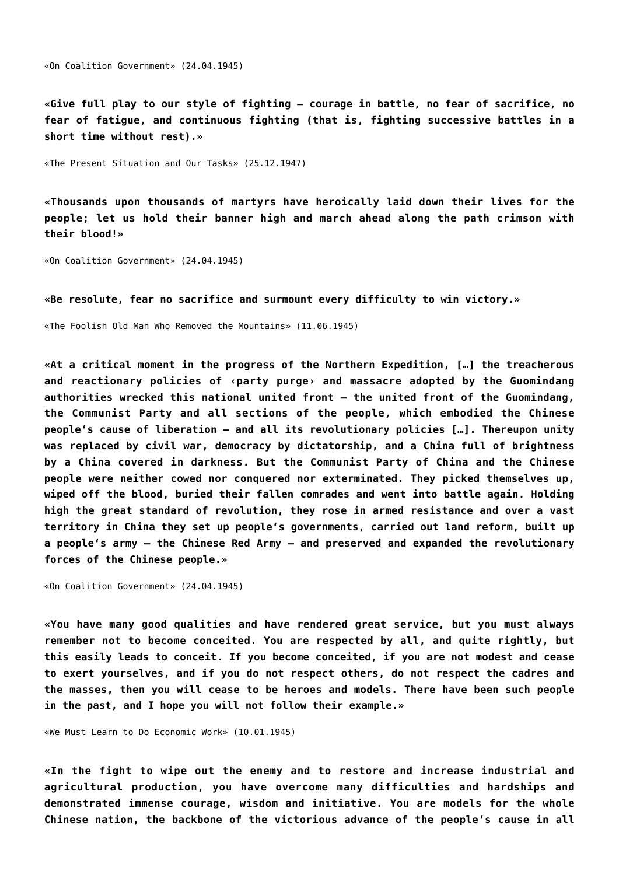«On Coalition Government» (24.04.1945)

**«Give full play to our style of fighting — courage in battle, no fear of sacrifice, no fear of fatigue, and continuous fighting (that is, fighting successive battles in a short time without rest).»**

«The Present Situation and Our Tasks» (25.12.1947)

**«Thousands upon thousands of martyrs have heroically laid down their lives for the people; let us hold their banner high and march ahead along the path crimson with their blood!»**

«On Coalition Government» (24.04.1945)

**«Be resolute, fear no sacrifice and surmount every difficulty to win victory.»**

«The Foolish Old Man Who Removed the Mountains» (11.06.1945)

**«At a critical moment in the progress of the Northern Expedition, […] the treacherous and reactionary policies of ‹party purge› and massacre adopted by the Guomindang authorities wrecked this national united front — the united front of the Guomindang, the Communist Party and all sections of the people, which embodied the Chinese people's cause of liberation — and all its revolutionary policies […]. Thereupon unity was replaced by civil war, democracy by dictatorship, and a China full of brightness by a China covered in darkness. But the Communist Party of China and the Chinese people were neither cowed nor conquered nor exterminated. They picked themselves up, wiped off the blood, buried their fallen comrades and went into battle again. Holding high the great standard of revolution, they rose in armed resistance and over a vast territory in China they set up people's governments, carried out land reform, built up a people's army — the Chinese Red Army — and preserved and expanded the revolutionary forces of the Chinese people.»**

«On Coalition Government» (24.04.1945)

**«You have many good qualities and have rendered great service, but you must always remember not to become conceited. You are respected by all, and quite rightly, but this easily leads to conceit. If you become conceited, if you are not modest and cease to exert yourselves, and if you do not respect others, do not respect the cadres and the masses, then you will cease to be heroes and models. There have been such people in the past, and I hope you will not follow their example.»**

«We Must Learn to Do Economic Work» (10.01.1945)

**«In the fight to wipe out the enemy and to restore and increase industrial and agricultural production, you have overcome many difficulties and hardships and demonstrated immense courage, wisdom and initiative. You are models for the whole Chinese nation, the backbone of the victorious advance of the people's cause in all**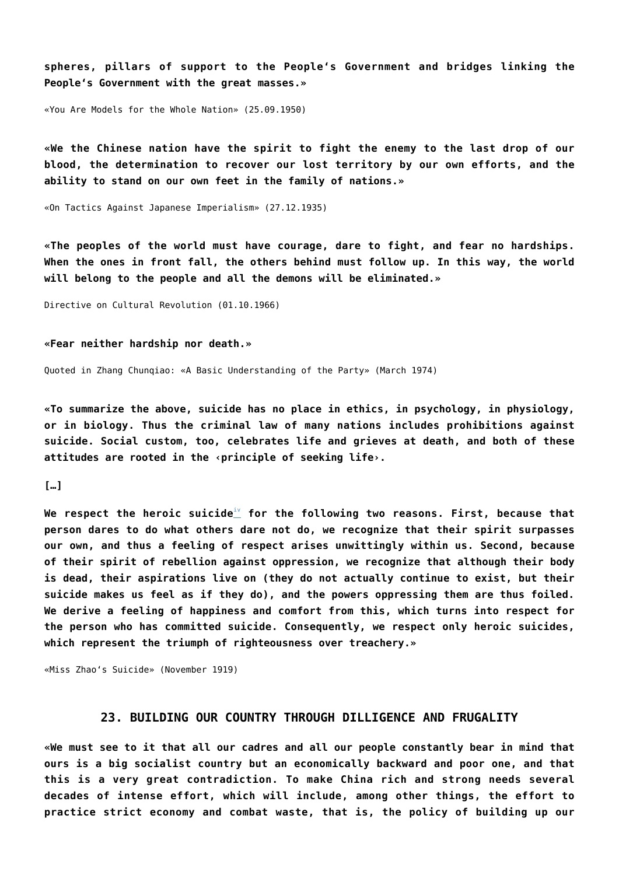**spheres, pillars of support to the People's Government and bridges linking the People's Government with the great masses.»**

«You Are Models for the Whole Nation» (25.09.1950)

**«We the Chinese nation have the spirit to fight the enemy to the last drop of our blood, the determination to recover our lost territory by our own efforts, and the ability to stand on our own feet in the family of nations.»**

«On Tactics Against Japanese Imperialism» (27.12.1935)

**«The peoples of the world must have courage, dare to fight, and fear no hardships. When the ones in front fall, the others behind must follow up. In this way, the world will belong to the people and all the demons will be eliminated.»**

Directive on Cultural Revolution (01.10.1966)

#### **«Fear neither hardship nor death.»**

Quoted in Zhang Chunqiao: «A Basic Understanding of the Party» (March 1974)

**«To summarize the above, suicide has no place in ethics, in psychology, in physiology, or in biology. Thus the criminal law of many nations includes prohibitions against suicide. Social custom, too, celebrates life and grieves at death, and both of these attitudes are rooted in the ‹principle of seeking life›.**

### **[…]**

We respect the heroic suicide<sup>[iv](#page-129-1)</sup> for the following two reasons. First, because that **person dares to do what others dare not do, we recognize that their spirit surpasses our own, and thus a feeling of respect arises unwittingly within us. Second, because of their spirit of rebellion against oppression, we recognize that although their body is dead, their aspirations live on (they do not actually continue to exist, but their suicide makes us feel as if they do), and the powers oppressing them are thus foiled. We derive a feeling of happiness and comfort from this, which turns into respect for the person who has committed suicide. Consequently, we respect only heroic suicides, which represent the triumph of righteousness over treachery.»**

«Miss Zhao's Suicide» (November 1919)

### **23. BUILDING OUR COUNTRY THROUGH DILLIGENCE AND FRUGALITY**

**«We must see to it that all our cadres and all our people constantly bear in mind that ours is a big socialist country but an economically backward and poor one, and that this is a very great contradiction. To make China rich and strong needs several decades of intense effort, which will include, among other things, the effort to practice strict economy and combat waste, that is, the policy of building up our**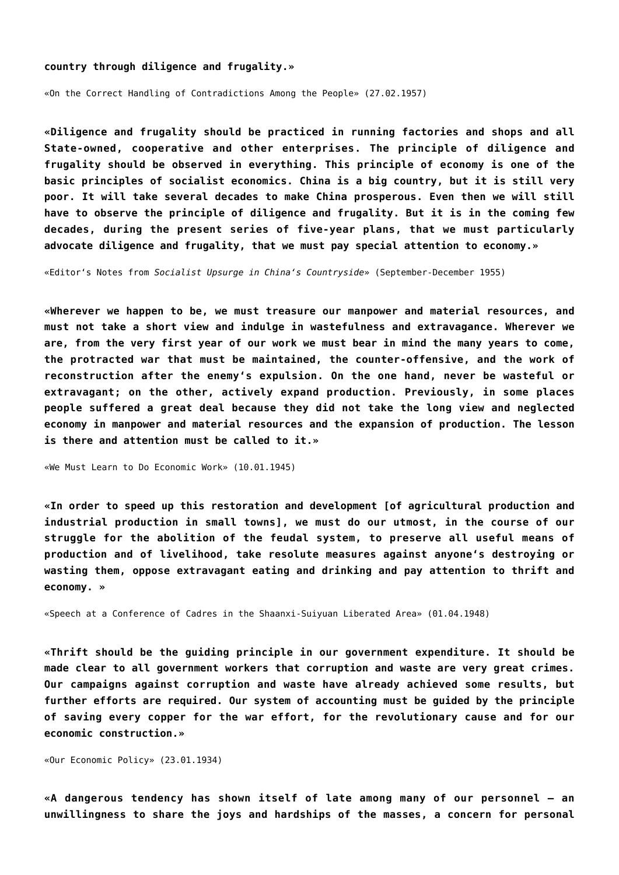#### **country through diligence and frugality.»**

«On the Correct Handling of Contradictions Among the People» (27.02.1957)

**«Diligence and frugality should be practiced in running factories and shops and all State-owned, cooperative and other enterprises. The principle of diligence and frugality should be observed in everything. This principle of economy is one of the basic principles of socialist economics. China is a big country, but it is still very poor. It will take several decades to make China prosperous. Even then we will still have to observe the principle of diligence and frugality. But it is in the coming few decades, during the present series of five-year plans, that we must particularly advocate diligence and frugality, that we must pay special attention to economy.»**

«Editor's Notes from *Socialist Upsurge in China's Countryside*» (September-December 1955)

**«Wherever we happen to be, we must treasure our manpower and material resources, and must not take a short view and indulge in wastefulness and extravagance. Wherever we are, from the very first year of our work we must bear in mind the many years to come, the protracted war that must be maintained, the counter-offensive, and the work of reconstruction after the enemy's expulsion. On the one hand, never be wasteful or extravagant; on the other, actively expand production. Previously, in some places people suffered a great deal because they did not take the long view and neglected economy in manpower and material resources and the expansion of production. The lesson is there and attention must be called to it.»**

«We Must Learn to Do Economic Work» (10.01.1945)

**«In order to speed up this restoration and development [of agricultural production and industrial production in small towns], we must do our utmost, in the course of our struggle for the abolition of the feudal system, to preserve all useful means of production and of livelihood, take resolute measures against anyone's destroying or wasting them, oppose extravagant eating and drinking and pay attention to thrift and economy. »**

«Speech at a Conference of Cadres in the Shaanxi-Suiyuan Liberated Area» (01.04.1948)

**«Thrift should be the guiding principle in our government expenditure. It should be made clear to all government workers that corruption and waste are very great crimes. Our campaigns against corruption and waste have already achieved some results, but further efforts are required. Our system of accounting must be guided by the principle of saving every copper for the war effort, for the revolutionary cause and for our economic construction.»**

«Our Economic Policy» (23.01.1934)

**«A dangerous tendency has shown itself of late among many of our personnel — an unwillingness to share the joys and hardships of the masses, a concern for personal**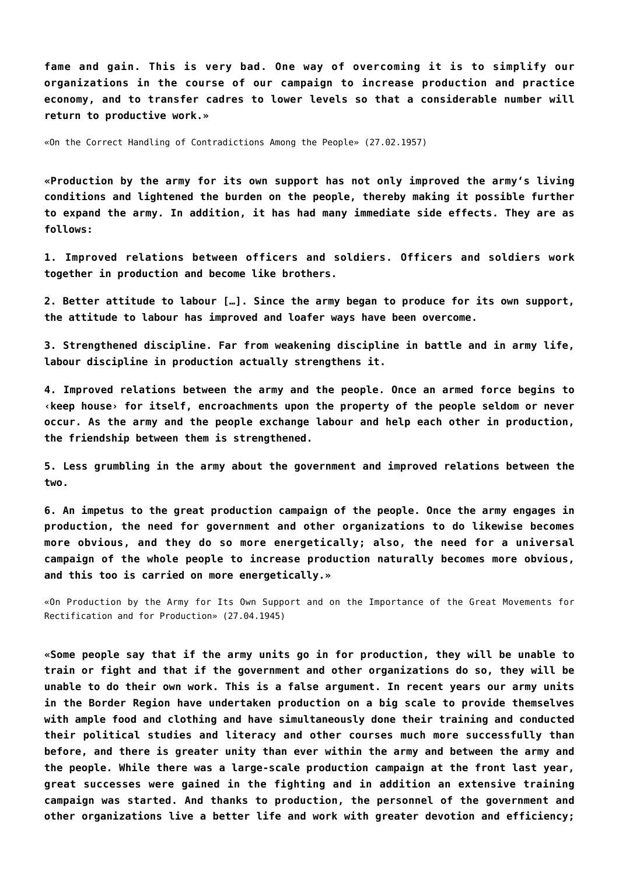**fame and gain. This is very bad. One way of overcoming it is to simplify our organizations in the course of our campaign to increase production and practice economy, and to transfer cadres to lower levels so that a considerable number will return to productive work.»**

«On the Correct Handling of Contradictions Among the People» (27.02.1957)

**«Production by the army for its own support has not only improved the army's living conditions and lightened the burden on the people, thereby making it possible further to expand the army. In addition, it has had many immediate side effects. They are as follows:**

**1. Improved relations between officers and soldiers. Officers and soldiers work together in production and become like brothers.**

**2. Better attitude to labour […]. Since the army began to produce for its own support, the attitude to labour has improved and loafer ways have been overcome.**

**3. Strengthened discipline. Far from weakening discipline in battle and in army life, labour discipline in production actually strengthens it.**

**4. Improved relations between the army and the people. Once an armed force begins to ‹keep house› for itself, encroachments upon the property of the people seldom or never occur. As the army and the people exchange labour and help each other in production, the friendship between them is strengthened.**

**5. Less grumbling in the army about the government and improved relations between the two.**

**6. An impetus to the great production campaign of the people. Once the army engages in production, the need for government and other organizations to do likewise becomes more obvious, and they do so more energetically; also, the need for a universal campaign of the whole people to increase production naturally becomes more obvious, and this too is carried on more energetically.»**

«On Production by the Army for Its Own Support and on the Importance of the Great Movements for Rectification and for Production» (27.04.1945)

**«Some people say that if the army units go in for production, they will be unable to train or fight and that if the government and other organizations do so, they will be unable to do their own work. This is a false argument. In recent years our army units in the Border Region have undertaken production on a big scale to provide themselves with ample food and clothing and have simultaneously done their training and conducted their political studies and literacy and other courses much more successfully than before, and there is greater unity than ever within the army and between the army and the people. While there was a large-scale production campaign at the front last year, great successes were gained in the fighting and in addition an extensive training campaign was started. And thanks to production, the personnel of the government and other organizations live a better life and work with greater devotion and efficiency;**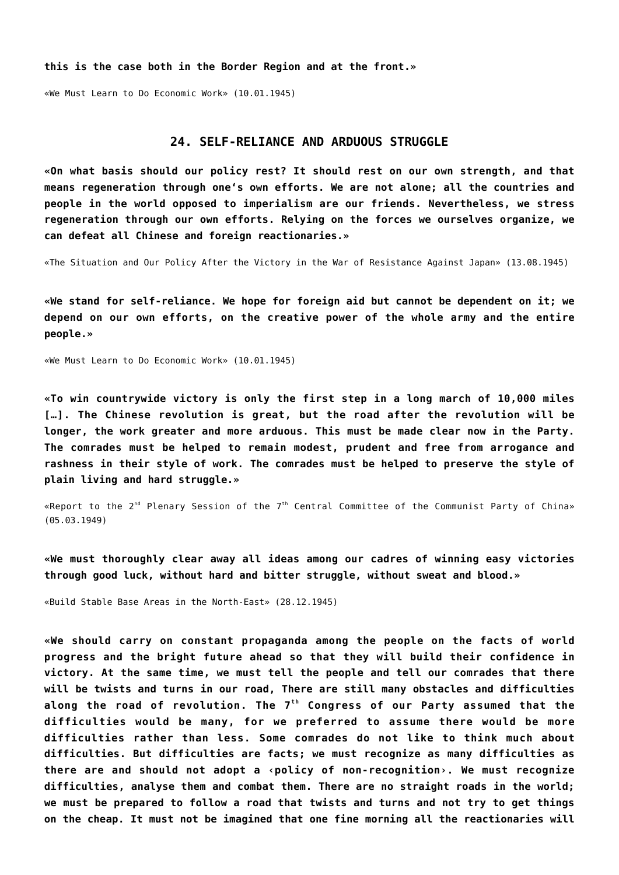#### **this is the case both in the Border Region and at the front.»**

«We Must Learn to Do Economic Work» (10.01.1945)

### **24. SELF-RELIANCE AND ARDUOUS STRUGGLE**

**«On what basis should our policy rest? It should rest on our own strength, and that means regeneration through one's own efforts. We are not alone; all the countries and people in the world opposed to imperialism are our friends. Nevertheless, we stress regeneration through our own efforts. Relying on the forces we ourselves organize, we can defeat all Chinese and foreign reactionaries.»**

«The Situation and Our Policy After the Victory in the War of Resistance Against Japan» (13.08.1945)

**«We stand for self-reliance. We hope for foreign aid but cannot be dependent on it; we depend on our own efforts, on the creative power of the whole army and the entire people.»**

«We Must Learn to Do Economic Work» (10.01.1945)

**«To win countrywide victory is only the first step in a long march of 10,000 miles […]. The Chinese revolution is great, but the road after the revolution will be longer, the work greater and more arduous. This must be made clear now in the Party. The comrades must be helped to remain modest, prudent and free from arrogance and rashness in their style of work. The comrades must be helped to preserve the style of plain living and hard struggle.»**

«Report to the 2<sup>nd</sup> Plenary Session of the 7<sup>th</sup> Central Committee of the Communist Party of China» (05.03.1949)

**«We must thoroughly clear away all ideas among our cadres of winning easy victories through good luck, without hard and bitter struggle, without sweat and blood.»**

«Build Stable Base Areas in the North-East» (28.12.1945)

**«We should carry on constant propaganda among the people on the facts of world progress and the bright future ahead so that they will build their confidence in victory. At the same time, we must tell the people and tell our comrades that there will be twists and turns in our road, There are still many obstacles and difficulties** along the road of revolution. The 7<sup>th</sup> Congress of our Party assumed that the **difficulties would be many, for we preferred to assume there would be more difficulties rather than less. Some comrades do not like to think much about difficulties. But difficulties are facts; we must recognize as many difficulties as there are and should not adopt a ‹policy of non-recognition›. We must recognize difficulties, analyse them and combat them. There are no straight roads in the world; we must be prepared to follow a road that twists and turns and not try to get things on the cheap. It must not be imagined that one fine morning all the reactionaries will**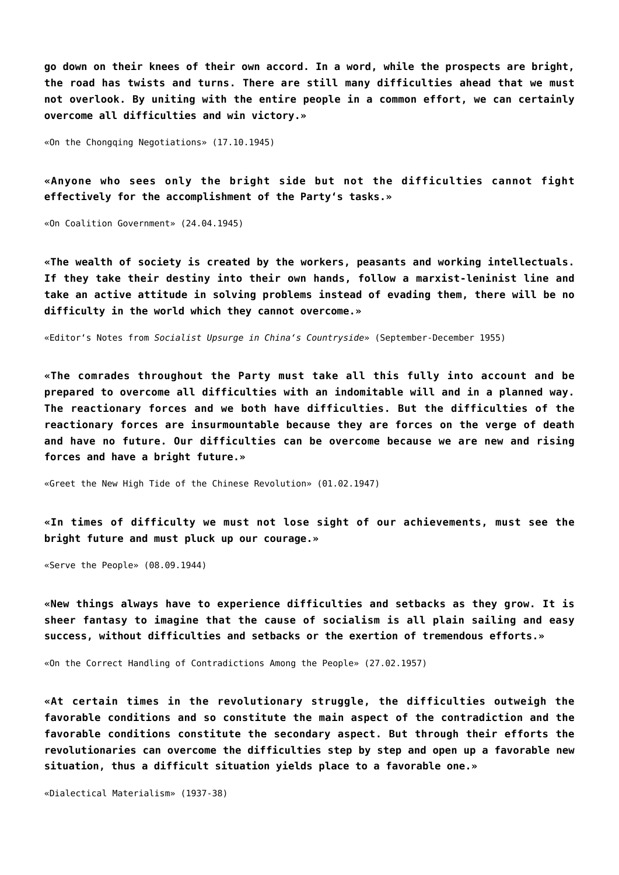**go down on their knees of their own accord. In a word, while the prospects are bright, the road has twists and turns. There are still many difficulties ahead that we must not overlook. By uniting with the entire people in a common effort, we can certainly overcome all difficulties and win victory.»**

«On the Chongqing Negotiations» (17.10.1945)

**«Anyone who sees only the bright side but not the difficulties cannot fight effectively for the accomplishment of the Party's tasks.»**

«On Coalition Government» (24.04.1945)

**«The wealth of society is created by the workers, peasants and working intellectuals. If they take their destiny into their own hands, follow a marxist-leninist line and take an active attitude in solving problems instead of evading them, there will be no difficulty in the world which they cannot overcome.»**

«Editor's Notes from *Socialist Upsurge in China's Countryside*» (September-December 1955)

**«The comrades throughout the Party must take all this fully into account and be prepared to overcome all difficulties with an indomitable will and in a planned way. The reactionary forces and we both have difficulties. But the difficulties of the reactionary forces are insurmountable because they are forces on the verge of death and have no future. Our difficulties can be overcome because we are new and rising forces and have a bright future.»**

«Greet the New High Tide of the Chinese Revolution» (01.02.1947)

**«In times of difficulty we must not lose sight of our achievements, must see the bright future and must pluck up our courage.»**

«Serve the People» (08.09.1944)

**«New things always have to experience difficulties and setbacks as they grow. It is sheer fantasy to imagine that the cause of socialism is all plain sailing and easy success, without difficulties and setbacks or the exertion of tremendous efforts.»**

«On the Correct Handling of Contradictions Among the People» (27.02.1957)

**«At certain times in the revolutionary struggle, the difficulties outweigh the favorable conditions and so constitute the main aspect of the contradiction and the favorable conditions constitute the secondary aspect. But through their efforts the revolutionaries can overcome the difficulties step by step and open up a favorable new situation, thus a difficult situation yields place to a favorable one.»**

«Dialectical Materialism» (1937-38)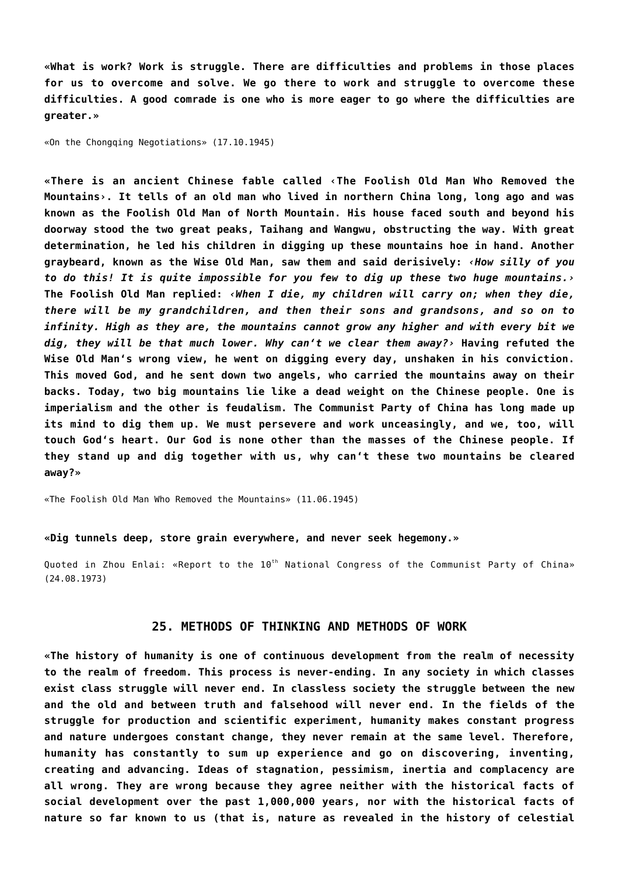**«What is work? Work is struggle. There are difficulties and problems in those places for us to overcome and solve. We go there to work and struggle to overcome these difficulties. A good comrade is one who is more eager to go where the difficulties are greater.»**

«On the Chongqing Negotiations» (17.10.1945)

**«There is an ancient Chinese fable called ‹The Foolish Old Man Who Removed the Mountains›. It tells of an old man who lived in northern China long, long ago and was known as the Foolish Old Man of North Mountain. His house faced south and beyond his doorway stood the two great peaks, Taihang and Wangwu, obstructing the way. With great determination, he led his children in digging up these mountains hoe in hand. Another graybeard, known as the Wise Old Man, saw them and said derisively:** *‹How silly of you to do this! It is quite impossible for you few to dig up these two huge mountains.›* **The Foolish Old Man replied:** *‹When I die, my children will carry on; when they die, there will be my grandchildren, and then their sons and grandsons, and so on to infinity. High as they are, the mountains cannot grow any higher and with every bit we dig, they will be that much lower. Why can't we clear them away?›* **Having refuted the Wise Old Man's wrong view, he went on digging every day, unshaken in his conviction. This moved God, and he sent down two angels, who carried the mountains away on their backs. Today, two big mountains lie like a dead weight on the Chinese people. One is imperialism and the other is feudalism. The Communist Party of China has long made up its mind to dig them up. We must persevere and work unceasingly, and we, too, will touch God's heart. Our God is none other than the masses of the Chinese people. If they stand up and dig together with us, why can't these two mountains be cleared away?»**

«The Foolish Old Man Who Removed the Mountains» (11.06.1945)

### **«Dig tunnels deep, store grain everywhere, and never seek hegemony.»**

Quoted in Zhou Enlai: «Report to the 10<sup>th</sup> National Congress of the Communist Party of China» (24.08.1973)

### **25. METHODS OF THINKING AND METHODS OF WORK**

**«The history of humanity is one of continuous development from the realm of necessity to the realm of freedom. This process is never-ending. In any society in which classes exist class struggle will never end. In classless society the struggle between the new and the old and between truth and falsehood will never end. In the fields of the struggle for production and scientific experiment, humanity makes constant progress and nature undergoes constant change, they never remain at the same level. Therefore, humanity has constantly to sum up experience and go on discovering, inventing, creating and advancing. Ideas of stagnation, pessimism, inertia and complacency are all wrong. They are wrong because they agree neither with the historical facts of social development over the past 1,000,000 years, nor with the historical facts of nature so far known to us (that is, nature as revealed in the history of celestial**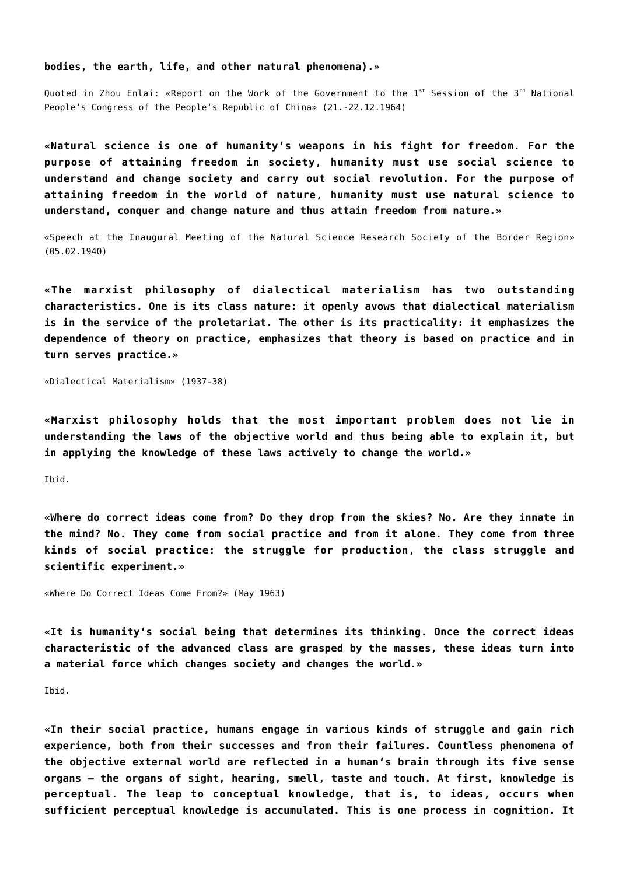#### **bodies, the earth, life, and other natural phenomena).»**

Quoted in Zhou Enlai: «Report on the Work of the Government to the 1<sup>st</sup> Session of the 3<sup>rd</sup> National People's Congress of the People's Republic of China» (21.-22.12.1964)

**«Natural science is one of humanity's weapons in his fight for freedom. For the purpose of attaining freedom in society, humanity must use social science to understand and change society and carry out social revolution. For the purpose of attaining freedom in the world of nature, humanity must use natural science to understand, conquer and change nature and thus attain freedom from nature.»**

«Speech at the Inaugural Meeting of the Natural Science Research Society of the Border Region» (05.02.1940)

**«The marxist philosophy of dialectical materialism has two outstanding characteristics. One is its class nature: it openly avows that dialectical materialism is in the service of the proletariat. The other is its practicality: it emphasizes the dependence of theory on practice, emphasizes that theory is based on practice and in turn serves practice.»**

«Dialectical Materialism» (1937-38)

**«Marxist philosophy holds that the most important problem does not lie in understanding the laws of the objective world and thus being able to explain it, but in applying the knowledge of these laws actively to change the world.»**

#### Ibid.

**«Where do correct ideas come from? Do they drop from the skies? No. Are they innate in the mind? No. They come from social practice and from it alone. They come from three kinds of social practice: the struggle for production, the class struggle and scientific experiment.»**

«Where Do Correct Ideas Come From?» (May 1963)

**«It is humanity's social being that determines its thinking. Once the correct ideas characteristic of the advanced class are grasped by the masses, these ideas turn into a material force which changes society and changes the world.»**

Ibid.

**«In their social practice, humans engage in various kinds of struggle and gain rich experience, both from their successes and from their failures. Countless phenomena of the objective external world are reflected in a human's brain through its five sense organs — the organs of sight, hearing, smell, taste and touch. At first, knowledge is perceptual. The leap to conceptual knowledge, that is, to ideas, occurs when sufficient perceptual knowledge is accumulated. This is one process in cognition. It**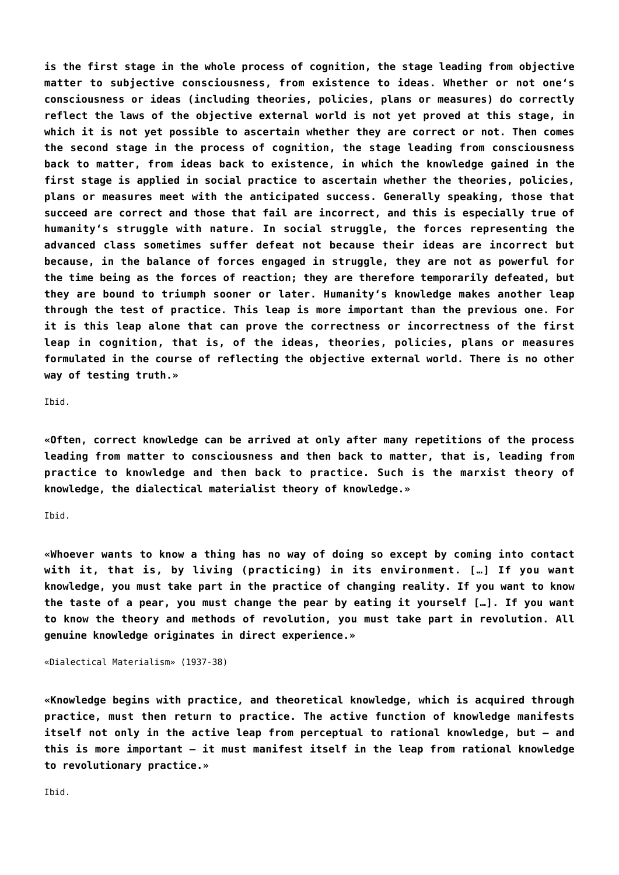**is the first stage in the whole process of cognition, the stage leading from objective matter to subjective consciousness, from existence to ideas. Whether or not one's consciousness or ideas (including theories, policies, plans or measures) do correctly reflect the laws of the objective external world is not yet proved at this stage, in which it is not yet possible to ascertain whether they are correct or not. Then comes the second stage in the process of cognition, the stage leading from consciousness back to matter, from ideas back to existence, in which the knowledge gained in the first stage is applied in social practice to ascertain whether the theories, policies, plans or measures meet with the anticipated success. Generally speaking, those that succeed are correct and those that fail are incorrect, and this is especially true of humanity's struggle with nature. In social struggle, the forces representing the advanced class sometimes suffer defeat not because their ideas are incorrect but because, in the balance of forces engaged in struggle, they are not as powerful for the time being as the forces of reaction; they are therefore temporarily defeated, but they are bound to triumph sooner or later. Humanity's knowledge makes another leap through the test of practice. This leap is more important than the previous one. For it is this leap alone that can prove the correctness or incorrectness of the first leap in cognition, that is, of the ideas, theories, policies, plans or measures formulated in the course of reflecting the objective external world. There is no other way of testing truth.»**

Ibid.

**«Often, correct knowledge can be arrived at only after many repetitions of the process leading from matter to consciousness and then back to matter, that is, leading from practice to knowledge and then back to practice. Such is the marxist theory of knowledge, the dialectical materialist theory of knowledge.»**

### Ibid.

**«Whoever wants to know a thing has no way of doing so except by coming into contact with it, that is, by living (practicing) in its environment. […] If you want knowledge, you must take part in the practice of changing reality. If you want to know the taste of a pear, you must change the pear by eating it yourself […]. If you want to know the theory and methods of revolution, you must take part in revolution. All genuine knowledge originates in direct experience.»**

«Dialectical Materialism» (1937-38)

**«Knowledge begins with practice, and theoretical knowledge, which is acquired through practice, must then return to practice. The active function of knowledge manifests itself not only in the active leap from perceptual to rational knowledge, but — and this is more important — it must manifest itself in the leap from rational knowledge to revolutionary practice.»**

Ibid.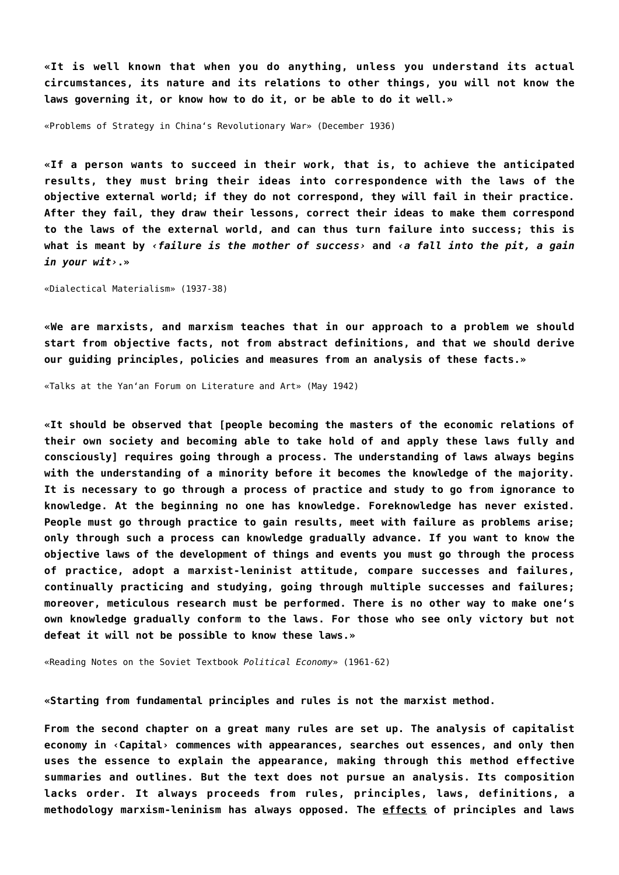**«It is well known that when you do anything, unless you understand its actual circumstances, its nature and its relations to other things, you will not know the laws governing it, or know how to do it, or be able to do it well.»**

«Problems of Strategy in China's Revolutionary War» (December 1936)

**«If a person wants to succeed in their work, that is, to achieve the anticipated results, they must bring their ideas into correspondence with the laws of the objective external world; if they do not correspond, they will fail in their practice. After they fail, they draw their lessons, correct their ideas to make them correspond to the laws of the external world, and can thus turn failure into success; this is what is meant by** *‹failure is the mother of success›* **and** *‹a fall into the pit, a gain in your wit›***.»**

«Dialectical Materialism» (1937-38)

**«We are marxists, and marxism teaches that in our approach to a problem we should start from objective facts, not from abstract definitions, and that we should derive our guiding principles, policies and measures from an analysis of these facts.»**

«Talks at the Yan'an Forum on Literature and Art» (May 1942)

**«It should be observed that [people becoming the masters of the economic relations of their own society and becoming able to take hold of and apply these laws fully and consciously] requires going through a process. The understanding of laws always begins with the understanding of a minority before it becomes the knowledge of the majority. It is necessary to go through a process of practice and study to go from ignorance to knowledge. At the beginning no one has knowledge. Foreknowledge has never existed. People must go through practice to gain results, meet with failure as problems arise; only through such a process can knowledge gradually advance. If you want to know the objective laws of the development of things and events you must go through the process of practice, adopt a marxist-leninist attitude, compare successes and failures, continually practicing and studying, going through multiple successes and failures; moreover, meticulous research must be performed. There is no other way to make one's own knowledge gradually conform to the laws. For those who see only victory but not defeat it will not be possible to know these laws.»**

«Reading Notes on the Soviet Textbook *Political Economy*» (1961-62)

**«Starting from fundamental principles and rules is not the marxist method.**

**From the second chapter on a great many rules are set up. The analysis of capitalist economy in ‹Capital› commences with appearances, searches out essences, and only then uses the essence to explain the appearance, making through this method effective summaries and outlines. But the text does not pursue an analysis. Its composition lacks order. It always proceeds from rules, principles, laws, definitions, a methodology marxism-leninism has always opposed. The effects of principles and laws**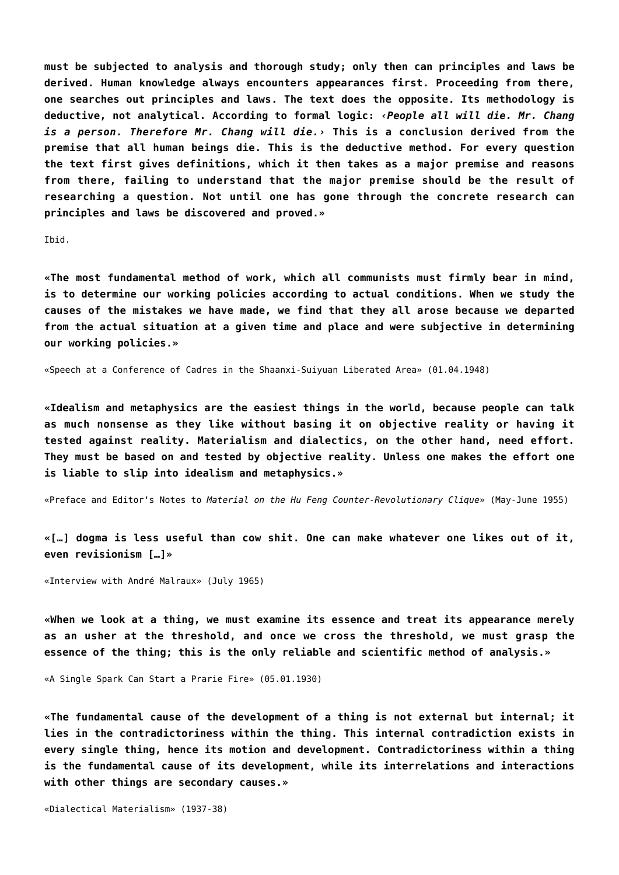**must be subjected to analysis and thorough study; only then can principles and laws be derived. Human knowledge always encounters appearances first. Proceeding from there, one searches out principles and laws. The text does the opposite. Its methodology is deductive, not analytical. According to formal logic:** *‹People all will die. Mr. Chang is a person. Therefore Mr. Chang will die.›* **This is a conclusion derived from the premise that all human beings die. This is the deductive method. For every question the text first gives definitions, which it then takes as a major premise and reasons from there, failing to understand that the major premise should be the result of researching a question. Not until one has gone through the concrete research can principles and laws be discovered and proved.»**

Ibid.

**«The most fundamental method of work, which all communists must firmly bear in mind, is to determine our working policies according to actual conditions. When we study the causes of the mistakes we have made, we find that they all arose because we departed from the actual situation at a given time and place and were subjective in determining our working policies.»**

«Speech at a Conference of Cadres in the Shaanxi-Suiyuan Liberated Area» (01.04.1948)

**«Idealism and metaphysics are the easiest things in the world, because people can talk as much nonsense as they like without basing it on objective reality or having it tested against reality. Materialism and dialectics, on the other hand, need effort. They must be based on and tested by objective reality. Unless one makes the effort one is liable to slip into idealism and metaphysics.»**

«Preface and Editor's Notes to *Material on the Hu Feng Counter-Revolutionary Clique*» (May-June 1955)

**«[…] dogma is less useful than cow shit. One can make whatever one likes out of it, even revisionism […]»**

«Interview with André Malraux» (July 1965)

**«When we look at a thing, we must examine its essence and treat its appearance merely as an usher at the threshold, and once we cross the threshold, we must grasp the essence of the thing; this is the only reliable and scientific method of analysis.»**

«A Single Spark Can Start a Prarie Fire» (05.01.1930)

**«The fundamental cause of the development of a thing is not external but internal; it lies in the contradictoriness within the thing. This internal contradiction exists in every single thing, hence its motion and development. Contradictoriness within a thing is the fundamental cause of its development, while its interrelations and interactions with other things are secondary causes.»**

«Dialectical Materialism» (1937-38)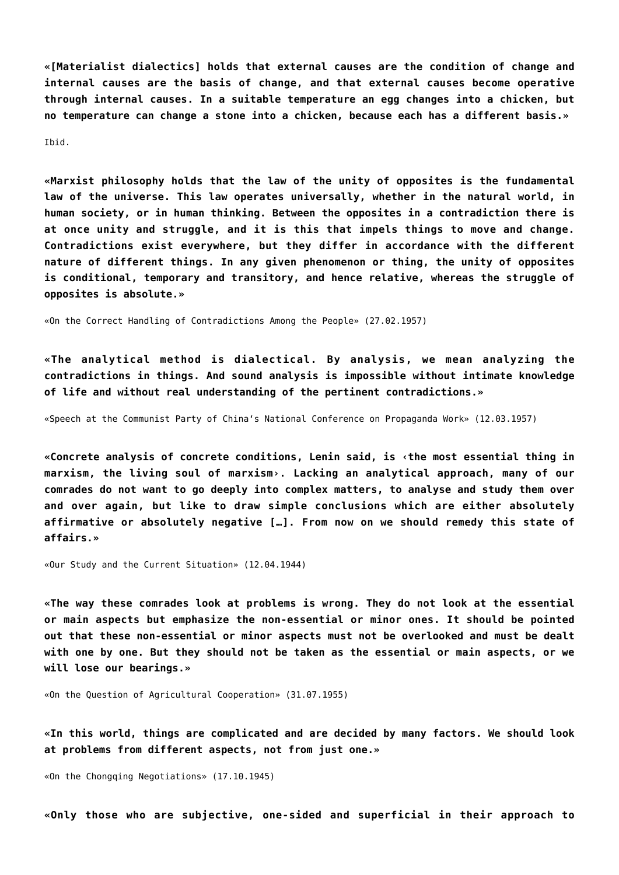**«[Materialist dialectics] holds that external causes are the condition of change and internal causes are the basis of change, and that external causes become operative through internal causes. In a suitable temperature an egg changes into a chicken, but no temperature can change a stone into a chicken, because each has a different basis.»**

Ibid.

**«Marxist philosophy holds that the law of the unity of opposites is the fundamental law of the universe. This law operates universally, whether in the natural world, in human society, or in human thinking. Between the opposites in a contradiction there is at once unity and struggle, and it is this that impels things to move and change. Contradictions exist everywhere, but they differ in accordance with the different nature of different things. In any given phenomenon or thing, the unity of opposites is conditional, temporary and transitory, and hence relative, whereas the struggle of opposites is absolute.»**

«On the Correct Handling of Contradictions Among the People» (27.02.1957)

**«The analytical method is dialectical. By analysis, we mean analyzing the contradictions in things. And sound analysis is impossible without intimate knowledge of life and without real understanding of the pertinent contradictions.»**

«Speech at the Communist Party of China's National Conference on Propaganda Work» (12.03.1957)

**«Concrete analysis of concrete conditions, Lenin said, is ‹the most essential thing in marxism, the living soul of marxism›. Lacking an analytical approach, many of our comrades do not want to go deeply into complex matters, to analyse and study them over and over again, but like to draw simple conclusions which are either absolutely affirmative or absolutely negative […]. From now on we should remedy this state of affairs.»**

«Our Study and the Current Situation» (12.04.1944)

**«The way these comrades look at problems is wrong. They do not look at the essential or main aspects but emphasize the non-essential or minor ones. It should be pointed out that these non-essential or minor aspects must not be overlooked and must be dealt with one by one. But they should not be taken as the essential or main aspects, or we will lose our bearings.»**

«On the Question of Agricultural Cooperation» (31.07.1955)

**«In this world, things are complicated and are decided by many factors. We should look at problems from different aspects, not from just one.»**

«On the Chongqing Negotiations» (17.10.1945)

**«Only those who are subjective, one-sided and superficial in their approach to**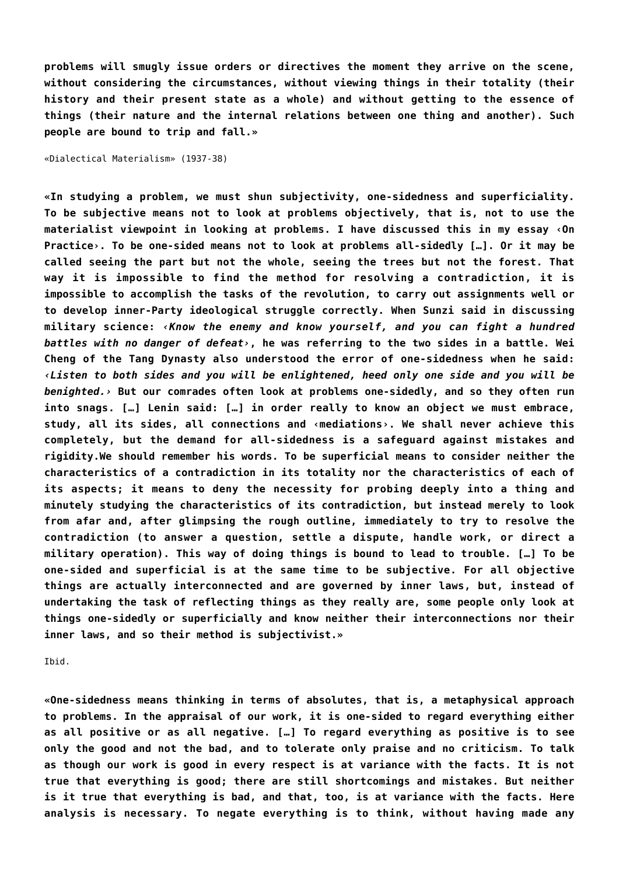**problems will smugly issue orders or directives the moment they arrive on the scene, without considering the circumstances, without viewing things in their totality (their history and their present state as a whole) and without getting to the essence of things (their nature and the internal relations between one thing and another). Such people are bound to trip and fall.»**

«Dialectical Materialism» (1937-38)

**«In studying a problem, we must shun subjectivity, one-sidedness and superficiality. To be subjective means not to look at problems objectively, that is, not to use the materialist viewpoint in looking at problems. I have discussed this in my essay ‹On Practice›. To be one-sided means not to look at problems all-sidedly […]. Or it may be called seeing the part but not the whole, seeing the trees but not the forest. That way it is impossible to find the method for resolving a contradiction, it is impossible to accomplish the tasks of the revolution, to carry out assignments well or to develop inner-Party ideological struggle correctly. When Sunzi said in discussing military science:** *‹Know the enemy and know yourself, and you can fight a hundred battles with no danger of defeat›***, he was referring to the two sides in a battle. Wei Cheng of the Tang Dynasty also understood the error of one-sidedness when he said:** *‹Listen to both sides and you will be enlightened, heed only one side and you will be benighted.›* **But our comrades often look at problems one-sidedly, and so they often run into snags. […] Lenin said: […] in order really to know an object we must embrace, study, all its sides, all connections and ‹mediations›. We shall never achieve this completely, but the demand for all-sidedness is a safeguard against mistakes and rigidity.We should remember his words. To be superficial means to consider neither the characteristics of a contradiction in its totality nor the characteristics of each of its aspects; it means to deny the necessity for probing deeply into a thing and minutely studying the characteristics of its contradiction, but instead merely to look from afar and, after glimpsing the rough outline, immediately to try to resolve the contradiction (to answer a question, settle a dispute, handle work, or direct a military operation). This way of doing things is bound to lead to trouble. […] To be one-sided and superficial is at the same time to be subjective. For all objective things are actually interconnected and are governed by inner laws, but, instead of undertaking the task of reflecting things as they really are, some people only look at things one-sidedly or superficially and know neither their interconnections nor their inner laws, and so their method is subjectivist.»**

Ibid.

**«One-sidedness means thinking in terms of absolutes, that is, a metaphysical approach to problems. In the appraisal of our work, it is one-sided to regard everything either as all positive or as all negative. […] To regard everything as positive is to see only the good and not the bad, and to tolerate only praise and no criticism. To talk as though our work is good in every respect is at variance with the facts. It is not true that everything is good; there are still shortcomings and mistakes. But neither is it true that everything is bad, and that, too, is at variance with the facts. Here analysis is necessary. To negate everything is to think, without having made any**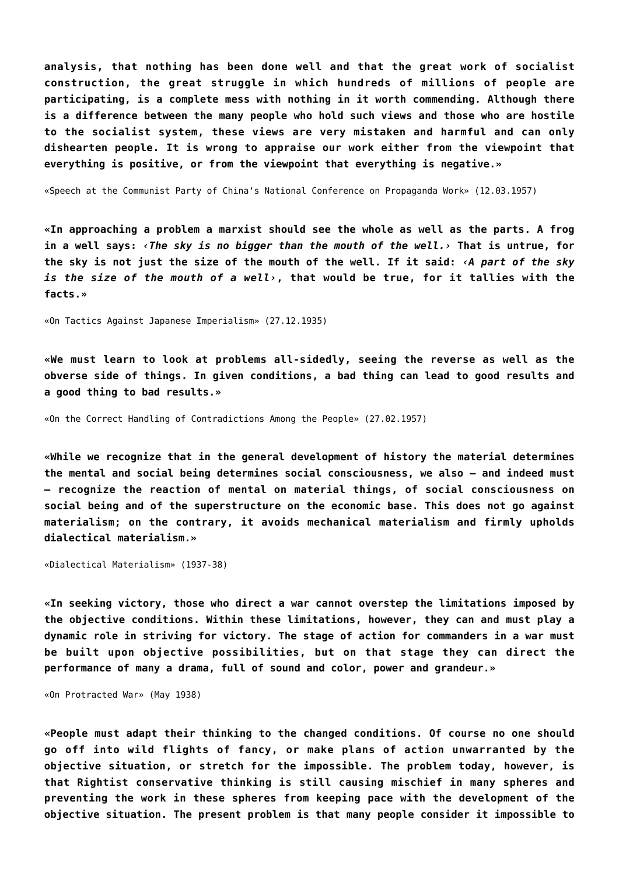**analysis, that nothing has been done well and that the great work of socialist construction, the great struggle in which hundreds of millions of people are participating, is a complete mess with nothing in it worth commending. Although there is a difference between the many people who hold such views and those who are hostile to the socialist system, these views are very mistaken and harmful and can only dishearten people. It is wrong to appraise our work either from the viewpoint that everything is positive, or from the viewpoint that everything is negative.»**

«Speech at the Communist Party of China's National Conference on Propaganda Work» (12.03.1957)

**«In approaching a problem a marxist should see the whole as well as the parts. A frog in a well says:** *‹The sky is no bigger than the mouth of the well.›* **That is untrue, for the sky is not just the size of the mouth of the well. If it said:** *‹A part of the sky is the size of the mouth of a well›***, that would be true, for it tallies with the facts.»**

«On Tactics Against Japanese Imperialism» (27.12.1935)

**«We must learn to look at problems all-sidedly, seeing the reverse as well as the obverse side of things. In given conditions, a bad thing can lead to good results and a good thing to bad results.»**

«On the Correct Handling of Contradictions Among the People» (27.02.1957)

**«While we recognize that in the general development of history the material determines the mental and social being determines social consciousness, we also — and indeed must — recognize the reaction of mental on material things, of social consciousness on social being and of the superstructure on the economic base. This does not go against materialism; on the contrary, it avoids mechanical materialism and firmly upholds dialectical materialism.»**

«Dialectical Materialism» (1937-38)

**«In seeking victory, those who direct a war cannot overstep the limitations imposed by the objective conditions. Within these limitations, however, they can and must play a dynamic role in striving for victory. The stage of action for commanders in a war must be built upon objective possibilities, but on that stage they can direct the performance of many a drama, full of sound and color, power and grandeur.»**

«On Protracted War» (May 1938)

**«People must adapt their thinking to the changed conditions. Of course no one should go off into wild flights of fancy, or make plans of action unwarranted by the objective situation, or stretch for the impossible. The problem today, however, is that Rightist conservative thinking is still causing mischief in many spheres and preventing the work in these spheres from keeping pace with the development of the objective situation. The present problem is that many people consider it impossible to**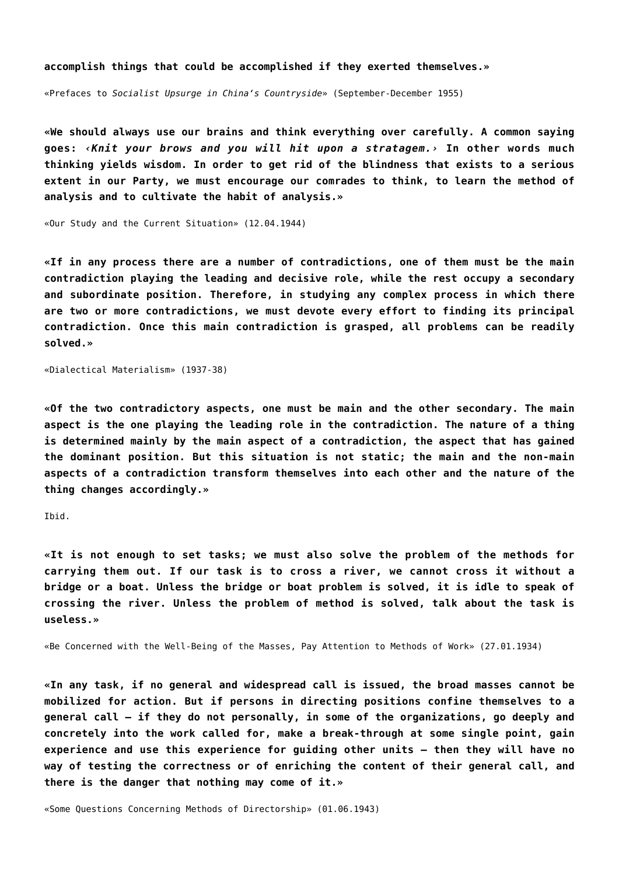#### **accomplish things that could be accomplished if they exerted themselves.»**

«Prefaces to *Socialist Upsurge in China's Countryside*» (September-December 1955)

**«We should always use our brains and think everything over carefully. A common saying goes:** *‹Knit your brows and you will hit upon a stratagem.›* **In other words much thinking yields wisdom. In order to get rid of the blindness that exists to a serious extent in our Party, we must encourage our comrades to think, to learn the method of analysis and to cultivate the habit of analysis.»**

«Our Study and the Current Situation» (12.04.1944)

**«If in any process there are a number of contradictions, one of them must be the main contradiction playing the leading and decisive role, while the rest occupy a secondary and subordinate position. Therefore, in studying any complex process in which there are two or more contradictions, we must devote every effort to finding its principal contradiction. Once this main contradiction is grasped, all problems can be readily solved.»**

«Dialectical Materialism» (1937-38)

**«Of the two contradictory aspects, one must be main and the other secondary. The main aspect is the one playing the leading role in the contradiction. The nature of a thing is determined mainly by the main aspect of a contradiction, the aspect that has gained the dominant position. But this situation is not static; the main and the non-main aspects of a contradiction transform themselves into each other and the nature of the thing changes accordingly.»**

Ibid.

**«It is not enough to set tasks; we must also solve the problem of the methods for carrying them out. If our task is to cross a river, we cannot cross it without a bridge or a boat. Unless the bridge or boat problem is solved, it is idle to speak of crossing the river. Unless the problem of method is solved, talk about the task is useless.»**

«Be Concerned with the Well-Being of the Masses, Pay Attention to Methods of Work» (27.01.1934)

**«In any task, if no general and widespread call is issued, the broad masses cannot be mobilized for action. But if persons in directing positions confine themselves to a general call — if they do not personally, in some of the organizations, go deeply and concretely into the work called for, make a break-through at some single point, gain experience and use this experience for guiding other units — then they will have no way of testing the correctness or of enriching the content of their general call, and there is the danger that nothing may come of it.»**

«Some Questions Concerning Methods of Directorship» (01.06.1943)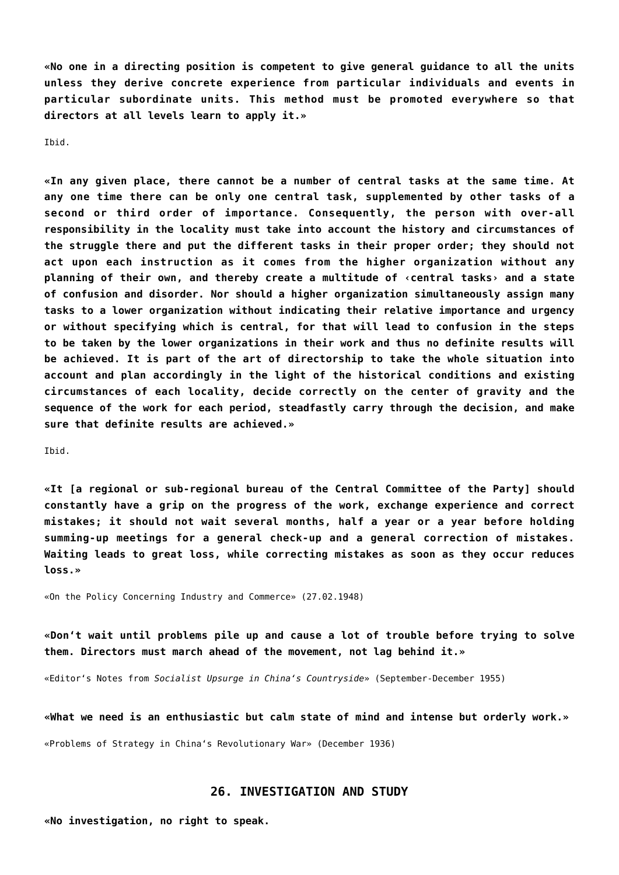**«No one in a directing position is competent to give general guidance to all the units unless they derive concrete experience from particular individuals and events in particular subordinate units. This method must be promoted everywhere so that directors at all levels learn to apply it.»**

Ibid.

**«In any given place, there cannot be a number of central tasks at the same time. At any one time there can be only one central task, supplemented by other tasks of a second or third order of importance. Consequently, the person with over-all responsibility in the locality must take into account the history and circumstances of the struggle there and put the different tasks in their proper order; they should not act upon each instruction as it comes from the higher organization without any planning of their own, and thereby create a multitude of ‹central tasks› and a state of confusion and disorder. Nor should a higher organization simultaneously assign many tasks to a lower organization without indicating their relative importance and urgency or without specifying which is central, for that will lead to confusion in the steps to be taken by the lower organizations in their work and thus no definite results will be achieved. It is part of the art of directorship to take the whole situation into account and plan accordingly in the light of the historical conditions and existing circumstances of each locality, decide correctly on the center of gravity and the sequence of the work for each period, steadfastly carry through the decision, and make sure that definite results are achieved.»**

Ibid.

**«It [a regional or sub-regional bureau of the Central Committee of the Party] should constantly have a grip on the progress of the work, exchange experience and correct mistakes; it should not wait several months, half a year or a year before holding summing-up meetings for a general check-up and a general correction of mistakes. Waiting leads to great loss, while correcting mistakes as soon as they occur reduces loss.»**

«On the Policy Concerning Industry and Commerce» (27.02.1948)

**«Don't wait until problems pile up and cause a lot of trouble before trying to solve them. Directors must march ahead of the movement, not lag behind it.»**

«Editor's Notes from *Socialist Upsurge in China's Countryside*» (September-December 1955)

**«What we need is an enthusiastic but calm state of mind and intense but orderly work.»**

«Problems of Strategy in China's Revolutionary War» (December 1936)

## **26. INVESTIGATION AND STUDY**

**«No investigation, no right to speak.**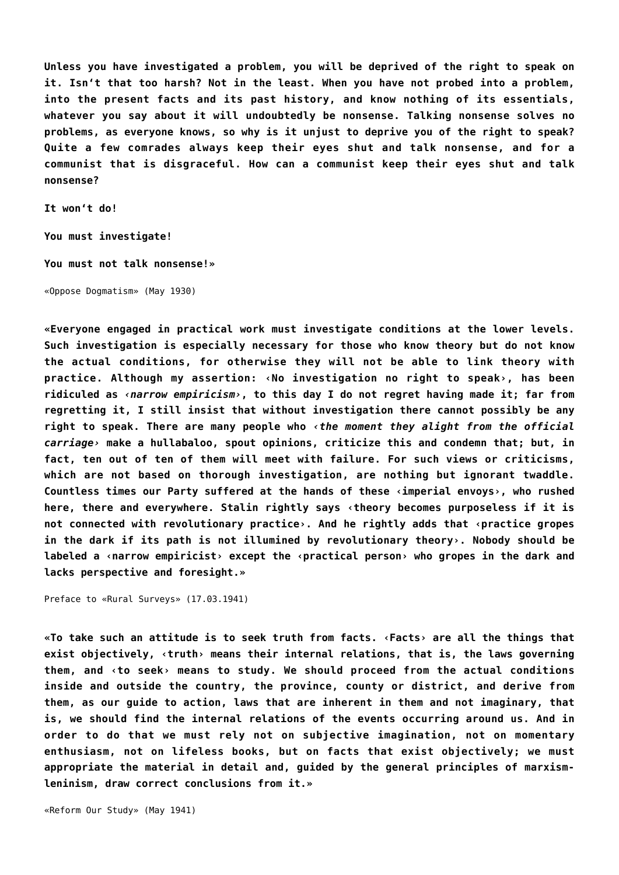**Unless you have investigated a problem, you will be deprived of the right to speak on it. Isn't that too harsh? Not in the least. When you have not probed into a problem, into the present facts and its past history, and know nothing of its essentials, whatever you say about it will undoubtedly be nonsense. Talking nonsense solves no problems, as everyone knows, so why is it unjust to deprive you of the right to speak? Quite a few comrades always keep their eyes shut and talk nonsense, and for a communist that is disgraceful. How can a communist keep their eyes shut and talk nonsense?**

**It won't do!**

**You must investigate!**

**You must not talk nonsense!»**

«Oppose Dogmatism» (May 1930)

**«Everyone engaged in practical work must investigate conditions at the lower levels. Such investigation is especially necessary for those who know theory but do not know the actual conditions, for otherwise they will not be able to link theory with practice. Although my assertion: ‹No investigation no right to speak›, has been ridiculed as** *‹narrow empiricism›***, to this day I do not regret having made it; far from regretting it, I still insist that without investigation there cannot possibly be any right to speak. There are many people who** *‹the moment they alight from the official carriage›* **make a hullabaloo, spout opinions, criticize this and condemn that; but, in fact, ten out of ten of them will meet with failure. For such views or criticisms, which are not based on thorough investigation, are nothing but ignorant twaddle. Countless times our Party suffered at the hands of these ‹imperial envoys›, who rushed here, there and everywhere. Stalin rightly says ‹theory becomes purposeless if it is not connected with revolutionary practice›. And he rightly adds that ‹practice gropes in the dark if its path is not illumined by revolutionary theory›. Nobody should be labeled a ‹narrow empiricist› except the ‹practical person› who gropes in the dark and lacks perspective and foresight.»**

Preface to «Rural Surveys» (17.03.1941)

**«To take such an attitude is to seek truth from facts. ‹Facts› are all the things that exist objectively, ‹truth› means their internal relations, that is, the laws governing them, and ‹to seek› means to study. We should proceed from the actual conditions inside and outside the country, the province, county or district, and derive from them, as our guide to action, laws that are inherent in them and not imaginary, that is, we should find the internal relations of the events occurring around us. And in order to do that we must rely not on subjective imagination, not on momentary enthusiasm, not on lifeless books, but on facts that exist objectively; we must appropriate the material in detail and, guided by the general principles of marxismleninism, draw correct conclusions from it.»**

«Reform Our Study» (May 1941)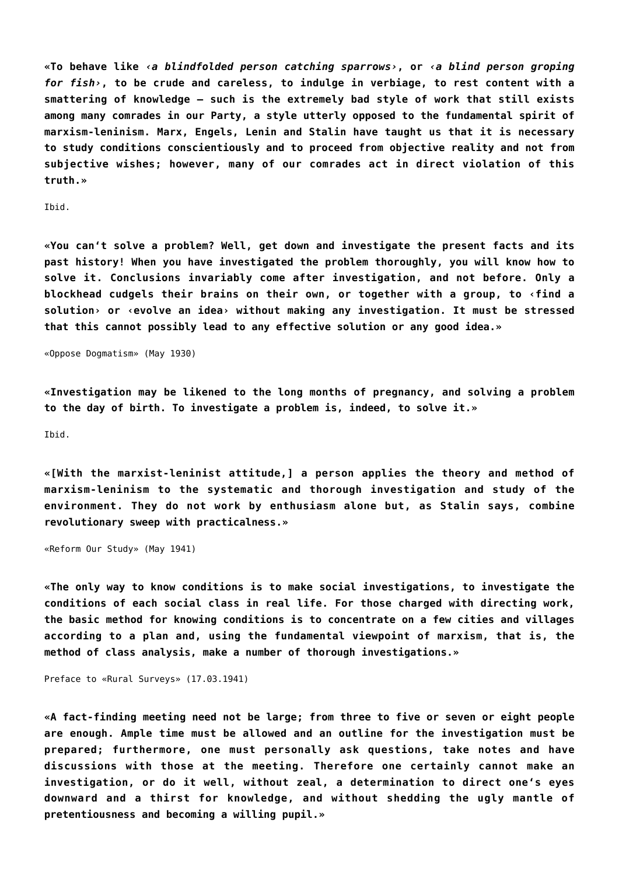**«To behave like** *‹a blindfolded person catching sparrows›***, or** *‹a blind person groping for fish›***, to be crude and careless, to indulge in verbiage, to rest content with a smattering of knowledge — such is the extremely bad style of work that still exists among many comrades in our Party, a style utterly opposed to the fundamental spirit of marxism-leninism. Marx, Engels, Lenin and Stalin have taught us that it is necessary to study conditions conscientiously and to proceed from objective reality and not from subjective wishes; however, many of our comrades act in direct violation of this truth.»**

#### Ibid.

**«You can't solve a problem? Well, get down and investigate the present facts and its past history! When you have investigated the problem thoroughly, you will know how to solve it. Conclusions invariably come after investigation, and not before. Only a blockhead cudgels their brains on their own, or together with a group, to ‹find a solution› or ‹evolve an idea› without making any investigation. It must be stressed that this cannot possibly lead to any effective solution or any good idea.»**

«Oppose Dogmatism» (May 1930)

**«Investigation may be likened to the long months of pregnancy, and solving a problem to the day of birth. To investigate a problem is, indeed, to solve it.»**

Ibid.

**«[With the marxist-leninist attitude,] a person applies the theory and method of marxism-leninism to the systematic and thorough investigation and study of the environment. They do not work by enthusiasm alone but, as Stalin says, combine revolutionary sweep with practicalness.»**

«Reform Our Study» (May 1941)

**«The only way to know conditions is to make social investigations, to investigate the conditions of each social class in real life. For those charged with directing work, the basic method for knowing conditions is to concentrate on a few cities and villages according to a plan and, using the fundamental viewpoint of marxism, that is, the method of class analysis, make a number of thorough investigations.»**

Preface to «Rural Surveys» (17.03.1941)

**«A fact-finding meeting need not be large; from three to five or seven or eight people are enough. Ample time must be allowed and an outline for the investigation must be prepared; furthermore, one must personally ask questions, take notes and have discussions with those at the meeting. Therefore one certainly cannot make an investigation, or do it well, without zeal, a determination to direct one's eyes downward and a thirst for knowledge, and without shedding the ugly mantle of pretentiousness and becoming a willing pupil.»**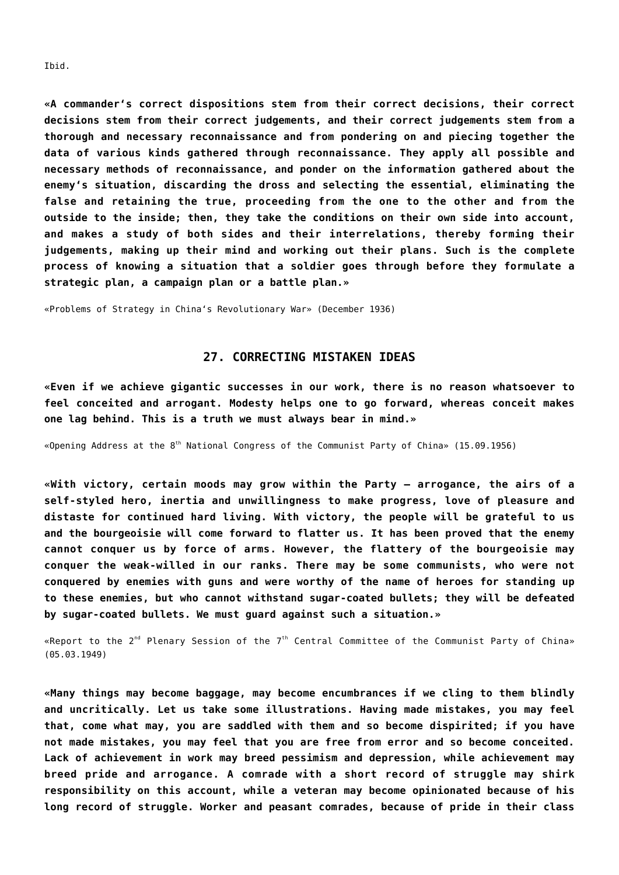**«A commander's correct dispositions stem from their correct decisions, their correct decisions stem from their correct judgements, and their correct judgements stem from a thorough and necessary reconnaissance and from pondering on and piecing together the data of various kinds gathered through reconnaissance. They apply all possible and necessary methods of reconnaissance, and ponder on the information gathered about the enemy's situation, discarding the dross and selecting the essential, eliminating the false and retaining the true, proceeding from the one to the other and from the outside to the inside; then, they take the conditions on their own side into account, and makes a study of both sides and their interrelations, thereby forming their judgements, making up their mind and working out their plans. Such is the complete process of knowing a situation that a soldier goes through before they formulate a strategic plan, a campaign plan or a battle plan.»**

«Problems of Strategy in China's Revolutionary War» (December 1936)

## **27. CORRECTING MISTAKEN IDEAS**

**«Even if we achieve gigantic successes in our work, there is no reason whatsoever to feel conceited and arrogant. Modesty helps one to go forward, whereas conceit makes one lag behind. This is a truth we must always bear in mind.»**

«Opening Address at the  $8^{th}$  National Congress of the Communist Party of China» (15.09.1956)

**«With victory, certain moods may grow within the Party — arrogance, the airs of a self-styled hero, inertia and unwillingness to make progress, love of pleasure and distaste for continued hard living. With victory, the people will be grateful to us and the bourgeoisie will come forward to flatter us. It has been proved that the enemy cannot conquer us by force of arms. However, the flattery of the bourgeoisie may conquer the weak-willed in our ranks. There may be some communists, who were not conquered by enemies with guns and were worthy of the name of heroes for standing up to these enemies, but who cannot withstand sugar-coated bullets; they will be defeated by sugar-coated bullets. We must guard against such a situation.»**

«Report to the  $2^{nd}$  Plenary Session of the  $7^{th}$  Central Committee of the Communist Party of China» (05.03.1949)

**«Many things may become baggage, may become encumbrances if we cling to them blindly and uncritically. Let us take some illustrations. Having made mistakes, you may feel that, come what may, you are saddled with them and so become dispirited; if you have not made mistakes, you may feel that you are free from error and so become conceited. Lack of achievement in work may breed pessimism and depression, while achievement may breed pride and arrogance. A comrade with a short record of struggle may shirk responsibility on this account, while a veteran may become opinionated because of his long record of struggle. Worker and peasant comrades, because of pride in their class**

Ibid.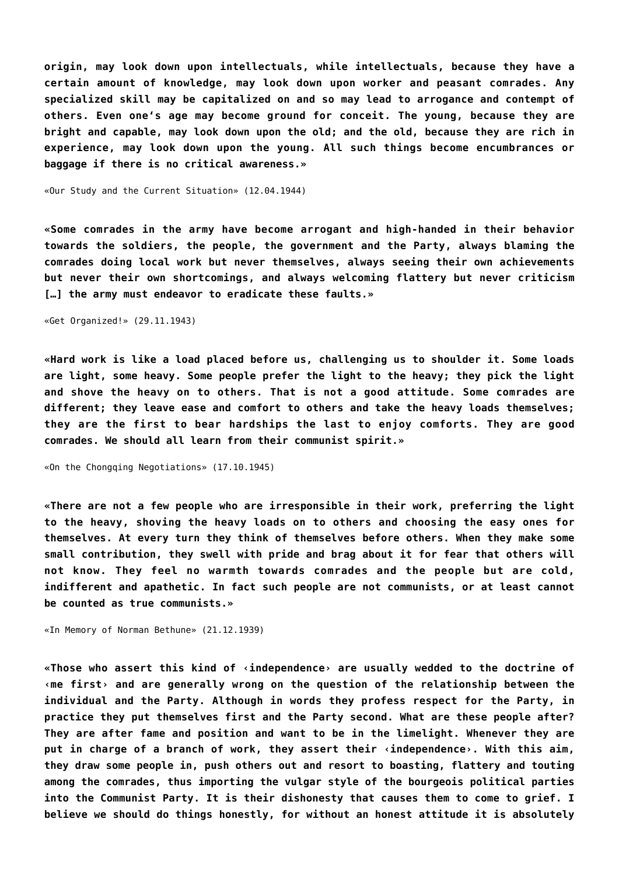**origin, may look down upon intellectuals, while intellectuals, because they have a certain amount of knowledge, may look down upon worker and peasant comrades. Any specialized skill may be capitalized on and so may lead to arrogance and contempt of others. Even one's age may become ground for conceit. The young, because they are bright and capable, may look down upon the old; and the old, because they are rich in experience, may look down upon the young. All such things become encumbrances or baggage if there is no critical awareness.»**

«Our Study and the Current Situation» (12.04.1944)

**«Some comrades in the army have become arrogant and high-handed in their behavior towards the soldiers, the people, the government and the Party, always blaming the comrades doing local work but never themselves, always seeing their own achievements but never their own shortcomings, and always welcoming flattery but never criticism […] the army must endeavor to eradicate these faults.»**

«Get Organized!» (29.11.1943)

**«Hard work is like a load placed before us, challenging us to shoulder it. Some loads are light, some heavy. Some people prefer the light to the heavy; they pick the light and shove the heavy on to others. That is not a good attitude. Some comrades are different; they leave ease and comfort to others and take the heavy loads themselves; they are the first to bear hardships the last to enjoy comforts. They are good comrades. We should all learn from their communist spirit.»**

«On the Chongqing Negotiations» (17.10.1945)

**«There are not a few people who are irresponsible in their work, preferring the light to the heavy, shoving the heavy loads on to others and choosing the easy ones for themselves. At every turn they think of themselves before others. When they make some small contribution, they swell with pride and brag about it for fear that others will not know. They feel no warmth towards comrades and the people but are cold, indifferent and apathetic. In fact such people are not communists, or at least cannot be counted as true communists.»**

«In Memory of Norman Bethune» (21.12.1939)

**«Those who assert this kind of ‹independence› are usually wedded to the doctrine of ‹me first› and are generally wrong on the question of the relationship between the individual and the Party. Although in words they profess respect for the Party, in practice they put themselves first and the Party second. What are these people after? They are after fame and position and want to be in the limelight. Whenever they are put in charge of a branch of work, they assert their ‹independence›. With this aim, they draw some people in, push others out and resort to boasting, flattery and touting among the comrades, thus importing the vulgar style of the bourgeois political parties into the Communist Party. It is their dishonesty that causes them to come to grief. I believe we should do things honestly, for without an honest attitude it is absolutely**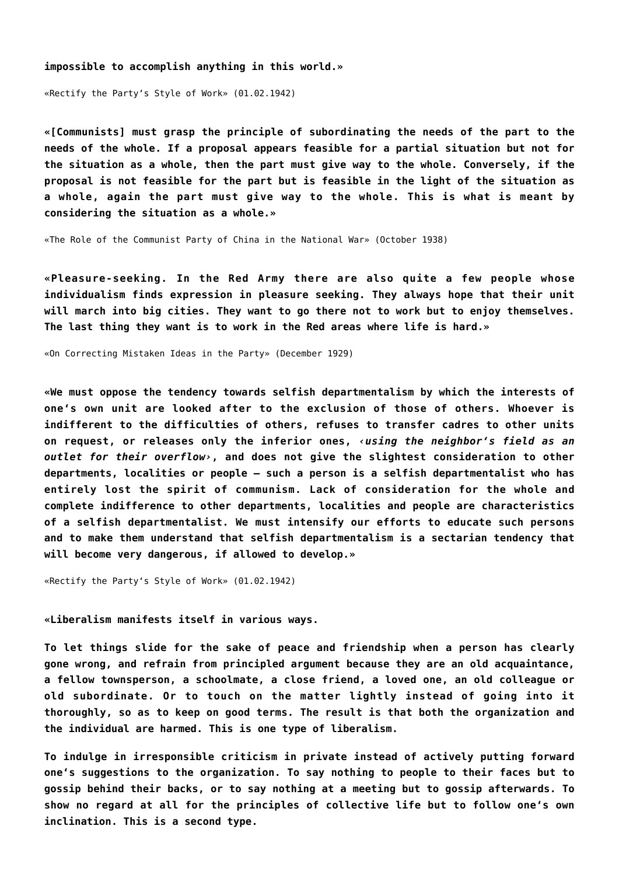#### **impossible to accomplish anything in this world.»**

«Rectify the Party's Style of Work» (01.02.1942)

**«[Communists] must grasp the principle of subordinating the needs of the part to the needs of the whole. If a proposal appears feasible for a partial situation but not for the situation as a whole, then the part must give way to the whole. Conversely, if the proposal is not feasible for the part but is feasible in the light of the situation as a whole, again the part must give way to the whole. This is what is meant by considering the situation as a whole.»**

«The Role of the Communist Party of China in the National War» (October 1938)

**«Pleasure-seeking. In the Red Army there are also quite a few people whose individualism finds expression in pleasure seeking. They always hope that their unit will march into big cities. They want to go there not to work but to enjoy themselves. The last thing they want is to work in the Red areas where life is hard.»**

«On Correcting Mistaken Ideas in the Party» (December 1929)

**«We must oppose the tendency towards selfish departmentalism by which the interests of one's own unit are looked after to the exclusion of those of others. Whoever is indifferent to the difficulties of others, refuses to transfer cadres to other units on request, or releases only the inferior ones,** *‹using the neighbor's field as an outlet for their overflow›***, and does not give the slightest consideration to other departments, localities or people — such a person is a selfish departmentalist who has entirely lost the spirit of communism. Lack of consideration for the whole and complete indifference to other departments, localities and people are characteristics of a selfish departmentalist. We must intensify our efforts to educate such persons and to make them understand that selfish departmentalism is a sectarian tendency that will become very dangerous, if allowed to develop.»**

«Rectify the Party's Style of Work» (01.02.1942)

**«Liberalism manifests itself in various ways.**

**To let things slide for the sake of peace and friendship when a person has clearly gone wrong, and refrain from principled argument because they are an old acquaintance, a fellow townsperson, a schoolmate, a close friend, a loved one, an old colleague or old subordinate. Or to touch on the matter lightly instead of going into it thoroughly, so as to keep on good terms. The result is that both the organization and the individual are harmed. This is one type of liberalism.**

**To indulge in irresponsible criticism in private instead of actively putting forward one's suggestions to the organization. To say nothing to people to their faces but to gossip behind their backs, or to say nothing at a meeting but to gossip afterwards. To show no regard at all for the principles of collective life but to follow one's own inclination. This is a second type.**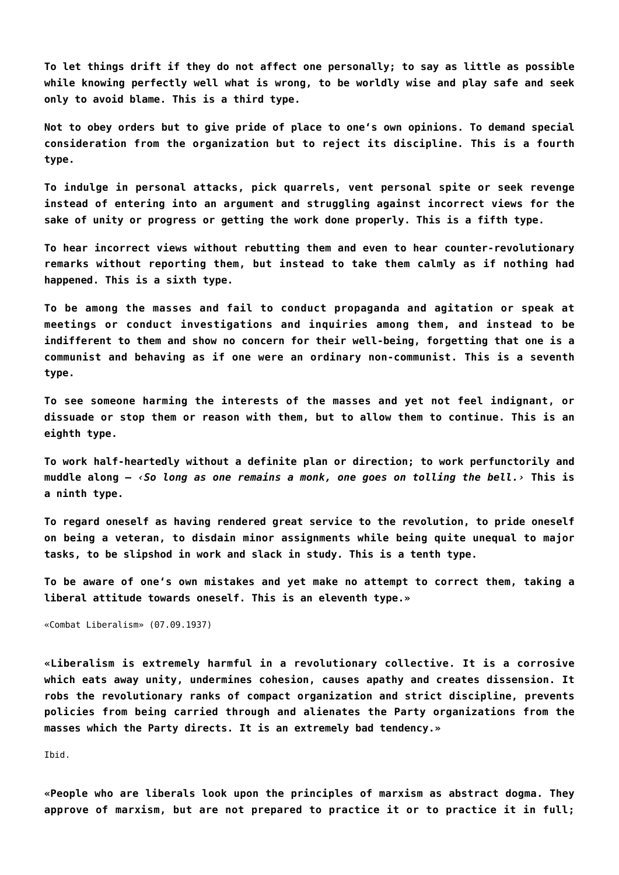**To let things drift if they do not affect one personally; to say as little as possible while knowing perfectly well what is wrong, to be worldly wise and play safe and seek only to avoid blame. This is a third type.**

**Not to obey orders but to give pride of place to one's own opinions. To demand special consideration from the organization but to reject its discipline. This is a fourth type.**

**To indulge in personal attacks, pick quarrels, vent personal spite or seek revenge instead of entering into an argument and struggling against incorrect views for the sake of unity or progress or getting the work done properly. This is a fifth type.**

**To hear incorrect views without rebutting them and even to hear counter-revolutionary remarks without reporting them, but instead to take them calmly as if nothing had happened. This is a sixth type.**

**To be among the masses and fail to conduct propaganda and agitation or speak at meetings or conduct investigations and inquiries among them, and instead to be indifferent to them and show no concern for their well-being, forgetting that one is a communist and behaving as if one were an ordinary non-communist. This is a seventh type.**

**To see someone harming the interests of the masses and yet not feel indignant, or dissuade or stop them or reason with them, but to allow them to continue. This is an eighth type.**

**To work half-heartedly without a definite plan or direction; to work perfunctorily and muddle along —** *‹So long as one remains a monk, one goes on tolling the bell.›* **This is a ninth type.**

**To regard oneself as having rendered great service to the revolution, to pride oneself on being a veteran, to disdain minor assignments while being quite unequal to major tasks, to be slipshod in work and slack in study. This is a tenth type.**

**To be aware of one's own mistakes and yet make no attempt to correct them, taking a liberal attitude towards oneself. This is an eleventh type.»**

«Combat Liberalism» (07.09.1937)

**«Liberalism is extremely harmful in a revolutionary collective. It is a corrosive which eats away unity, undermines cohesion, causes apathy and creates dissension. It robs the revolutionary ranks of compact organization and strict discipline, prevents policies from being carried through and alienates the Party organizations from the masses which the Party directs. It is an extremely bad tendency.»**

Ibid.

**«People who are liberals look upon the principles of marxism as abstract dogma. They approve of marxism, but are not prepared to practice it or to practice it in full;**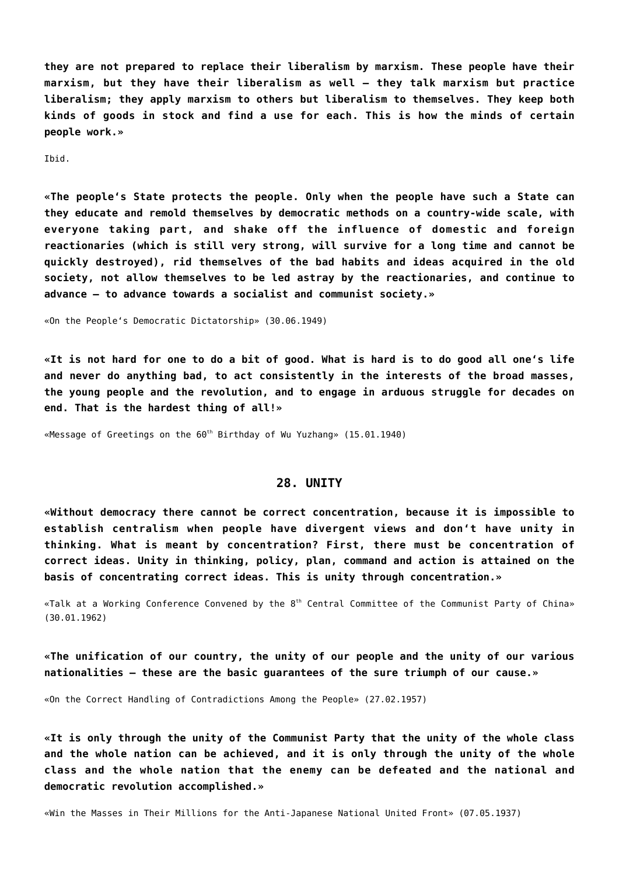**they are not prepared to replace their liberalism by marxism. These people have their marxism, but they have their liberalism as well — they talk marxism but practice liberalism; they apply marxism to others but liberalism to themselves. They keep both kinds of goods in stock and find a use for each. This is how the minds of certain people work.»**

Ibid.

**«The people's State protects the people. Only when the people have such a State can they educate and remold themselves by democratic methods on a country-wide scale, with everyone taking part, and shake off the influence of domestic and foreign reactionaries (which is still very strong, will survive for a long time and cannot be quickly destroyed), rid themselves of the bad habits and ideas acquired in the old society, not allow themselves to be led astray by the reactionaries, and continue to advance — to advance towards a socialist and communist society.»**

«On the People's Democratic Dictatorship» (30.06.1949)

**«It is not hard for one to do a bit of good. What is hard is to do good all one's life and never do anything bad, to act consistently in the interests of the broad masses, the young people and the revolution, and to engage in arduous struggle for decades on end. That is the hardest thing of all!»**

«Message of Greetings on the  $60^{th}$  Birthday of Wu Yuzhang» (15.01.1940)

### **28. UNITY**

**«Without democracy there cannot be correct concentration, because it is impossible to establish centralism when people have divergent views and don't have unity in thinking. What is meant by concentration? First, there must be concentration of correct ideas. Unity in thinking, policy, plan, command and action is attained on the basis of concentrating correct ideas. This is unity through concentration.»**

«Talk at a Working Conference Convened by the 8th Central Committee of the Communist Party of China» (30.01.1962)

**«The unification of our country, the unity of our people and the unity of our various nationalities — these are the basic guarantees of the sure triumph of our cause.»**

«On the Correct Handling of Contradictions Among the People» (27.02.1957)

**«It is only through the unity of the Communist Party that the unity of the whole class and the whole nation can be achieved, and it is only through the unity of the whole class and the whole nation that the enemy can be defeated and the national and democratic revolution accomplished.»**

«Win the Masses in Their Millions for the Anti-Japanese National United Front» (07.05.1937)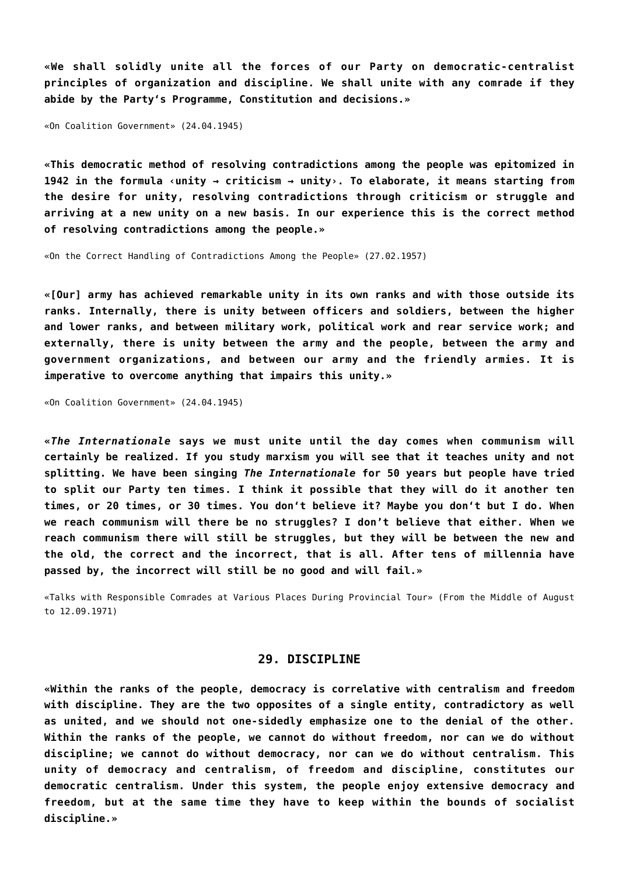**«We shall solidly unite all the forces of our Party on democratic-centralist principles of organization and discipline. We shall unite with any comrade if they abide by the Party's Programme, Constitution and decisions.»**

«On Coalition Government» (24.04.1945)

**«This democratic method of resolving contradictions among the people was epitomized in 1942 in the formula ‹unity → criticism → unity›. To elaborate, it means starting from the desire for unity, resolving contradictions through criticism or struggle and arriving at a new unity on a new basis. In our experience this is the correct method of resolving contradictions among the people.»**

«On the Correct Handling of Contradictions Among the People» (27.02.1957)

**«[Our] army has achieved remarkable unity in its own ranks and with those outside its ranks. Internally, there is unity between officers and soldiers, between the higher and lower ranks, and between military work, political work and rear service work; and externally, there is unity between the army and the people, between the army and government organizations, and between our army and the friendly armies. It is imperative to overcome anything that impairs this unity.»**

«On Coalition Government» (24.04.1945)

**«***The Internationale* **says we must unite until the day comes when communism will certainly be realized. If you study marxism you will see that it teaches unity and not splitting. We have been singing** *The Internationale* **for 50 years but people have tried to split our Party ten times. I think it possible that they will do it another ten times, or 20 times, or 30 times. You don't believe it? Maybe you don't but I do. When we reach communism will there be no struggles? I don't believe that either. When we reach communism there will still be struggles, but they will be between the new and the old, the correct and the incorrect, that is all. After tens of millennia have passed by, the incorrect will still be no good and will fail.»**

«Talks with Responsible Comrades at Various Places During Provincial Tour» (From the Middle of August to 12.09.1971)

## **29. DISCIPLINE**

**«Within the ranks of the people, democracy is correlative with centralism and freedom with discipline. They are the two opposites of a single entity, contradictory as well as united, and we should not one-sidedly emphasize one to the denial of the other. Within the ranks of the people, we cannot do without freedom, nor can we do without discipline; we cannot do without democracy, nor can we do without centralism. This unity of democracy and centralism, of freedom and discipline, constitutes our democratic centralism. Under this system, the people enjoy extensive democracy and freedom, but at the same time they have to keep within the bounds of socialist discipline.»**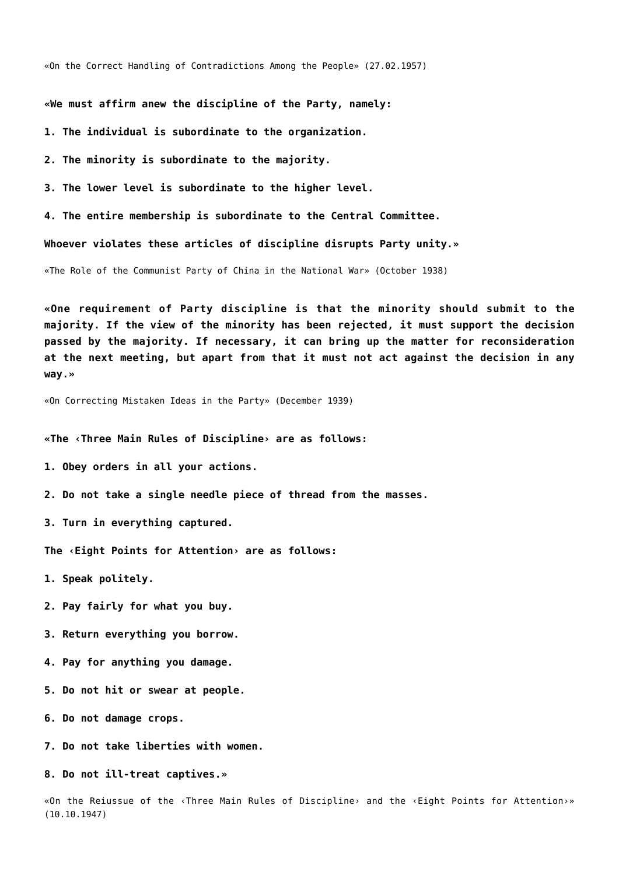«On the Correct Handling of Contradictions Among the People» (27.02.1957)

**«We must affirm anew the discipline of the Party, namely:**

**1. The individual is subordinate to the organization.**

**2. The minority is subordinate to the majority.**

**3. The lower level is subordinate to the higher level.**

**4. The entire membership is subordinate to the Central Committee.**

**Whoever violates these articles of discipline disrupts Party unity.»**

«The Role of the Communist Party of China in the National War» (October 1938)

**«One requirement of Party discipline is that the minority should submit to the majority. If the view of the minority has been rejected, it must support the decision passed by the majority. If necessary, it can bring up the matter for reconsideration at the next meeting, but apart from that it must not act against the decision in any way.»**

«On Correcting Mistaken Ideas in the Party» (December 1939)

**«The ‹Three Main Rules of Discipline› are as follows:**

**1. Obey orders in all your actions.**

**2. Do not take a single needle piece of thread from the masses.**

**3. Turn in everything captured.**

**The ‹Eight Points for Attention› are as follows:**

**1. Speak politely.**

**2. Pay fairly for what you buy.**

**3. Return everything you borrow.**

**4. Pay for anything you damage.**

**5. Do not hit or swear at people.**

**6. Do not damage crops.**

**7. Do not take liberties with women.**

**8. Do not ill-treat captives.»**

«On the Reiussue of the ‹Three Main Rules of Discipline› and the ‹Eight Points for Attention›» (10.10.1947)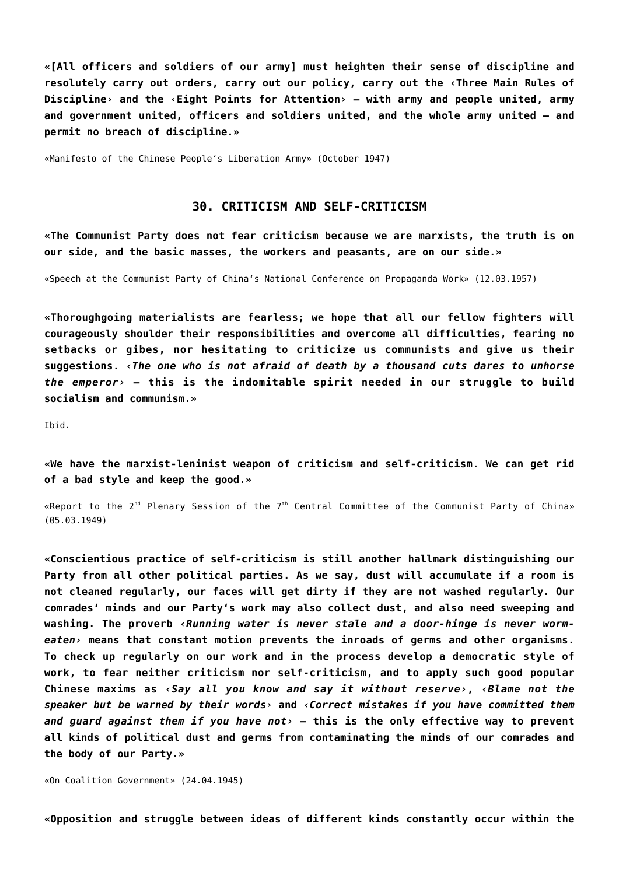**«[All officers and soldiers of our army] must heighten their sense of discipline and resolutely carry out orders, carry out our policy, carry out the ‹Three Main Rules of Discipline› and the ‹Eight Points for Attention› — with army and people united, army and government united, officers and soldiers united, and the whole army united — and permit no breach of discipline.»**

«Manifesto of the Chinese People's Liberation Army» (October 1947)

## **30. CRITICISM AND SELF-CRITICISM**

**«The Communist Party does not fear criticism because we are marxists, the truth is on our side, and the basic masses, the workers and peasants, are on our side.»**

«Speech at the Communist Party of China's National Conference on Propaganda Work» (12.03.1957)

**«Thoroughgoing materialists are fearless; we hope that all our fellow fighters will courageously shoulder their responsibilities and overcome all difficulties, fearing no setbacks or gibes, nor hesitating to criticize us communists and give us their suggestions.** *‹The one who is not afraid of death by a thousand cuts dares to unhorse the emperor›* **— this is the indomitable spirit needed in our struggle to build socialism and communism.»**

Ibid.

**«We have the marxist-leninist weapon of criticism and self-criticism. We can get rid of a bad style and keep the good.»**

«Report to the 2<sup>nd</sup> Plenary Session of the 7<sup>th</sup> Central Committee of the Communist Party of China» (05.03.1949)

**«Conscientious practice of self-criticism is still another hallmark distinguishing our Party from all other political parties. As we say, dust will accumulate if a room is not cleaned regularly, our faces will get dirty if they are not washed regularly. Our comrades' minds and our Party's work may also collect dust, and also need sweeping and washing. The proverb** *‹Running water is never stale and a door-hinge is never wormeaten›* **means that constant motion prevents the inroads of germs and other organisms. To check up regularly on our work and in the process develop a democratic style of work, to fear neither criticism nor self-criticism, and to apply such good popular Chinese maxims as** *‹Say all you know and say it without reserve›***,** *‹Blame not the speaker but be warned by their words›* **and** *‹Correct mistakes if you have committed them and guard against them if you have not›* **— this is the only effective way to prevent all kinds of political dust and germs from contaminating the minds of our comrades and the body of our Party.»**

«On Coalition Government» (24.04.1945)

**«Opposition and struggle between ideas of different kinds constantly occur within the**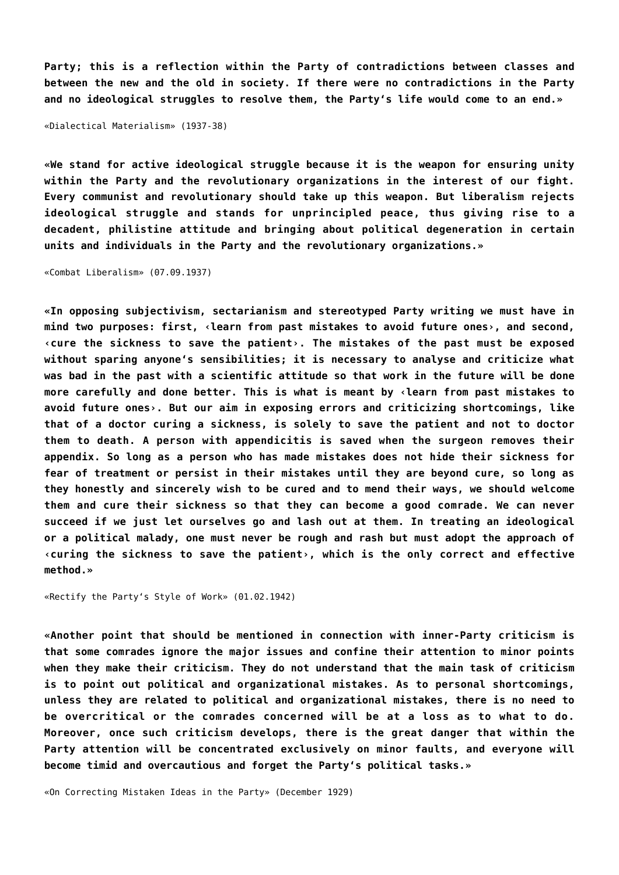**Party; this is a reflection within the Party of contradictions between classes and between the new and the old in society. If there were no contradictions in the Party and no ideological struggles to resolve them, the Party's life would come to an end.»**

«Dialectical Materialism» (1937-38)

**«We stand for active ideological struggle because it is the weapon for ensuring unity within the Party and the revolutionary organizations in the interest of our fight. Every communist and revolutionary should take up this weapon. But liberalism rejects ideological struggle and stands for unprincipled peace, thus giving rise to a decadent, philistine attitude and bringing about political degeneration in certain units and individuals in the Party and the revolutionary organizations.»**

«Combat Liberalism» (07.09.1937)

**«In opposing subjectivism, sectarianism and stereotyped Party writing we must have in mind two purposes: first, ‹learn from past mistakes to avoid future ones›, and second, ‹cure the sickness to save the patient›. The mistakes of the past must be exposed without sparing anyone's sensibilities; it is necessary to analyse and criticize what was bad in the past with a scientific attitude so that work in the future will be done more carefully and done better. This is what is meant by ‹learn from past mistakes to avoid future ones›. But our aim in exposing errors and criticizing shortcomings, like that of a doctor curing a sickness, is solely to save the patient and not to doctor them to death. A person with appendicitis is saved when the surgeon removes their appendix. So long as a person who has made mistakes does not hide their sickness for fear of treatment or persist in their mistakes until they are beyond cure, so long as they honestly and sincerely wish to be cured and to mend their ways, we should welcome them and cure their sickness so that they can become a good comrade. We can never succeed if we just let ourselves go and lash out at them. In treating an ideological or a political malady, one must never be rough and rash but must adopt the approach of ‹curing the sickness to save the patient›, which is the only correct and effective method.»**

«Rectify the Party's Style of Work» (01.02.1942)

**«Another point that should be mentioned in connection with inner-Party criticism is that some comrades ignore the major issues and confine their attention to minor points when they make their criticism. They do not understand that the main task of criticism is to point out political and organizational mistakes. As to personal shortcomings, unless they are related to political and organizational mistakes, there is no need to be overcritical or the comrades concerned will be at a loss as to what to do. Moreover, once such criticism develops, there is the great danger that within the Party attention will be concentrated exclusively on minor faults, and everyone will become timid and overcautious and forget the Party's political tasks.»**

«On Correcting Mistaken Ideas in the Party» (December 1929)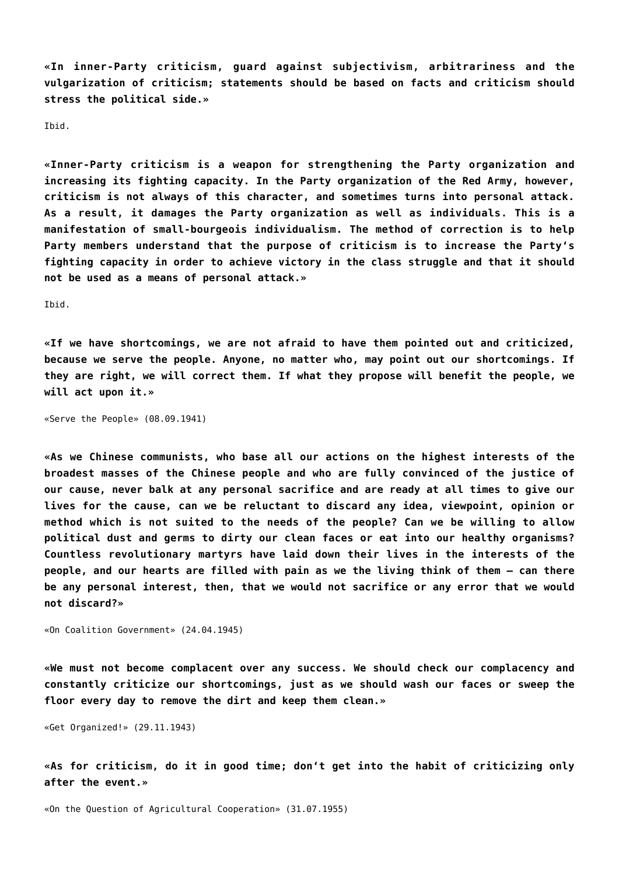**«In inner-Party criticism, guard against subjectivism, arbitrariness and the vulgarization of criticism; statements should be based on facts and criticism should stress the political side.»**

Ibid.

**«Inner-Party criticism is a weapon for strengthening the Party organization and increasing its fighting capacity. In the Party organization of the Red Army, however, criticism is not always of this character, and sometimes turns into personal attack. As a result, it damages the Party organization as well as individuals. This is a manifestation of small-bourgeois individualism. The method of correction is to help Party members understand that the purpose of criticism is to increase the Party's fighting capacity in order to achieve victory in the class struggle and that it should not be used as a means of personal attack.»**

Ibid.

**«If we have shortcomings, we are not afraid to have them pointed out and criticized, because we serve the people. Anyone, no matter who, may point out our shortcomings. If they are right, we will correct them. If what they propose will benefit the people, we will act upon it.»**

«Serve the People» (08.09.1941)

**«As we Chinese communists, who base all our actions on the highest interests of the broadest masses of the Chinese people and who are fully convinced of the justice of our cause, never balk at any personal sacrifice and are ready at all times to give our lives for the cause, can we be reluctant to discard any idea, viewpoint, opinion or method which is not suited to the needs of the people? Can we be willing to allow political dust and germs to dirty our clean faces or eat into our healthy organisms? Countless revolutionary martyrs have laid down their lives in the interests of the people, and our hearts are filled with pain as we the living think of them — can there be any personal interest, then, that we would not sacrifice or any error that we would not discard?»**

«On Coalition Government» (24.04.1945)

**«We must not become complacent over any success. We should check our complacency and constantly criticize our shortcomings, just as we should wash our faces or sweep the floor every day to remove the dirt and keep them clean.»**

«Get Organized!» (29.11.1943)

**«As for criticism, do it in good time; don't get into the habit of criticizing only after the event.»**

«On the Question of Agricultural Cooperation» (31.07.1955)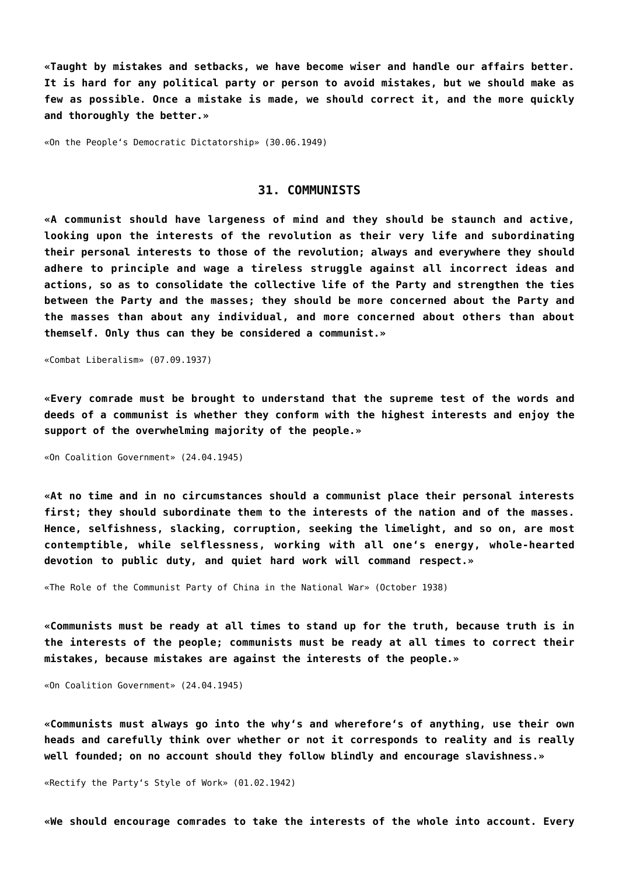**«Taught by mistakes and setbacks, we have become wiser and handle our affairs better. It is hard for any political party or person to avoid mistakes, but we should make as few as possible. Once a mistake is made, we should correct it, and the more quickly and thoroughly the better.»**

«On the People's Democratic Dictatorship» (30.06.1949)

## **31. COMMUNISTS**

**«A communist should have largeness of mind and they should be staunch and active, looking upon the interests of the revolution as their very life and subordinating their personal interests to those of the revolution; always and everywhere they should adhere to principle and wage a tireless struggle against all incorrect ideas and actions, so as to consolidate the collective life of the Party and strengthen the ties between the Party and the masses; they should be more concerned about the Party and the masses than about any individual, and more concerned about others than about themself. Only thus can they be considered a communist.»**

«Combat Liberalism» (07.09.1937)

**«Every comrade must be brought to understand that the supreme test of the words and deeds of a communist is whether they conform with the highest interests and enjoy the support of the overwhelming majority of the people.»**

«On Coalition Government» (24.04.1945)

**«At no time and in no circumstances should a communist place their personal interests first; they should subordinate them to the interests of the nation and of the masses. Hence, selfishness, slacking, corruption, seeking the limelight, and so on, are most contemptible, while selflessness, working with all one's energy, whole-hearted devotion to public duty, and quiet hard work will command respect.»**

«The Role of the Communist Party of China in the National War» (October 1938)

**«Communists must be ready at all times to stand up for the truth, because truth is in the interests of the people; communists must be ready at all times to correct their mistakes, because mistakes are against the interests of the people.»**

«On Coalition Government» (24.04.1945)

**«Communists must always go into the why's and wherefore's of anything, use their own heads and carefully think over whether or not it corresponds to reality and is really well founded; on no account should they follow blindly and encourage slavishness.»**

«Rectify the Party's Style of Work» (01.02.1942)

**«We should encourage comrades to take the interests of the whole into account. Every**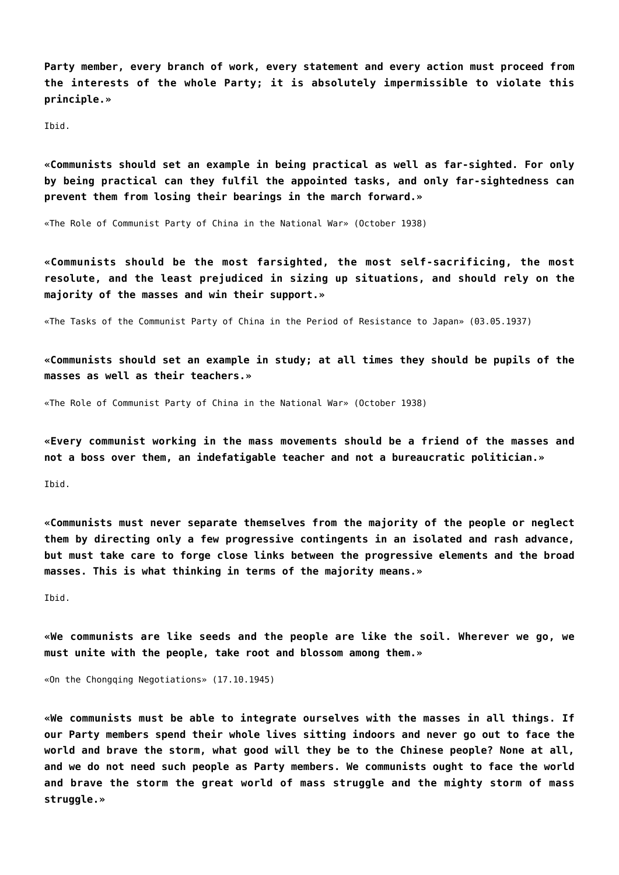**Party member, every branch of work, every statement and every action must proceed from the interests of the whole Party; it is absolutely impermissible to violate this principle.»**

Ibid.

**«Communists should set an example in being practical as well as far-sighted. For only by being practical can they fulfil the appointed tasks, and only far-sightedness can prevent them from losing their bearings in the march forward.»**

«The Role of Communist Party of China in the National War» (October 1938)

**«Communists should be the most farsighted, the most self-sacrificing, the most resolute, and the least prejudiced in sizing up situations, and should rely on the majority of the masses and win their support.»**

«The Tasks of the Communist Party of China in the Period of Resistance to Japan» (03.05.1937)

**«Communists should set an example in study; at all times they should be pupils of the masses as well as their teachers.»**

«The Role of Communist Party of China in the National War» (October 1938)

**«Every communist working in the mass movements should be a friend of the masses and not a boss over them, an indefatigable teacher and not a bureaucratic politician.»**

Ibid.

**«Communists must never separate themselves from the majority of the people or neglect them by directing only a few progressive contingents in an isolated and rash advance, but must take care to forge close links between the progressive elements and the broad masses. This is what thinking in terms of the majority means.»**

Ibid.

**«We communists are like seeds and the people are like the soil. Wherever we go, we must unite with the people, take root and blossom among them.»**

«On the Chongqing Negotiations» (17.10.1945)

**«We communists must be able to integrate ourselves with the masses in all things. If our Party members spend their whole lives sitting indoors and never go out to face the world and brave the storm, what good will they be to the Chinese people? None at all, and we do not need such people as Party members. We communists ought to face the world and brave the storm the great world of mass struggle and the mighty storm of mass struggle.»**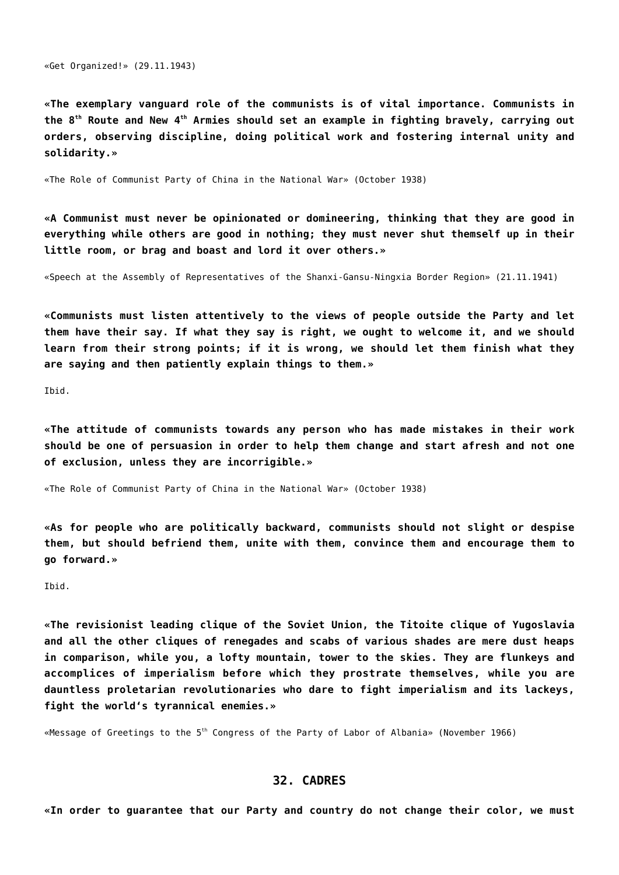«Get Organized!» (29.11.1943)

**«The exemplary vanguard role of the communists is of vital importance. Communists in the 8th Route and New 4th Armies should set an example in fighting bravely, carrying out orders, observing discipline, doing political work and fostering internal unity and solidarity.»**

«The Role of Communist Party of China in the National War» (October 1938)

**«A Communist must never be opinionated or domineering, thinking that they are good in everything while others are good in nothing; they must never shut themself up in their little room, or brag and boast and lord it over others.»**

«Speech at the Assembly of Representatives of the Shanxi-Gansu-Ningxia Border Region» (21.11.1941)

**«Communists must listen attentively to the views of people outside the Party and let them have their say. If what they say is right, we ought to welcome it, and we should learn from their strong points; if it is wrong, we should let them finish what they are saying and then patiently explain things to them.»**

Ibid.

**«The attitude of communists towards any person who has made mistakes in their work should be one of persuasion in order to help them change and start afresh and not one of exclusion, unless they are incorrigible.»**

«The Role of Communist Party of China in the National War» (October 1938)

**«As for people who are politically backward, communists should not slight or despise them, but should befriend them, unite with them, convince them and encourage them to go forward.»**

Ibid.

**«The revisionist leading clique of the Soviet Union, the Titoite clique of Yugoslavia and all the other cliques of renegades and scabs of various shades are mere dust heaps in comparison, while you, a lofty mountain, tower to the skies. They are flunkeys and accomplices of imperialism before which they prostrate themselves, while you are dauntless proletarian revolutionaries who dare to fight imperialism and its lackeys, fight the world's tyrannical enemies.»**

«Message of Greetings to the 5<sup>th</sup> Congress of the Party of Labor of Albania» (November 1966)

# **32. CADRES**

**«In order to guarantee that our Party and country do not change their color, we must**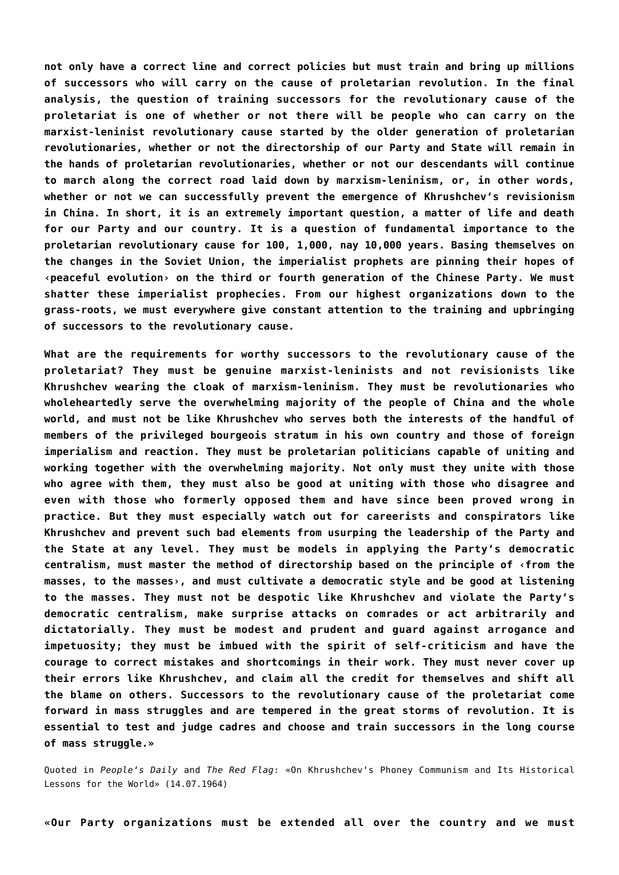**not only have a correct line and correct policies but must train and bring up millions of successors who will carry on the cause of proletarian revolution. In the final analysis, the question of training successors for the revolutionary cause of the proletariat is one of whether or not there will be people who can carry on the marxist-leninist revolutionary cause started by the older generation of proletarian revolutionaries, whether or not the directorship of our Party and State will remain in the hands of proletarian revolutionaries, whether or not our descendants will continue to march along the correct road laid down by marxism-leninism, or, in other words, whether or not we can successfully prevent the emergence of Khrushchev's revisionism in China. In short, it is an extremely important question, a matter of life and death for our Party and our country. It is a question of fundamental importance to the proletarian revolutionary cause for 100, 1,000, nay 10,000 years. Basing themselves on the changes in the Soviet Union, the imperialist prophets are pinning their hopes of ‹peaceful evolution› on the third or fourth generation of the Chinese Party. We must shatter these imperialist prophecies. From our highest organizations down to the grass-roots, we must everywhere give constant attention to the training and upbringing of successors to the revolutionary cause.**

**What are the requirements for worthy successors to the revolutionary cause of the proletariat? They must be genuine marxist-leninists and not revisionists like Khrushchev wearing the cloak of marxism-leninism. They must be revolutionaries who wholeheartedly serve the overwhelming majority of the people of China and the whole world, and must not be like Khrushchev who serves both the interests of the handful of members of the privileged bourgeois stratum in his own country and those of foreign imperialism and reaction. They must be proletarian politicians capable of uniting and working together with the overwhelming majority. Not only must they unite with those who agree with them, they must also be good at uniting with those who disagree and even with those who formerly opposed them and have since been proved wrong in practice. But they must especially watch out for careerists and conspirators like Khrushchev and prevent such bad elements from usurping the leadership of the Party and the State at any level. They must be models in applying the Party's democratic centralism, must master the method of directorship based on the principle of ‹from the masses, to the masses›, and must cultivate a democratic style and be good at listening to the masses. They must not be despotic like Khrushchev and violate the Party's democratic centralism, make surprise attacks on comrades or act arbitrarily and dictatorially. They must be modest and prudent and guard against arrogance and impetuosity; they must be imbued with the spirit of self-criticism and have the courage to correct mistakes and shortcomings in their work. They must never cover up their errors like Khrushchev, and claim all the credit for themselves and shift all the blame on others. Successors to the revolutionary cause of the proletariat come forward in mass struggles and are tempered in the great storms of revolution. It is essential to test and judge cadres and choose and train successors in the long course of mass struggle.»**

Quoted in *People's Daily* and *The Red Flag*: «On Khrushchev's Phoney Communism and Its Historical Lessons for the World» (14.07.1964)

**«Our Party organizations must be extended all over the country and we must**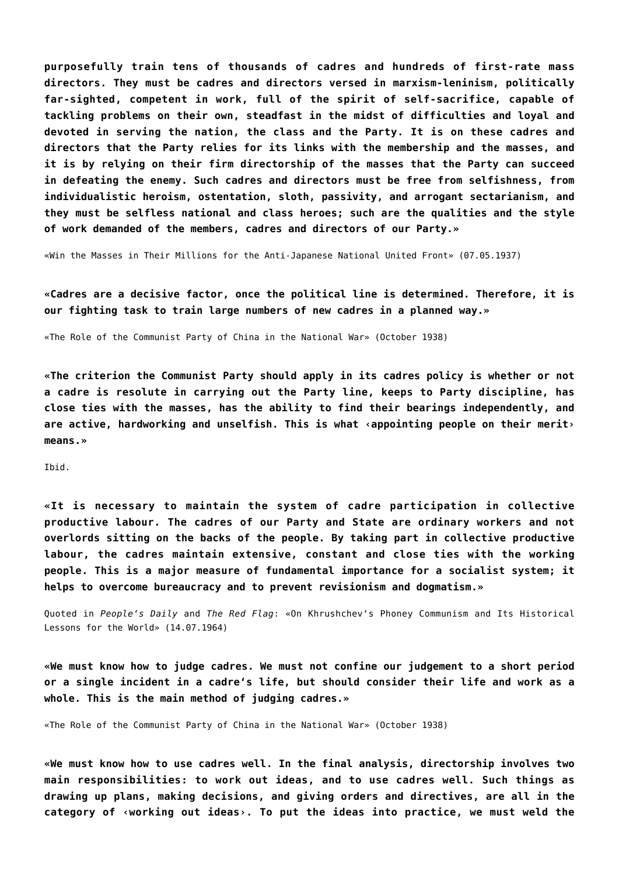**purposefully train tens of thousands of cadres and hundreds of first-rate mass directors. They must be cadres and directors versed in marxism-leninism, politically far-sighted, competent in work, full of the spirit of self-sacrifice, capable of tackling problems on their own, steadfast in the midst of difficulties and loyal and devoted in serving the nation, the class and the Party. It is on these cadres and directors that the Party relies for its links with the membership and the masses, and it is by relying on their firm directorship of the masses that the Party can succeed in defeating the enemy. Such cadres and directors must be free from selfishness, from individualistic heroism, ostentation, sloth, passivity, and arrogant sectarianism, and they must be selfless national and class heroes; such are the qualities and the style of work demanded of the members, cadres and directors of our Party.»**

«Win the Masses in Their Millions for the Anti-Japanese National United Front» (07.05.1937)

**«Cadres are a decisive factor, once the political line is determined. Therefore, it is our fighting task to train large numbers of new cadres in a planned way.»**

«The Role of the Communist Party of China in the National War» (October 1938)

**«The criterion the Communist Party should apply in its cadres policy is whether or not a cadre is resolute in carrying out the Party line, keeps to Party discipline, has close ties with the masses, has the ability to find their bearings independently, and are active, hardworking and unselfish. This is what ‹appointing people on their merit› means.»**

Ibid.

**«It is necessary to maintain the system of cadre participation in collective productive labour. The cadres of our Party and State are ordinary workers and not overlords sitting on the backs of the people. By taking part in collective productive labour, the cadres maintain extensive, constant and close ties with the working people. This is a major measure of fundamental importance for a socialist system; it helps to overcome bureaucracy and to prevent revisionism and dogmatism.»**

Quoted in *People's Daily* and *The Red Flag*: «On Khrushchev's Phoney Communism and Its Historical Lessons for the World» (14.07.1964)

**«We must know how to judge cadres. We must not confine our judgement to a short period or a single incident in a cadre's life, but should consider their life and work as a whole. This is the main method of judging cadres.»**

«The Role of the Communist Party of China in the National War» (October 1938)

**«We must know how to use cadres well. In the final analysis, directorship involves two main responsibilities: to work out ideas, and to use cadres well. Such things as drawing up plans, making decisions, and giving orders and directives, are all in the category of ‹working out ideas›. To put the ideas into practice, we must weld the**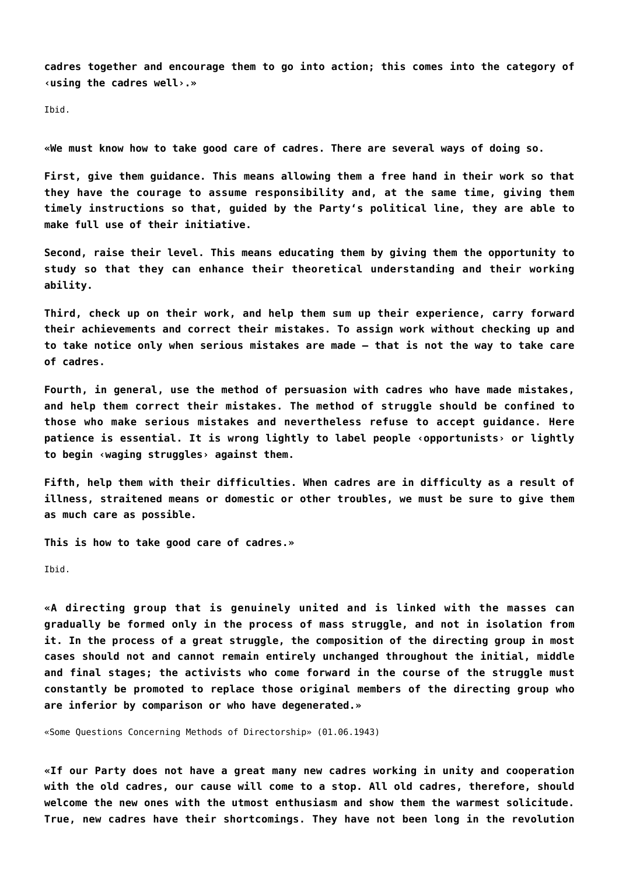**cadres together and encourage them to go into action; this comes into the category of ‹using the cadres well›.»**

Ibid.

**«We must know how to take good care of cadres. There are several ways of doing so.**

**First, give them guidance. This means allowing them a free hand in their work so that they have the courage to assume responsibility and, at the same time, giving them timely instructions so that, guided by the Party's political line, they are able to make full use of their initiative.**

**Second, raise their level. This means educating them by giving them the opportunity to study so that they can enhance their theoretical understanding and their working ability.**

**Third, check up on their work, and help them sum up their experience, carry forward their achievements and correct their mistakes. To assign work without checking up and to take notice only when serious mistakes are made — that is not the way to take care of cadres.**

**Fourth, in general, use the method of persuasion with cadres who have made mistakes, and help them correct their mistakes. The method of struggle should be confined to those who make serious mistakes and nevertheless refuse to accept guidance. Here patience is essential. It is wrong lightly to label people ‹opportunists› or lightly to begin ‹waging struggles› against them.**

**Fifth, help them with their difficulties. When cadres are in difficulty as a result of illness, straitened means or domestic or other troubles, we must be sure to give them as much care as possible.**

**This is how to take good care of cadres.»**

Ibid.

**«A directing group that is genuinely united and is linked with the masses can gradually be formed only in the process of mass struggle, and not in isolation from it. In the process of a great struggle, the composition of the directing group in most cases should not and cannot remain entirely unchanged throughout the initial, middle and final stages; the activists who come forward in the course of the struggle must constantly be promoted to replace those original members of the directing group who are inferior by comparison or who have degenerated.»**

«Some Questions Concerning Methods of Directorship» (01.06.1943)

**«If our Party does not have a great many new cadres working in unity and cooperation with the old cadres, our cause will come to a stop. All old cadres, therefore, should welcome the new ones with the utmost enthusiasm and show them the warmest solicitude. True, new cadres have their shortcomings. They have not been long in the revolution**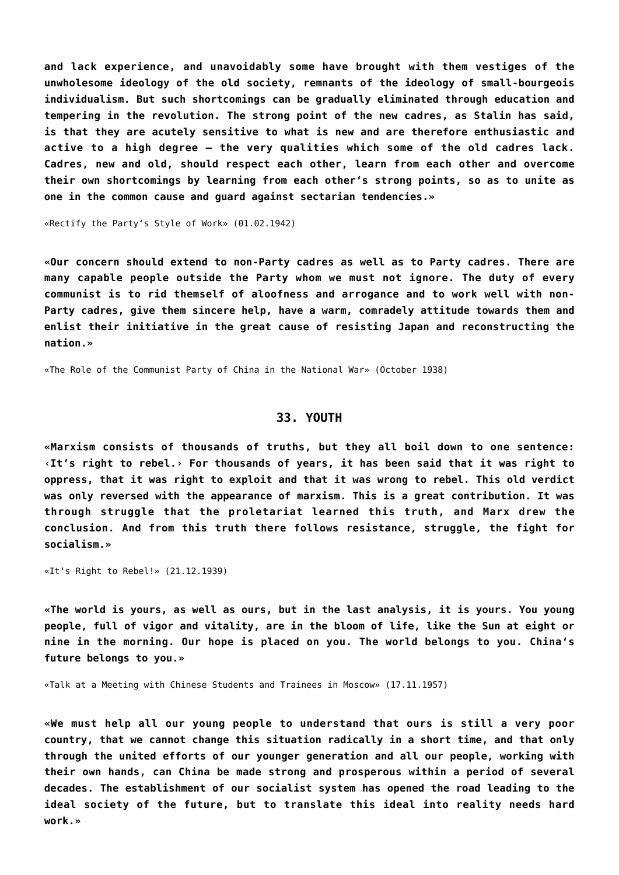**and lack experience, and unavoidably some have brought with them vestiges of the unwholesome ideology of the old society, remnants of the ideology of small-bourgeois individualism. But such shortcomings can be gradually eliminated through education and tempering in the revolution. The strong point of the new cadres, as Stalin has said, is that they are acutely sensitive to what is new and are therefore enthusiastic and active to a high degree — the very qualities which some of the old cadres lack. Cadres, new and old, should respect each other, learn from each other and overcome their own shortcomings by learning from each other's strong points, so as to unite as one in the common cause and guard against sectarian tendencies.»**

«Rectify the Party's Style of Work» (01.02.1942)

**«Our concern should extend to non-Party cadres as well as to Party cadres. There are many capable people outside the Party whom we must not ignore. The duty of every communist is to rid themself of aloofness and arrogance and to work well with non-Party cadres, give them sincere help, have a warm, comradely attitude towards them and enlist their initiative in the great cause of resisting Japan and reconstructing the nation.»**

«The Role of the Communist Party of China in the National War» (October 1938)

### **33. YOUTH**

**«Marxism consists of thousands of truths, but they all boil down to one sentence: ‹It's right to rebel.› For thousands of years, it has been said that it was right to oppress, that it was right to exploit and that it was wrong to rebel. This old verdict was only reversed with the appearance of marxism. This is a great contribution. It was through struggle that the proletariat learned this truth, and Marx drew the conclusion. And from this truth there follows resistance, struggle, the fight for socialism.»**

«It's Right to Rebel!» (21.12.1939)

**«The world is yours, as well as ours, but in the last analysis, it is yours. You young people, full of vigor and vitality, are in the bloom of life, like the Sun at eight or nine in the morning. Our hope is placed on you. The world belongs to you. China's future belongs to you.»**

«Talk at a Meeting with Chinese Students and Trainees in Moscow» (17.11.1957)

**«We must help all our young people to understand that ours is still a very poor country, that we cannot change this situation radically in a short time, and that only through the united efforts of our younger generation and all our people, working with their own hands, can China be made strong and prosperous within a period of several decades. The establishment of our socialist system has opened the road leading to the ideal society of the future, but to translate this ideal into reality needs hard work.»**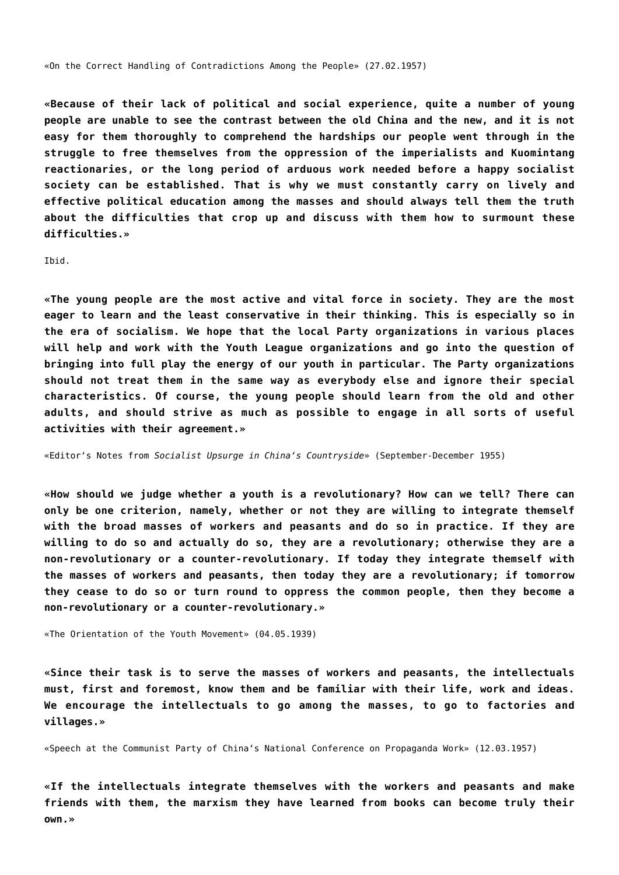«On the Correct Handling of Contradictions Among the People» (27.02.1957)

**«Because of their lack of political and social experience, quite a number of young people are unable to see the contrast between the old China and the new, and it is not easy for them thoroughly to comprehend the hardships our people went through in the struggle to free themselves from the oppression of the imperialists and Kuomintang reactionaries, or the long period of arduous work needed before a happy socialist society can be established. That is why we must constantly carry on lively and effective political education among the masses and should always tell them the truth about the difficulties that crop up and discuss with them how to surmount these difficulties.»**

#### Ibid.

**«The young people are the most active and vital force in society. They are the most eager to learn and the least conservative in their thinking. This is especially so in the era of socialism. We hope that the local Party organizations in various places will help and work with the Youth League organizations and go into the question of bringing into full play the energy of our youth in particular. The Party organizations should not treat them in the same way as everybody else and ignore their special characteristics. Of course, the young people should learn from the old and other adults, and should strive as much as possible to engage in all sorts of useful activities with their agreement.»**

«Editor's Notes from *Socialist Upsurge in China's Countryside*» (September-December 1955)

**«How should we judge whether a youth is a revolutionary? How can we tell? There can only be one criterion, namely, whether or not they are willing to integrate themself with the broad masses of workers and peasants and do so in practice. If they are willing to do so and actually do so, they are a revolutionary; otherwise they are a non-revolutionary or a counter-revolutionary. If today they integrate themself with the masses of workers and peasants, then today they are a revolutionary; if tomorrow they cease to do so or turn round to oppress the common people, then they become a non-revolutionary or a counter-revolutionary.»**

«The Orientation of the Youth Movement» (04.05.1939)

**«Since their task is to serve the masses of workers and peasants, the intellectuals must, first and foremost, know them and be familiar with their life, work and ideas. We encourage the intellectuals to go among the masses, to go to factories and villages.»**

«Speech at the Communist Party of China's National Conference on Propaganda Work» (12.03.1957)

**«If the intellectuals integrate themselves with the workers and peasants and make friends with them, the marxism they have learned from books can become truly their own.»**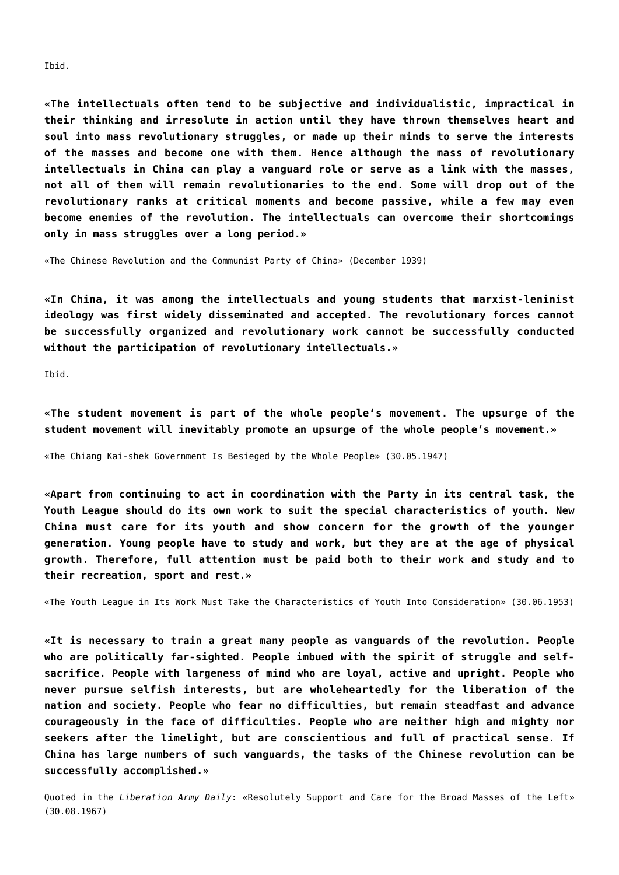**«The intellectuals often tend to be subjective and individualistic, impractical in their thinking and irresolute in action until they have thrown themselves heart and soul into mass revolutionary struggles, or made up their minds to serve the interests of the masses and become one with them. Hence although the mass of revolutionary intellectuals in China can play a vanguard role or serve as a link with the masses, not all of them will remain revolutionaries to the end. Some will drop out of the revolutionary ranks at critical moments and become passive, while a few may even become enemies of the revolution. The intellectuals can overcome their shortcomings only in mass struggles over a long period.»**

«The Chinese Revolution and the Communist Party of China» (December 1939)

**«In China, it was among the intellectuals and young students that marxist-leninist ideology was first widely disseminated and accepted. The revolutionary forces cannot be successfully organized and revolutionary work cannot be successfully conducted without the participation of revolutionary intellectuals.»**

Ibid.

**«The student movement is part of the whole people's movement. The upsurge of the student movement will inevitably promote an upsurge of the whole people's movement.»**

«The Chiang Kai-shek Government Is Besieged by the Whole People» (30.05.1947)

**«Apart from continuing to act in coordination with the Party in its central task, the Youth League should do its own work to suit the special characteristics of youth. New China must care for its youth and show concern for the growth of the younger generation. Young people have to study and work, but they are at the age of physical growth. Therefore, full attention must be paid both to their work and study and to their recreation, sport and rest.»**

«The Youth League in Its Work Must Take the Characteristics of Youth Into Consideration» (30.06.1953)

**«It is necessary to train a great many people as vanguards of the revolution. People who are politically far-sighted. People imbued with the spirit of struggle and selfsacrifice. People with largeness of mind who are loyal, active and upright. People who never pursue selfish interests, but are wholeheartedly for the liberation of the nation and society. People who fear no difficulties, but remain steadfast and advance courageously in the face of difficulties. People who are neither high and mighty nor seekers after the limelight, but are conscientious and full of practical sense. If China has large numbers of such vanguards, the tasks of the Chinese revolution can be successfully accomplished.»**

Quoted in the *Liberation Army Daily*: «Resolutely Support and Care for the Broad Masses of the Left» (30.08.1967)

Ibid.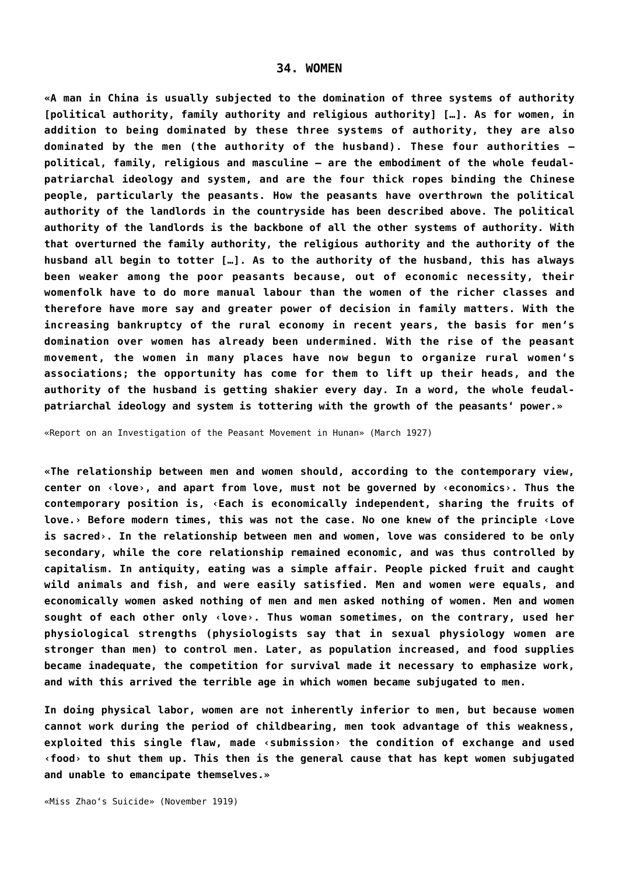### **34. WOMEN**

**«A man in China is usually subjected to the domination of three systems of authority [political authority, family authority and religious authority] […]. As for women, in addition to being dominated by these three systems of authority, they are also dominated by the men (the authority of the husband). These four authorities political, family, religious and masculine — are the embodiment of the whole feudalpatriarchal ideology and system, and are the four thick ropes binding the Chinese people, particularly the peasants. How the peasants have overthrown the political authority of the landlords in the countryside has been described above. The political authority of the landlords is the backbone of all the other systems of authority. With that overturned the family authority, the religious authority and the authority of the husband all begin to totter […]. As to the authority of the husband, this has always been weaker among the poor peasants because, out of economic necessity, their womenfolk have to do more manual labour than the women of the richer classes and therefore have more say and greater power of decision in family matters. With the increasing bankruptcy of the rural economy in recent years, the basis for men's domination over women has already been undermined. With the rise of the peasant movement, the women in many places have now begun to organize rural women's associations; the opportunity has come for them to lift up their heads, and the authority of the husband is getting shakier every day. In a word, the whole feudalpatriarchal ideology and system is tottering with the growth of the peasants' power.»**

«Report on an Investigation of the Peasant Movement in Hunan» (March 1927)

**«The relationship between men and women should, according to the contemporary view, center on ‹love›, and apart from love, must not be governed by ‹economics›. Thus the contemporary position is, ‹Each is economically independent, sharing the fruits of love.› Before modern times, this was not the case. No one knew of the principle ‹Love is sacred›. In the relationship between men and women, love was considered to be only secondary, while the core relationship remained economic, and was thus controlled by capitalism. In antiquity, eating was a simple affair. People picked fruit and caught wild animals and fish, and were easily satisfied. Men and women were equals, and economically women asked nothing of men and men asked nothing of women. Men and women sought of each other only ‹love›. Thus woman sometimes, on the contrary, used her physiological strengths (physiologists say that in sexual physiology women are stronger than men) to control men. Later, as population increased, and food supplies became inadequate, the competition for survival made it necessary to emphasize work, and with this arrived the terrible age in which women became subjugated to men.**

**In doing physical labor, women are not inherently inferior to men, but because women cannot work during the period of childbearing, men took advantage of this weakness, exploited this single flaw, made ‹submission› the condition of exchange and used ‹food› to shut them up. This then is the general cause that has kept women subjugated and unable to emancipate themselves.»**

«Miss Zhao's Suicide» (November 1919)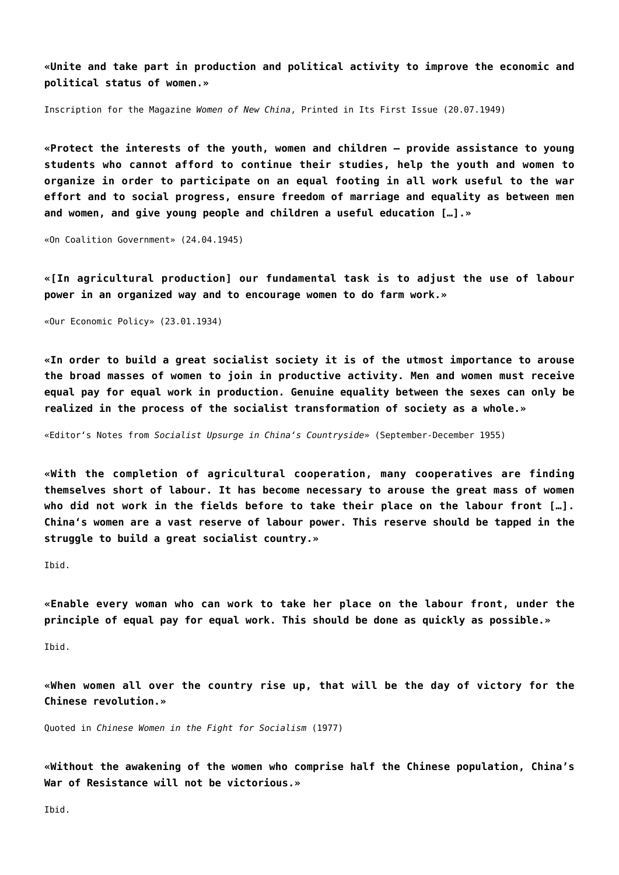**«Unite and take part in production and political activity to improve the economic and political status of women.»**

Inscription for the Magazine *Women of New China*, Printed in Its First Issue (20.07.1949)

**«Protect the interests of the youth, women and children — provide assistance to young students who cannot afford to continue their studies, help the youth and women to organize in order to participate on an equal footing in all work useful to the war effort and to social progress, ensure freedom of marriage and equality as between men and women, and give young people and children a useful education […].»**

«On Coalition Government» (24.04.1945)

**«[In agricultural production] our fundamental task is to adjust the use of labour power in an organized way and to encourage women to do farm work.»**

«Our Economic Policy» (23.01.1934)

**«In order to build a great socialist society it is of the utmost importance to arouse the broad masses of women to join in productive activity. Men and women must receive equal pay for equal work in production. Genuine equality between the sexes can only be realized in the process of the socialist transformation of society as a whole.»**

«Editor's Notes from *Socialist Upsurge in China's Countryside*» (September-December 1955)

**«With the completion of agricultural cooperation, many cooperatives are finding themselves short of labour. It has become necessary to arouse the great mass of women who did not work in the fields before to take their place on the labour front […]. China's women are a vast reserve of labour power. This reserve should be tapped in the struggle to build a great socialist country.»**

Ibid.

**«Enable every woman who can work to take her place on the labour front, under the principle of equal pay for equal work. This should be done as quickly as possible.»**

Ibid.

**«When women all over the country rise up, that will be the day of victory for the Chinese revolution.»**

Quoted in *Chinese Women in the Fight for Socialism* (1977)

**«Without the awakening of the women who comprise half the Chinese population, China's War of Resistance will not be victorious.»**

Ibid.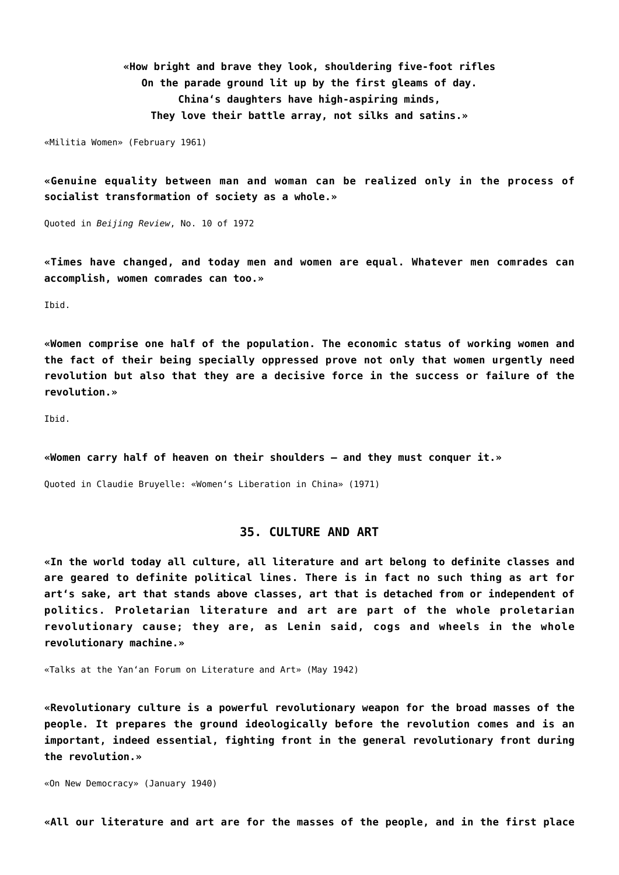**«How bright and brave they look, shouldering five-foot rifles On the parade ground lit up by the first gleams of day. China's daughters have high-aspiring minds, They love their battle array, not silks and satins.»**

«Militia Women» (February 1961)

**«Genuine equality between man and woman can be realized only in the process of socialist transformation of society as a whole.»**

Quoted in *Beijing Review*, No. 10 of 1972

**«Times have changed, and today men and women are equal. Whatever men comrades can accomplish, women comrades can too.»**

Ibid.

**«Women comprise one half of the population. The economic status of working women and the fact of their being specially oppressed prove not only that women urgently need revolution but also that they are a decisive force in the success or failure of the revolution.»**

Ibid.

**«Women carry half of heaven on their shoulders — and they must conquer it.»**

Quoted in Claudie Bruyelle: «Women's Liberation in China» (1971)

## **35. CULTURE AND ART**

**«In the world today all culture, all literature and art belong to definite classes and are geared to definite political lines. There is in fact no such thing as art for art's sake, art that stands above classes, art that is detached from or independent of politics. Proletarian literature and art are part of the whole proletarian revolutionary cause; they are, as Lenin said, cogs and wheels in the whole revolutionary machine.»**

«Talks at the Yan'an Forum on Literature and Art» (May 1942)

**«Revolutionary culture is a powerful revolutionary weapon for the broad masses of the people. It prepares the ground ideologically before the revolution comes and is an important, indeed essential, fighting front in the general revolutionary front during the revolution.»**

«On New Democracy» (January 1940)

**«All our literature and art are for the masses of the people, and in the first place**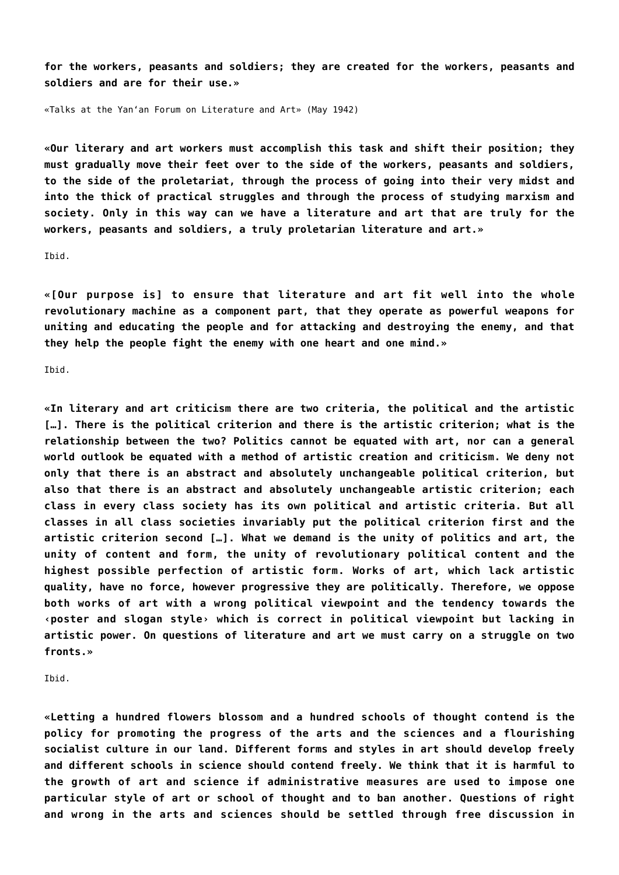**for the workers, peasants and soldiers; they are created for the workers, peasants and soldiers and are for their use.»**

«Talks at the Yan'an Forum on Literature and Art» (May 1942)

**«Our literary and art workers must accomplish this task and shift their position; they must gradually move their feet over to the side of the workers, peasants and soldiers, to the side of the proletariat, through the process of going into their very midst and into the thick of practical struggles and through the process of studying marxism and society. Only in this way can we have a literature and art that are truly for the workers, peasants and soldiers, a truly proletarian literature and art.»**

Ibid.

**«[Our purpose is] to ensure that literature and art fit well into the whole revolutionary machine as a component part, that they operate as powerful weapons for uniting and educating the people and for attacking and destroying the enemy, and that they help the people fight the enemy with one heart and one mind.»**

Ibid.

**«In literary and art criticism there are two criteria, the political and the artistic […]. There is the political criterion and there is the artistic criterion; what is the relationship between the two? Politics cannot be equated with art, nor can a general world outlook be equated with a method of artistic creation and criticism. We deny not only that there is an abstract and absolutely unchangeable political criterion, but also that there is an abstract and absolutely unchangeable artistic criterion; each class in every class society has its own political and artistic criteria. But all classes in all class societies invariably put the political criterion first and the artistic criterion second […]. What we demand is the unity of politics and art, the unity of content and form, the unity of revolutionary political content and the highest possible perfection of artistic form. Works of art, which lack artistic quality, have no force, however progressive they are politically. Therefore, we oppose both works of art with a wrong political viewpoint and the tendency towards the ‹poster and slogan style› which is correct in political viewpoint but lacking in artistic power. On questions of literature and art we must carry on a struggle on two fronts.»**

Ibid.

**«Letting a hundred flowers blossom and a hundred schools of thought contend is the policy for promoting the progress of the arts and the sciences and a flourishing socialist culture in our land. Different forms and styles in art should develop freely and different schools in science should contend freely. We think that it is harmful to the growth of art and science if administrative measures are used to impose one particular style of art or school of thought and to ban another. Questions of right and wrong in the arts and sciences should be settled through free discussion in**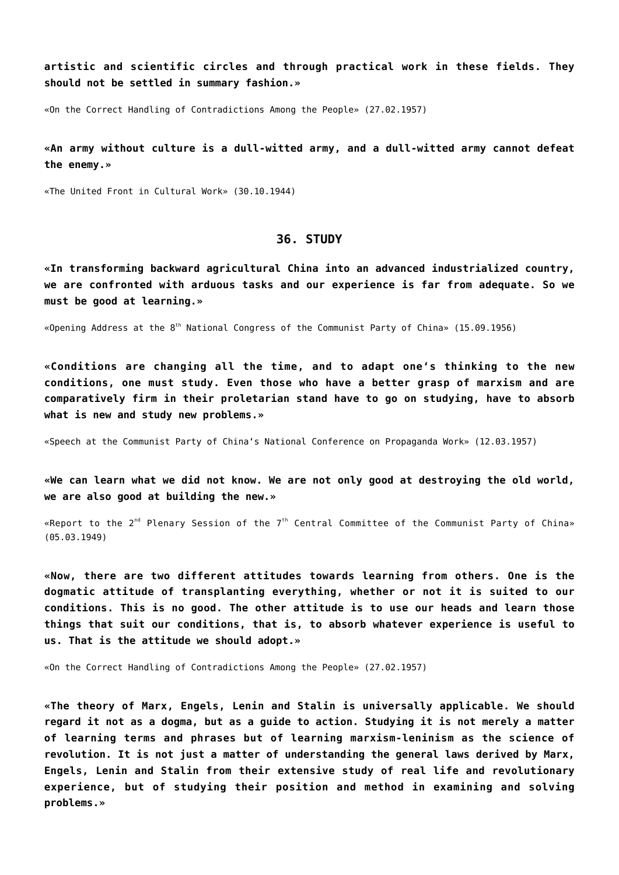**artistic and scientific circles and through practical work in these fields. They should not be settled in summary fashion.»**

«On the Correct Handling of Contradictions Among the People» (27.02.1957)

**«An army without culture is a dull-witted army, and a dull-witted army cannot defeat the enemy.»**

«The United Front in Cultural Work» (30.10.1944)

## **36. STUDY**

**«In transforming backward agricultural China into an advanced industrialized country, we are confronted with arduous tasks and our experience is far from adequate. So we must be good at learning.»**

«Opening Address at the  $8^{th}$  National Congress of the Communist Party of China» (15.09.1956)

**«Conditions are changing all the time, and to adapt one's thinking to the new conditions, one must study. Even those who have a better grasp of marxism and are comparatively firm in their proletarian stand have to go on studying, have to absorb what is new and study new problems.»**

«Speech at the Communist Party of China's National Conference on Propaganda Work» (12.03.1957)

**«We can learn what we did not know. We are not only good at destroying the old world, we are also good at building the new.»**

«Report to the  $2^{nd}$  Plenary Session of the  $7^{th}$  Central Committee of the Communist Party of China» (05.03.1949)

**«Now, there are two different attitudes towards learning from others. One is the dogmatic attitude of transplanting everything, whether or not it is suited to our conditions. This is no good. The other attitude is to use our heads and learn those things that suit our conditions, that is, to absorb whatever experience is useful to us. That is the attitude we should adopt.»**

«On the Correct Handling of Contradictions Among the People» (27.02.1957)

**«The theory of Marx, Engels, Lenin and Stalin is universally applicable. We should regard it not as a dogma, but as a guide to action. Studying it is not merely a matter of learning terms and phrases but of learning marxism-leninism as the science of revolution. It is not just a matter of understanding the general laws derived by Marx, Engels, Lenin and Stalin from their extensive study of real life and revolutionary experience, but of studying their position and method in examining and solving problems.»**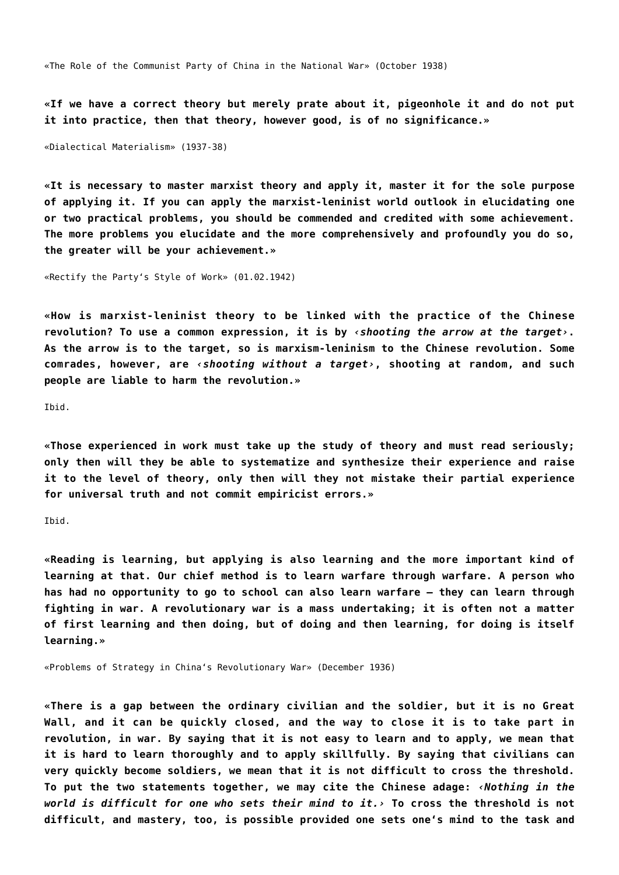«The Role of the Communist Party of China in the National War» (October 1938)

**«If we have a correct theory but merely prate about it, pigeonhole it and do not put it into practice, then that theory, however good, is of no significance.»**

«Dialectical Materialism» (1937-38)

**«It is necessary to master marxist theory and apply it, master it for the sole purpose of applying it. If you can apply the marxist-leninist world outlook in elucidating one or two practical problems, you should be commended and credited with some achievement. The more problems you elucidate and the more comprehensively and profoundly you do so, the greater will be your achievement.»**

«Rectify the Party's Style of Work» (01.02.1942)

**«How is marxist-leninist theory to be linked with the practice of the Chinese revolution? To use a common expression, it is by** *‹shooting the arrow at the target›***. As the arrow is to the target, so is marxism-leninism to the Chinese revolution. Some comrades, however, are** *‹shooting without a target›***, shooting at random, and such people are liable to harm the revolution.»**

Ibid.

**«Those experienced in work must take up the study of theory and must read seriously; only then will they be able to systematize and synthesize their experience and raise it to the level of theory, only then will they not mistake their partial experience for universal truth and not commit empiricist errors.»**

Ibid.

**«Reading is learning, but applying is also learning and the more important kind of learning at that. Our chief method is to learn warfare through warfare. A person who has had no opportunity to go to school can also learn warfare — they can learn through fighting in war. A revolutionary war is a mass undertaking; it is often not a matter of first learning and then doing, but of doing and then learning, for doing is itself learning.»**

«Problems of Strategy in China's Revolutionary War» (December 1936)

**«There is a gap between the ordinary civilian and the soldier, but it is no Great Wall, and it can be quickly closed, and the way to close it is to take part in revolution, in war. By saying that it is not easy to learn and to apply, we mean that it is hard to learn thoroughly and to apply skillfully. By saying that civilians can very quickly become soldiers, we mean that it is not difficult to cross the threshold. To put the two statements together, we may cite the Chinese adage:** *‹Nothing in the world is difficult for one who sets their mind to it.›* **To cross the threshold is not difficult, and mastery, too, is possible provided one sets one's mind to the task and**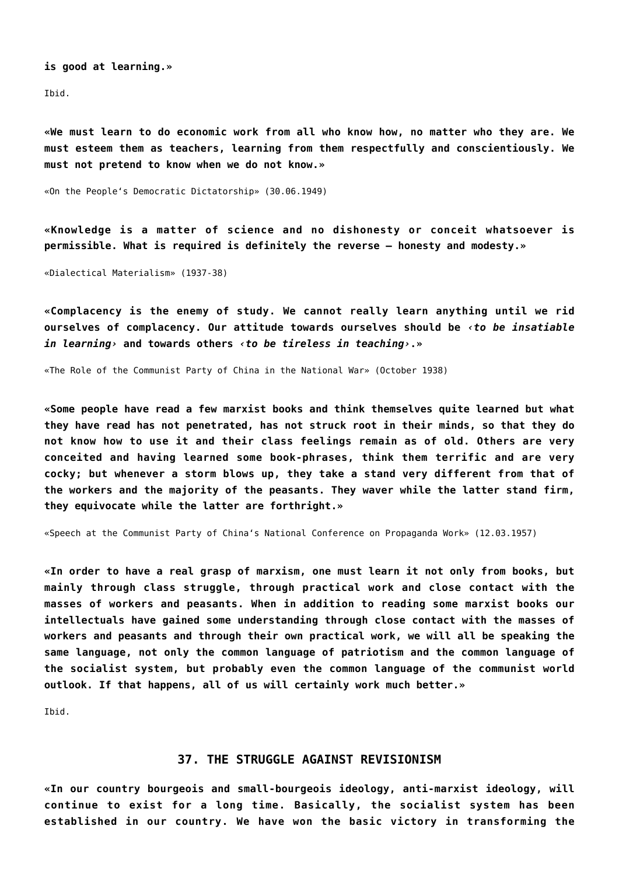**is good at learning.»**

Ibid.

**«We must learn to do economic work from all who know how, no matter who they are. We must esteem them as teachers, learning from them respectfully and conscientiously. We must not pretend to know when we do not know.»**

«On the People's Democratic Dictatorship» (30.06.1949)

**«Knowledge is a matter of science and no dishonesty or conceit whatsoever is permissible. What is required is definitely the reverse — honesty and modesty.»**

«Dialectical Materialism» (1937-38)

**«Complacency is the enemy of study. We cannot really learn anything until we rid ourselves of complacency. Our attitude towards ourselves should be** *‹to be insatiable in learning›* **and towards others** *‹to be tireless in teaching›***.»**

«The Role of the Communist Party of China in the National War» (October 1938)

**«Some people have read a few marxist books and think themselves quite learned but what they have read has not penetrated, has not struck root in their minds, so that they do not know how to use it and their class feelings remain as of old. Others are very conceited and having learned some book-phrases, think them terrific and are very cocky; but whenever a storm blows up, they take a stand very different from that of the workers and the majority of the peasants. They waver while the latter stand firm, they equivocate while the latter are forthright.»**

«Speech at the Communist Party of China's National Conference on Propaganda Work» (12.03.1957)

**«In order to have a real grasp of marxism, one must learn it not only from books, but mainly through class struggle, through practical work and close contact with the masses of workers and peasants. When in addition to reading some marxist books our intellectuals have gained some understanding through close contact with the masses of workers and peasants and through their own practical work, we will all be speaking the same language, not only the common language of patriotism and the common language of the socialist system, but probably even the common language of the communist world outlook. If that happens, all of us will certainly work much better.»**

Ibid.

### **37. THE STRUGGLE AGAINST REVISIONISM**

**«In our country bourgeois and small-bourgeois ideology, anti-marxist ideology, will continue to exist for a long time. Basically, the socialist system has been established in our country. We have won the basic victory in transforming the**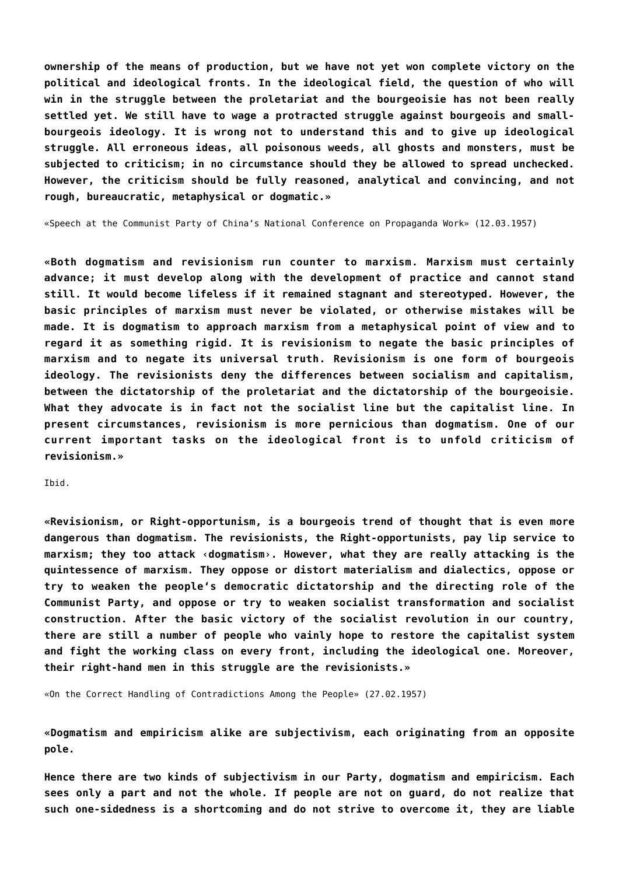**ownership of the means of production, but we have not yet won complete victory on the political and ideological fronts. In the ideological field, the question of who will win in the struggle between the proletariat and the bourgeoisie has not been really settled yet. We still have to wage a protracted struggle against bourgeois and smallbourgeois ideology. It is wrong not to understand this and to give up ideological struggle. All erroneous ideas, all poisonous weeds, all ghosts and monsters, must be subjected to criticism; in no circumstance should they be allowed to spread unchecked. However, the criticism should be fully reasoned, analytical and convincing, and not rough, bureaucratic, metaphysical or dogmatic.»**

«Speech at the Communist Party of China's National Conference on Propaganda Work» (12.03.1957)

**«Both dogmatism and revisionism run counter to marxism. Marxism must certainly advance; it must develop along with the development of practice and cannot stand still. It would become lifeless if it remained stagnant and stereotyped. However, the basic principles of marxism must never be violated, or otherwise mistakes will be made. It is dogmatism to approach marxism from a metaphysical point of view and to regard it as something rigid. It is revisionism to negate the basic principles of marxism and to negate its universal truth. Revisionism is one form of bourgeois ideology. The revisionists deny the differences between socialism and capitalism, between the dictatorship of the proletariat and the dictatorship of the bourgeoisie. What they advocate is in fact not the socialist line but the capitalist line. In present circumstances, revisionism is more pernicious than dogmatism. One of our current important tasks on the ideological front is to unfold criticism of revisionism.»**

Ibid.

**«Revisionism, or Right-opportunism, is a bourgeois trend of thought that is even more dangerous than dogmatism. The revisionists, the Right-opportunists, pay lip service to marxism; they too attack ‹dogmatism›. However, what they are really attacking is the quintessence of marxism. They oppose or distort materialism and dialectics, oppose or try to weaken the people's democratic dictatorship and the directing role of the Communist Party, and oppose or try to weaken socialist transformation and socialist construction. After the basic victory of the socialist revolution in our country, there are still a number of people who vainly hope to restore the capitalist system and fight the working class on every front, including the ideological one. Moreover, their right-hand men in this struggle are the revisionists.»**

«On the Correct Handling of Contradictions Among the People» (27.02.1957)

**«Dogmatism and empiricism alike are subjectivism, each originating from an opposite pole.**

**Hence there are two kinds of subjectivism in our Party, dogmatism and empiricism. Each sees only a part and not the whole. If people are not on guard, do not realize that such one-sidedness is a shortcoming and do not strive to overcome it, they are liable**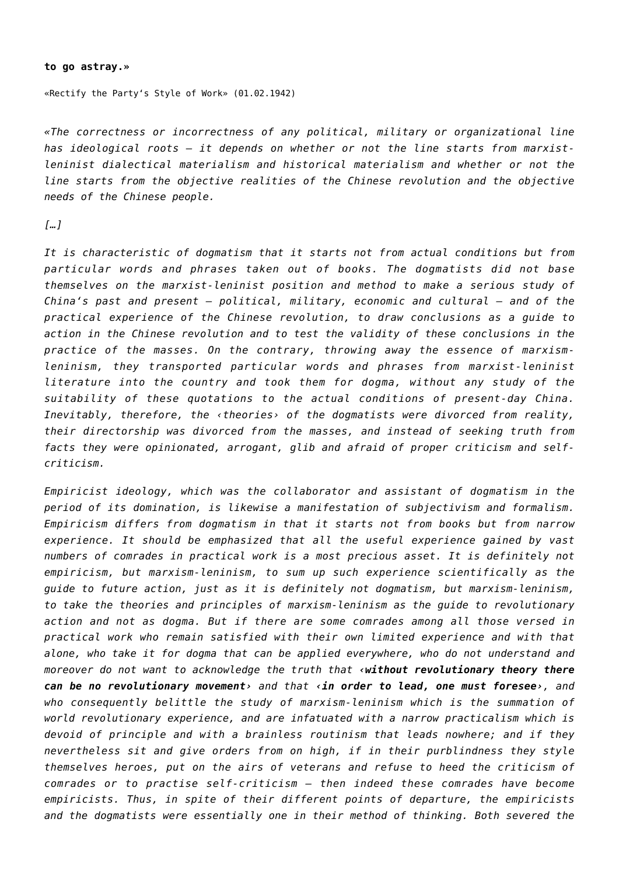#### **to go astray.»**

«Rectify the Party's Style of Work» (01.02.1942)

*«The correctness or incorrectness of any political, military or organizational line has ideological roots — it depends on whether or not the line starts from marxistleninist dialectical materialism and historical materialism and whether or not the line starts from the objective realities of the Chinese revolution and the objective needs of the Chinese people.*

*[…]*

*It is characteristic of dogmatism that it starts not from actual conditions but from particular words and phrases taken out of books. The dogmatists did not base themselves on the marxist-leninist position and method to make a serious study of China's past and present — political, military, economic and cultural — and of the practical experience of the Chinese revolution, to draw conclusions as a guide to action in the Chinese revolution and to test the validity of these conclusions in the practice of the masses. On the contrary, throwing away the essence of marxismleninism, they transported particular words and phrases from marxist-leninist literature into the country and took them for dogma, without any study of the suitability of these quotations to the actual conditions of present-day China. Inevitably, therefore, the ‹theories› of the dogmatists were divorced from reality, their directorship was divorced from the masses, and instead of seeking truth from facts they were opinionated, arrogant, glib and afraid of proper criticism and selfcriticism.*

*Empiricist ideology, which was the collaborator and assistant of dogmatism in the period of its domination, is likewise a manifestation of subjectivism and formalism. Empiricism differs from dogmatism in that it starts not from books but from narrow experience. It should be emphasized that all the useful experience gained by vast numbers of comrades in practical work is a most precious asset. It is definitely not empiricism, but marxism-leninism, to sum up such experience scientifically as the guide to future action, just as it is definitely not dogmatism, but marxism-leninism, to take the theories and principles of marxism-leninism as the guide to revolutionary action and not as dogma. But if there are some comrades among all those versed in practical work who remain satisfied with their own limited experience and with that alone, who take it for dogma that can be applied everywhere, who do not understand and moreover do not want to acknowledge the truth that ‹without revolutionary theory there can be no revolutionary movement› and that ‹in order to lead, one must foresee›, and who consequently belittle the study of marxism-leninism which is the summation of world revolutionary experience, and are infatuated with a narrow practicalism which is devoid of principle and with a brainless routinism that leads nowhere; and if they nevertheless sit and give orders from on high, if in their purblindness they style themselves heroes, put on the airs of veterans and refuse to heed the criticism of comrades or to practise self-criticism — then indeed these comrades have become empiricists. Thus, in spite of their different points of departure, the empiricists and the dogmatists were essentially one in their method of thinking. Both severed the*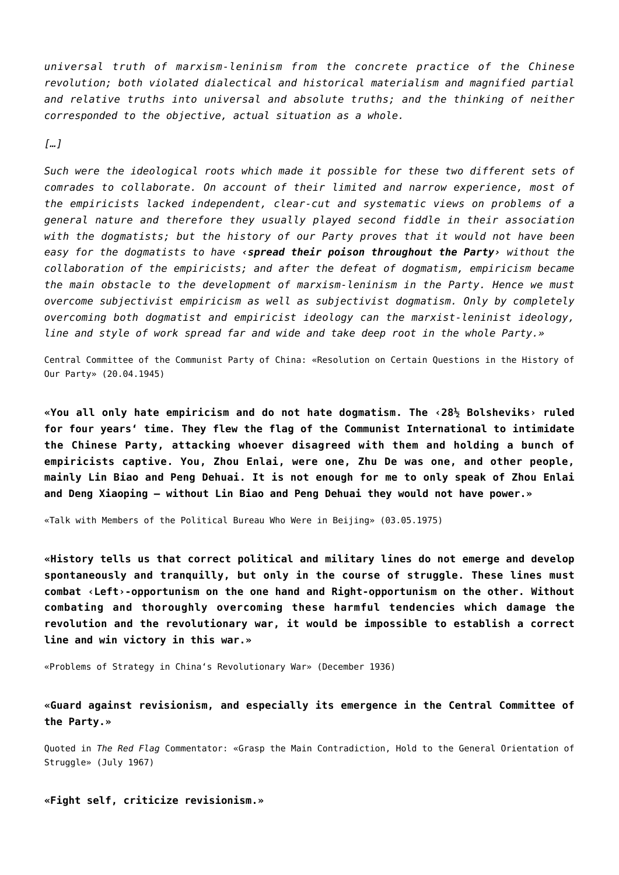*universal truth of marxism-leninism from the concrete practice of the Chinese revolution; both violated dialectical and historical materialism and magnified partial and relative truths into universal and absolute truths; and the thinking of neither corresponded to the objective, actual situation as a whole.*

*[…]*

*Such were the ideological roots which made it possible for these two different sets of comrades to collaborate. On account of their limited and narrow experience, most of the empiricists lacked independent, clear-cut and systematic views on problems of a general nature and therefore they usually played second fiddle in their association with the dogmatists; but the history of our Party proves that it would not have been easy for the dogmatists to have ‹spread their poison throughout the Party› without the collaboration of the empiricists; and after the defeat of dogmatism, empiricism became the main obstacle to the development of marxism-leninism in the Party. Hence we must overcome subjectivist empiricism as well as subjectivist dogmatism. Only by completely overcoming both dogmatist and empiricist ideology can the marxist-leninist ideology, line and style of work spread far and wide and take deep root in the whole Party.»*

Central Committee of the Communist Party of China: «Resolution on Certain Questions in the History of Our Party» (20.04.1945)

**«You all only hate empiricism and do not hate dogmatism. The ‹28½ Bolsheviks› ruled for four years' time. They flew the flag of the Communist International to intimidate the Chinese Party, attacking whoever disagreed with them and holding a bunch of empiricists captive. You, Zhou Enlai, were one, Zhu De was one, and other people, mainly Lin Biao and Peng Dehuai. It is not enough for me to only speak of Zhou Enlai and Deng Xiaoping — without Lin Biao and Peng Dehuai they would not have power.»**

«Talk with Members of the Political Bureau Who Were in Beijing» (03.05.1975)

**«History tells us that correct political and military lines do not emerge and develop spontaneously and tranquilly, but only in the course of struggle. These lines must combat ‹Left›-opportunism on the one hand and Right-opportunism on the other. Without combating and thoroughly overcoming these harmful tendencies which damage the revolution and the revolutionary war, it would be impossible to establish a correct line and win victory in this war.»**

«Problems of Strategy in China's Revolutionary War» (December 1936)

**«Guard against revisionism, and especially its emergence in the Central Committee of the Party.»**

Quoted in *The Red Flag* Commentator: «Grasp the Main Contradiction, Hold to the General Orientation of Struggle» (July 1967)

**«Fight self, criticize revisionism.»**